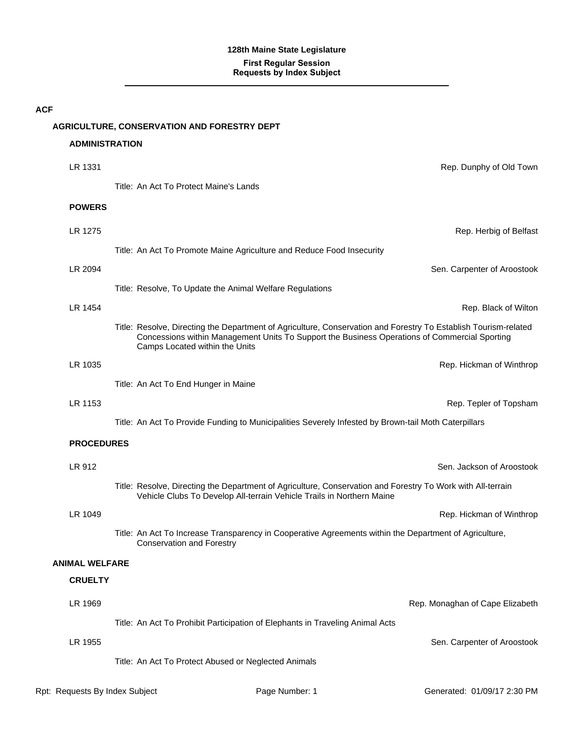#### **AGRICULTURE, CONSERVATION AND FORESTRY DEPT**

#### **ADMINISTRATION**

| LR 1331               | Rep. Dunphy of Old Town                                                                                                                                                                                                                            |
|-----------------------|----------------------------------------------------------------------------------------------------------------------------------------------------------------------------------------------------------------------------------------------------|
|                       | Title: An Act To Protect Maine's Lands                                                                                                                                                                                                             |
| <b>POWERS</b>         |                                                                                                                                                                                                                                                    |
| LR 1275               | Rep. Herbig of Belfast                                                                                                                                                                                                                             |
|                       | Title: An Act To Promote Maine Agriculture and Reduce Food Insecurity                                                                                                                                                                              |
| LR 2094               | Sen. Carpenter of Aroostook                                                                                                                                                                                                                        |
|                       | Title: Resolve, To Update the Animal Welfare Regulations                                                                                                                                                                                           |
| LR 1454               | Rep. Black of Wilton                                                                                                                                                                                                                               |
|                       | Title: Resolve, Directing the Department of Agriculture, Conservation and Forestry To Establish Tourism-related<br>Concessions within Management Units To Support the Business Operations of Commercial Sporting<br>Camps Located within the Units |
| LR 1035               | Rep. Hickman of Winthrop                                                                                                                                                                                                                           |
|                       | Title: An Act To End Hunger in Maine                                                                                                                                                                                                               |
| LR 1153               | Rep. Tepler of Topsham                                                                                                                                                                                                                             |
|                       | Title: An Act To Provide Funding to Municipalities Severely Infested by Brown-tail Moth Caterpillars                                                                                                                                               |
| <b>PROCEDURES</b>     |                                                                                                                                                                                                                                                    |
| LR 912                | Sen. Jackson of Aroostook                                                                                                                                                                                                                          |
|                       | Title: Resolve, Directing the Department of Agriculture, Conservation and Forestry To Work with All-terrain<br>Vehicle Clubs To Develop All-terrain Vehicle Trails in Northern Maine                                                               |
| LR 1049               | Rep. Hickman of Winthrop                                                                                                                                                                                                                           |
|                       | Title: An Act To Increase Transparency in Cooperative Agreements within the Department of Agriculture,<br><b>Conservation and Forestry</b>                                                                                                         |
| <b>ANIMAL WELFARE</b> |                                                                                                                                                                                                                                                    |
| <b>CRUELTY</b>        |                                                                                                                                                                                                                                                    |
| LR 1969               | Rep. Monaghan of Cape Elizabeth                                                                                                                                                                                                                    |
|                       | Title: An Act To Prohibit Participation of Elephants in Traveling Animal Acts                                                                                                                                                                      |
| LR 1955               | Sen. Carpenter of Aroostook                                                                                                                                                                                                                        |
|                       | Title: An Act To Protect Abused or Neglected Animals                                                                                                                                                                                               |
|                       |                                                                                                                                                                                                                                                    |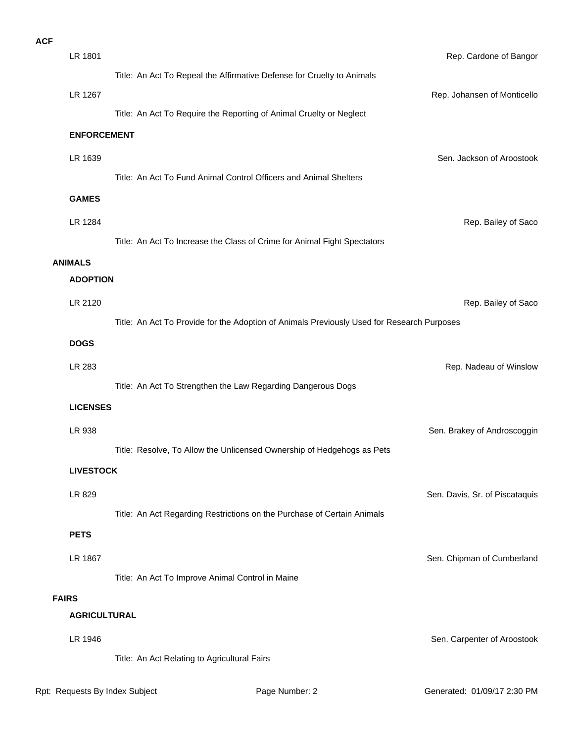| <b>ACF</b>   |                     |                                                                                            |                                |
|--------------|---------------------|--------------------------------------------------------------------------------------------|--------------------------------|
|              | LR 1801             |                                                                                            | Rep. Cardone of Bangor         |
|              |                     | Title: An Act To Repeal the Affirmative Defense for Cruelty to Animals                     |                                |
|              | LR 1267             |                                                                                            | Rep. Johansen of Monticello    |
|              |                     | Title: An Act To Require the Reporting of Animal Cruelty or Neglect                        |                                |
|              | <b>ENFORCEMENT</b>  |                                                                                            |                                |
|              | LR 1639             |                                                                                            | Sen. Jackson of Aroostook      |
|              |                     | Title: An Act To Fund Animal Control Officers and Animal Shelters                          |                                |
|              | <b>GAMES</b>        |                                                                                            |                                |
|              | LR 1284             |                                                                                            | Rep. Bailey of Saco            |
|              |                     | Title: An Act To Increase the Class of Crime for Animal Fight Spectators                   |                                |
|              | <b>ANIMALS</b>      |                                                                                            |                                |
|              | <b>ADOPTION</b>     |                                                                                            |                                |
|              | LR 2120             |                                                                                            | Rep. Bailey of Saco            |
|              |                     | Title: An Act To Provide for the Adoption of Animals Previously Used for Research Purposes |                                |
|              | <b>DOGS</b>         |                                                                                            |                                |
|              | LR 283              |                                                                                            | Rep. Nadeau of Winslow         |
|              |                     | Title: An Act To Strengthen the Law Regarding Dangerous Dogs                               |                                |
|              | <b>LICENSES</b>     |                                                                                            |                                |
|              | LR 938              |                                                                                            | Sen. Brakey of Androscoggin    |
|              |                     | Title: Resolve, To Allow the Unlicensed Ownership of Hedgehogs as Pets                     |                                |
|              | <b>LIVESTOCK</b>    |                                                                                            |                                |
|              | LR 829              |                                                                                            | Sen. Davis, Sr. of Piscataquis |
|              |                     | Title: An Act Regarding Restrictions on the Purchase of Certain Animals                    |                                |
|              | <b>PETS</b>         |                                                                                            |                                |
|              | LR 1867             |                                                                                            | Sen. Chipman of Cumberland     |
|              |                     | Title: An Act To Improve Animal Control in Maine                                           |                                |
| <b>FAIRS</b> |                     |                                                                                            |                                |
|              | <b>AGRICULTURAL</b> |                                                                                            |                                |
|              | LR 1946             |                                                                                            | Sen. Carpenter of Aroostook    |
|              |                     | Title: An Act Relating to Agricultural Fairs                                               |                                |
|              |                     |                                                                                            |                                |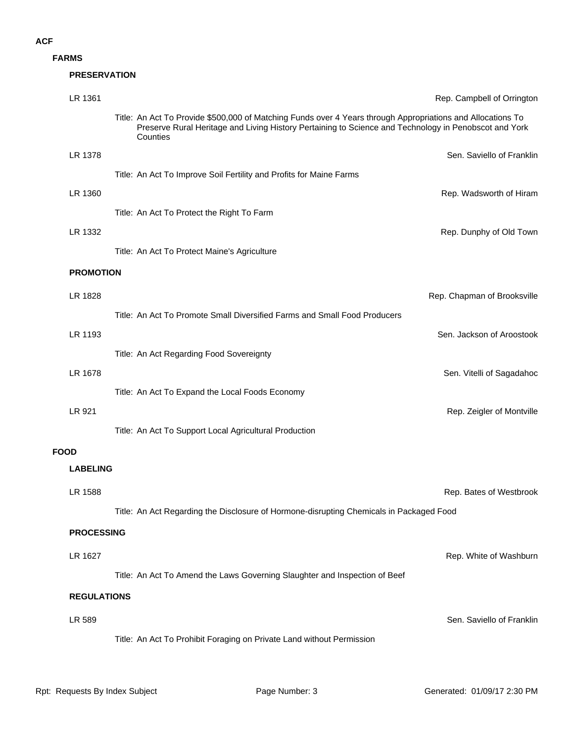**FARMS**

|             | <b>PRESERVATION</b> |                                                                                                                                                                                                                                  |                             |
|-------------|---------------------|----------------------------------------------------------------------------------------------------------------------------------------------------------------------------------------------------------------------------------|-----------------------------|
|             | LR 1361             |                                                                                                                                                                                                                                  | Rep. Campbell of Orrington  |
|             |                     | Title: An Act To Provide \$500,000 of Matching Funds over 4 Years through Appropriations and Allocations To<br>Preserve Rural Heritage and Living History Pertaining to Science and Technology in Penobscot and York<br>Counties |                             |
|             | LR 1378             |                                                                                                                                                                                                                                  | Sen. Saviello of Franklin   |
|             |                     | Title: An Act To Improve Soil Fertility and Profits for Maine Farms                                                                                                                                                              |                             |
|             | LR 1360             |                                                                                                                                                                                                                                  | Rep. Wadsworth of Hiram     |
|             |                     | Title: An Act To Protect the Right To Farm                                                                                                                                                                                       |                             |
|             | LR 1332             |                                                                                                                                                                                                                                  | Rep. Dunphy of Old Town     |
|             |                     | Title: An Act To Protect Maine's Agriculture                                                                                                                                                                                     |                             |
|             | <b>PROMOTION</b>    |                                                                                                                                                                                                                                  |                             |
|             | LR 1828             |                                                                                                                                                                                                                                  | Rep. Chapman of Brooksville |
|             |                     | Title: An Act To Promote Small Diversified Farms and Small Food Producers                                                                                                                                                        |                             |
|             | LR 1193             |                                                                                                                                                                                                                                  | Sen. Jackson of Aroostook   |
|             |                     | Title: An Act Regarding Food Sovereignty                                                                                                                                                                                         |                             |
|             | LR 1678             |                                                                                                                                                                                                                                  | Sen. Vitelli of Sagadahoc   |
|             |                     | Title: An Act To Expand the Local Foods Economy                                                                                                                                                                                  |                             |
|             | LR 921              |                                                                                                                                                                                                                                  | Rep. Zeigler of Montville   |
|             |                     | Title: An Act To Support Local Agricultural Production                                                                                                                                                                           |                             |
| <b>FOOD</b> |                     |                                                                                                                                                                                                                                  |                             |
|             | <b>LABELING</b>     |                                                                                                                                                                                                                                  |                             |
|             | LR 1588             |                                                                                                                                                                                                                                  | Rep. Bates of Westbrook     |
|             |                     | Title: An Act Regarding the Disclosure of Hormone-disrupting Chemicals in Packaged Food                                                                                                                                          |                             |
|             | <b>PROCESSING</b>   |                                                                                                                                                                                                                                  |                             |
|             | LR 1627             |                                                                                                                                                                                                                                  | Rep. White of Washburn      |
|             |                     | Title: An Act To Amend the Laws Governing Slaughter and Inspection of Beef                                                                                                                                                       |                             |
|             | <b>REGULATIONS</b>  |                                                                                                                                                                                                                                  |                             |
|             |                     |                                                                                                                                                                                                                                  |                             |
|             | LR 589              |                                                                                                                                                                                                                                  | Sen. Saviello of Franklin   |
|             |                     | Title: An Act To Prohibit Foraging on Private Land without Permission                                                                                                                                                            |                             |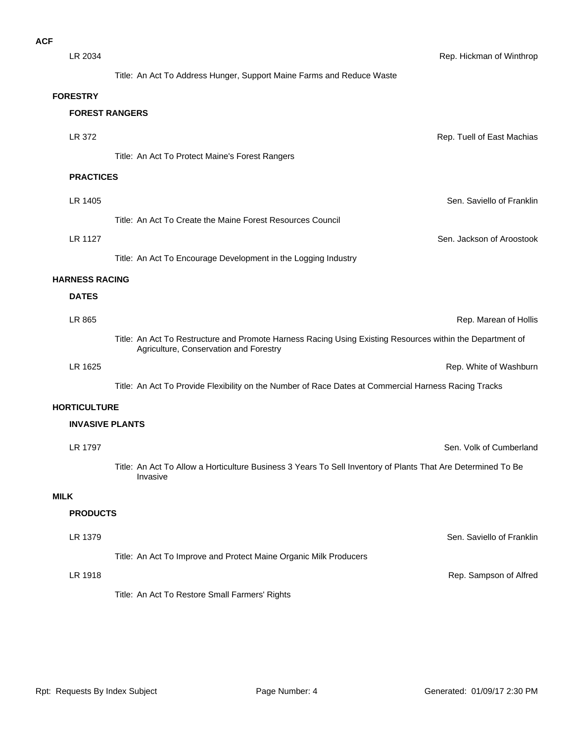| LR 2034               |                                                                                                                                                     | Rep. Hickman of Winthrop   |
|-----------------------|-----------------------------------------------------------------------------------------------------------------------------------------------------|----------------------------|
|                       | Title: An Act To Address Hunger, Support Maine Farms and Reduce Waste                                                                               |                            |
| <b>FORESTRY</b>       |                                                                                                                                                     |                            |
|                       | <b>FOREST RANGERS</b>                                                                                                                               |                            |
| LR 372                |                                                                                                                                                     | Rep. Tuell of East Machias |
|                       | Title: An Act To Protect Maine's Forest Rangers                                                                                                     |                            |
| <b>PRACTICES</b>      |                                                                                                                                                     |                            |
| LR 1405               |                                                                                                                                                     | Sen. Saviello of Franklin  |
|                       | Title: An Act To Create the Maine Forest Resources Council                                                                                          |                            |
| LR 1127               |                                                                                                                                                     | Sen. Jackson of Aroostook  |
|                       | Title: An Act To Encourage Development in the Logging Industry                                                                                      |                            |
| <b>HARNESS RACING</b> |                                                                                                                                                     |                            |
| <b>DATES</b>          |                                                                                                                                                     |                            |
| LR 865                |                                                                                                                                                     | Rep. Marean of Hollis      |
|                       | Title: An Act To Restructure and Promote Harness Racing Using Existing Resources within the Department of<br>Agriculture, Conservation and Forestry |                            |
| LR 1625               |                                                                                                                                                     | Rep. White of Washburn     |
|                       | Title: An Act To Provide Flexibility on the Number of Race Dates at Commercial Harness Racing Tracks                                                |                            |
| <b>HORTICULTURE</b>   |                                                                                                                                                     |                            |
|                       | <b>INVASIVE PLANTS</b>                                                                                                                              |                            |
| LR 1797               |                                                                                                                                                     | Sen. Volk of Cumberland    |
|                       | Title: An Act To Allow a Horticulture Business 3 Years To Sell Inventory of Plants That Are Determined To Be<br>Invasive                            |                            |
| <b>MILK</b>           |                                                                                                                                                     |                            |
| <b>PRODUCTS</b>       |                                                                                                                                                     |                            |
| LR 1379               |                                                                                                                                                     | Sen. Saviello of Franklin  |
|                       | Title: An Act To Improve and Protect Maine Organic Milk Producers                                                                                   |                            |
| LR 1918               |                                                                                                                                                     | Rep. Sampson of Alfred     |
|                       | Title: An Act To Restore Small Farmers' Rights                                                                                                      |                            |
|                       |                                                                                                                                                     |                            |
|                       |                                                                                                                                                     |                            |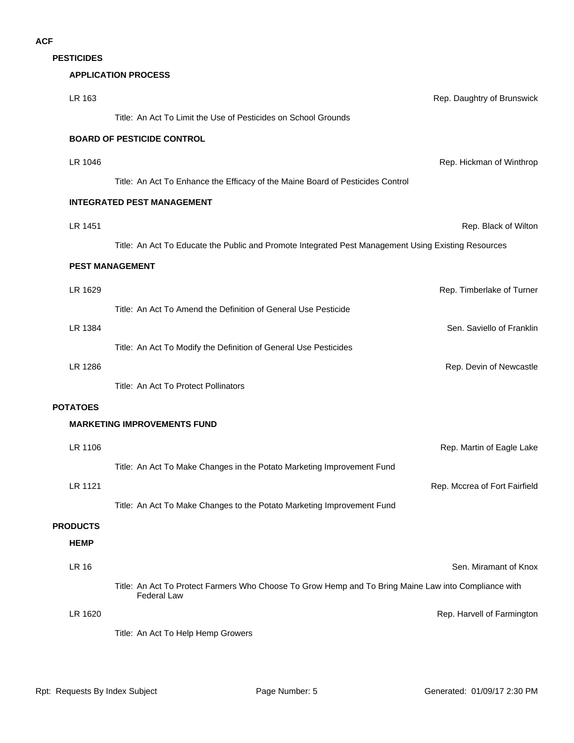**PESTICIDES**

#### **APPLICATION PROCESS**

| LR 163          | Rep. Daughtry of Brunswick                                                                                                 |
|-----------------|----------------------------------------------------------------------------------------------------------------------------|
|                 | Title: An Act To Limit the Use of Pesticides on School Grounds                                                             |
|                 | <b>BOARD OF PESTICIDE CONTROL</b>                                                                                          |
| LR 1046         | Rep. Hickman of Winthrop                                                                                                   |
|                 | Title: An Act To Enhance the Efficacy of the Maine Board of Pesticides Control                                             |
|                 | <b>INTEGRATED PEST MANAGEMENT</b>                                                                                          |
| LR 1451         | Rep. Black of Wilton                                                                                                       |
|                 | Title: An Act To Educate the Public and Promote Integrated Pest Management Using Existing Resources                        |
|                 | <b>PEST MANAGEMENT</b>                                                                                                     |
| LR 1629         | Rep. Timberlake of Turner                                                                                                  |
|                 | Title: An Act To Amend the Definition of General Use Pesticide                                                             |
| LR 1384         | Sen. Saviello of Franklin                                                                                                  |
|                 | Title: An Act To Modify the Definition of General Use Pesticides                                                           |
| LR 1286         | Rep. Devin of Newcastle                                                                                                    |
|                 | Title: An Act To Protect Pollinators                                                                                       |
| <b>POTATOES</b> | <b>MARKETING IMPROVEMENTS FUND</b>                                                                                         |
|                 |                                                                                                                            |
| LR 1106         | Rep. Martin of Eagle Lake<br>Title: An Act To Make Changes in the Potato Marketing Improvement Fund                        |
| LR 1121         | Rep. Mccrea of Fort Fairfield                                                                                              |
|                 | Title: An Act To Make Changes to the Potato Marketing Improvement Fund                                                     |
| <b>PRODUCTS</b> |                                                                                                                            |
| <b>HEMP</b>     |                                                                                                                            |
| <b>LR 16</b>    | Sen. Miramant of Knox                                                                                                      |
|                 | Title: An Act To Protect Farmers Who Choose To Grow Hemp and To Bring Maine Law into Compliance with<br><b>Federal Law</b> |
| LR 1620         | Rep. Harvell of Farmington                                                                                                 |
|                 | Title: An Act To Help Hemp Growers                                                                                         |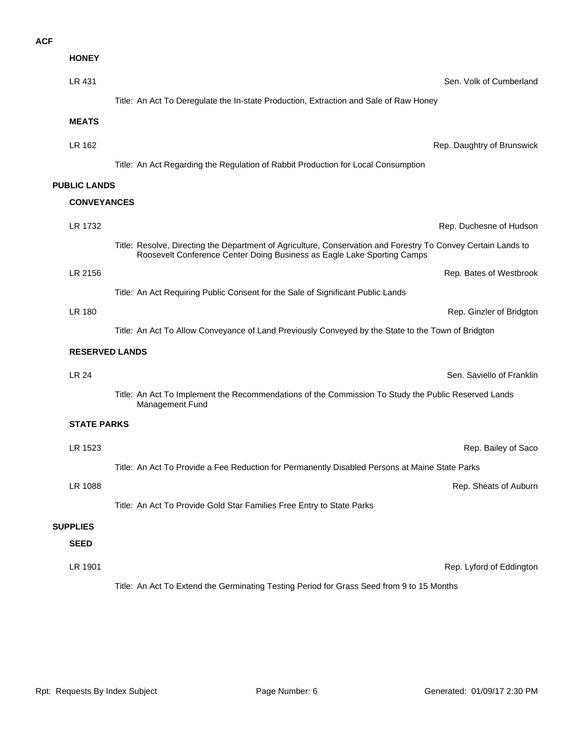| <b>HONEY</b>          |                                                                                                                                                                                          |
|-----------------------|------------------------------------------------------------------------------------------------------------------------------------------------------------------------------------------|
| LR 431                | Sen. Volk of Cumberland                                                                                                                                                                  |
|                       | Title: An Act To Deregulate the In-state Production, Extraction and Sale of Raw Honey                                                                                                    |
| <b>MEATS</b>          |                                                                                                                                                                                          |
| LR 162                | Rep. Daughtry of Brunswick                                                                                                                                                               |
|                       | Title: An Act Regarding the Regulation of Rabbit Production for Local Consumption                                                                                                        |
| <b>PUBLIC LANDS</b>   |                                                                                                                                                                                          |
| <b>CONVEYANCES</b>    |                                                                                                                                                                                          |
| LR 1732               | Rep. Duchesne of Hudson                                                                                                                                                                  |
|                       | Title: Resolve, Directing the Department of Agriculture, Conservation and Forestry To Convey Certain Lands to<br>Roosevelt Conference Center Doing Business as Eagle Lake Sporting Camps |
| LR 2156               | Rep. Bates of Westbrook                                                                                                                                                                  |
|                       | Title: An Act Requiring Public Consent for the Sale of Significant Public Lands                                                                                                          |
| LR 180                | Rep. Ginzler of Bridgton                                                                                                                                                                 |
|                       | Title: An Act To Allow Conveyance of Land Previously Conveyed by the State to the Town of Bridgton                                                                                       |
| <b>RESERVED LANDS</b> |                                                                                                                                                                                          |
| LR 24                 | Sen. Saviello of Franklin                                                                                                                                                                |
|                       | Title: An Act To Implement the Recommendations of the Commission To Study the Public Reserved Lands<br>Management Fund                                                                   |
| <b>STATE PARKS</b>    |                                                                                                                                                                                          |
| LR 1523               | Rep. Bailey of Saco                                                                                                                                                                      |
|                       | Title: An Act To Provide a Fee Reduction for Permanently Disabled Persons at Maine State Parks                                                                                           |
| LR 1088               | Rep. Sheats of Auburn                                                                                                                                                                    |
|                       | Title: An Act To Provide Gold Star Families Free Entry to State Parks                                                                                                                    |
| <b>SUPPLIES</b>       |                                                                                                                                                                                          |
| <b>SEED</b>           |                                                                                                                                                                                          |
| LR 1901               | Rep. Lyford of Eddington                                                                                                                                                                 |
|                       | Title: An Act To Extend the Germinating Testing Period for Grass Seed from 9 to 15 Months                                                                                                |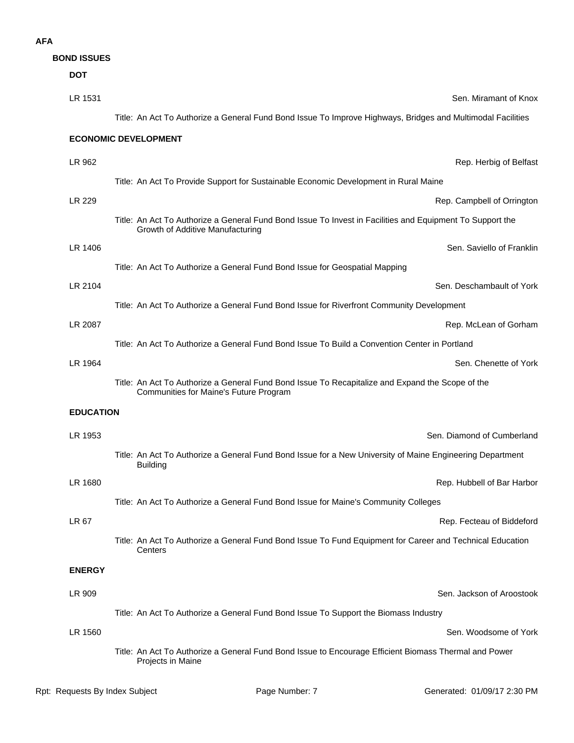**BOND ISSUES**

| <b>DOT</b>       |                                                                                                                                               |
|------------------|-----------------------------------------------------------------------------------------------------------------------------------------------|
| LR 1531          | Sen. Miramant of Knox                                                                                                                         |
|                  | Title: An Act To Authorize a General Fund Bond Issue To Improve Highways, Bridges and Multimodal Facilities                                   |
|                  | <b>ECONOMIC DEVELOPMENT</b>                                                                                                                   |
| LR 962           | Rep. Herbig of Belfast                                                                                                                        |
|                  | Title: An Act To Provide Support for Sustainable Economic Development in Rural Maine                                                          |
| LR 229           | Rep. Campbell of Orrington                                                                                                                    |
|                  | Title: An Act To Authorize a General Fund Bond Issue To Invest in Facilities and Equipment To Support the<br>Growth of Additive Manufacturing |
| LR 1406          | Sen. Saviello of Franklin                                                                                                                     |
|                  | Title: An Act To Authorize a General Fund Bond Issue for Geospatial Mapping                                                                   |
| LR 2104          | Sen. Deschambault of York                                                                                                                     |
|                  | Title: An Act To Authorize a General Fund Bond Issue for Riverfront Community Development                                                     |
| LR 2087          | Rep. McLean of Gorham                                                                                                                         |
|                  | Title: An Act To Authorize a General Fund Bond Issue To Build a Convention Center in Portland                                                 |
| LR 1964          | Sen. Chenette of York                                                                                                                         |
|                  | Title: An Act To Authorize a General Fund Bond Issue To Recapitalize and Expand the Scope of the<br>Communities for Maine's Future Program    |
| <b>EDUCATION</b> |                                                                                                                                               |
| LR 1953          | Sen. Diamond of Cumberland                                                                                                                    |
|                  | Title: An Act To Authorize a General Fund Bond Issue for a New University of Maine Engineering Department<br><b>Building</b>                  |
| LR 1680          | Rep. Hubbell of Bar Harbor                                                                                                                    |
|                  | Title: An Act To Authorize a General Fund Bond Issue for Maine's Community Colleges                                                           |
| <b>LR 67</b>     | Rep. Fecteau of Biddeford                                                                                                                     |
|                  | Title: An Act To Authorize a General Fund Bond Issue To Fund Equipment for Career and Technical Education<br>Centers                          |
| <b>ENERGY</b>    |                                                                                                                                               |
| LR 909           | Sen. Jackson of Aroostook                                                                                                                     |
|                  | Title: An Act To Authorize a General Fund Bond Issue To Support the Biomass Industry                                                          |
| LR 1560          | Sen. Woodsome of York                                                                                                                         |
|                  | Title: An Act To Authorize a General Fund Bond Issue to Encourage Efficient Biomass Thermal and Power<br>Projects in Maine                    |
|                  |                                                                                                                                               |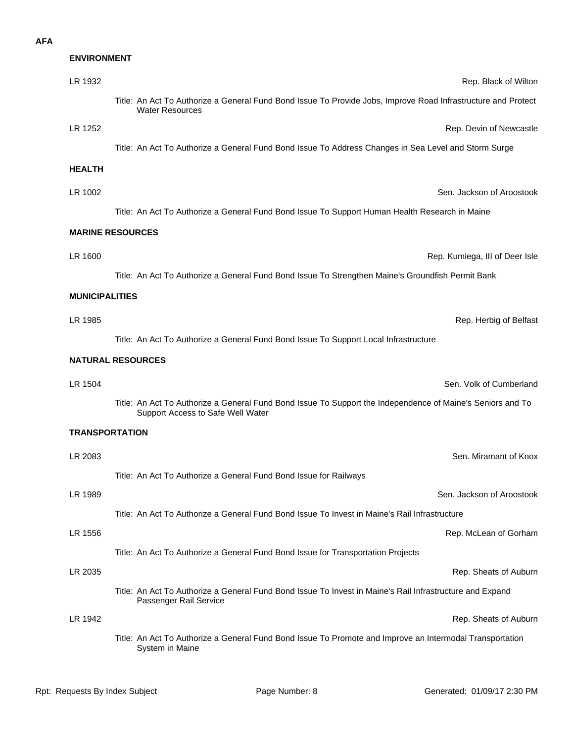#### **ENVIRONMENT**

| LR 1932               | Rep. Black of Wilton                                                                                                                            |
|-----------------------|-------------------------------------------------------------------------------------------------------------------------------------------------|
|                       | Title: An Act To Authorize a General Fund Bond Issue To Provide Jobs, Improve Road Infrastructure and Protect<br><b>Water Resources</b>         |
| LR 1252               | Rep. Devin of Newcastle                                                                                                                         |
|                       | Title: An Act To Authorize a General Fund Bond Issue To Address Changes in Sea Level and Storm Surge                                            |
| <b>HEALTH</b>         |                                                                                                                                                 |
| LR 1002               | Sen. Jackson of Aroostook                                                                                                                       |
|                       | Title: An Act To Authorize a General Fund Bond Issue To Support Human Health Research in Maine                                                  |
|                       | <b>MARINE RESOURCES</b>                                                                                                                         |
| LR 1600               | Rep. Kumiega, III of Deer Isle                                                                                                                  |
|                       | Title: An Act To Authorize a General Fund Bond Issue To Strengthen Maine's Groundfish Permit Bank                                               |
| <b>MUNICIPALITIES</b> |                                                                                                                                                 |
| LR 1985               |                                                                                                                                                 |
|                       | Rep. Herbig of Belfast                                                                                                                          |
|                       | Title: An Act To Authorize a General Fund Bond Issue To Support Local Infrastructure                                                            |
|                       | <b>NATURAL RESOURCES</b>                                                                                                                        |
| LR 1504               | Sen. Volk of Cumberland                                                                                                                         |
|                       | Title: An Act To Authorize a General Fund Bond Issue To Support the Independence of Maine's Seniors and To<br>Support Access to Safe Well Water |
| <b>TRANSPORTATION</b> |                                                                                                                                                 |
| LR 2083               | Sen. Miramant of Knox                                                                                                                           |
|                       | Title: An Act To Authorize a General Fund Bond Issue for Railways                                                                               |
| LR 1989               | Sen. Jackson of Aroostook                                                                                                                       |
|                       | Title: An Act To Authorize a General Fund Bond Issue To Invest in Maine's Rail Infrastructure                                                   |
| LR 1556               | Rep. McLean of Gorham                                                                                                                           |
|                       | Title: An Act To Authorize a General Fund Bond Issue for Transportation Projects                                                                |
| LR 2035               | Rep. Sheats of Auburn                                                                                                                           |
|                       | Title: An Act To Authorize a General Fund Bond Issue To Invest in Maine's Rail Infrastructure and Expand<br>Passenger Rail Service              |
| LR 1942               | Rep. Sheats of Auburn                                                                                                                           |
|                       | Title: An Act To Authorize a General Fund Bond Issue To Promote and Improve an Intermodal Transportation<br>System in Maine                     |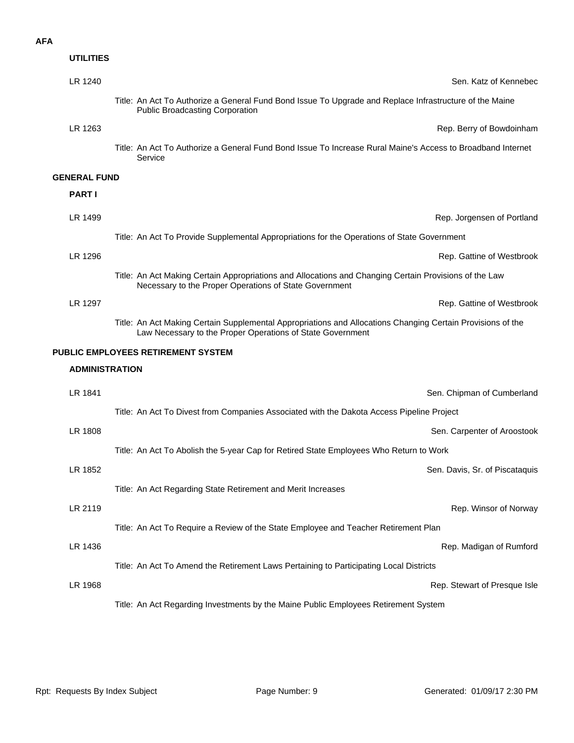| <b>UTILITIES</b>      |                                                                                                                                                                           |
|-----------------------|---------------------------------------------------------------------------------------------------------------------------------------------------------------------------|
| LR 1240               | Sen. Katz of Kennebec                                                                                                                                                     |
|                       | Title: An Act To Authorize a General Fund Bond Issue To Upgrade and Replace Infrastructure of the Maine<br><b>Public Broadcasting Corporation</b>                         |
| LR 1263               | Rep. Berry of Bowdoinham                                                                                                                                                  |
|                       | Title: An Act To Authorize a General Fund Bond Issue To Increase Rural Maine's Access to Broadband Internet<br>Service                                                    |
| <b>GENERAL FUND</b>   |                                                                                                                                                                           |
| <b>PART I</b>         |                                                                                                                                                                           |
| LR 1499               | Rep. Jorgensen of Portland                                                                                                                                                |
|                       | Title: An Act To Provide Supplemental Appropriations for the Operations of State Government                                                                               |
| LR 1296               | Rep. Gattine of Westbrook                                                                                                                                                 |
|                       | Title: An Act Making Certain Appropriations and Allocations and Changing Certain Provisions of the Law<br>Necessary to the Proper Operations of State Government          |
| LR 1297               | Rep. Gattine of Westbrook                                                                                                                                                 |
|                       | Title: An Act Making Certain Supplemental Appropriations and Allocations Changing Certain Provisions of the<br>Law Necessary to the Proper Operations of State Government |
|                       | PUBLIC EMPLOYEES RETIREMENT SYSTEM                                                                                                                                        |
| <b>ADMINISTRATION</b> |                                                                                                                                                                           |
| LR 1841               | Sen. Chipman of Cumberland                                                                                                                                                |
|                       | Title: An Act To Divest from Companies Associated with the Dakota Access Pipeline Project                                                                                 |
| LR 1808               | Sen. Carpenter of Aroostook                                                                                                                                               |
|                       | Title: An Act To Abolish the 5-year Cap for Retired State Employees Who Return to Work                                                                                    |
| LR 1852               | Sen. Davis, Sr. of Piscataquis                                                                                                                                            |
|                       | Title: An Act Regarding State Retirement and Merit Increases                                                                                                              |
| LR 2119               | Rep. Winsor of Norway                                                                                                                                                     |
|                       | Title: An Act To Require a Review of the State Employee and Teacher Retirement Plan                                                                                       |
| LR 1436               | Rep. Madigan of Rumford                                                                                                                                                   |
|                       | Title: An Act To Amend the Retirement Laws Pertaining to Participating Local Districts                                                                                    |
| LR 1968               | Rep. Stewart of Presque Isle                                                                                                                                              |
|                       | Title: An Act Regarding Investments by the Maine Public Employees Retirement System                                                                                       |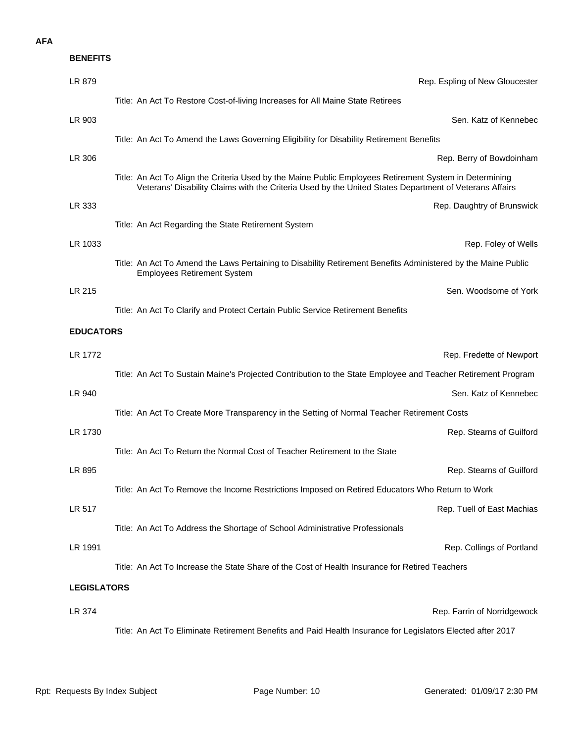| <b>BENEFITS</b>    |                                                                                                                                                                                                                   |
|--------------------|-------------------------------------------------------------------------------------------------------------------------------------------------------------------------------------------------------------------|
| LR 879             | Rep. Espling of New Gloucester                                                                                                                                                                                    |
|                    | Title: An Act To Restore Cost-of-living Increases for All Maine State Retirees                                                                                                                                    |
| LR 903             | Sen. Katz of Kennebec                                                                                                                                                                                             |
|                    | Title: An Act To Amend the Laws Governing Eligibility for Disability Retirement Benefits                                                                                                                          |
| LR 306             | Rep. Berry of Bowdoinham                                                                                                                                                                                          |
|                    | Title: An Act To Align the Criteria Used by the Maine Public Employees Retirement System in Determining<br>Veterans' Disability Claims with the Criteria Used by the United States Department of Veterans Affairs |
| LR 333             | Rep. Daughtry of Brunswick                                                                                                                                                                                        |
|                    | Title: An Act Regarding the State Retirement System                                                                                                                                                               |
| LR 1033            | Rep. Foley of Wells                                                                                                                                                                                               |
|                    | Title: An Act To Amend the Laws Pertaining to Disability Retirement Benefits Administered by the Maine Public<br><b>Employees Retirement System</b>                                                               |
| LR 215             | Sen. Woodsome of York                                                                                                                                                                                             |
|                    | Title: An Act To Clarify and Protect Certain Public Service Retirement Benefits                                                                                                                                   |
| <b>EDUCATORS</b>   |                                                                                                                                                                                                                   |
| LR 1772            | Rep. Fredette of Newport                                                                                                                                                                                          |
|                    | Title: An Act To Sustain Maine's Projected Contribution to the State Employee and Teacher Retirement Program                                                                                                      |
| LR 940             | Sen. Katz of Kennebec                                                                                                                                                                                             |
|                    | Title: An Act To Create More Transparency in the Setting of Normal Teacher Retirement Costs                                                                                                                       |
| LR 1730            | Rep. Stearns of Guilford                                                                                                                                                                                          |
|                    | Title: An Act To Return the Normal Cost of Teacher Retirement to the State                                                                                                                                        |
| LR 895             | Rep. Stearns of Guilford                                                                                                                                                                                          |
|                    | Title: An Act To Remove the Income Restrictions Imposed on Retired Educators Who Return to Work                                                                                                                   |
| LR 517             | Rep. Tuell of East Machias                                                                                                                                                                                        |
|                    | Title: An Act To Address the Shortage of School Administrative Professionals                                                                                                                                      |
| LR 1991            | Rep. Collings of Portland                                                                                                                                                                                         |
|                    | Title: An Act To Increase the State Share of the Cost of Health Insurance for Retired Teachers                                                                                                                    |
| <b>LEGISLATORS</b> |                                                                                                                                                                                                                   |
| LR 374             | Rep. Farrin of Norridgewock                                                                                                                                                                                       |
|                    | Title: An Act To Eliminate Retirement Benefits and Paid Health Insurance for Legislators Elected after 2017                                                                                                       |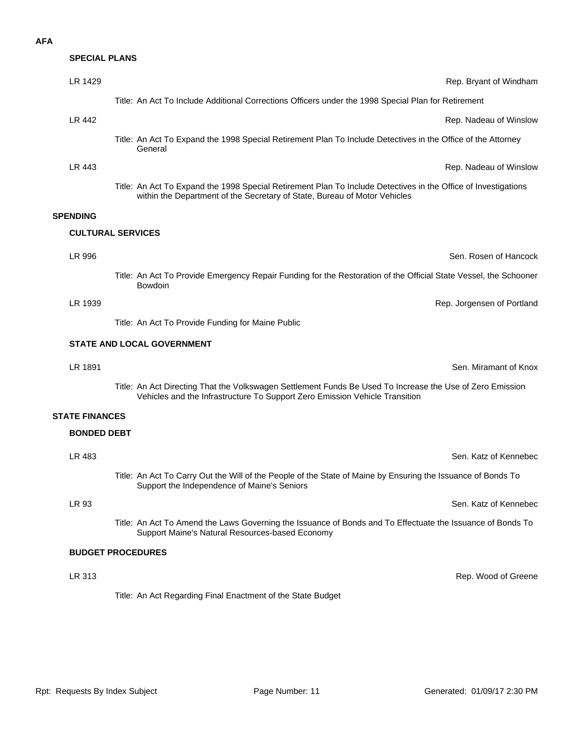# LR 313 Rep. Wood of Greene Support Maine's Natural Resources-based Economy LR 483 Sen. Katz of Kennebec Support the Independence of Maine's Seniors LR 1891 Sen. Miramant of Knox Vehicles and the Infrastructure To Support Zero Emission Vehicle Transition LR 1939 Rep. Jorgensen of Portland Title: An Act To Provide Funding for Maine Public LR 996 Sen. Rosen of Hancock Bowdoin

Title: An Act To Expand the 1998 Special Retirement Plan To Include Detectives in the Office of Investigations within the Department of the Secretary of State, Bureau of Motor Vehicles

#### **SPENDING**

#### **CULTURAL SERVICES**

Title: An Act To Provide Emergency Repair Funding for the Restoration of the Official State Vessel, the Schooner

#### **STATE AND LOCAL GOVERNMENT**

Title: An Act Directing That the Volkswagen Settlement Funds Be Used To Increase the Use of Zero Emission

#### **STATE FINANCES**

#### **BONDED DEBT**

**BUDGET PROCEDURES** LR 93 Sen. Katz of Kennebec Title: An Act To Amend the Laws Governing the Issuance of Bonds and To Effectuate the Issuance of Bonds To Title: An Act To Carry Out the Will of the People of the State of Maine by Ensuring the Issuance of Bonds To

Title: An Act Regarding Final Enactment of the State Budget

LR 1429 **Rep. Bryant of Windham** Rep. Bryant of Windham

**LR 442** Rep. Nadeau of Winslow

Title: An Act To Expand the 1998 Special Retirement Plan To Include Detectives in the Office of the Attorney General

Title: An Act To Include Additional Corrections Officers under the 1998 Special Plan for Retirement

**LR 443** Rep. Nadeau of Winslow

**SPECIAL PLANS**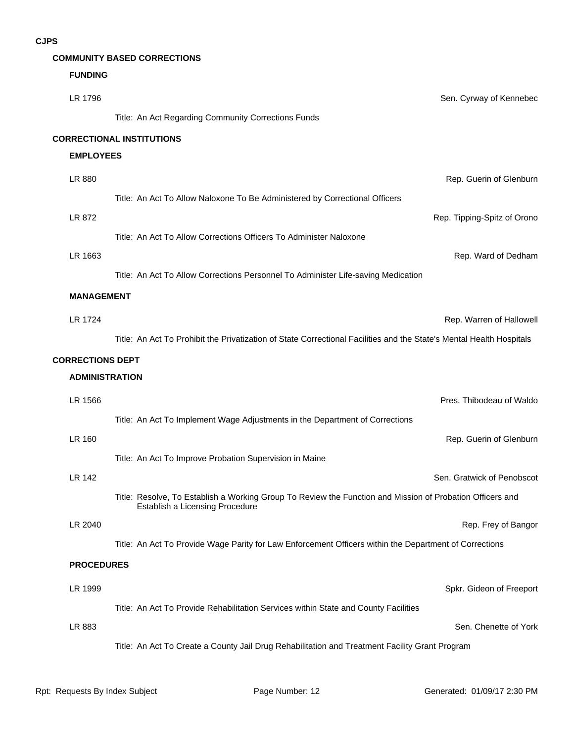#### **COMMUNITY BASED CORRECTIONS**

#### **FUNDING**

| LR 1796                 | Sen. Cyrway of Kennebec                                                                                                                      |
|-------------------------|----------------------------------------------------------------------------------------------------------------------------------------------|
|                         | Title: An Act Regarding Community Corrections Funds                                                                                          |
|                         | <b>CORRECTIONAL INSTITUTIONS</b>                                                                                                             |
| <b>EMPLOYEES</b>        |                                                                                                                                              |
| LR 880                  | Rep. Guerin of Glenburn                                                                                                                      |
|                         | Title: An Act To Allow Naloxone To Be Administered by Correctional Officers                                                                  |
| LR 872                  | Rep. Tipping-Spitz of Orono                                                                                                                  |
|                         | Title: An Act To Allow Corrections Officers To Administer Naloxone                                                                           |
| LR 1663                 | Rep. Ward of Dedham                                                                                                                          |
|                         | Title: An Act To Allow Corrections Personnel To Administer Life-saving Medication                                                            |
| <b>MANAGEMENT</b>       |                                                                                                                                              |
| <b>LR 1724</b>          | Rep. Warren of Hallowell                                                                                                                     |
|                         | Title: An Act To Prohibit the Privatization of State Correctional Facilities and the State's Mental Health Hospitals                         |
| <b>CORRECTIONS DEPT</b> |                                                                                                                                              |
| <b>ADMINISTRATION</b>   |                                                                                                                                              |
| LR 1566                 | Pres. Thibodeau of Waldo                                                                                                                     |
|                         | Title: An Act To Implement Wage Adjustments in the Department of Corrections                                                                 |
| <b>LR 160</b>           | Rep. Guerin of Glenburn                                                                                                                      |
|                         | Title: An Act To Improve Probation Supervision in Maine                                                                                      |
| <b>LR 142</b>           | Sen. Gratwick of Penobscot                                                                                                                   |
|                         | Title: Resolve, To Establish a Working Group To Review the Function and Mission of Probation Officers and<br>Establish a Licensing Procedure |
| LR 2040                 | Rep. Frey of Bangor                                                                                                                          |
|                         | Title: An Act To Provide Wage Parity for Law Enforcement Officers within the Department of Corrections                                       |
| <b>PROCEDURES</b>       |                                                                                                                                              |
| LR 1999                 | Spkr. Gideon of Freeport                                                                                                                     |
|                         | Title: An Act To Provide Rehabilitation Services within State and County Facilities                                                          |
| LR 883                  | Sen. Chenette of York                                                                                                                        |
|                         | Title: An Act To Create a County Jail Drug Rehabilitation and Treatment Facility Grant Program                                               |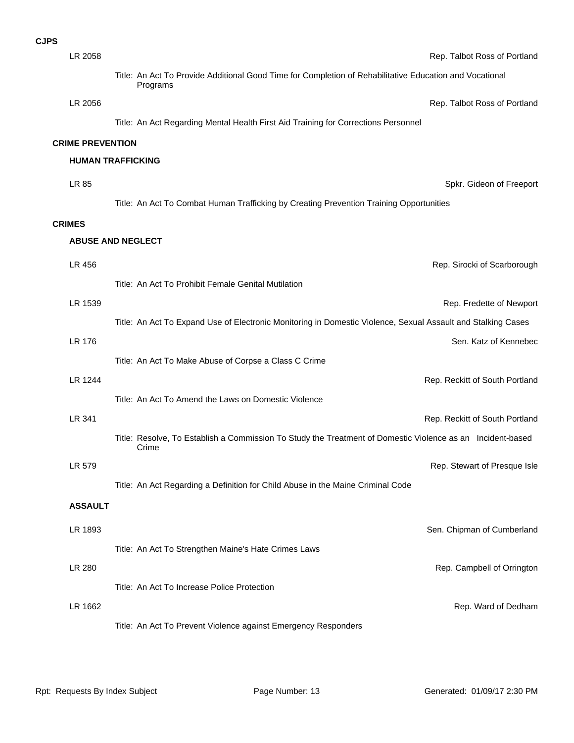| PS |         |                                                                                                                     |
|----|---------|---------------------------------------------------------------------------------------------------------------------|
|    | LR 2058 | Rep. Talbot Ross of                                                                                                 |
|    |         | Title: An Act To Provide Additional Good Time for Completion of Rehabilitative Education and Vocational<br>Programs |
|    | LR 2056 | Rep. Talbot Ross of                                                                                                 |
|    |         | Title: An Act Regarding Mental Health First Aid Training for Corrections Personnel                                  |

#### **CRIME PREVENTION**

#### **HUMAN TRAFFICKING**

LR 85 Spkr. Gideon of Freeport Title: An Act To Combat Human Trafficking by Creating Prevention Training Opportunities

#### **CRIMES**

#### **ABUSE AND NEGLECT**

| LR 456         | Rep. Sirocki of Scarborough                                                                                         |
|----------------|---------------------------------------------------------------------------------------------------------------------|
|                | Title: An Act To Prohibit Female Genital Mutilation                                                                 |
| LR 1539        | Rep. Fredette of Newport                                                                                            |
|                | Title: An Act To Expand Use of Electronic Monitoring in Domestic Violence, Sexual Assault and Stalking Cases        |
| LR 176         | Sen. Katz of Kennebec                                                                                               |
|                | Title: An Act To Make Abuse of Corpse a Class C Crime                                                               |
| LR 1244        | Rep. Reckitt of South Portland                                                                                      |
|                | Title: An Act To Amend the Laws on Domestic Violence                                                                |
| LR 341         | Rep. Reckitt of South Portland                                                                                      |
|                | Title: Resolve, To Establish a Commission To Study the Treatment of Domestic Violence as an Incident-based<br>Crime |
| LR 579         | Rep. Stewart of Presque Isle                                                                                        |
|                | Title: An Act Regarding a Definition for Child Abuse in the Maine Criminal Code                                     |
| <b>ASSAULT</b> |                                                                                                                     |
| LR 1893        | Sen. Chipman of Cumberland                                                                                          |
|                | Title: An Act To Strengthen Maine's Hate Crimes Laws                                                                |
| LR 280         | Rep. Campbell of Orrington                                                                                          |
|                | Title: An Act To Increase Police Protection                                                                         |
| LR 1662        | Rep. Ward of Dedham                                                                                                 |
|                | Title: An Act To Prevent Violence against Emergency Responders                                                      |

#### CJ

Rep. Talbot Ross of Portland

Rep. Talbot Ross of Portland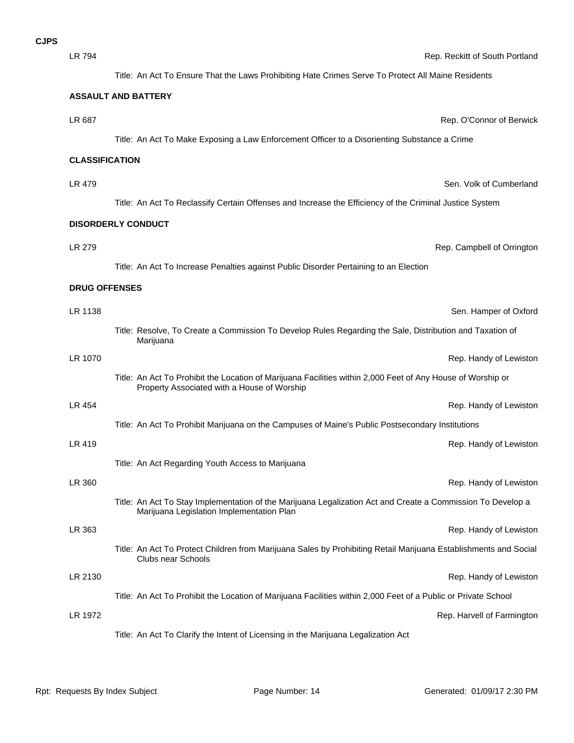LR 794 Rep. Reckitt of South Portland

Title: An Act To Ensure That the Laws Prohibiting Hate Crimes Serve To Protect All Maine Residents

#### **ASSAULT AND BATTERY**

### LR 687 Rep. O'Connor of Berwick Title: An Act To Make Exposing a Law Enforcement Officer to a Disorienting Substance a Crime

#### **CLASSIFICATION**

LR 479 Sen. Volk of Cumberland Title: An Act To Reclassify Certain Offenses and Increase the Efficiency of the Criminal Justice System

LR 279 Rep. Campbell of Orrington

#### **DISORDERLY CONDUCT**

Title: An Act To Increase Penalties against Public Disorder Pertaining to an Election

#### **DRUG OFFENSES**

| LR 1138 |                                                                                                                                                            | Sen. Hamper of Oxford      |
|---------|------------------------------------------------------------------------------------------------------------------------------------------------------------|----------------------------|
|         | Title: Resolve, To Create a Commission To Develop Rules Regarding the Sale, Distribution and Taxation of<br>Marijuana                                      |                            |
| LR 1070 |                                                                                                                                                            | Rep. Handy of Lewiston     |
|         | Title: An Act To Prohibit the Location of Marijuana Facilities within 2,000 Feet of Any House of Worship or<br>Property Associated with a House of Worship |                            |
| LR 454  |                                                                                                                                                            | Rep. Handy of Lewiston     |
|         | Title: An Act To Prohibit Marijuana on the Campuses of Maine's Public Postsecondary Institutions                                                           |                            |
| LR 419  |                                                                                                                                                            | Rep. Handy of Lewiston     |
|         | Title: An Act Regarding Youth Access to Marijuana                                                                                                          |                            |
| LR 360  |                                                                                                                                                            | Rep. Handy of Lewiston     |
|         | Title: An Act To Stay Implementation of the Marijuana Legalization Act and Create a Commission To Develop a<br>Marijuana Legislation Implementation Plan   |                            |
| LR 363  |                                                                                                                                                            | Rep. Handy of Lewiston     |
|         | Title: An Act To Protect Children from Marijuana Sales by Prohibiting Retail Marijuana Establishments and Social<br><b>Clubs near Schools</b>              |                            |
| LR 2130 |                                                                                                                                                            | Rep. Handy of Lewiston     |
|         | Title: An Act To Prohibit the Location of Marijuana Facilities within 2,000 Feet of a Public or Private School                                             |                            |
| LR 1972 |                                                                                                                                                            | Rep. Harvell of Farmington |
|         | Title: An Act To Clarify the Intent of Licensing in the Marijuana Legalization Act                                                                         |                            |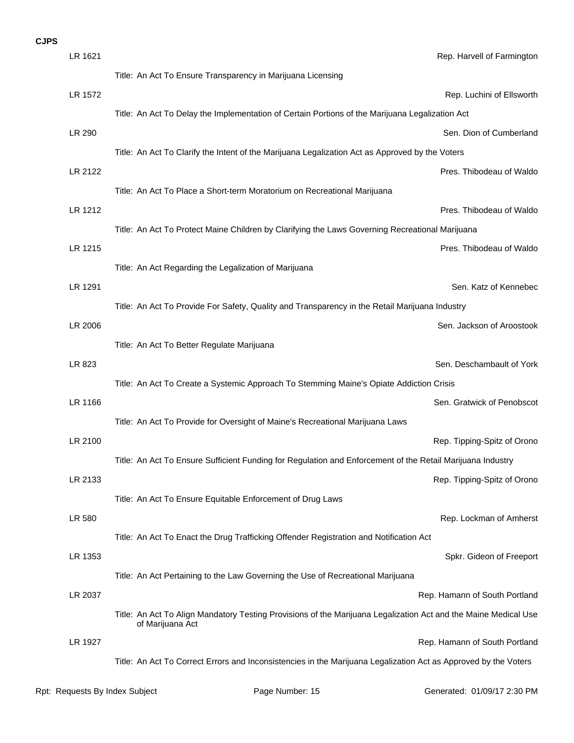| LR 1621 | Rep. Harvell of Farmington                                                                                                          |
|---------|-------------------------------------------------------------------------------------------------------------------------------------|
|         | Title: An Act To Ensure Transparency in Marijuana Licensing                                                                         |
| LR 1572 | Rep. Luchini of Ellsworth                                                                                                           |
|         | Title: An Act To Delay the Implementation of Certain Portions of the Marijuana Legalization Act                                     |
| LR 290  | Sen. Dion of Cumberland                                                                                                             |
|         | Title: An Act To Clarify the Intent of the Marijuana Legalization Act as Approved by the Voters                                     |
| LR 2122 | Pres. Thibodeau of Waldo                                                                                                            |
|         | Title: An Act To Place a Short-term Moratorium on Recreational Marijuana                                                            |
| LR 1212 | Pres. Thibodeau of Waldo                                                                                                            |
|         | Title: An Act To Protect Maine Children by Clarifying the Laws Governing Recreational Marijuana                                     |
| LR 1215 | Pres. Thibodeau of Waldo                                                                                                            |
|         | Title: An Act Regarding the Legalization of Marijuana                                                                               |
| LR 1291 | Sen. Katz of Kennebec                                                                                                               |
|         | Title: An Act To Provide For Safety, Quality and Transparency in the Retail Marijuana Industry                                      |
| LR 2006 | Sen. Jackson of Aroostook                                                                                                           |
|         | Title: An Act To Better Regulate Marijuana                                                                                          |
| LR 823  | Sen. Deschambault of York                                                                                                           |
| LR 1166 | Title: An Act To Create a Systemic Approach To Stemming Maine's Opiate Addiction Crisis<br>Sen. Gratwick of Penobscot               |
|         | Title: An Act To Provide for Oversight of Maine's Recreational Marijuana Laws                                                       |
| LR 2100 | Rep. Tipping-Spitz of Orono                                                                                                         |
|         | Title: An Act To Ensure Sufficient Funding for Regulation and Enforcement of the Retail Marijuana Industry                          |
| LR 2133 | Rep. Tipping-Spitz of Orono                                                                                                         |
|         | Title: An Act To Ensure Equitable Enforcement of Drug Laws                                                                          |
| LR 580  | Rep. Lockman of Amherst                                                                                                             |
|         | Title: An Act To Enact the Drug Trafficking Offender Registration and Notification Act                                              |
| LR 1353 | Spkr. Gideon of Freeport                                                                                                            |
|         | Title: An Act Pertaining to the Law Governing the Use of Recreational Marijuana                                                     |
| LR 2037 | Rep. Hamann of South Portland                                                                                                       |
|         | Title: An Act To Align Mandatory Testing Provisions of the Marijuana Legalization Act and the Maine Medical Use<br>of Marijuana Act |
| LR 1927 | Rep. Hamann of South Portland                                                                                                       |
|         | Title: An Act To Correct Errors and Inconsistencies in the Marijuana Legalization Act as Approved by the Voters                     |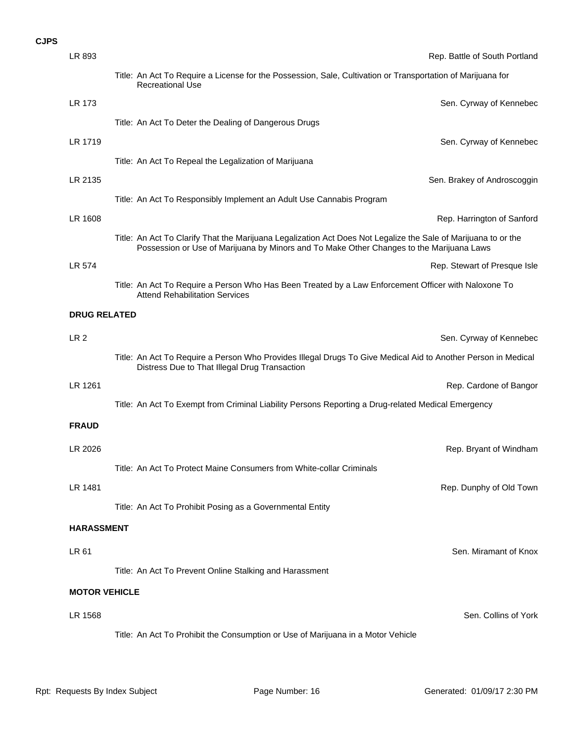| LR 893               | Rep. Battle of South Portland                                                                                                                                                                              |
|----------------------|------------------------------------------------------------------------------------------------------------------------------------------------------------------------------------------------------------|
|                      | Title: An Act To Require a License for the Possession, Sale, Cultivation or Transportation of Marijuana for<br><b>Recreational Use</b>                                                                     |
| LR 173               | Sen. Cyrway of Kennebec                                                                                                                                                                                    |
|                      | Title: An Act To Deter the Dealing of Dangerous Drugs                                                                                                                                                      |
| LR 1719              | Sen. Cyrway of Kennebec                                                                                                                                                                                    |
|                      | Title: An Act To Repeal the Legalization of Marijuana                                                                                                                                                      |
| LR 2135              | Sen. Brakey of Androscoggin                                                                                                                                                                                |
|                      | Title: An Act To Responsibly Implement an Adult Use Cannabis Program                                                                                                                                       |
| LR 1608              | Rep. Harrington of Sanford                                                                                                                                                                                 |
|                      | Title: An Act To Clarify That the Marijuana Legalization Act Does Not Legalize the Sale of Marijuana to or the<br>Possession or Use of Marijuana by Minors and To Make Other Changes to the Marijuana Laws |
| LR 574               | Rep. Stewart of Presque Isle                                                                                                                                                                               |
|                      | Title: An Act To Require a Person Who Has Been Treated by a Law Enforcement Officer with Naloxone To<br><b>Attend Rehabilitation Services</b>                                                              |
| <b>DRUG RELATED</b>  |                                                                                                                                                                                                            |
| LR <sub>2</sub>      | Sen. Cyrway of Kennebec                                                                                                                                                                                    |
|                      | Title: An Act To Require a Person Who Provides Illegal Drugs To Give Medical Aid to Another Person in Medical<br>Distress Due to That Illegal Drug Transaction                                             |
| LR 1261              | Rep. Cardone of Bangor                                                                                                                                                                                     |
|                      | Title: An Act To Exempt from Criminal Liability Persons Reporting a Drug-related Medical Emergency                                                                                                         |
| <b>FRAUD</b>         |                                                                                                                                                                                                            |
| LR 2026              | Rep. Bryant of Windham                                                                                                                                                                                     |
|                      | Title: An Act To Protect Maine Consumers from White-collar Criminals                                                                                                                                       |
| LR 1481              | Rep. Dunphy of Old Town                                                                                                                                                                                    |
|                      | Title: An Act To Prohibit Posing as a Governmental Entity                                                                                                                                                  |
| <b>HARASSMENT</b>    |                                                                                                                                                                                                            |
| LR 61                | Sen. Miramant of Knox                                                                                                                                                                                      |
|                      | Title: An Act To Prevent Online Stalking and Harassment                                                                                                                                                    |
| <b>MOTOR VEHICLE</b> |                                                                                                                                                                                                            |
| LR 1568              | Sen. Collins of York                                                                                                                                                                                       |
|                      | Title: An Act To Prohibit the Consumption or Use of Marijuana in a Motor Vehicle                                                                                                                           |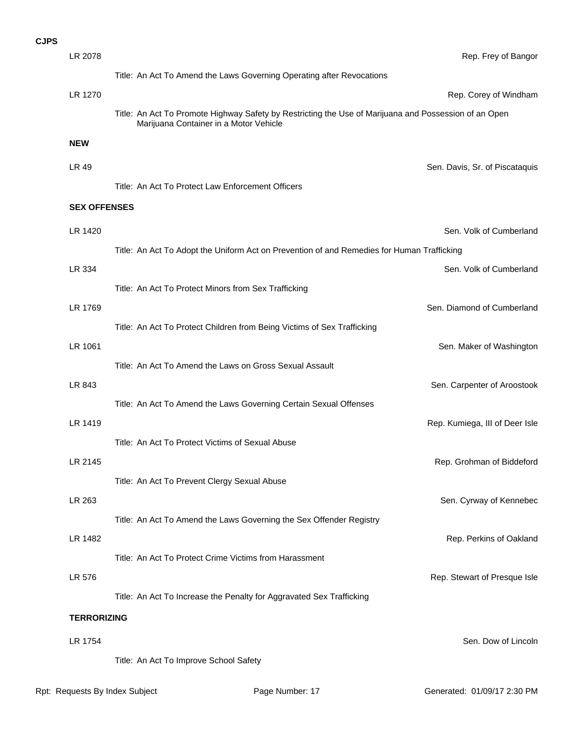| LR 2078             |                                                                                                                                                 | Rep. Frey of Bangor            |
|---------------------|-------------------------------------------------------------------------------------------------------------------------------------------------|--------------------------------|
|                     | Title: An Act To Amend the Laws Governing Operating after Revocations                                                                           |                                |
| LR 1270             |                                                                                                                                                 | Rep. Corey of Windham          |
|                     | Title: An Act To Promote Highway Safety by Restricting the Use of Marijuana and Possession of an Open<br>Marijuana Container in a Motor Vehicle |                                |
| <b>NEW</b>          |                                                                                                                                                 |                                |
| LR 49               |                                                                                                                                                 | Sen. Davis, Sr. of Piscataquis |
|                     | Title: An Act To Protect Law Enforcement Officers                                                                                               |                                |
| <b>SEX OFFENSES</b> |                                                                                                                                                 |                                |
| LR 1420             |                                                                                                                                                 | Sen. Volk of Cumberland        |
|                     | Title: An Act To Adopt the Uniform Act on Prevention of and Remedies for Human Trafficking                                                      |                                |
| LR 334              |                                                                                                                                                 | Sen. Volk of Cumberland        |
|                     | Title: An Act To Protect Minors from Sex Trafficking                                                                                            |                                |
| LR 1769             |                                                                                                                                                 | Sen. Diamond of Cumberland     |
|                     | Title: An Act To Protect Children from Being Victims of Sex Trafficking                                                                         |                                |
| LR 1061             |                                                                                                                                                 | Sen. Maker of Washington       |
|                     | Title: An Act To Amend the Laws on Gross Sexual Assault                                                                                         |                                |
| LR 843              |                                                                                                                                                 | Sen. Carpenter of Aroostook    |
|                     | Title: An Act To Amend the Laws Governing Certain Sexual Offenses                                                                               |                                |
| LR 1419             |                                                                                                                                                 | Rep. Kumiega, III of Deer Isle |
|                     | Title: An Act To Protect Victims of Sexual Abuse                                                                                                |                                |
| LR 2145             |                                                                                                                                                 | Rep. Grohman of Biddeford      |
|                     | Title: An Act To Prevent Clergy Sexual Abuse                                                                                                    |                                |
| LR 263              | Title: An Act To Amend the Laws Governing the Sex Offender Registry                                                                             | Sen. Cyrway of Kennebec        |
| LR 1482             |                                                                                                                                                 | Rep. Perkins of Oakland        |
|                     | Title: An Act To Protect Crime Victims from Harassment                                                                                          |                                |
| LR 576              |                                                                                                                                                 | Rep. Stewart of Presque Isle   |
|                     | Title: An Act To Increase the Penalty for Aggravated Sex Trafficking                                                                            |                                |
| <b>TERRORIZING</b>  |                                                                                                                                                 |                                |
|                     |                                                                                                                                                 |                                |
| LR 1754             |                                                                                                                                                 | Sen. Dow of Lincoln            |
|                     | Title: An Act To Improve School Safety                                                                                                          |                                |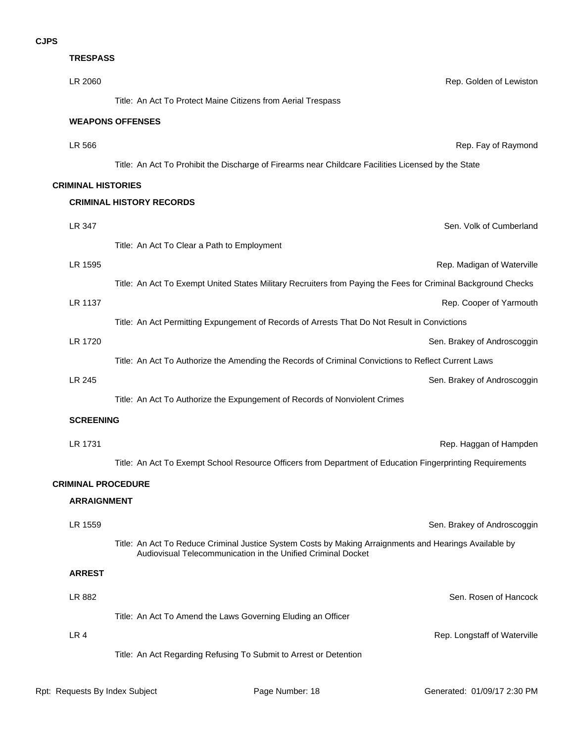| PS |                           |                                                                                                               |
|----|---------------------------|---------------------------------------------------------------------------------------------------------------|
|    | <b>TRESPASS</b>           |                                                                                                               |
|    | LR 2060                   | Rep. Golden of Lewiston                                                                                       |
|    |                           | Title: An Act To Protect Maine Citizens from Aerial Trespass                                                  |
|    |                           | <b>WEAPONS OFFENSES</b>                                                                                       |
|    | LR 566                    | Rep. Fay of Raymond                                                                                           |
|    |                           | Title: An Act To Prohibit the Discharge of Firearms near Childcare Facilities Licensed by the State           |
|    | <b>CRIMINAL HISTORIES</b> |                                                                                                               |
|    |                           | <b>CRIMINAL HISTORY RECORDS</b>                                                                               |
|    | LR 347                    | Sen. Volk of Cumberland                                                                                       |
|    |                           | Title: An Act To Clear a Path to Employment                                                                   |
|    | LR 1595                   | Rep. Madigan of Waterville                                                                                    |
|    |                           | Title: An Act To Exempt United States Military Recruiters from Paying the Fees for Criminal Background Checks |
|    | LR 1137                   | Rep. Cooper of Yarmouth                                                                                       |
|    |                           | Title: An Act Permitting Expungement of Records of Arrests That Do Not Result in Convictions                  |
|    | LR 1720                   | Sen. Brakey of Androscoggin                                                                                   |
|    |                           | Title: An Act To Authorize the Amending the Records of Criminal Convictions to Reflect Current Laws           |
|    | LR 245                    | Sen. Brakey of Androscoggin                                                                                   |
|    |                           | Title: An Act To Authorize the Expungement of Records of Nonviolent Crimes                                    |
|    | <b>SCREENING</b>          |                                                                                                               |
|    | LR 1731                   | Rep. Haggan of Hampden                                                                                        |
|    |                           | Title: An Act To Exempt School Resource Officers from Department of Education Fingerprinting Requirements     |
|    | <b>CRIMINAL PROCEDURE</b> |                                                                                                               |
|    | <b>ARRAIGNMENT</b>        |                                                                                                               |
|    |                           |                                                                                                               |

LR 4 Rep. Longstaff of Waterville Title: An Act Regarding Refusing To Submit to Arrest or Detention **LR 882** Sen. Rosen of Hancock Title: An Act To Amend the Laws Governing Eluding an Officer **ARREST LR 1559** Sen. Brakey of Androscoggin Title: An Act To Reduce Criminal Justice System Costs by Making Arraignments and Hearings Available by Audiovisual Telecommunication in the Unified Criminal Docket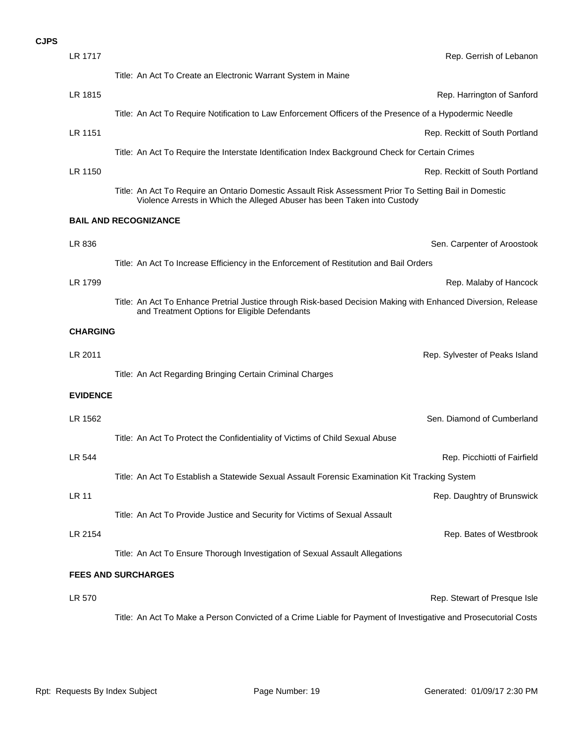## **LR 570** Rep. Stewart of Presque Isle Title: An Act To Make a Person Convicted of a Crime Liable for Payment of Investigative and Prosecutorial Costs **FEES AND SURCHARGES** LR 2154 Rep. Bates of Westbrook Title: An Act To Ensure Thorough Investigation of Sexual Assault Allegations **LR 11** Rep. Daughtry of Brunswick Title: An Act To Provide Justice and Security for Victims of Sexual Assault LR 544 Rep. Picchiotti of Fairfield Title: An Act To Establish a Statewide Sexual Assault Forensic Examination Kit Tracking System LR 1562 Sen. Diamond of Cumberland Title: An Act To Protect the Confidentiality of Victims of Child Sexual Abuse **EVIDENCE LR 2011 LR 2011 Rep. Sylvester of Peaks Island** Title: An Act Regarding Bringing Certain Criminal Charges **CHARGING** LR 1799 Rep. Malaby of Hancock Title: An Act To Enhance Pretrial Justice through Risk-based Decision Making with Enhanced Diversion, Release and Treatment Options for Eligible Defendants LR 836 Sen. Carpenter of Aroostook Title: An Act To Increase Efficiency in the Enforcement of Restitution and Bail Orders **BAIL AND RECOGNIZANCE** LR 1150 Rep. Reckitt of South Portland Title: An Act To Require an Ontario Domestic Assault Risk Assessment Prior To Setting Bail in Domestic Violence Arrests in Which the Alleged Abuser has been Taken into Custody LR 1151 Rep. Reckitt of South Portland Title: An Act To Require the Interstate Identification Index Background Check for Certain Crimes LR 1815 Rep. Harrington of Sanford Title: An Act To Require Notification to Law Enforcement Officers of the Presence of a Hypodermic Needle **LR 1717 Legal Contract Contract Contract Contract Contract Contract Contract Contract Contract Contract Contract Contract Contract Contract Contract Contract Contract Contract Contract Contract Contract Contract Contrac** Title: An Act To Create an Electronic Warrant System in Maine **CJPS**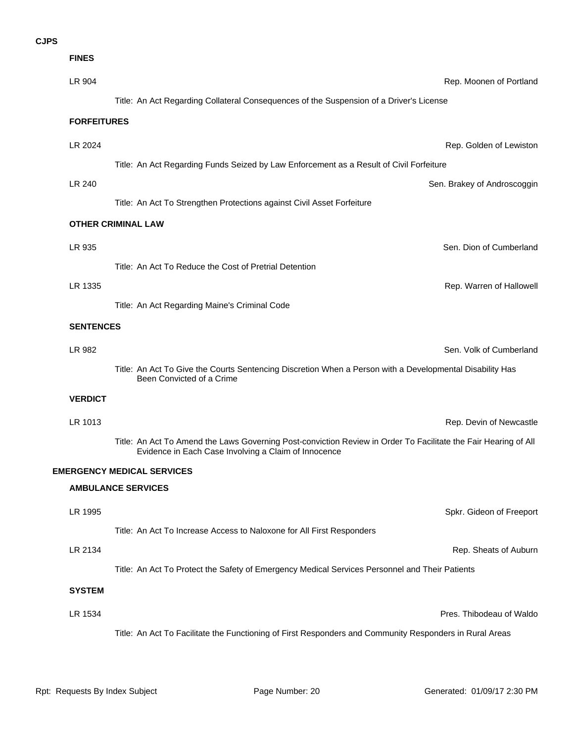| <b>FINES</b>       |                                                                                                                                                                         |                             |
|--------------------|-------------------------------------------------------------------------------------------------------------------------------------------------------------------------|-----------------------------|
| LR 904             |                                                                                                                                                                         | Rep. Moonen of Portland     |
|                    | Title: An Act Regarding Collateral Consequences of the Suspension of a Driver's License                                                                                 |                             |
| <b>FORFEITURES</b> |                                                                                                                                                                         |                             |
| LR 2024            |                                                                                                                                                                         | Rep. Golden of Lewiston     |
|                    | Title: An Act Regarding Funds Seized by Law Enforcement as a Result of Civil Forfeiture                                                                                 |                             |
| LR 240             |                                                                                                                                                                         | Sen. Brakey of Androscoggin |
|                    | Title: An Act To Strengthen Protections against Civil Asset Forfeiture                                                                                                  |                             |
|                    | <b>OTHER CRIMINAL LAW</b>                                                                                                                                               |                             |
| LR 935             |                                                                                                                                                                         | Sen. Dion of Cumberland     |
|                    | Title: An Act To Reduce the Cost of Pretrial Detention                                                                                                                  |                             |
| LR 1335            |                                                                                                                                                                         | Rep. Warren of Hallowell    |
|                    | Title: An Act Regarding Maine's Criminal Code                                                                                                                           |                             |
| <b>SENTENCES</b>   |                                                                                                                                                                         |                             |
| LR 982             |                                                                                                                                                                         | Sen. Volk of Cumberland     |
|                    | Title: An Act To Give the Courts Sentencing Discretion When a Person with a Developmental Disability Has<br>Been Convicted of a Crime                                   |                             |
| <b>VERDICT</b>     |                                                                                                                                                                         |                             |
| LR 1013            |                                                                                                                                                                         | Rep. Devin of Newcastle     |
|                    | Title: An Act To Amend the Laws Governing Post-conviction Review in Order To Facilitate the Fair Hearing of All<br>Evidence in Each Case Involving a Claim of Innocence |                             |
|                    | <b>EMERGENCY MEDICAL SERVICES</b>                                                                                                                                       |                             |
|                    | <b>AMBULANCE SERVICES</b>                                                                                                                                               |                             |
| LR 1995            |                                                                                                                                                                         | Spkr. Gideon of Freeport    |
|                    | Title: An Act To Increase Access to Naloxone for All First Responders                                                                                                   |                             |
| LR 2134            |                                                                                                                                                                         | Rep. Sheats of Auburn       |
|                    | Title: An Act To Protect the Safety of Emergency Medical Services Personnel and Their Patients                                                                          |                             |
| <b>SYSTEM</b>      |                                                                                                                                                                         |                             |
| LR 1534            |                                                                                                                                                                         | Pres. Thibodeau of Waldo    |
|                    | Title: An Act To Facilitate the Functioning of First Responders and Community Responders in Rural Areas                                                                 |                             |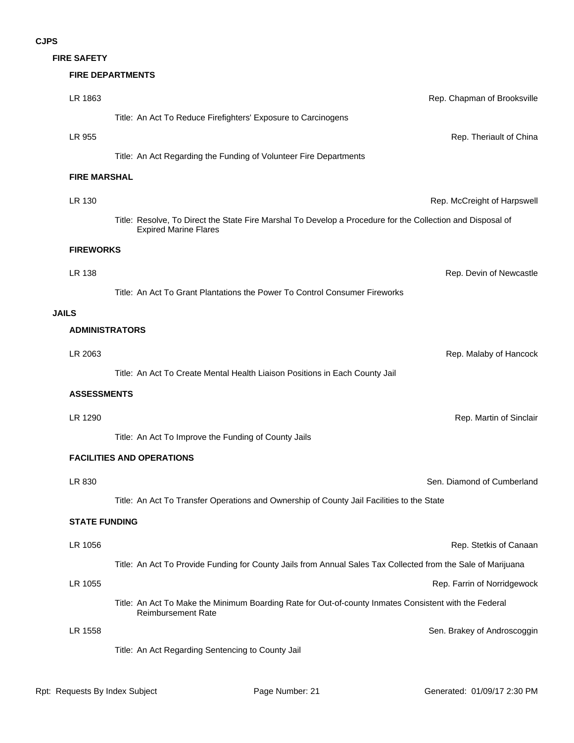**FIRE SAFETY**

#### **FIRE DEPARTMENTS**

| LR 1863               | Rep. Chapman of Brooksville                                                                                                                |
|-----------------------|--------------------------------------------------------------------------------------------------------------------------------------------|
|                       | Title: An Act To Reduce Firefighters' Exposure to Carcinogens                                                                              |
| LR 955                | Rep. Theriault of China                                                                                                                    |
|                       | Title: An Act Regarding the Funding of Volunteer Fire Departments                                                                          |
| <b>FIRE MARSHAL</b>   |                                                                                                                                            |
| LR 130                | Rep. McCreight of Harpswell                                                                                                                |
|                       | Title: Resolve, To Direct the State Fire Marshal To Develop a Procedure for the Collection and Disposal of<br><b>Expired Marine Flares</b> |
| <b>FIREWORKS</b>      |                                                                                                                                            |
| LR 138                | Rep. Devin of Newcastle                                                                                                                    |
|                       | Title: An Act To Grant Plantations the Power To Control Consumer Fireworks                                                                 |
| <b>JAILS</b>          |                                                                                                                                            |
| <b>ADMINISTRATORS</b> |                                                                                                                                            |
| LR 2063               | Rep. Malaby of Hancock                                                                                                                     |
|                       | Title: An Act To Create Mental Health Liaison Positions in Each County Jail                                                                |
| <b>ASSESSMENTS</b>    |                                                                                                                                            |
| LR 1290               | Rep. Martin of Sinclair                                                                                                                    |
|                       | Title: An Act To Improve the Funding of County Jails                                                                                       |
|                       | <b>FACILITIES AND OPERATIONS</b>                                                                                                           |
| LR 830                | Sen. Diamond of Cumberland                                                                                                                 |
|                       | Title: An Act To Transfer Operations and Ownership of County Jail Facilities to the State                                                  |
| <b>STATE FUNDING</b>  |                                                                                                                                            |
| LR 1056               | Rep. Stetkis of Canaan                                                                                                                     |
|                       | Title: An Act To Provide Funding for County Jails from Annual Sales Tax Collected from the Sale of Marijuana                               |
| LR 1055               | Rep. Farrin of Norridgewock                                                                                                                |
|                       | Title: An Act To Make the Minimum Boarding Rate for Out-of-county Inmates Consistent with the Federal<br><b>Reimbursement Rate</b>         |
| LR 1558               | Sen. Brakey of Androscoggin                                                                                                                |
|                       | Title: An Act Regarding Sentencing to County Jail                                                                                          |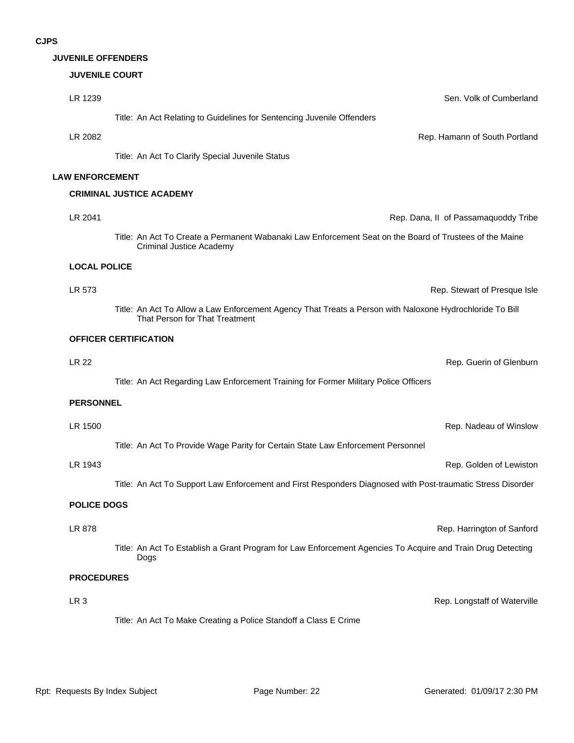#### **JUVENILE OFFENDERS**

#### **JUVENILE COURT**

| LR 1239                | Sen. Volk of Cumberland                                                                                                                    |
|------------------------|--------------------------------------------------------------------------------------------------------------------------------------------|
|                        | Title: An Act Relating to Guidelines for Sentencing Juvenile Offenders                                                                     |
| LR 2082                | Rep. Hamann of South Portland                                                                                                              |
|                        | Title: An Act To Clarify Special Juvenile Status                                                                                           |
| <b>LAW ENFORCEMENT</b> |                                                                                                                                            |
|                        | <b>CRIMINAL JUSTICE ACADEMY</b>                                                                                                            |
| LR 2041                | Rep. Dana, II of Passamaquoddy Tribe                                                                                                       |
|                        | Title: An Act To Create a Permanent Wabanaki Law Enforcement Seat on the Board of Trustees of the Maine<br><b>Criminal Justice Academy</b> |
| <b>LOCAL POLICE</b>    |                                                                                                                                            |
| LR 573                 | Rep. Stewart of Presque Isle                                                                                                               |
|                        | Title: An Act To Allow a Law Enforcement Agency That Treats a Person with Naloxone Hydrochloride To Bill<br>That Person for That Treatment |
|                        | <b>OFFICER CERTIFICATION</b>                                                                                                               |
| <b>LR 22</b>           | Rep. Guerin of Glenburn                                                                                                                    |
|                        | Title: An Act Regarding Law Enforcement Training for Former Military Police Officers                                                       |
| <b>PERSONNEL</b>       |                                                                                                                                            |
| LR 1500                | Rep. Nadeau of Winslow                                                                                                                     |
|                        | Title: An Act To Provide Wage Parity for Certain State Law Enforcement Personnel                                                           |
| LR 1943                | Rep. Golden of Lewiston                                                                                                                    |
|                        | Title: An Act To Support Law Enforcement and First Responders Diagnosed with Post-traumatic Stress Disorder                                |
| <b>POLICE DOGS</b>     |                                                                                                                                            |
| LR 878                 | Rep. Harrington of Sanford                                                                                                                 |
|                        | Title: An Act To Establish a Grant Program for Law Enforcement Agencies To Acquire and Train Drug Detecting<br>Dogs                        |
| <b>PROCEDURES</b>      |                                                                                                                                            |
| LR <sub>3</sub>        | Rep. Longstaff of Waterville                                                                                                               |
|                        | Title: An Act To Make Creating a Police Standoff a Class E Crime                                                                           |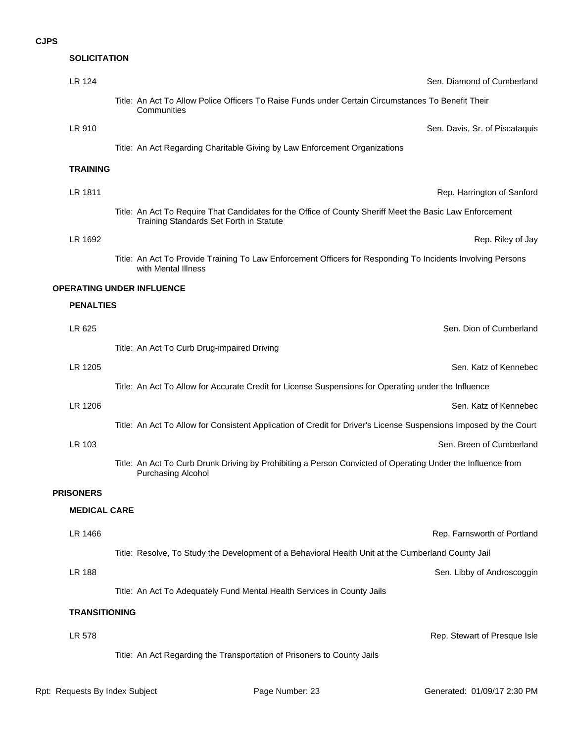#### **SOLICITATION**

| LR 124                           | Sen. Diamond of Cumberland                                                                                                                          |
|----------------------------------|-----------------------------------------------------------------------------------------------------------------------------------------------------|
|                                  | Title: An Act To Allow Police Officers To Raise Funds under Certain Circumstances To Benefit Their<br>Communities                                   |
| LR 910                           | Sen. Davis, Sr. of Piscataquis                                                                                                                      |
|                                  | Title: An Act Regarding Charitable Giving by Law Enforcement Organizations                                                                          |
| <b>TRAINING</b>                  |                                                                                                                                                     |
| LR 1811                          | Rep. Harrington of Sanford                                                                                                                          |
|                                  | Title: An Act To Require That Candidates for the Office of County Sheriff Meet the Basic Law Enforcement<br>Training Standards Set Forth in Statute |
| LR 1692                          | Rep. Riley of Jay                                                                                                                                   |
|                                  | Title: An Act To Provide Training To Law Enforcement Officers for Responding To Incidents Involving Persons<br>with Mental Illness                  |
| <b>OPERATING UNDER INFLUENCE</b> |                                                                                                                                                     |
| <b>PENALTIES</b>                 |                                                                                                                                                     |
| LR 625                           | Sen. Dion of Cumberland                                                                                                                             |
|                                  | Title: An Act To Curb Drug-impaired Driving                                                                                                         |
| LR 1205                          | Sen. Katz of Kennebec                                                                                                                               |
|                                  | Title: An Act To Allow for Accurate Credit for License Suspensions for Operating under the Influence                                                |
| LR 1206                          | Sen. Katz of Kennebec                                                                                                                               |
|                                  | Title: An Act To Allow for Consistent Application of Credit for Driver's License Suspensions Imposed by the Court                                   |
| LR 103                           | Sen. Breen of Cumberland                                                                                                                            |
|                                  | Title: An Act To Curb Drunk Driving by Prohibiting a Person Convicted of Operating Under the Influence from<br>Purchasing Alcohol                   |
| <b>PRISONERS</b>                 |                                                                                                                                                     |
| <b>MEDICAL CARE</b>              |                                                                                                                                                     |
| LR 1466                          | Rep. Farnsworth of Portland                                                                                                                         |
|                                  | Title: Resolve, To Study the Development of a Behavioral Health Unit at the Cumberland County Jail                                                  |
| <b>LR 188</b>                    | Sen. Libby of Androscoggin                                                                                                                          |
|                                  | Title: An Act To Adequately Fund Mental Health Services in County Jails                                                                             |
| <b>TRANSITIONING</b>             |                                                                                                                                                     |
| LR 578                           | Rep. Stewart of Presque Isle                                                                                                                        |
|                                  | Title: An Act Regarding the Transportation of Prisoners to County Jails                                                                             |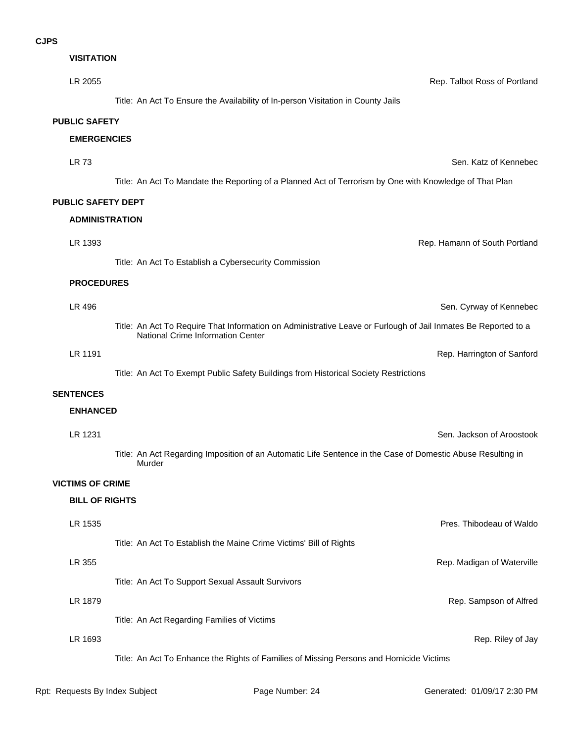| <b>VISITATION</b>         |                                                                                                                                                     |
|---------------------------|-----------------------------------------------------------------------------------------------------------------------------------------------------|
| LR 2055                   | Rep. Talbot Ross of Portland                                                                                                                        |
|                           | Title: An Act To Ensure the Availability of In-person Visitation in County Jails                                                                    |
| <b>PUBLIC SAFETY</b>      |                                                                                                                                                     |
| <b>EMERGENCIES</b>        |                                                                                                                                                     |
| LR 73                     | Sen. Katz of Kennebec                                                                                                                               |
|                           | Title: An Act To Mandate the Reporting of a Planned Act of Terrorism by One with Knowledge of That Plan                                             |
| <b>PUBLIC SAFETY DEPT</b> |                                                                                                                                                     |
| <b>ADMINISTRATION</b>     |                                                                                                                                                     |
| LR 1393                   | Rep. Hamann of South Portland                                                                                                                       |
|                           | Title: An Act To Establish a Cybersecurity Commission                                                                                               |
| <b>PROCEDURES</b>         |                                                                                                                                                     |
| LR 496                    | Sen. Cyrway of Kennebec                                                                                                                             |
|                           | Title: An Act To Require That Information on Administrative Leave or Furlough of Jail Inmates Be Reported to a<br>National Crime Information Center |
| LR 1191                   | Rep. Harrington of Sanford                                                                                                                          |
|                           | Title: An Act To Exempt Public Safety Buildings from Historical Society Restrictions                                                                |
| <b>SENTENCES</b>          |                                                                                                                                                     |
| <b>ENHANCED</b>           |                                                                                                                                                     |
| LR 1231                   | Sen. Jackson of Aroostook                                                                                                                           |
|                           | Title: An Act Regarding Imposition of an Automatic Life Sentence in the Case of Domestic Abuse Resulting in<br>Murder                               |
| <b>VICTIMS OF CRIME</b>   |                                                                                                                                                     |
| <b>BILL OF RIGHTS</b>     |                                                                                                                                                     |
| LR 1535                   | Pres. Thibodeau of Waldo                                                                                                                            |
|                           | Title: An Act To Establish the Maine Crime Victims' Bill of Rights                                                                                  |
| LR 355                    | Rep. Madigan of Waterville                                                                                                                          |
|                           | Title: An Act To Support Sexual Assault Survivors                                                                                                   |
| LR 1879                   | Rep. Sampson of Alfred                                                                                                                              |
|                           | Title: An Act Regarding Families of Victims                                                                                                         |
| LR 1693                   | Rep. Riley of Jay                                                                                                                                   |
|                           | Title: An Act To Enhance the Rights of Families of Missing Persons and Homicide Victims                                                             |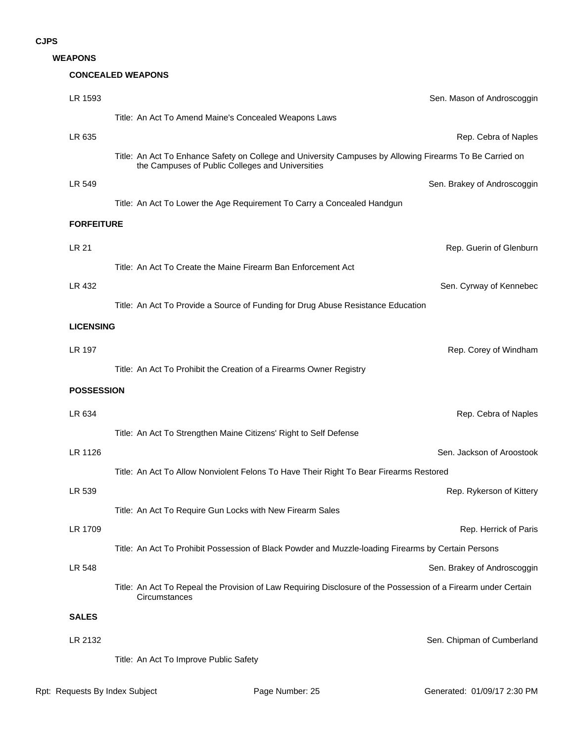#### **WEAPONS**

#### **CONCEALED WEAPONS**

| LR 1593           | Sen. Mason of Androscoggin                                                                                                                                   |
|-------------------|--------------------------------------------------------------------------------------------------------------------------------------------------------------|
|                   | Title: An Act To Amend Maine's Concealed Weapons Laws                                                                                                        |
| LR 635            | Rep. Cebra of Naples                                                                                                                                         |
|                   | Title: An Act To Enhance Safety on College and University Campuses by Allowing Firearms To Be Carried on<br>the Campuses of Public Colleges and Universities |
| LR 549            | Sen. Brakey of Androscoggin                                                                                                                                  |
|                   | Title: An Act To Lower the Age Requirement To Carry a Concealed Handgun                                                                                      |
| <b>FORFEITURE</b> |                                                                                                                                                              |
| LR 21             | Rep. Guerin of Glenburn                                                                                                                                      |
|                   | Title: An Act To Create the Maine Firearm Ban Enforcement Act                                                                                                |
| LR 432            | Sen. Cyrway of Kennebec                                                                                                                                      |
|                   | Title: An Act To Provide a Source of Funding for Drug Abuse Resistance Education                                                                             |
| <b>LICENSING</b>  |                                                                                                                                                              |
| <b>LR 197</b>     | Rep. Corey of Windham                                                                                                                                        |
|                   | Title: An Act To Prohibit the Creation of a Firearms Owner Registry                                                                                          |
|                   |                                                                                                                                                              |
| <b>POSSESSION</b> |                                                                                                                                                              |
|                   |                                                                                                                                                              |
| LR 634            | Rep. Cebra of Naples                                                                                                                                         |
| LR 1126           | Title: An Act To Strengthen Maine Citizens' Right to Self Defense<br>Sen. Jackson of Aroostook                                                               |
|                   | Title: An Act To Allow Nonviolent Felons To Have Their Right To Bear Firearms Restored                                                                       |
| LR 539            | Rep. Rykerson of Kittery                                                                                                                                     |
|                   | Title: An Act To Require Gun Locks with New Firearm Sales                                                                                                    |
| LR 1709           | Rep. Herrick of Paris                                                                                                                                        |
|                   | Title: An Act To Prohibit Possession of Black Powder and Muzzle-loading Firearms by Certain Persons                                                          |
| LR 548            | Sen. Brakey of Androscoggin                                                                                                                                  |
|                   | Title: An Act To Repeal the Provision of Law Requiring Disclosure of the Possession of a Firearm under Certain<br>Circumstances                              |
| <b>SALES</b>      |                                                                                                                                                              |
| LR 2132           | Sen. Chipman of Cumberland                                                                                                                                   |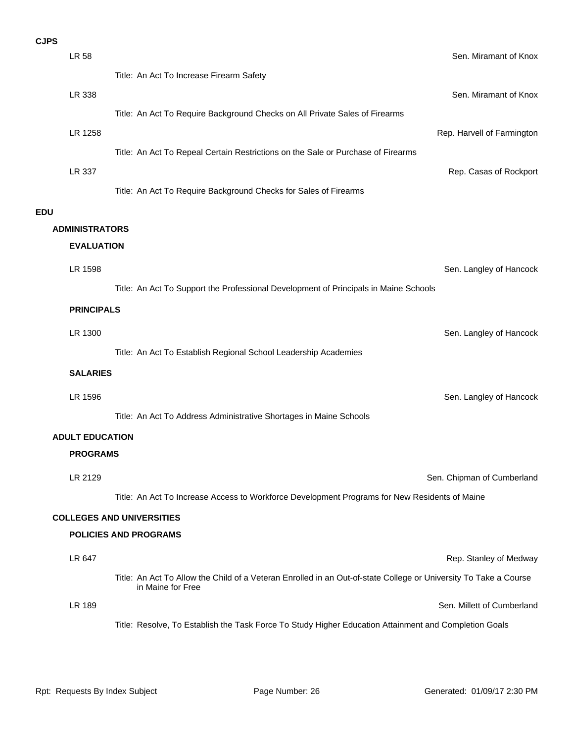|            | <b>LR 58</b>           | Sen. Miramant of Knox                                                                                            |
|------------|------------------------|------------------------------------------------------------------------------------------------------------------|
|            |                        | Title: An Act To Increase Firearm Safety                                                                         |
|            | LR 338                 | Sen. Miramant of Knox                                                                                            |
|            |                        | Title: An Act To Require Background Checks on All Private Sales of Firearms                                      |
|            | LR 1258                | Rep. Harvell of Farmington                                                                                       |
|            |                        | Title: An Act To Repeal Certain Restrictions on the Sale or Purchase of Firearms                                 |
|            | LR 337                 | Rep. Casas of Rockport                                                                                           |
|            |                        | Title: An Act To Require Background Checks for Sales of Firearms                                                 |
| <b>EDU</b> |                        |                                                                                                                  |
|            | <b>ADMINISTRATORS</b>  |                                                                                                                  |
|            | <b>EVALUATION</b>      |                                                                                                                  |
|            | LR 1598                | Sen. Langley of Hancock                                                                                          |
|            |                        | Title: An Act To Support the Professional Development of Principals in Maine Schools                             |
|            | <b>PRINCIPALS</b>      |                                                                                                                  |
|            | LR 1300                | Sen. Langley of Hancock                                                                                          |
|            |                        | Title: An Act To Establish Regional School Leadership Academies                                                  |
|            | <b>SALARIES</b>        |                                                                                                                  |
|            |                        |                                                                                                                  |
|            | LR 1596                | Sen. Langley of Hancock                                                                                          |
|            |                        | Title: An Act To Address Administrative Shortages in Maine Schools                                               |
|            | <b>ADULT EDUCATION</b> |                                                                                                                  |
|            | <b>PROGRAMS</b>        |                                                                                                                  |
|            | LR 2129                | Sen. Chipman of Cumberland                                                                                       |
|            |                        | Title: An Act To Increase Access to Workforce Development Programs for New Residents of Maine                    |
|            |                        | <b>COLLEGES AND UNIVERSITIES</b>                                                                                 |
|            |                        | <b>POLICIES AND PROGRAMS</b>                                                                                     |
|            | LR 647                 | Rep. Stanley of Medway                                                                                           |
|            |                        | Title: An Act To Allow the Child of a Veteran Enrolled in an Out-of-state College or University To Take a Course |
|            | LR 189                 | in Maine for Free<br>Sen. Millett of Cumberland                                                                  |
|            |                        | Title: Resolve, To Establish the Task Force To Study Higher Education Attainment and Completion Goals            |
|            |                        |                                                                                                                  |
|            |                        |                                                                                                                  |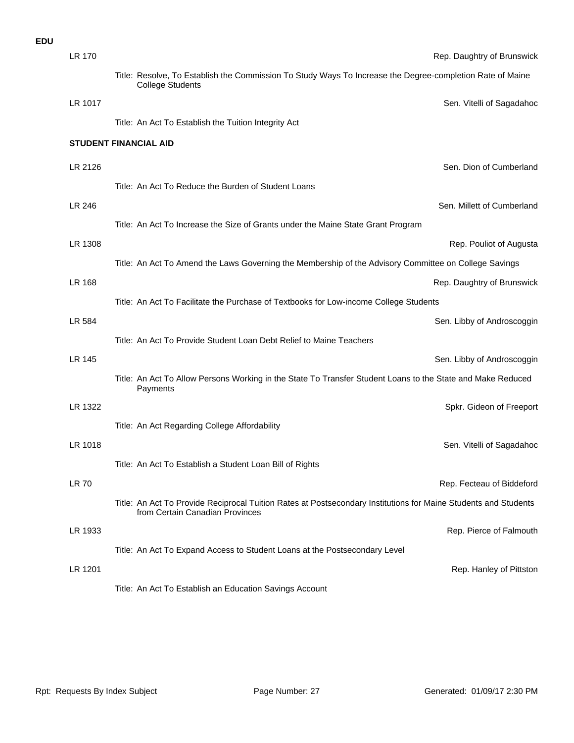| LR 170       |                                                                                                                                                    | Rep. Daughtry of Brunswick |
|--------------|----------------------------------------------------------------------------------------------------------------------------------------------------|----------------------------|
|              | Title: Resolve, To Establish the Commission To Study Ways To Increase the Degree-completion Rate of Maine<br><b>College Students</b>               |                            |
| LR 1017      |                                                                                                                                                    | Sen. Vitelli of Sagadahod  |
|              | Title: An Act To Establish the Tuition Integrity Act                                                                                               |                            |
|              | <b>STUDENT FINANCIAL AID</b>                                                                                                                       |                            |
| LR 2126      |                                                                                                                                                    | Sen. Dion of Cumberland    |
|              | Title: An Act To Reduce the Burden of Student Loans                                                                                                |                            |
| LR 246       |                                                                                                                                                    | Sen. Millett of Cumberland |
|              | Title: An Act To Increase the Size of Grants under the Maine State Grant Program                                                                   |                            |
| LR 1308      |                                                                                                                                                    | Rep. Pouliot of Augusta    |
|              | Title: An Act To Amend the Laws Governing the Membership of the Advisory Committee on College Savings                                              |                            |
| LR 168       |                                                                                                                                                    | Rep. Daughtry of Brunswick |
|              | Title: An Act To Facilitate the Purchase of Textbooks for Low-income College Students                                                              |                            |
| LR 584       |                                                                                                                                                    | Sen. Libby of Androscoggin |
|              | Title: An Act To Provide Student Loan Debt Relief to Maine Teachers                                                                                |                            |
| LR 145       |                                                                                                                                                    | Sen. Libby of Androscoggin |
|              | Title: An Act To Allow Persons Working in the State To Transfer Student Loans to the State and Make Reduced<br>Payments                            |                            |
| LR 1322      |                                                                                                                                                    | Spkr. Gideon of Freeport   |
|              | Title: An Act Regarding College Affordability                                                                                                      |                            |
| LR 1018      |                                                                                                                                                    | Sen. Vitelli of Sagadahod  |
|              | Title: An Act To Establish a Student Loan Bill of Rights                                                                                           |                            |
| <b>LR 70</b> |                                                                                                                                                    | Rep. Fecteau of Biddeford  |
|              | Title: An Act To Provide Reciprocal Tuition Rates at Postsecondary Institutions for Maine Students and Students<br>from Certain Canadian Provinces |                            |
| LR 1933      |                                                                                                                                                    | Rep. Pierce of Falmouth    |
|              | Title: An Act To Expand Access to Student Loans at the Postsecondary Level                                                                         |                            |
| LR 1201      |                                                                                                                                                    | Rep. Hanley of Pittstor    |
|              | Title: An Act To Establish an Education Savings Account                                                                                            |                            |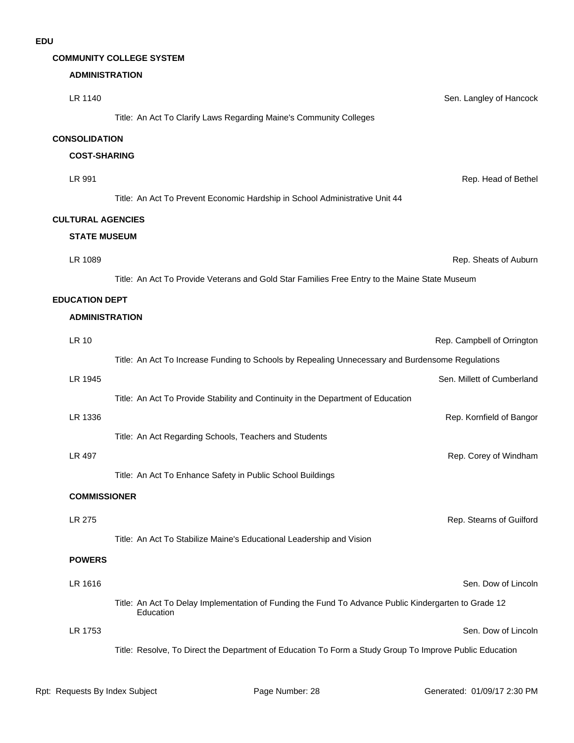#### **COMMUNITY COLLEGE SYSTEM**

#### **ADMINISTRATION**

| LR 1140                  | Sen. Langley of Hancock                                                                                           |
|--------------------------|-------------------------------------------------------------------------------------------------------------------|
|                          | Title: An Act To Clarify Laws Regarding Maine's Community Colleges                                                |
| <b>CONSOLIDATION</b>     |                                                                                                                   |
| <b>COST-SHARING</b>      |                                                                                                                   |
| LR 991                   | Rep. Head of Bethel                                                                                               |
|                          | Title: An Act To Prevent Economic Hardship in School Administrative Unit 44                                       |
| <b>CULTURAL AGENCIES</b> |                                                                                                                   |
| <b>STATE MUSEUM</b>      |                                                                                                                   |
| LR 1089                  | Rep. Sheats of Auburn                                                                                             |
|                          | Title: An Act To Provide Veterans and Gold Star Families Free Entry to the Maine State Museum                     |
| <b>EDUCATION DEPT</b>    |                                                                                                                   |
| <b>ADMINISTRATION</b>    |                                                                                                                   |
| <b>LR 10</b>             | Rep. Campbell of Orrington                                                                                        |
|                          | Title: An Act To Increase Funding to Schools by Repealing Unnecessary and Burdensome Regulations                  |
| LR 1945                  | Sen. Millett of Cumberland                                                                                        |
|                          | Title: An Act To Provide Stability and Continuity in the Department of Education                                  |
| LR 1336                  | Rep. Kornfield of Bangor                                                                                          |
|                          | Title: An Act Regarding Schools, Teachers and Students                                                            |
| LR 497                   | Rep. Corey of Windham                                                                                             |
|                          | Title: An Act To Enhance Safety in Public School Buildings                                                        |
| <b>COMMISSIONER</b>      |                                                                                                                   |
| LR 275                   | Rep. Stearns of Guilford                                                                                          |
|                          | Title: An Act To Stabilize Maine's Educational Leadership and Vision                                              |
| <b>POWERS</b>            |                                                                                                                   |
| LR 1616                  | Sen. Dow of Lincoln                                                                                               |
|                          | Title: An Act To Delay Implementation of Funding the Fund To Advance Public Kindergarten to Grade 12<br>Education |
| LR 1753                  | Sen. Dow of Lincoln                                                                                               |
|                          | Title: Resolve, To Direct the Department of Education To Form a Study Group To Improve Public Education           |
|                          |                                                                                                                   |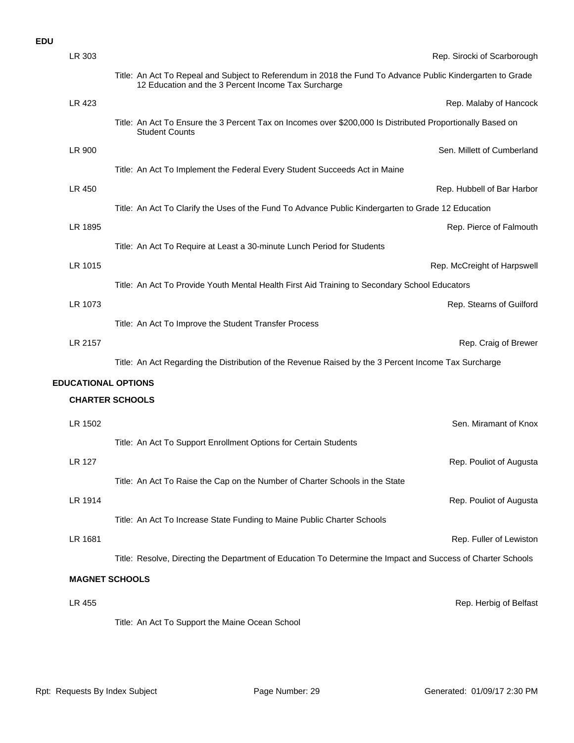| LR 303                     | Rep. Sirocki of Scarborough                                                                                                                                       |
|----------------------------|-------------------------------------------------------------------------------------------------------------------------------------------------------------------|
|                            | Title: An Act To Repeal and Subject to Referendum in 2018 the Fund To Advance Public Kindergarten to Grade<br>12 Education and the 3 Percent Income Tax Surcharge |
| LR 423                     | Rep. Malaby of Hancock                                                                                                                                            |
|                            | Title: An Act To Ensure the 3 Percent Tax on Incomes over \$200,000 Is Distributed Proportionally Based on<br><b>Student Counts</b>                               |
| LR 900                     | Sen. Millett of Cumberland                                                                                                                                        |
|                            | Title: An Act To Implement the Federal Every Student Succeeds Act in Maine                                                                                        |
| LR 450                     | Rep. Hubbell of Bar Harbor                                                                                                                                        |
|                            | Title: An Act To Clarify the Uses of the Fund To Advance Public Kindergarten to Grade 12 Education                                                                |
| LR 1895                    | Rep. Pierce of Falmouth                                                                                                                                           |
|                            | Title: An Act To Require at Least a 30-minute Lunch Period for Students                                                                                           |
| LR 1015                    | Rep. McCreight of Harpswell                                                                                                                                       |
|                            | Title: An Act To Provide Youth Mental Health First Aid Training to Secondary School Educators                                                                     |
| LR 1073                    | Rep. Stearns of Guilford                                                                                                                                          |
|                            | Title: An Act To Improve the Student Transfer Process                                                                                                             |
| LR 2157                    | Rep. Craig of Brewer                                                                                                                                              |
|                            | Title: An Act Regarding the Distribution of the Revenue Raised by the 3 Percent Income Tax Surcharge                                                              |
| <b>EDUCATIONAL OPTIONS</b> |                                                                                                                                                                   |
|                            | <b>CHARTER SCHOOLS</b>                                                                                                                                            |
| LR 1502                    | Sen. Miramant of Knox                                                                                                                                             |
|                            | Title: An Act To Support Enrollment Options for Certain Students                                                                                                  |
| LR 127                     | Rep. Pouliot of Augusta                                                                                                                                           |
|                            | Title: An Act To Raise the Cap on the Number of Charter Schools in the State                                                                                      |
| LR 1914                    | Rep. Pouliot of Augusta                                                                                                                                           |
|                            | Title: An Act To Increase State Funding to Maine Public Charter Schools                                                                                           |
| LR 1681                    | Rep. Fuller of Lewiston                                                                                                                                           |
|                            | Title: Resolve, Directing the Department of Education To Determine the Impact and Success of Charter Schools                                                      |
|                            | <b>MAGNET SCHOOLS</b>                                                                                                                                             |
| LR 455                     | Rep. Herbig of Belfast                                                                                                                                            |
|                            | Title: An Act To Support the Maine Ocean School                                                                                                                   |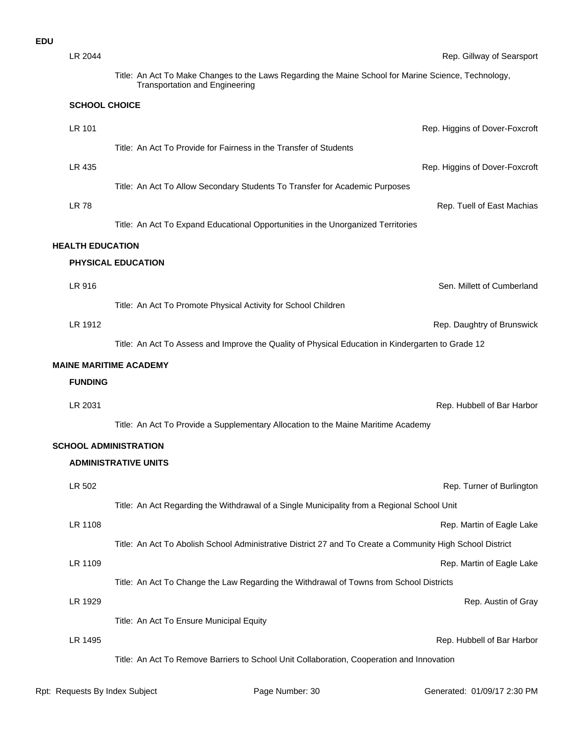| LR 2044                 | Rep. Gillway of Searsport                                                                                                                     |
|-------------------------|-----------------------------------------------------------------------------------------------------------------------------------------------|
|                         | Title: An Act To Make Changes to the Laws Regarding the Maine School for Marine Science, Technology,<br><b>Transportation and Engineering</b> |
| <b>SCHOOL CHOICE</b>    |                                                                                                                                               |
| LR 101                  | Rep. Higgins of Dover-Foxcroft                                                                                                                |
|                         | Title: An Act To Provide for Fairness in the Transfer of Students                                                                             |
| LR 435                  | Rep. Higgins of Dover-Foxcroft                                                                                                                |
|                         | Title: An Act To Allow Secondary Students To Transfer for Academic Purposes                                                                   |
| <b>LR78</b>             | Rep. Tuell of East Machias                                                                                                                    |
|                         | Title: An Act To Expand Educational Opportunities in the Unorganized Territories                                                              |
| <b>HEALTH EDUCATION</b> |                                                                                                                                               |
|                         | <b>PHYSICAL EDUCATION</b>                                                                                                                     |
| LR 916                  | Sen. Millett of Cumberland                                                                                                                    |
|                         | Title: An Act To Promote Physical Activity for School Children                                                                                |
| LR 1912                 | Rep. Daughtry of Brunswick                                                                                                                    |
|                         | Title: An Act To Assess and Improve the Quality of Physical Education in Kindergarten to Grade 12                                             |
|                         | <b>MAINE MARITIME ACADEMY</b>                                                                                                                 |
| <b>FUNDING</b>          |                                                                                                                                               |
| LR 2031                 | Rep. Hubbell of Bar Harbor                                                                                                                    |
|                         | Title: An Act To Provide a Supplementary Allocation to the Maine Maritime Academy                                                             |
|                         | <b>SCHOOL ADMINISTRATION</b>                                                                                                                  |
|                         | <b>ADMINISTRATIVE UNITS</b>                                                                                                                   |
| LR 502                  | Rep. Turner of Burlington                                                                                                                     |
|                         | Title: An Act Regarding the Withdrawal of a Single Municipality from a Regional School Unit                                                   |
| LR 1108                 | Rep. Martin of Eagle Lake                                                                                                                     |
|                         | Title: An Act To Abolish School Administrative District 27 and To Create a Community High School District                                     |
| LR 1109                 | Rep. Martin of Eagle Lake                                                                                                                     |
|                         | Title: An Act To Change the Law Regarding the Withdrawal of Towns from School Districts                                                       |
| LR 1929                 | Rep. Austin of Gray                                                                                                                           |
|                         | Title: An Act To Ensure Municipal Equity                                                                                                      |
| LR 1495                 | Rep. Hubbell of Bar Harbor                                                                                                                    |
|                         | Title: An Act To Remove Barriers to School Unit Collaboration, Cooperation and Innovation                                                     |
|                         |                                                                                                                                               |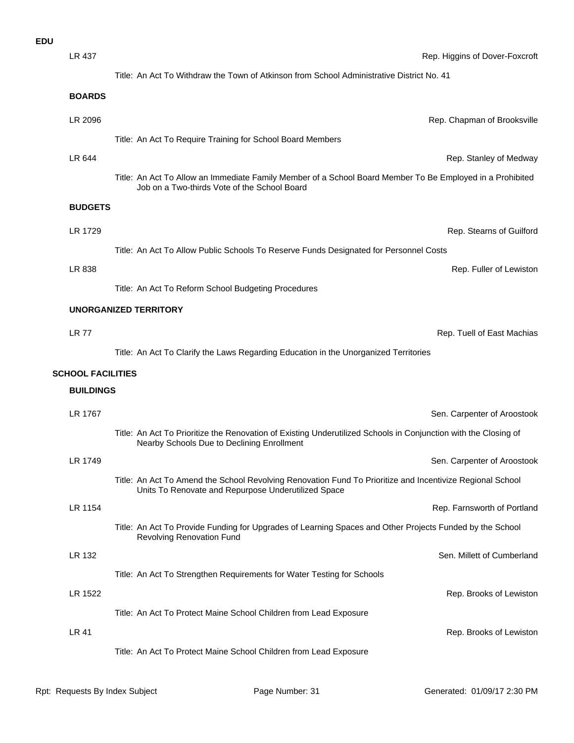| :DU |               |                                                                                           |
|-----|---------------|-------------------------------------------------------------------------------------------|
|     | LR 437        | Rep. Hig                                                                                  |
|     |               | Title: An Act To Withdraw the Town of Atkinson from School Administrative District No. 41 |
|     | <b>BOARDS</b> |                                                                                           |
|     | LR 2096       | Rep. 0                                                                                    |
|     |               | Title: An Act To Require Training for School Board Members                                |

Title: An Act To Allow an Immediate Family Member of a School Board Member To Be Employed in a Prohibited Job on a Two-thirds Vote of the School Board

#### **BUDGETS**

| LR 1729 |                                                                                       | Rep. Stearns of Guilford |
|---------|---------------------------------------------------------------------------------------|--------------------------|
|         | Title: An Act To Allow Public Schools To Reserve Funds Designated for Personnel Costs |                          |
| LR 838  |                                                                                       | Rep. Fuller of Lewiston  |
|         |                                                                                       |                          |

LR 644 Rep. Stanley of Medway

Title: An Act To Reform School Budgeting Procedures

#### **UNORGANIZED TERRITORY**

LR 77 Rep. Tuell of East Machias

Title: An Act To Clarify the Laws Regarding Education in the Unorganized Territories

#### **SCHOOL FACILITIES**

#### **BUILDINGS**

| LR 1767 | Sen. Carpenter of Aroostook                                                                                                                                      |
|---------|------------------------------------------------------------------------------------------------------------------------------------------------------------------|
|         | Title: An Act To Prioritize the Renovation of Existing Underutilized Schools in Conjunction with the Closing of<br>Nearby Schools Due to Declining Enrollment    |
| LR 1749 | Sen. Carpenter of Aroostook                                                                                                                                      |
|         | Title: An Act To Amend the School Revolving Renovation Fund To Prioritize and Incentivize Regional School<br>Units To Renovate and Repurpose Underutilized Space |
| LR 1154 | Rep. Farnsworth of Portland                                                                                                                                      |
|         | Title: An Act To Provide Funding for Upgrades of Learning Spaces and Other Projects Funded by the School<br><b>Revolving Renovation Fund</b>                     |
| LR 132  | Sen. Millett of Cumberland                                                                                                                                       |
|         | Title: An Act To Strengthen Requirements for Water Testing for Schools                                                                                           |
| LR 1522 | Rep. Brooks of Lewiston                                                                                                                                          |
|         | Title: An Act To Protect Maine School Children from Lead Exposure                                                                                                |
| LR 41   | Rep. Brooks of Lewiston                                                                                                                                          |
|         | Title: An Act To Protect Maine School Children from Lead Exposure                                                                                                |

Rep. Chapman of Brooksville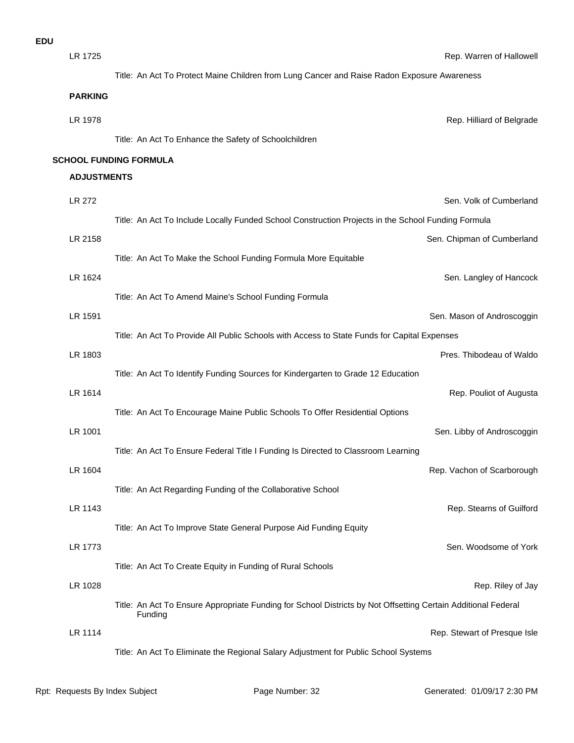| LR 1725            |                                                                                                               | Rep. Warren of Hallowell     |
|--------------------|---------------------------------------------------------------------------------------------------------------|------------------------------|
|                    | Title: An Act To Protect Maine Children from Lung Cancer and Raise Radon Exposure Awareness                   |                              |
| <b>PARKING</b>     |                                                                                                               |                              |
| LR 1978            |                                                                                                               | Rep. Hilliard of Belgrade    |
|                    | Title: An Act To Enhance the Safety of Schoolchildren                                                         |                              |
|                    | <b>SCHOOL FUNDING FORMULA</b>                                                                                 |                              |
| <b>ADJUSTMENTS</b> |                                                                                                               |                              |
| LR 272             |                                                                                                               | Sen. Volk of Cumberland      |
|                    | Title: An Act To Include Locally Funded School Construction Projects in the School Funding Formula            |                              |
| LR 2158            |                                                                                                               | Sen. Chipman of Cumberland   |
|                    | Title: An Act To Make the School Funding Formula More Equitable                                               |                              |
| LR 1624            |                                                                                                               | Sen. Langley of Hancock      |
|                    | Title: An Act To Amend Maine's School Funding Formula                                                         |                              |
| LR 1591            |                                                                                                               | Sen. Mason of Androscoggin   |
|                    | Title: An Act To Provide All Public Schools with Access to State Funds for Capital Expenses                   |                              |
| LR 1803            |                                                                                                               | Pres. Thibodeau of Waldo     |
|                    | Title: An Act To Identify Funding Sources for Kindergarten to Grade 12 Education                              |                              |
| LR 1614            |                                                                                                               | Rep. Pouliot of Augusta      |
|                    | Title: An Act To Encourage Maine Public Schools To Offer Residential Options                                  |                              |
| LR 1001            |                                                                                                               | Sen. Libby of Androscoggin   |
|                    | Title: An Act To Ensure Federal Title I Funding Is Directed to Classroom Learning                             |                              |
| LR 1604            |                                                                                                               | Rep. Vachon of Scarborough   |
|                    | Title: An Act Regarding Funding of the Collaborative School                                                   |                              |
| LR 1143            | Title: An Act To Improve State General Purpose Aid Funding Equity                                             | Rep. Stearns of Guilford     |
| LR 1773            |                                                                                                               | Sen. Woodsome of York        |
|                    | Title: An Act To Create Equity in Funding of Rural Schools                                                    |                              |
| LR 1028            |                                                                                                               | Rep. Riley of Jay            |
|                    | Title: An Act To Ensure Appropriate Funding for School Districts by Not Offsetting Certain Additional Federal |                              |
|                    | Funding                                                                                                       |                              |
| LR 1114            |                                                                                                               | Rep. Stewart of Presque Isle |
|                    | Title: An Act To Eliminate the Regional Salary Adjustment for Public School Systems                           |                              |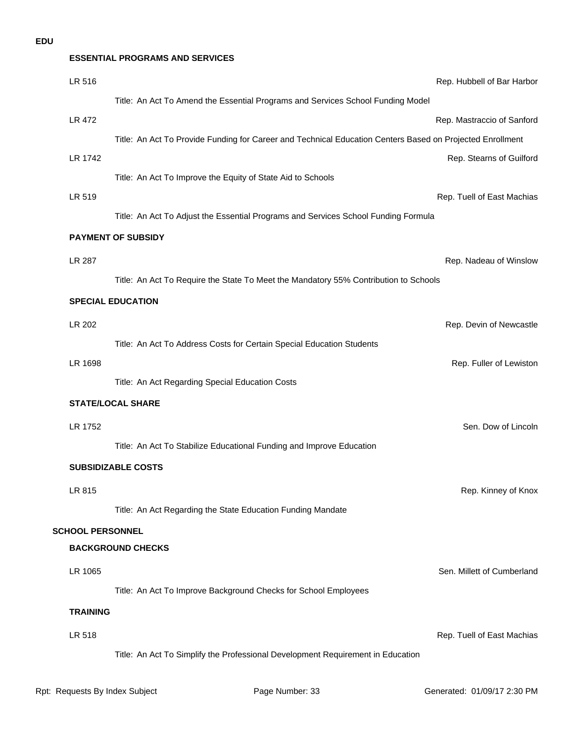#### **ESSENTIAL PROGRAMS AND SERVICES**

| LR 516                  | Rep. Hubbell of Bar Harbor                                                                                |
|-------------------------|-----------------------------------------------------------------------------------------------------------|
|                         | Title: An Act To Amend the Essential Programs and Services School Funding Model                           |
| <b>LR 472</b>           | Rep. Mastraccio of Sanford                                                                                |
|                         | Title: An Act To Provide Funding for Career and Technical Education Centers Based on Projected Enrollment |
| LR 1742                 | Rep. Stearns of Guilford                                                                                  |
|                         | Title: An Act To Improve the Equity of State Aid to Schools                                               |
| LR 519                  | Rep. Tuell of East Machias                                                                                |
|                         | Title: An Act To Adjust the Essential Programs and Services School Funding Formula                        |
|                         | <b>PAYMENT OF SUBSIDY</b>                                                                                 |
| LR 287                  | Rep. Nadeau of Winslow                                                                                    |
|                         | Title: An Act To Require the State To Meet the Mandatory 55% Contribution to Schools                      |
|                         | <b>SPECIAL EDUCATION</b>                                                                                  |
| LR 202                  | Rep. Devin of Newcastle                                                                                   |
|                         | Title: An Act To Address Costs for Certain Special Education Students                                     |
| LR 1698                 | Rep. Fuller of Lewiston                                                                                   |
|                         | Title: An Act Regarding Special Education Costs                                                           |
|                         | <b>STATE/LOCAL SHARE</b>                                                                                  |
| LR 1752                 | Sen. Dow of Lincoln                                                                                       |
|                         | Title: An Act To Stabilize Educational Funding and Improve Education                                      |
|                         | <b>SUBSIDIZABLE COSTS</b>                                                                                 |
|                         |                                                                                                           |
| LR 815                  | Rep. Kinney of Knox                                                                                       |
|                         | Title: An Act Regarding the State Education Funding Mandate                                               |
| <b>SCHOOL PERSONNEL</b> | <b>BACKGROUND CHECKS</b>                                                                                  |
|                         |                                                                                                           |
| LR 1065                 | Sen. Millett of Cumberland                                                                                |
|                         | Title: An Act To Improve Background Checks for School Employees                                           |
| <b>TRAINING</b>         |                                                                                                           |
| LR 518                  | Rep. Tuell of East Machias                                                                                |
|                         | Title: An Act To Simplify the Professional Development Requirement in Education                           |
|                         |                                                                                                           |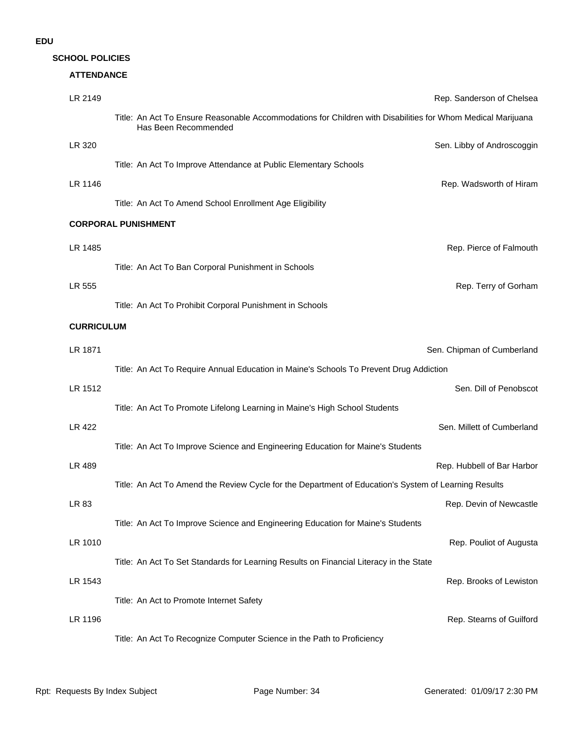#### **ATTENDANCE**

| LR 2149                    | Rep. Sanderson of Chelsea                                                                                                           |                            |  |  |
|----------------------------|-------------------------------------------------------------------------------------------------------------------------------------|----------------------------|--|--|
|                            | Title: An Act To Ensure Reasonable Accommodations for Children with Disabilities for Whom Medical Marijuana<br>Has Been Recommended |                            |  |  |
| LR 320                     |                                                                                                                                     | Sen. Libby of Androscoggin |  |  |
|                            | Title: An Act To Improve Attendance at Public Elementary Schools                                                                    |                            |  |  |
| LR 1146                    |                                                                                                                                     | Rep. Wadsworth of Hiram    |  |  |
|                            | Title: An Act To Amend School Enrollment Age Eligibility                                                                            |                            |  |  |
| <b>CORPORAL PUNISHMENT</b> |                                                                                                                                     |                            |  |  |
| LR 1485                    |                                                                                                                                     | Rep. Pierce of Falmouth    |  |  |
|                            | Title: An Act To Ban Corporal Punishment in Schools                                                                                 |                            |  |  |
|                            |                                                                                                                                     |                            |  |  |
| LR 555                     |                                                                                                                                     | Rep. Terry of Gorham       |  |  |
|                            | Title: An Act To Prohibit Corporal Punishment in Schools                                                                            |                            |  |  |
| <b>CURRICULUM</b>          |                                                                                                                                     |                            |  |  |
| LR 1871                    | Sen. Chipman of Cumberland                                                                                                          |                            |  |  |
|                            | Title: An Act To Require Annual Education in Maine's Schools To Prevent Drug Addiction                                              |                            |  |  |
| LR 1512                    |                                                                                                                                     | Sen. Dill of Penobscot     |  |  |
|                            | Title: An Act To Promote Lifelong Learning in Maine's High School Students                                                          |                            |  |  |
| LR 422                     |                                                                                                                                     | Sen. Millett of Cumberland |  |  |
|                            | Title: An Act To Improve Science and Engineering Education for Maine's Students                                                     |                            |  |  |
| LR 489                     |                                                                                                                                     | Rep. Hubbell of Bar Harbor |  |  |
|                            | Title: An Act To Amend the Review Cycle for the Department of Education's System of Learning Results                                |                            |  |  |
| LR 83                      |                                                                                                                                     | Rep. Devin of Newcastle    |  |  |
|                            | Title: An Act To Improve Science and Engineering Education for Maine's Students                                                     |                            |  |  |
| LR 1010                    |                                                                                                                                     | Rep. Pouliot of Augusta    |  |  |
|                            | Title: An Act To Set Standards for Learning Results on Financial Literacy in the State                                              |                            |  |  |
| LR 1543                    |                                                                                                                                     | Rep. Brooks of Lewiston    |  |  |
|                            | Title: An Act to Promote Internet Safety                                                                                            |                            |  |  |
| LR 1196                    |                                                                                                                                     | Rep. Stearns of Guilford   |  |  |
|                            | Title: An Act To Recognize Computer Science in the Path to Proficiency                                                              |                            |  |  |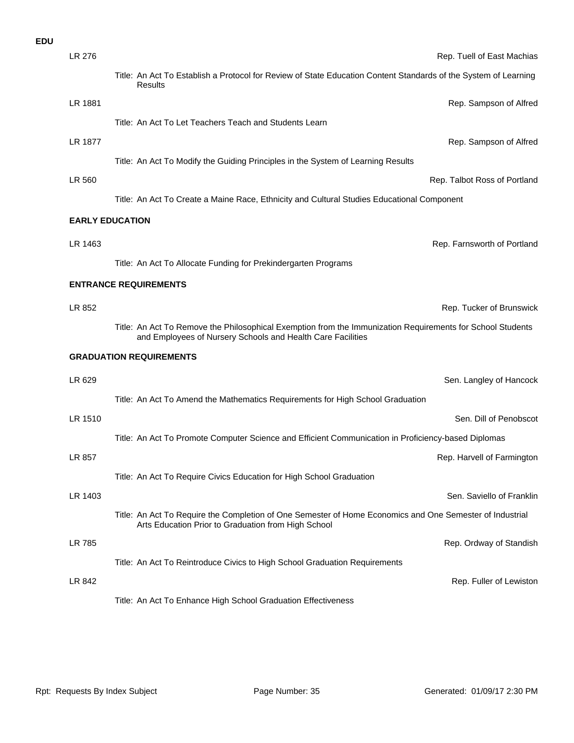| <b>EDU</b> |         |                                                                                                                                                                           |
|------------|---------|---------------------------------------------------------------------------------------------------------------------------------------------------------------------------|
|            | LR 276  | Rep. Tuell of East Machias                                                                                                                                                |
|            |         | Title: An Act To Establish a Protocol for Review of State Education Content Standards of the System of Learning<br>Results                                                |
|            | LR 1881 | Rep. Sampson of Alfred                                                                                                                                                    |
|            |         | Title: An Act To Let Teachers Teach and Students Learn                                                                                                                    |
|            | LR 1877 | Rep. Sampson of Alfrec                                                                                                                                                    |
|            |         | Title: An Act To Modify the Guiding Principles in the System of Learning Results                                                                                          |
|            | LR 560  | Rep. Talbot Ross of Portland                                                                                                                                              |
|            |         | Title: An Act To Create a Maine Race, Ethnicity and Cultural Studies Educational Component                                                                                |
|            |         | <b>EARLY EDUCATION</b>                                                                                                                                                    |
|            | LR 1463 | Rep. Farnsworth of Portland                                                                                                                                               |
|            |         | Title: An Act To Allocate Funding for Prekindergarten Programs                                                                                                            |
|            |         | <b>ENTRANCE REQUIREMENTS</b>                                                                                                                                              |
|            | LR 852  | Rep. Tucker of Brunswick                                                                                                                                                  |
|            |         | Title: An Act To Remove the Philosophical Exemption from the Immunization Requirements for School Students<br>and Employees of Nursery Schools and Health Care Facilities |
|            |         | <b>GRADUATION REQUIREMENTS</b>                                                                                                                                            |
|            | LR 629  | Sen. Langley of Hancock                                                                                                                                                   |
|            |         | Title: An Act To Amend the Mathematics Requirements for High School Graduation                                                                                            |
|            | LR 1510 | Sen. Dill of Penobscot                                                                                                                                                    |
|            |         | Title: An Act To Promote Computer Science and Efficient Communication in Proficiency-based Diplomas                                                                       |
|            | LR 857  | Rep. Harvell of Farmingtor                                                                                                                                                |
|            |         | Title: An Act To Require Civics Education for High School Graduation                                                                                                      |
|            | LR 1403 | Sen. Saviello of Franklin                                                                                                                                                 |
|            |         | Title: An Act To Require the Completion of One Semester of Home Economics and One Semester of Industrial<br>Arts Education Prior to Graduation from High School           |
|            | LR 785  | Rep. Ordway of Standish                                                                                                                                                   |
|            |         | Title: An Act To Reintroduce Civics to High School Graduation Requirements                                                                                                |
|            | LR 842  | Rep. Fuller of Lewistor                                                                                                                                                   |
|            |         | Title: An Act To Enhance High School Graduation Effectiveness                                                                                                             |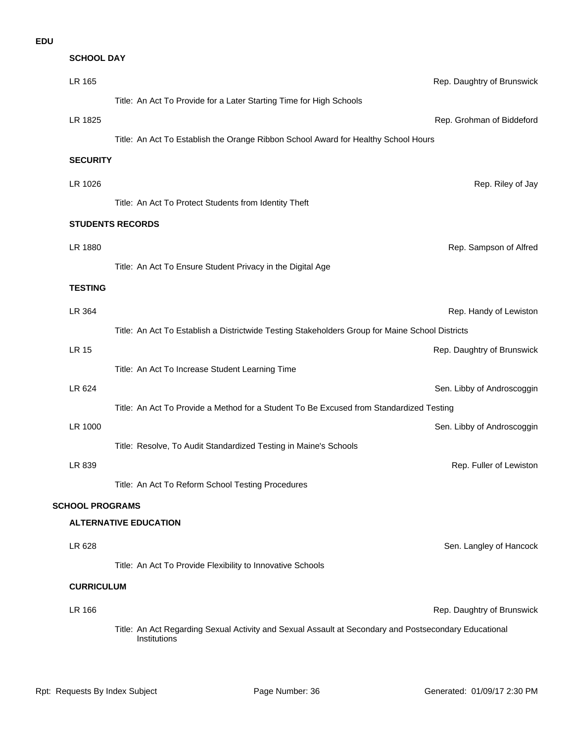| <b>SCHOOL DAY</b>      |                                                                                                                       |                            |  |
|------------------------|-----------------------------------------------------------------------------------------------------------------------|----------------------------|--|
| LR 165                 |                                                                                                                       | Rep. Daughtry of Brunswick |  |
|                        | Title: An Act To Provide for a Later Starting Time for High Schools                                                   |                            |  |
| LR 1825                |                                                                                                                       | Rep. Grohman of Biddeford  |  |
|                        | Title: An Act To Establish the Orange Ribbon School Award for Healthy School Hours                                    |                            |  |
| <b>SECURITY</b>        |                                                                                                                       |                            |  |
| LR 1026                |                                                                                                                       | Rep. Riley of Jay          |  |
|                        | Title: An Act To Protect Students from Identity Theft                                                                 |                            |  |
|                        | <b>STUDENTS RECORDS</b>                                                                                               |                            |  |
| LR 1880                |                                                                                                                       | Rep. Sampson of Alfred     |  |
|                        | Title: An Act To Ensure Student Privacy in the Digital Age                                                            |                            |  |
| <b>TESTING</b>         |                                                                                                                       |                            |  |
| LR 364                 |                                                                                                                       | Rep. Handy of Lewiston     |  |
|                        | Title: An Act To Establish a Districtwide Testing Stakeholders Group for Maine School Districts                       |                            |  |
| <b>LR 15</b>           |                                                                                                                       | Rep. Daughtry of Brunswick |  |
|                        | Title: An Act To Increase Student Learning Time                                                                       |                            |  |
| LR 624                 |                                                                                                                       | Sen. Libby of Androscoggin |  |
|                        | Title: An Act To Provide a Method for a Student To Be Excused from Standardized Testing                               |                            |  |
| LR 1000                |                                                                                                                       | Sen. Libby of Androscoggin |  |
|                        | Title: Resolve, To Audit Standardized Testing in Maine's Schools                                                      |                            |  |
| LR 839                 |                                                                                                                       | Rep. Fuller of Lewiston    |  |
|                        | Title: An Act To Reform School Testing Procedures                                                                     |                            |  |
| <b>SCHOOL PROGRAMS</b> |                                                                                                                       |                            |  |
|                        | <b>ALTERNATIVE EDUCATION</b>                                                                                          |                            |  |
| LR 628                 |                                                                                                                       | Sen. Langley of Hancock    |  |
|                        | Title: An Act To Provide Flexibility to Innovative Schools                                                            |                            |  |
| <b>CURRICULUM</b>      |                                                                                                                       |                            |  |
| LR 166                 |                                                                                                                       | Rep. Daughtry of Brunswick |  |
|                        | Title: An Act Regarding Sexual Activity and Sexual Assault at Secondary and Postsecondary Educational<br>Institutions |                            |  |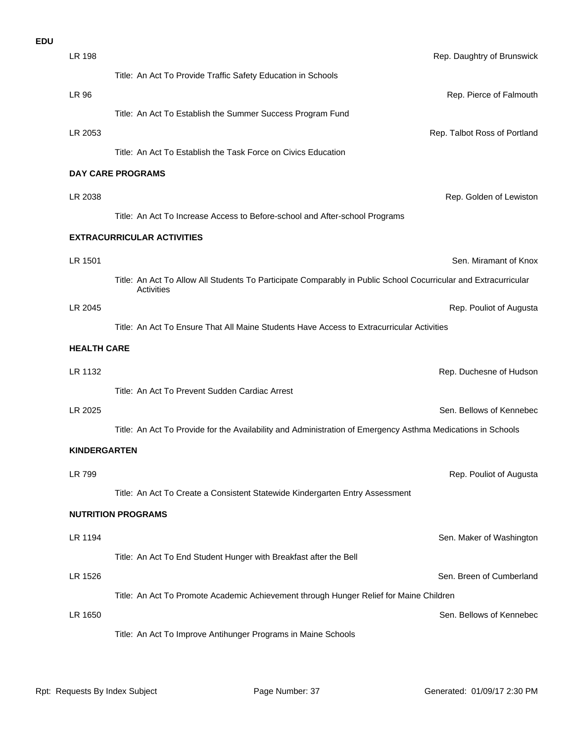| <b>EDU</b> |                     |                                                                                                                 |                              |
|------------|---------------------|-----------------------------------------------------------------------------------------------------------------|------------------------------|
|            | LR 198              |                                                                                                                 | Rep. Daughtry of Brunswick   |
|            |                     | Title: An Act To Provide Traffic Safety Education in Schools                                                    |                              |
|            | LR 96               |                                                                                                                 | Rep. Pierce of Falmouth      |
|            |                     | Title: An Act To Establish the Summer Success Program Fund                                                      |                              |
|            | LR 2053             |                                                                                                                 | Rep. Talbot Ross of Portland |
|            |                     | Title: An Act To Establish the Task Force on Civics Education                                                   |                              |
|            |                     | <b>DAY CARE PROGRAMS</b>                                                                                        |                              |
|            | LR 2038             |                                                                                                                 | Rep. Golden of Lewistor      |
|            |                     | Title: An Act To Increase Access to Before-school and After-school Programs                                     |                              |
|            |                     | <b>EXTRACURRICULAR ACTIVITIES</b>                                                                               |                              |
|            | LR 1501             |                                                                                                                 | Sen. Miramant of Knox        |
|            |                     | Title: An Act To Allow All Students To Participate Comparably in Public School Cocurricular and Extracurricular |                              |
|            |                     | Activities                                                                                                      |                              |
|            | LR 2045             |                                                                                                                 | Rep. Pouliot of Augusta      |
|            |                     | Title: An Act To Ensure That All Maine Students Have Access to Extracurricular Activities                       |                              |
|            | <b>HEALTH CARE</b>  |                                                                                                                 |                              |
|            | LR 1132             |                                                                                                                 | Rep. Duchesne of Hudson      |
|            |                     | Title: An Act To Prevent Sudden Cardiac Arrest                                                                  |                              |
|            | LR 2025             |                                                                                                                 | Sen. Bellows of Kennebed     |
|            |                     | Title: An Act To Provide for the Availability and Administration of Emergency Asthma Medications in Schools     |                              |
|            | <b>KINDERGARTEN</b> |                                                                                                                 |                              |
|            | LR 799              |                                                                                                                 | Rep. Pouliot of Augusta      |
|            |                     | Title: An Act To Create a Consistent Statewide Kindergarten Entry Assessment                                    |                              |
|            |                     | <b>NUTRITION PROGRAMS</b>                                                                                       |                              |
|            | LR 1194             |                                                                                                                 | Sen. Maker of Washingtor     |
|            |                     | Title: An Act To End Student Hunger with Breakfast after the Bell                                               |                              |
|            | LR 1526             |                                                                                                                 | Sen. Breen of Cumberland     |
|            |                     | Title: An Act To Promote Academic Achievement through Hunger Relief for Maine Children                          |                              |
|            | LR 1650             |                                                                                                                 | Sen. Bellows of Kennebed     |
|            |                     | Title: An Act To Improve Antihunger Programs in Maine Schools                                                   |                              |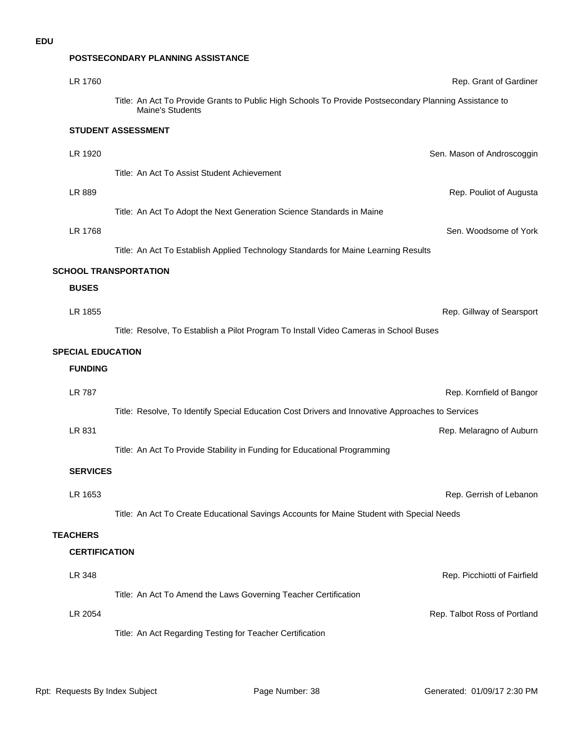#### **POSTSECONDARY PLANNING ASSISTANCE**

| LR 1760                  | Rep. Grant of Gardiner                                                                                                     |
|--------------------------|----------------------------------------------------------------------------------------------------------------------------|
|                          | Title: An Act To Provide Grants to Public High Schools To Provide Postsecondary Planning Assistance to<br>Maine's Students |
|                          | <b>STUDENT ASSESSMENT</b>                                                                                                  |
| LR 1920                  | Sen. Mason of Androscoggin                                                                                                 |
|                          | Title: An Act To Assist Student Achievement                                                                                |
| LR 889                   | Rep. Pouliot of Augusta                                                                                                    |
|                          | Title: An Act To Adopt the Next Generation Science Standards in Maine                                                      |
| LR 1768                  | Sen. Woodsome of York                                                                                                      |
|                          | Title: An Act To Establish Applied Technology Standards for Maine Learning Results                                         |
|                          | <b>SCHOOL TRANSPORTATION</b>                                                                                               |
| <b>BUSES</b>             |                                                                                                                            |
| LR 1855                  | Rep. Gillway of Searsport                                                                                                  |
|                          | Title: Resolve, To Establish a Pilot Program To Install Video Cameras in School Buses                                      |
| <b>SPECIAL EDUCATION</b> |                                                                                                                            |
|                          |                                                                                                                            |
| <b>FUNDING</b>           |                                                                                                                            |
| <b>LR 787</b>            | Rep. Kornfield of Bangor                                                                                                   |
|                          | Title: Resolve, To Identify Special Education Cost Drivers and Innovative Approaches to Services                           |
| LR 831                   | Rep. Melaragno of Auburn                                                                                                   |
|                          | Title: An Act To Provide Stability in Funding for Educational Programming                                                  |
| <b>SERVICES</b>          |                                                                                                                            |
|                          |                                                                                                                            |
| LR 1653                  | Rep. Gerrish of Lebanon                                                                                                    |
|                          | Title: An Act To Create Educational Savings Accounts for Maine Student with Special Needs                                  |
| <b>TEACHERS</b>          |                                                                                                                            |
| <b>CERTIFICATION</b>     |                                                                                                                            |
| LR 348                   | Rep. Picchiotti of Fairfield                                                                                               |
|                          | Title: An Act To Amend the Laws Governing Teacher Certification                                                            |
| LR 2054                  | Rep. Talbot Ross of Portland<br>Title: An Act Regarding Testing for Teacher Certification                                  |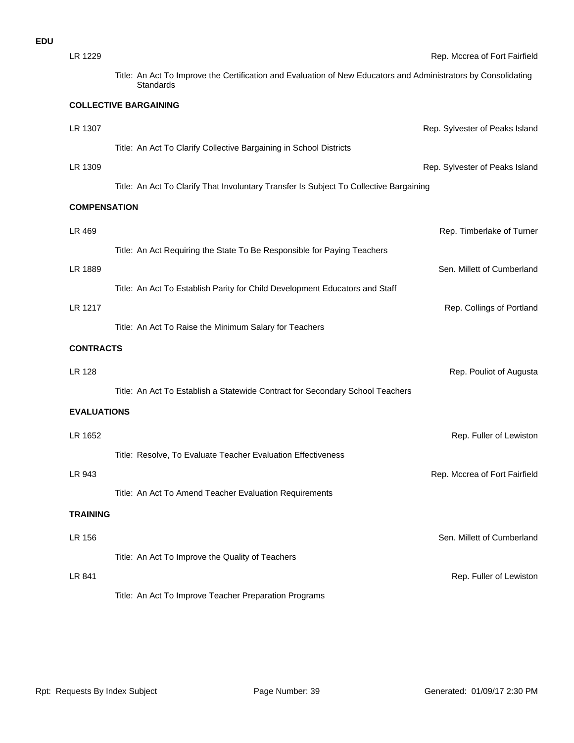| LR 1229             |                                                                                                                             | Rep. Mccrea of Fort Fairfield  |
|---------------------|-----------------------------------------------------------------------------------------------------------------------------|--------------------------------|
|                     | Title: An Act To Improve the Certification and Evaluation of New Educators and Administrators by Consolidating<br>Standards |                                |
|                     | <b>COLLECTIVE BARGAINING</b>                                                                                                |                                |
| LR 1307             |                                                                                                                             | Rep. Sylvester of Peaks Island |
|                     | Title: An Act To Clarify Collective Bargaining in School Districts                                                          |                                |
| LR 1309             |                                                                                                                             | Rep. Sylvester of Peaks Island |
|                     | Title: An Act To Clarify That Involuntary Transfer Is Subject To Collective Bargaining                                      |                                |
| <b>COMPENSATION</b> |                                                                                                                             |                                |
| LR 469              |                                                                                                                             | Rep. Timberlake of Turner      |
|                     | Title: An Act Requiring the State To Be Responsible for Paying Teachers                                                     |                                |
| LR 1889             |                                                                                                                             | Sen. Millett of Cumberland     |
|                     | Title: An Act To Establish Parity for Child Development Educators and Staff                                                 |                                |
| LR 1217             |                                                                                                                             | Rep. Collings of Portland      |
|                     | Title: An Act To Raise the Minimum Salary for Teachers                                                                      |                                |
| <b>CONTRACTS</b>    |                                                                                                                             |                                |
| <b>LR 128</b>       |                                                                                                                             | Rep. Pouliot of Augusta        |
|                     | Title: An Act To Establish a Statewide Contract for Secondary School Teachers                                               |                                |
| <b>EVALUATIONS</b>  |                                                                                                                             |                                |
| LR 1652             |                                                                                                                             | Rep. Fuller of Lewistor        |
|                     | Title: Resolve, To Evaluate Teacher Evaluation Effectiveness                                                                |                                |
| LR 943              |                                                                                                                             | Rep. Mccrea of Fort Fairfield  |
|                     | Title: An Act To Amend Teacher Evaluation Requirements                                                                      |                                |
| <b>TRAINING</b>     |                                                                                                                             |                                |
|                     |                                                                                                                             |                                |
| LR 156              |                                                                                                                             | Sen. Millett of Cumberland     |
| LR 841              | Title: An Act To Improve the Quality of Teachers                                                                            | Rep. Fuller of Lewistor        |
|                     | Title: An Act To Improve Teacher Preparation Programs                                                                       |                                |
|                     |                                                                                                                             |                                |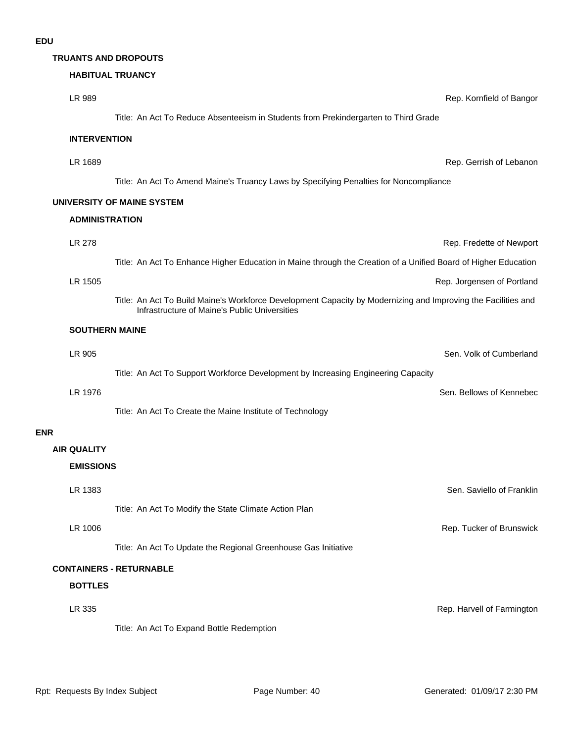#### **TRUANTS AND DROPOUTS**

### **HABITUAL TRUANCY**

|                       | <b>HABIIUAL IRUANCY</b>                                                                                                                                        |                            |
|-----------------------|----------------------------------------------------------------------------------------------------------------------------------------------------------------|----------------------------|
| LR 989                |                                                                                                                                                                | Rep. Kornfield of Bangor   |
|                       | Title: An Act To Reduce Absenteeism in Students from Prekindergarten to Third Grade                                                                            |                            |
| <b>INTERVENTION</b>   |                                                                                                                                                                |                            |
| LR 1689               |                                                                                                                                                                | Rep. Gerrish of Lebanon    |
|                       | Title: An Act To Amend Maine's Truancy Laws by Specifying Penalties for Noncompliance                                                                          |                            |
|                       | UNIVERSITY OF MAINE SYSTEM                                                                                                                                     |                            |
| <b>ADMINISTRATION</b> |                                                                                                                                                                |                            |
| LR 278                |                                                                                                                                                                | Rep. Fredette of Newport   |
|                       | Title: An Act To Enhance Higher Education in Maine through the Creation of a Unified Board of Higher Education                                                 |                            |
| LR 1505               |                                                                                                                                                                | Rep. Jorgensen of Portland |
|                       | Title: An Act To Build Maine's Workforce Development Capacity by Modernizing and Improving the Facilities and<br>Infrastructure of Maine's Public Universities |                            |
| <b>SOUTHERN MAINE</b> |                                                                                                                                                                |                            |
| LR 905                |                                                                                                                                                                | Sen. Volk of Cumberland    |
|                       | Title: An Act To Support Workforce Development by Increasing Engineering Capacity                                                                              |                            |
| LR 1976               |                                                                                                                                                                | Sen. Bellows of Kennebec   |
|                       | Title: An Act To Create the Maine Institute of Technology                                                                                                      |                            |
|                       |                                                                                                                                                                |                            |
| <b>AIR QUALITY</b>    |                                                                                                                                                                |                            |
| <b>EMISSIONS</b>      |                                                                                                                                                                |                            |
| LR 1383               |                                                                                                                                                                | Sen. Saviello of Franklin  |
|                       | Title: An Act To Modify the State Climate Action Plan                                                                                                          |                            |
| LR 1006               |                                                                                                                                                                | Rep. Tucker of Brunswick   |
|                       | Title: An Act To Update the Regional Greenhouse Gas Initiative                                                                                                 |                            |
|                       | <b>CONTAINERS - RETURNABLE</b>                                                                                                                                 |                            |
| <b>BOTTLES</b>        |                                                                                                                                                                |                            |
| LR 335                |                                                                                                                                                                | Rep. Harvell of Farmington |

Title: An Act To Expand Bottle Redemption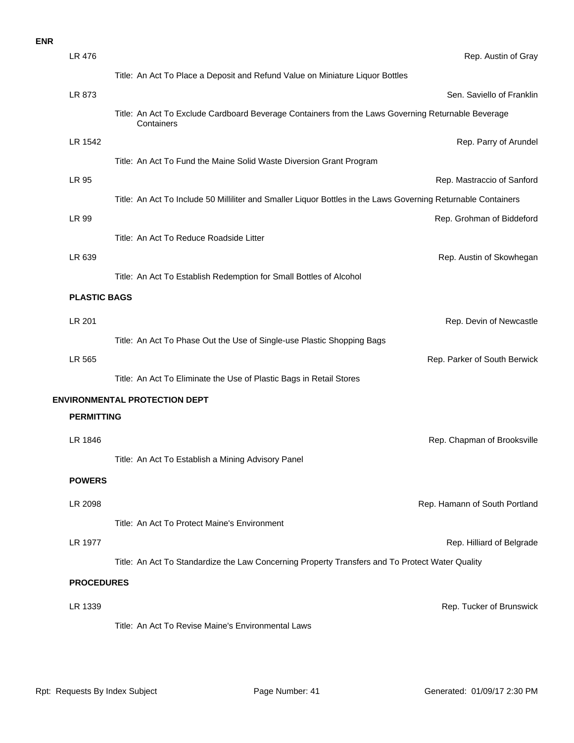| LR 476              | Rep. Austin of Gray                                                                                              |
|---------------------|------------------------------------------------------------------------------------------------------------------|
|                     | Title: An Act To Place a Deposit and Refund Value on Miniature Liquor Bottles                                    |
| LR 873              | Sen. Saviello of Franklin                                                                                        |
|                     | Title: An Act To Exclude Cardboard Beverage Containers from the Laws Governing Returnable Beverage<br>Containers |
| LR 1542             | Rep. Parry of Arundel                                                                                            |
|                     | Title: An Act To Fund the Maine Solid Waste Diversion Grant Program                                              |
| LR 95               | Rep. Mastraccio of Sanford                                                                                       |
|                     | Title: An Act To Include 50 Milliliter and Smaller Liquor Bottles in the Laws Governing Returnable Containers    |
| LR 99               | Rep. Grohman of Biddeford                                                                                        |
|                     | Title: An Act To Reduce Roadside Litter                                                                          |
| LR 639              | Rep. Austin of Skowhegan                                                                                         |
|                     | Title: An Act To Establish Redemption for Small Bottles of Alcohol                                               |
| <b>PLASTIC BAGS</b> |                                                                                                                  |
| LR 201              | Rep. Devin of Newcastle                                                                                          |
|                     | Title: An Act To Phase Out the Use of Single-use Plastic Shopping Bags                                           |
| LR 565              | Rep. Parker of South Berwick                                                                                     |
|                     | Title: An Act To Eliminate the Use of Plastic Bags in Retail Stores                                              |
|                     | <b>ENVIRONMENTAL PROTECTION DEPT</b>                                                                             |
| <b>PERMITTING</b>   |                                                                                                                  |
| LR 1846             | Rep. Chapman of Brooksville                                                                                      |
|                     | Title: An Act To Establish a Mining Advisory Panel                                                               |
| <b>POWERS</b>       |                                                                                                                  |
| LR 2098             | Rep. Hamann of South Portland                                                                                    |
|                     | Title: An Act To Protect Maine's Environment                                                                     |
| LR 1977             | Rep. Hilliard of Belgrade                                                                                        |
|                     | Title: An Act To Standardize the Law Concerning Property Transfers and To Protect Water Quality                  |
| <b>PROCEDURES</b>   |                                                                                                                  |
|                     |                                                                                                                  |
| LR 1339             | Rep. Tucker of Brunswick                                                                                         |
|                     | Title: An Act To Revise Maine's Environmental Laws                                                               |
|                     |                                                                                                                  |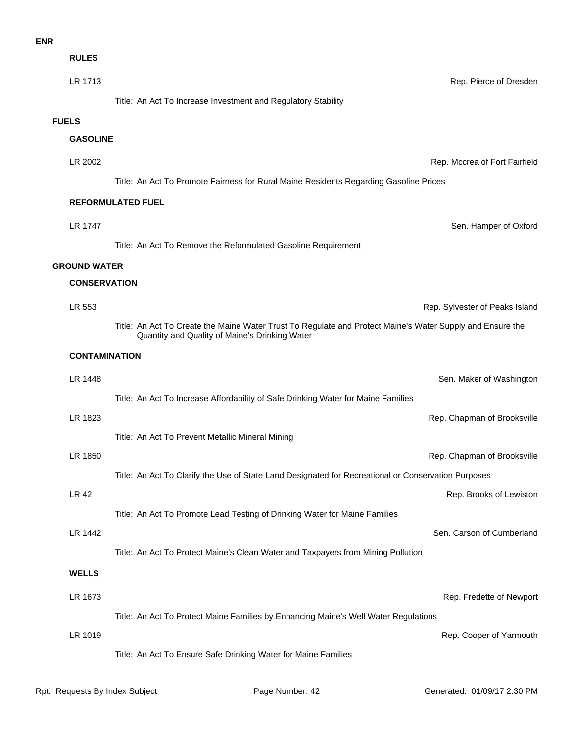| <b>RULES</b>         |                                                                                                                                                             |                                |
|----------------------|-------------------------------------------------------------------------------------------------------------------------------------------------------------|--------------------------------|
| LR 1713              |                                                                                                                                                             | Rep. Pierce of Dresden         |
|                      | Title: An Act To Increase Investment and Regulatory Stability                                                                                               |                                |
| <b>FUELS</b>         |                                                                                                                                                             |                                |
| <b>GASOLINE</b>      |                                                                                                                                                             |                                |
| LR 2002              |                                                                                                                                                             | Rep. Mccrea of Fort Fairfield  |
|                      | Title: An Act To Promote Fairness for Rural Maine Residents Regarding Gasoline Prices                                                                       |                                |
|                      | <b>REFORMULATED FUEL</b>                                                                                                                                    |                                |
| LR 1747              |                                                                                                                                                             | Sen. Hamper of Oxford          |
|                      | Title: An Act To Remove the Reformulated Gasoline Requirement                                                                                               |                                |
| <b>GROUND WATER</b>  |                                                                                                                                                             |                                |
| <b>CONSERVATION</b>  |                                                                                                                                                             |                                |
| LR 553               |                                                                                                                                                             | Rep. Sylvester of Peaks Island |
|                      | Title: An Act To Create the Maine Water Trust To Regulate and Protect Maine's Water Supply and Ensure the<br>Quantity and Quality of Maine's Drinking Water |                                |
| <b>CONTAMINATION</b> |                                                                                                                                                             |                                |
| LR 1448              |                                                                                                                                                             | Sen. Maker of Washington       |
|                      | Title: An Act To Increase Affordability of Safe Drinking Water for Maine Families                                                                           |                                |
| LR 1823              |                                                                                                                                                             | Rep. Chapman of Brooksville    |
|                      | Title: An Act To Prevent Metallic Mineral Mining                                                                                                            |                                |
| LR 1850              |                                                                                                                                                             | Rep. Chapman of Brooksville    |
|                      | Title: An Act To Clarify the Use of State Land Designated for Recreational or Conservation Purposes                                                         |                                |
| LR 42                |                                                                                                                                                             | Rep. Brooks of Lewiston        |
|                      | Title: An Act To Promote Lead Testing of Drinking Water for Maine Families                                                                                  |                                |
| LR 1442              |                                                                                                                                                             | Sen. Carson of Cumberland      |
|                      | Title: An Act To Protect Maine's Clean Water and Taxpayers from Mining Pollution                                                                            |                                |
| <b>WELLS</b>         |                                                                                                                                                             |                                |
| LR 1673              |                                                                                                                                                             | Rep. Fredette of Newport       |
|                      | Title: An Act To Protect Maine Families by Enhancing Maine's Well Water Regulations                                                                         |                                |
| LR 1019              |                                                                                                                                                             | Rep. Cooper of Yarmouth        |
|                      | Title: An Act To Ensure Safe Drinking Water for Maine Families                                                                                              |                                |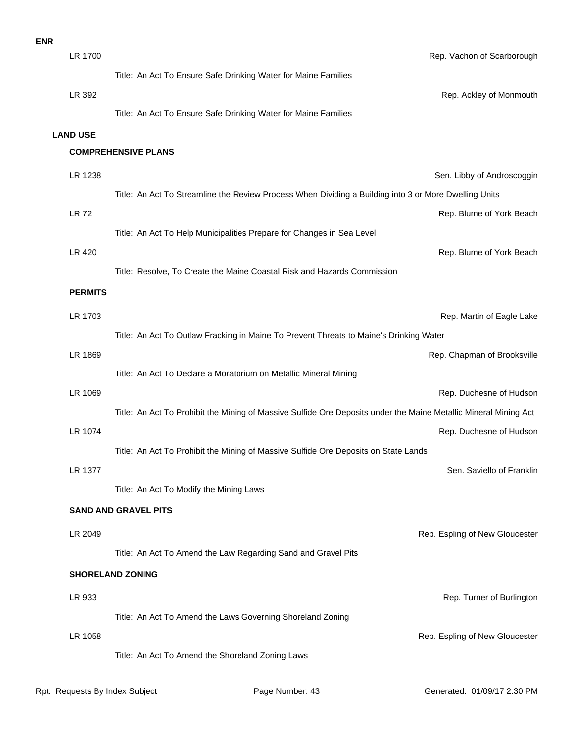| <b>ENR</b> |                 |                                                                                                                  |                                |
|------------|-----------------|------------------------------------------------------------------------------------------------------------------|--------------------------------|
|            | LR 1700         |                                                                                                                  | Rep. Vachon of Scarborough     |
|            |                 | Title: An Act To Ensure Safe Drinking Water for Maine Families                                                   |                                |
|            | LR 392          |                                                                                                                  | Rep. Ackley of Monmouth        |
|            |                 | Title: An Act To Ensure Safe Drinking Water for Maine Families                                                   |                                |
|            | <b>LAND USE</b> |                                                                                                                  |                                |
|            |                 | <b>COMPREHENSIVE PLANS</b>                                                                                       |                                |
|            | LR 1238         |                                                                                                                  | Sen. Libby of Androscoggin     |
|            |                 | Title: An Act To Streamline the Review Process When Dividing a Building into 3 or More Dwelling Units            |                                |
|            | <b>LR72</b>     |                                                                                                                  | Rep. Blume of York Beach       |
|            |                 | Title: An Act To Help Municipalities Prepare for Changes in Sea Level                                            |                                |
|            | <b>LR 420</b>   |                                                                                                                  | Rep. Blume of York Beach       |
|            |                 | Title: Resolve, To Create the Maine Coastal Risk and Hazards Commission                                          |                                |
|            | <b>PERMITS</b>  |                                                                                                                  |                                |
|            | LR 1703         |                                                                                                                  | Rep. Martin of Eagle Lake      |
|            |                 | Title: An Act To Outlaw Fracking in Maine To Prevent Threats to Maine's Drinking Water                           |                                |
|            | LR 1869         |                                                                                                                  | Rep. Chapman of Brooksville    |
|            |                 | Title: An Act To Declare a Moratorium on Metallic Mineral Mining                                                 |                                |
|            | LR 1069         |                                                                                                                  | Rep. Duchesne of Hudson        |
|            |                 | Title: An Act To Prohibit the Mining of Massive Sulfide Ore Deposits under the Maine Metallic Mineral Mining Act |                                |
|            | LR 1074         |                                                                                                                  | Rep. Duchesne of Hudson        |
|            |                 | Title: An Act To Prohibit the Mining of Massive Sulfide Ore Deposits on State Lands                              |                                |
|            | LR 1377         |                                                                                                                  | Sen. Saviello of Franklin      |
|            |                 | Title: An Act To Modify the Mining Laws                                                                          |                                |
|            |                 | <b>SAND AND GRAVEL PITS</b>                                                                                      |                                |
|            | LR 2049         |                                                                                                                  | Rep. Espling of New Gloucester |
|            |                 | Title: An Act To Amend the Law Regarding Sand and Gravel Pits                                                    |                                |
|            |                 | <b>SHORELAND ZONING</b>                                                                                          |                                |
|            | LR 933          |                                                                                                                  | Rep. Turner of Burlington      |
|            |                 | Title: An Act To Amend the Laws Governing Shoreland Zoning                                                       |                                |
|            | LR 1058         |                                                                                                                  | Rep. Espling of New Gloucester |
|            |                 | Title: An Act To Amend the Shoreland Zoning Laws                                                                 |                                |
|            |                 |                                                                                                                  |                                |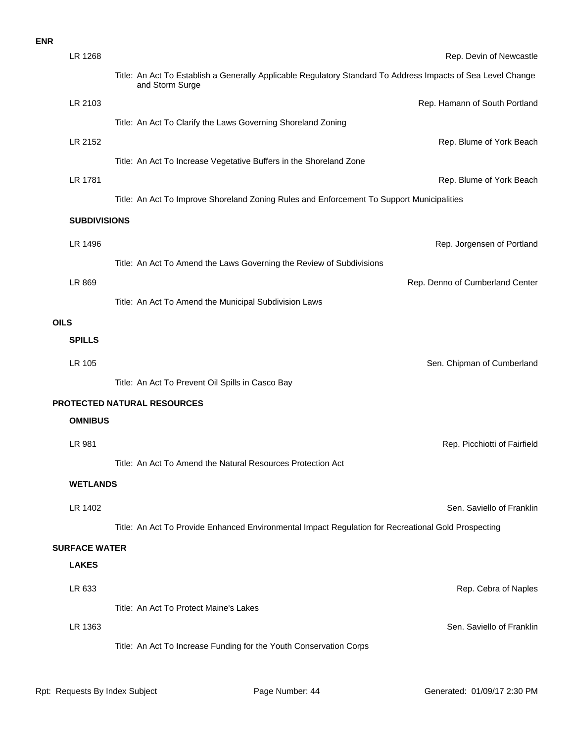## **SPILLS OILS** LR 869 Rep. Denno of Cumberland Center Title: An Act To Amend the Municipal Subdivision Laws LR 1496 Rep. Jorgensen of Portland Title: An Act To Amend the Laws Governing the Review of Subdivisions **SUBDIVISIONS LR 1781** Rep. Blume of York Beach Title: An Act To Improve Shoreland Zoning Rules and Enforcement To Support Municipalities **LR 2152** Rep. Blume of York Beach Title: An Act To Increase Vegetative Buffers in the Shoreland Zone LR 2103 **Rep. Hamann of South Portland** Title: An Act To Clarify the Laws Governing Shoreland Zoning LR 1268 Rep. Devin of Newcastle Title: An Act To Establish a Generally Applicable Regulatory Standard To Address Impacts of Sea Level Change and Storm Surge **ENR**

LR 105 Sen. Chipman of Cumberland Title: An Act To Prevent Oil Spills in Casco Bay

#### **PROTECTED NATURAL RESOURCES**

#### **OMNIBUS**

LR 981 Rep. Picchiotti of Fairfield Title: An Act To Amend the Natural Resources Protection Act

**WETLANDS**

LR 1402 Sen. Saviello of Franklin

Title: An Act To Provide Enhanced Environmental Impact Regulation for Recreational Gold Prospecting

#### **SURFACE WATER**

#### **LAKES**

| LR 633  |                                        | Rep. Cebra of Naples      |
|---------|----------------------------------------|---------------------------|
|         | Title: An Act To Protect Maine's Lakes |                           |
| LR 1363 | .                                      | Sen. Saviello of Franklin |

Title: An Act To Increase Funding for the Youth Conservation Corps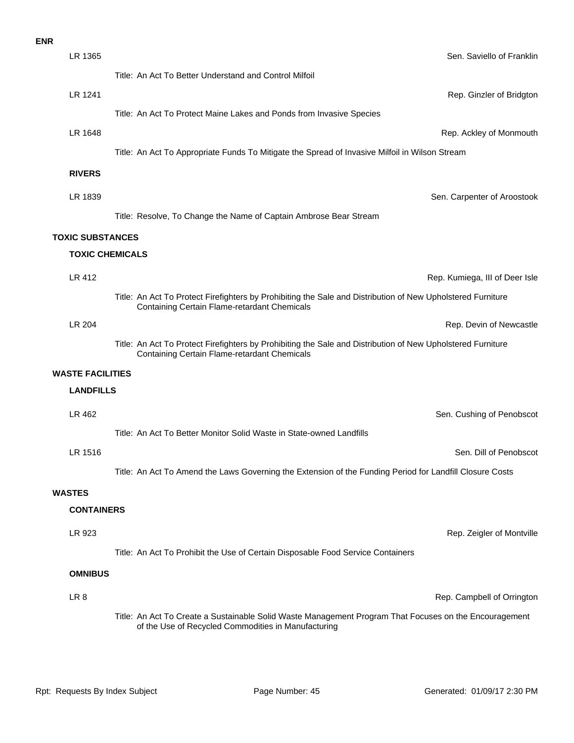| LR 1365                 | Sen. Saviello of Franklin                                                                                                                                          |
|-------------------------|--------------------------------------------------------------------------------------------------------------------------------------------------------------------|
|                         | Title: An Act To Better Understand and Control Milfoil                                                                                                             |
| LR 1241                 | Rep. Ginzler of Bridgton                                                                                                                                           |
|                         | Title: An Act To Protect Maine Lakes and Ponds from Invasive Species                                                                                               |
| LR 1648                 | Rep. Ackley of Monmouth                                                                                                                                            |
|                         | Title: An Act To Appropriate Funds To Mitigate the Spread of Invasive Milfoil in Wilson Stream                                                                     |
| <b>RIVERS</b>           |                                                                                                                                                                    |
|                         |                                                                                                                                                                    |
| LR 1839                 | Sen. Carpenter of Aroostook                                                                                                                                        |
|                         | Title: Resolve, To Change the Name of Captain Ambrose Bear Stream                                                                                                  |
| <b>TOXIC SUBSTANCES</b> |                                                                                                                                                                    |
| <b>TOXIC CHEMICALS</b>  |                                                                                                                                                                    |
| LR 412                  | Rep. Kumiega, III of Deer Isle                                                                                                                                     |
|                         | Title: An Act To Protect Firefighters by Prohibiting the Sale and Distribution of New Upholstered Furniture<br><b>Containing Certain Flame-retardant Chemicals</b> |
| LR 204                  | Rep. Devin of Newcastle                                                                                                                                            |
|                         | Title: An Act To Protect Firefighters by Prohibiting the Sale and Distribution of New Upholstered Furniture<br><b>Containing Certain Flame-retardant Chemicals</b> |
| <b>WASTE FACILITIES</b> |                                                                                                                                                                    |
| <b>LANDFILLS</b>        |                                                                                                                                                                    |
| LR 462                  | Sen. Cushing of Penobscot                                                                                                                                          |
|                         | Title: An Act To Better Monitor Solid Waste in State-owned Landfills                                                                                               |
| LR 1516                 | Sen. Dill of Penobscot                                                                                                                                             |
|                         | Title: An Act To Amend the Laws Governing the Extension of the Funding Period for Landfill Closure Costs                                                           |
| <b>WASTES</b>           |                                                                                                                                                                    |
| <b>CONTAINERS</b>       |                                                                                                                                                                    |
|                         |                                                                                                                                                                    |
| LR 923                  | Rep. Zeigler of Montville                                                                                                                                          |
|                         | Title: An Act To Prohibit the Use of Certain Disposable Food Service Containers                                                                                    |
| <b>OMNIBUS</b>          |                                                                                                                                                                    |
| LR <sub>8</sub>         | Rep. Campbell of Orrington                                                                                                                                         |
|                         | Title: An Act To Create a Sustainable Solid Waste Management Program That Focuses on the Encouragement<br>of the Use of Recycled Commodities in Manufacturing      |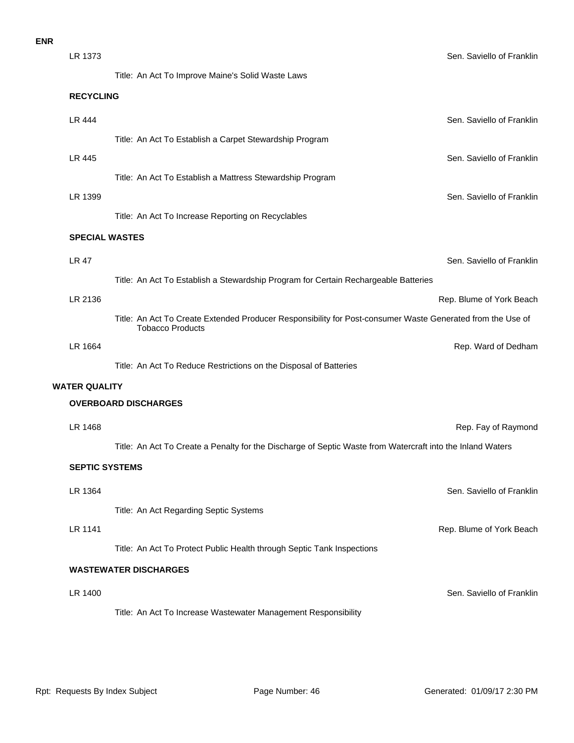| LR 1373               |                                                                                                                                       | Sen. Saviello of Franklin |
|-----------------------|---------------------------------------------------------------------------------------------------------------------------------------|---------------------------|
|                       | Title: An Act To Improve Maine's Solid Waste Laws                                                                                     |                           |
| <b>RECYCLING</b>      |                                                                                                                                       |                           |
| <b>LR 444</b>         |                                                                                                                                       | Sen. Saviello of Franklin |
|                       | Title: An Act To Establish a Carpet Stewardship Program                                                                               |                           |
| LR 445                |                                                                                                                                       | Sen. Saviello of Franklin |
|                       | Title: An Act To Establish a Mattress Stewardship Program                                                                             |                           |
| LR 1399               |                                                                                                                                       | Sen. Saviello of Franklin |
|                       | Title: An Act To Increase Reporting on Recyclables                                                                                    |                           |
| <b>SPECIAL WASTES</b> |                                                                                                                                       |                           |
| <b>LR 47</b>          |                                                                                                                                       | Sen. Saviello of Franklin |
|                       | Title: An Act To Establish a Stewardship Program for Certain Rechargeable Batteries                                                   |                           |
| LR 2136               |                                                                                                                                       | Rep. Blume of York Beach  |
|                       | Title: An Act To Create Extended Producer Responsibility for Post-consumer Waste Generated from the Use of<br><b>Tobacco Products</b> |                           |
| LR 1664               |                                                                                                                                       | Rep. Ward of Dedham       |
|                       | Title: An Act To Reduce Restrictions on the Disposal of Batteries                                                                     |                           |
| WATER QUALITY         |                                                                                                                                       |                           |
|                       | <b>OVERBOARD DISCHARGES</b>                                                                                                           |                           |
| LR 1468               |                                                                                                                                       | Rep. Fay of Raymond       |
|                       | Title: An Act To Create a Penalty for the Discharge of Septic Waste from Watercraft into the Inland Waters                            |                           |
| <b>SEPTIC SYSTEMS</b> |                                                                                                                                       |                           |
| LR 1364               |                                                                                                                                       | Sen. Saviello of Franklin |
|                       | Title: An Act Regarding Septic Systems                                                                                                |                           |
| LR 1141               |                                                                                                                                       | Rep. Blume of York Beach  |
|                       | Title: An Act To Protect Public Health through Septic Tank Inspections                                                                |                           |
|                       | <b>WASTEWATER DISCHARGES</b>                                                                                                          |                           |
| LR 1400               |                                                                                                                                       | Sen. Saviello of Franklin |
|                       | Title: An Act To Increase Wastewater Management Responsibility                                                                        |                           |
|                       |                                                                                                                                       |                           |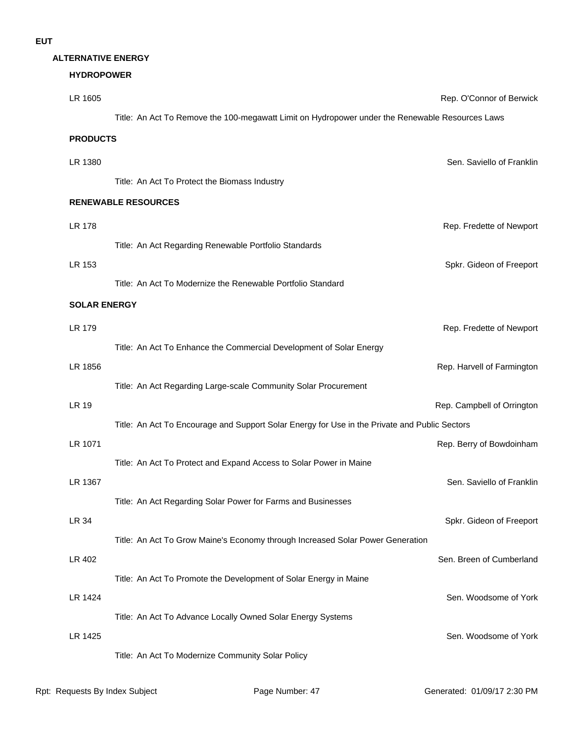#### **ALTERNATIVE ENERGY**

#### **HYDROPOWER**

| LR 1605         |                                                                                                 | Rep. O'Connor of Berwick |
|-----------------|-------------------------------------------------------------------------------------------------|--------------------------|
|                 | Title: An Act To Remove the 100-megawatt Limit on Hydropower under the Renewable Resources Laws |                          |
| <b>PRODUCTS</b> |                                                                                                 |                          |

## LR 178 Rep. Fredette of Newport Title: An Act Regarding Renewable Portfolio Standards **RENEWABLE RESOURCES** LR 1380 Sen. Saviello of Franklin Title: An Act To Protect the Biomass Industry

LR 153 Spkr. Gideon of Freeport

#### Title: An Act To Modernize the Renewable Portfolio Standard

#### **SOLAR ENERGY**

| LR 179  |                                                                                               | Rep. Fredette of Newport   |
|---------|-----------------------------------------------------------------------------------------------|----------------------------|
|         | Title: An Act To Enhance the Commercial Development of Solar Energy                           |                            |
| LR 1856 |                                                                                               | Rep. Harvell of Farmington |
|         | Title: An Act Regarding Large-scale Community Solar Procurement                               |                            |
| LR 19   |                                                                                               | Rep. Campbell of Orrington |
|         | Title: An Act To Encourage and Support Solar Energy for Use in the Private and Public Sectors |                            |
| LR 1071 |                                                                                               | Rep. Berry of Bowdoinham   |
|         | Title: An Act To Protect and Expand Access to Solar Power in Maine                            |                            |
| LR 1367 |                                                                                               | Sen. Saviello of Franklin  |
|         | Title: An Act Regarding Solar Power for Farms and Businesses                                  |                            |
| LR 34   |                                                                                               | Spkr. Gideon of Freeport   |
|         | Title: An Act To Grow Maine's Economy through Increased Solar Power Generation                |                            |
| LR 402  |                                                                                               | Sen. Breen of Cumberland   |
|         | Title: An Act To Promote the Development of Solar Energy in Maine                             |                            |
| LR 1424 |                                                                                               | Sen. Woodsome of York      |
|         | Title: An Act To Advance Locally Owned Solar Energy Systems                                   |                            |
| LR 1425 |                                                                                               | Sen. Woodsome of York      |
|         | Title: An Act To Modernize Community Solar Policy                                             |                            |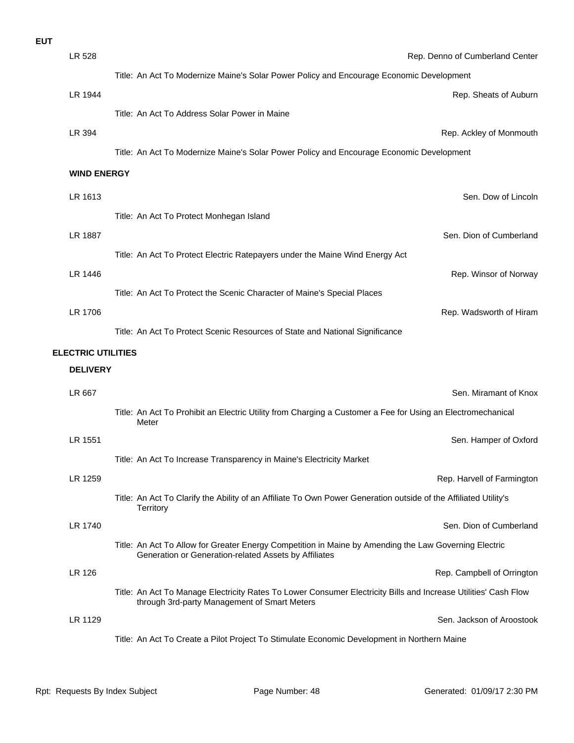| <b>EUT</b> |                           |                                                                                                                                                                 |
|------------|---------------------------|-----------------------------------------------------------------------------------------------------------------------------------------------------------------|
|            | LR 528                    | Rep. Denno of Cumberland Center                                                                                                                                 |
|            |                           | Title: An Act To Modernize Maine's Solar Power Policy and Encourage Economic Development                                                                        |
|            | LR 1944                   | Rep. Sheats of Auburn                                                                                                                                           |
|            |                           | Title: An Act To Address Solar Power in Maine                                                                                                                   |
|            | LR 394                    | Rep. Ackley of Monmouth                                                                                                                                         |
|            |                           | Title: An Act To Modernize Maine's Solar Power Policy and Encourage Economic Development                                                                        |
|            | <b>WIND ENERGY</b>        |                                                                                                                                                                 |
|            | LR 1613                   | Sen. Dow of Lincoln                                                                                                                                             |
|            |                           | Title: An Act To Protect Monhegan Island                                                                                                                        |
|            | LR 1887                   | Sen. Dion of Cumberland                                                                                                                                         |
|            |                           | Title: An Act To Protect Electric Ratepayers under the Maine Wind Energy Act                                                                                    |
|            | LR 1446                   | Rep. Winsor of Norway                                                                                                                                           |
|            |                           | Title: An Act To Protect the Scenic Character of Maine's Special Places                                                                                         |
|            | LR 1706                   | Rep. Wadsworth of Hiram                                                                                                                                         |
|            |                           | Title: An Act To Protect Scenic Resources of State and National Significance                                                                                    |
|            | <b>ELECTRIC UTILITIES</b> |                                                                                                                                                                 |
|            | <b>DELIVERY</b>           |                                                                                                                                                                 |
|            | LR 667                    | Sen. Miramant of Knox                                                                                                                                           |
|            |                           | Title: An Act To Prohibit an Electric Utility from Charging a Customer a Fee for Using an Electromechanical<br>Meter                                            |
|            | LR 1551                   | Sen. Hamper of Oxford                                                                                                                                           |
|            |                           | Title: An Act To Increase Transparency in Maine's Electricity Market                                                                                            |
|            | LR 1259                   | Rep. Harvell of Farmington                                                                                                                                      |
|            |                           | Title: An Act To Clarify the Ability of an Affiliate To Own Power Generation outside of the Affiliated Utility's<br>Territory                                   |
|            | LR 1740                   | Sen. Dion of Cumberland                                                                                                                                         |
|            |                           | Title: An Act To Allow for Greater Energy Competition in Maine by Amending the Law Governing Electric<br>Generation or Generation-related Assets by Affiliates  |
|            | LR 126                    | Rep. Campbell of Orrington                                                                                                                                      |
|            |                           | Title: An Act To Manage Electricity Rates To Lower Consumer Electricity Bills and Increase Utilities' Cash Flow<br>through 3rd-party Management of Smart Meters |
|            | LR 1129                   | Sen. Jackson of Aroostook                                                                                                                                       |
|            |                           | Title: An Act To Create a Pilot Project To Stimulate Economic Development in Northern Maine                                                                     |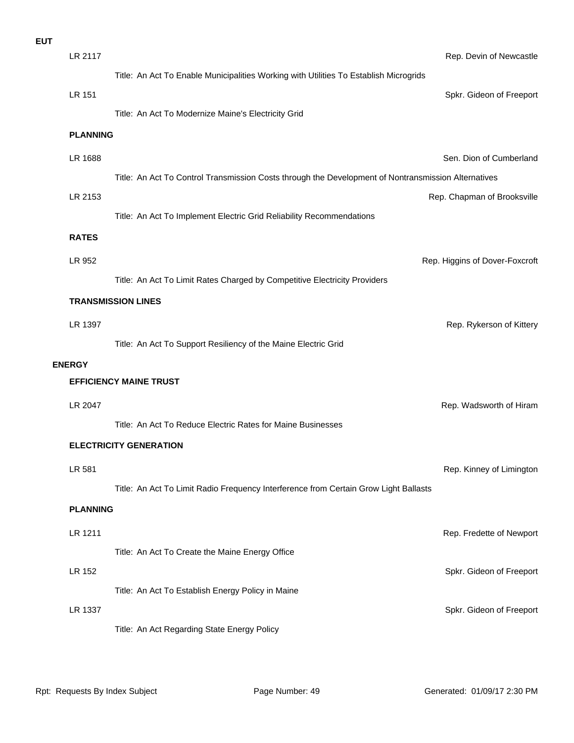| <b>EUT</b> |                 |                                                                                                     |                                |
|------------|-----------------|-----------------------------------------------------------------------------------------------------|--------------------------------|
|            | LR 2117         |                                                                                                     | Rep. Devin of Newcastle        |
|            |                 | Title: An Act To Enable Municipalities Working with Utilities To Establish Microgrids               |                                |
|            | <b>LR 151</b>   |                                                                                                     | Spkr. Gideon of Freeport       |
|            |                 | Title: An Act To Modernize Maine's Electricity Grid                                                 |                                |
|            | <b>PLANNING</b> |                                                                                                     |                                |
|            | LR 1688         |                                                                                                     | Sen. Dion of Cumberland        |
|            |                 | Title: An Act To Control Transmission Costs through the Development of Nontransmission Alternatives |                                |
|            | LR 2153         |                                                                                                     | Rep. Chapman of Brooksville    |
|            |                 | Title: An Act To Implement Electric Grid Reliability Recommendations                                |                                |
|            | <b>RATES</b>    |                                                                                                     |                                |
|            | LR 952          |                                                                                                     | Rep. Higgins of Dover-Foxcroft |
|            |                 | Title: An Act To Limit Rates Charged by Competitive Electricity Providers                           |                                |
|            |                 | <b>TRANSMISSION LINES</b>                                                                           |                                |
|            | LR 1397         |                                                                                                     | Rep. Rykerson of Kittery       |
|            |                 | Title: An Act To Support Resiliency of the Maine Electric Grid                                      |                                |
|            | <b>ENERGY</b>   |                                                                                                     |                                |
|            |                 | <b>EFFICIENCY MAINE TRUST</b>                                                                       |                                |
|            | LR 2047         |                                                                                                     | Rep. Wadsworth of Hiram        |
|            |                 | Title: An Act To Reduce Electric Rates for Maine Businesses                                         |                                |
|            |                 | <b>ELECTRICITY GENERATION</b>                                                                       |                                |
|            | LR 581          |                                                                                                     | Rep. Kinney of Limington       |
|            |                 | Title: An Act To Limit Radio Frequency Interference from Certain Grow Light Ballasts                |                                |
|            | <b>PLANNING</b> |                                                                                                     |                                |
|            | LR 1211         |                                                                                                     | Rep. Fredette of Newport       |
|            |                 | Title: An Act To Create the Maine Energy Office                                                     |                                |
|            | LR 152          |                                                                                                     | Spkr. Gideon of Freeport       |
|            |                 | Title: An Act To Establish Energy Policy in Maine                                                   |                                |
|            | LR 1337         |                                                                                                     | Spkr. Gideon of Freeport       |
|            |                 | Title: An Act Regarding State Energy Policy                                                         |                                |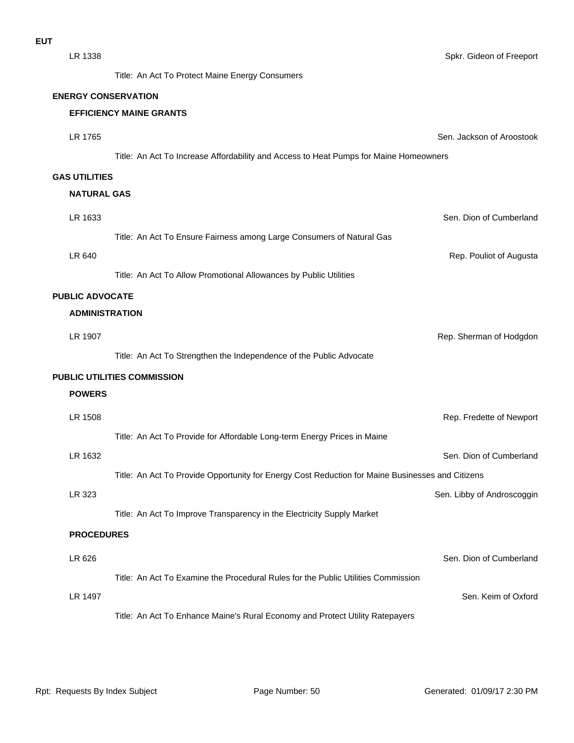Title: An Act To Protect Maine Energy Consumers

#### **ENERGY CONSERVATION**

|                        | <b>EFFICIENCY MAINE GRANTS</b>                                                                   |                            |
|------------------------|--------------------------------------------------------------------------------------------------|----------------------------|
| LR 1765                |                                                                                                  | Sen. Jackson of Aroostook  |
|                        | Title: An Act To Increase Affordability and Access to Heat Pumps for Maine Homeowners            |                            |
| <b>GAS UTILITIES</b>   |                                                                                                  |                            |
| <b>NATURAL GAS</b>     |                                                                                                  |                            |
| LR 1633                |                                                                                                  | Sen. Dion of Cumberland    |
|                        | Title: An Act To Ensure Fairness among Large Consumers of Natural Gas                            |                            |
| LR 640                 |                                                                                                  | Rep. Pouliot of Augusta    |
|                        | Title: An Act To Allow Promotional Allowances by Public Utilities                                |                            |
| <b>PUBLIC ADVOCATE</b> |                                                                                                  |                            |
| <b>ADMINISTRATION</b>  |                                                                                                  |                            |
| LR 1907                |                                                                                                  | Rep. Sherman of Hodgdon    |
|                        | Title: An Act To Strengthen the Independence of the Public Advocate                              |                            |
|                        | <b>PUBLIC UTILITIES COMMISSION</b>                                                               |                            |
| <b>POWERS</b>          |                                                                                                  |                            |
| LR 1508                |                                                                                                  | Rep. Fredette of Newport   |
|                        | Title: An Act To Provide for Affordable Long-term Energy Prices in Maine                         |                            |
| LR 1632                |                                                                                                  | Sen. Dion of Cumberland    |
|                        | Title: An Act To Provide Opportunity for Energy Cost Reduction for Maine Businesses and Citizens |                            |
| LR 323                 |                                                                                                  | Sen. Libby of Androscoggin |
|                        | Title: An Act To Improve Transparency in the Electricity Supply Market                           |                            |
| <b>PROCEDURES</b>      |                                                                                                  |                            |
| LR 626                 |                                                                                                  | Sen. Dion of Cumberland    |

Title: An Act To Examine the Procedural Rules for the Public Utilities Commission

LR 1497 Sen. Keim of Oxford

Title: An Act To Enhance Maine's Rural Economy and Protect Utility Ratepayers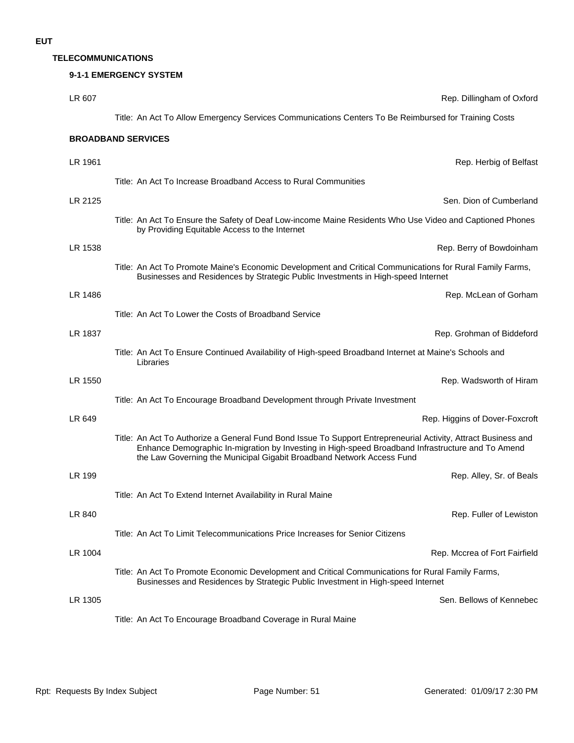#### **TELECOMMUNICATIONS**

| LR 607  | Rep. Dillingham of Oxford                                                                                                                                                                                                                                                                    |
|---------|----------------------------------------------------------------------------------------------------------------------------------------------------------------------------------------------------------------------------------------------------------------------------------------------|
|         | Title: An Act To Allow Emergency Services Communications Centers To Be Reimbursed for Training Costs                                                                                                                                                                                         |
|         | <b>BROADBAND SERVICES</b>                                                                                                                                                                                                                                                                    |
| LR 1961 | Rep. Herbig of Belfast                                                                                                                                                                                                                                                                       |
|         | Title: An Act To Increase Broadband Access to Rural Communities                                                                                                                                                                                                                              |
| LR 2125 | Sen. Dion of Cumberland                                                                                                                                                                                                                                                                      |
|         | Title: An Act To Ensure the Safety of Deaf Low-income Maine Residents Who Use Video and Captioned Phones<br>by Providing Equitable Access to the Internet                                                                                                                                    |
| LR 1538 | Rep. Berry of Bowdoinham                                                                                                                                                                                                                                                                     |
|         | Title: An Act To Promote Maine's Economic Development and Critical Communications for Rural Family Farms,<br>Businesses and Residences by Strategic Public Investments in High-speed Internet                                                                                                |
| LR 1486 | Rep. McLean of Gorham                                                                                                                                                                                                                                                                        |
|         | Title: An Act To Lower the Costs of Broadband Service                                                                                                                                                                                                                                        |
| LR 1837 | Rep. Grohman of Biddeford                                                                                                                                                                                                                                                                    |
|         | Title: An Act To Ensure Continued Availability of High-speed Broadband Internet at Maine's Schools and<br>Libraries                                                                                                                                                                          |
| LR 1550 | Rep. Wadsworth of Hiram                                                                                                                                                                                                                                                                      |
|         | Title: An Act To Encourage Broadband Development through Private Investment                                                                                                                                                                                                                  |
| LR 649  | Rep. Higgins of Dover-Foxcroft                                                                                                                                                                                                                                                               |
|         | Title: An Act To Authorize a General Fund Bond Issue To Support Entrepreneurial Activity, Attract Business and<br>Enhance Demographic In-migration by Investing in High-speed Broadband Infrastructure and To Amend<br>the Law Governing the Municipal Gigabit Broadband Network Access Fund |
| LR 199  | Rep. Alley, Sr. of Beals                                                                                                                                                                                                                                                                     |
|         | Title: An Act To Extend Internet Availability in Rural Maine                                                                                                                                                                                                                                 |
| LR 840  | Rep. Fuller of Lewiston                                                                                                                                                                                                                                                                      |
|         | Title: An Act To Limit Telecommunications Price Increases for Senior Citizens                                                                                                                                                                                                                |
| LR 1004 | Rep. Mccrea of Fort Fairfield                                                                                                                                                                                                                                                                |
|         | Title: An Act To Promote Economic Development and Critical Communications for Rural Family Farms,<br>Businesses and Residences by Strategic Public Investment in High-speed Internet                                                                                                         |
| LR 1305 | Sen. Bellows of Kennebec                                                                                                                                                                                                                                                                     |
|         | Title: An Act To Encourage Broadband Coverage in Rural Maine                                                                                                                                                                                                                                 |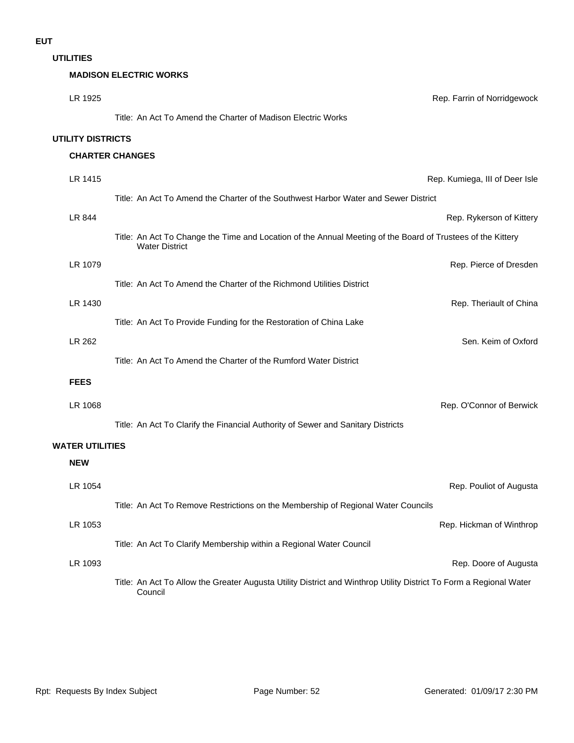**UTILITIES**

#### **MADISON ELECTRIC WORKS**

| LR 1925                  | Rep. Farrin of Norridgewock                                                                                                          |
|--------------------------|--------------------------------------------------------------------------------------------------------------------------------------|
|                          | Title: An Act To Amend the Charter of Madison Electric Works                                                                         |
| <b>UTILITY DISTRICTS</b> |                                                                                                                                      |
|                          | <b>CHARTER CHANGES</b>                                                                                                               |
| LR 1415                  | Rep. Kumiega, III of Deer Isle                                                                                                       |
|                          | Title: An Act To Amend the Charter of the Southwest Harbor Water and Sewer District                                                  |
| LR 844                   | Rep. Rykerson of Kittery                                                                                                             |
|                          | Title: An Act To Change the Time and Location of the Annual Meeting of the Board of Trustees of the Kittery<br><b>Water District</b> |
| LR 1079                  | Rep. Pierce of Dresden                                                                                                               |
|                          | Title: An Act To Amend the Charter of the Richmond Utilities District                                                                |
| LR 1430                  | Rep. Theriault of China                                                                                                              |
|                          | Title: An Act To Provide Funding for the Restoration of China Lake                                                                   |
| LR 262                   | Sen. Keim of Oxford                                                                                                                  |
|                          | Title: An Act To Amend the Charter of the Rumford Water District                                                                     |
| <b>FEES</b>              |                                                                                                                                      |
| LR 1068                  | Rep. O'Connor of Berwick                                                                                                             |
|                          | Title: An Act To Clarify the Financial Authority of Sewer and Sanitary Districts                                                     |
| <b>WATER UTILITIES</b>   |                                                                                                                                      |
| <b>NEW</b>               |                                                                                                                                      |
| LR 1054                  | Rep. Pouliot of Augusta                                                                                                              |
|                          | Title: An Act To Remove Restrictions on the Membership of Regional Water Councils                                                    |
| LR 1053                  | Rep. Hickman of Winthrop                                                                                                             |
|                          | Title: An Act To Clarify Membership within a Regional Water Council                                                                  |
| LR 1093                  | Rep. Doore of Augusta                                                                                                                |
|                          | Title: An Act To Allow the Greater Augusta Utility District and Winthrop Utility District To Form a Regional Water<br>Council        |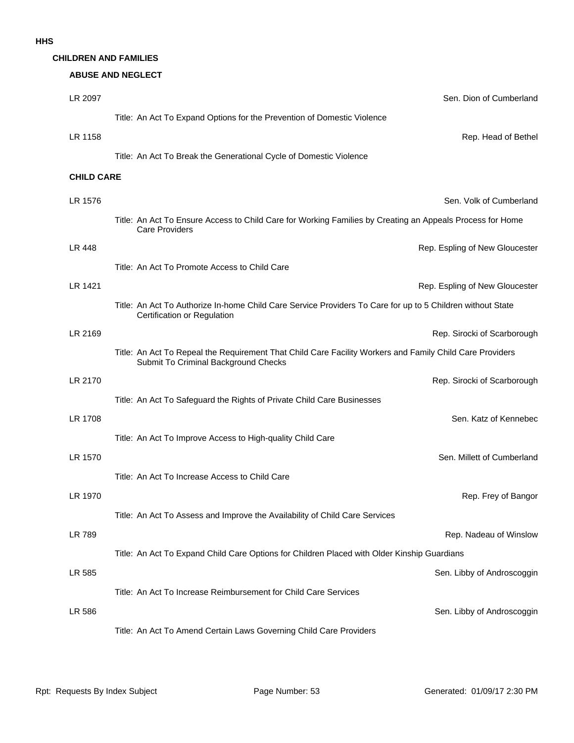#### **CHILDREN AND FAMILIES**

#### **ABUSE AND NEGLECT**

| LR 2097           | Sen. Dion of Cumberland                                                                                                                          |
|-------------------|--------------------------------------------------------------------------------------------------------------------------------------------------|
|                   | Title: An Act To Expand Options for the Prevention of Domestic Violence                                                                          |
| LR 1158           | Rep. Head of Bethel                                                                                                                              |
|                   | Title: An Act To Break the Generational Cycle of Domestic Violence                                                                               |
| <b>CHILD CARE</b> |                                                                                                                                                  |
| LR 1576           | Sen. Volk of Cumberland                                                                                                                          |
|                   | Title: An Act To Ensure Access to Child Care for Working Families by Creating an Appeals Process for Home<br><b>Care Providers</b>               |
| LR 448            | Rep. Espling of New Gloucester                                                                                                                   |
|                   | Title: An Act To Promote Access to Child Care                                                                                                    |
| LR 1421           | Rep. Espling of New Gloucester                                                                                                                   |
|                   | Title: An Act To Authorize In-home Child Care Service Providers To Care for up to 5 Children without State<br>Certification or Regulation        |
| LR 2169           | Rep. Sirocki of Scarborough                                                                                                                      |
|                   | Title: An Act To Repeal the Requirement That Child Care Facility Workers and Family Child Care Providers<br>Submit To Criminal Background Checks |
| LR 2170           | Rep. Sirocki of Scarborough                                                                                                                      |
|                   | Title: An Act To Safeguard the Rights of Private Child Care Businesses                                                                           |
| LR 1708           | Sen. Katz of Kennebec                                                                                                                            |
|                   | Title: An Act To Improve Access to High-quality Child Care                                                                                       |
| LR 1570           | Sen. Millett of Cumberland                                                                                                                       |
|                   | Title: An Act To Increase Access to Child Care                                                                                                   |
| LR 1970           | Rep. Frey of Bangor                                                                                                                              |
|                   | Title: An Act To Assess and Improve the Availability of Child Care Services                                                                      |
| LR 789            | Rep. Nadeau of Winslow                                                                                                                           |
|                   | Title: An Act To Expand Child Care Options for Children Placed with Older Kinship Guardians                                                      |
| LR 585            | Sen. Libby of Androscoggin                                                                                                                       |
|                   | Title: An Act To Increase Reimbursement for Child Care Services                                                                                  |
| LR 586            | Sen. Libby of Androscoggin                                                                                                                       |
|                   | Title: An Act To Amend Certain Laws Governing Child Care Providers                                                                               |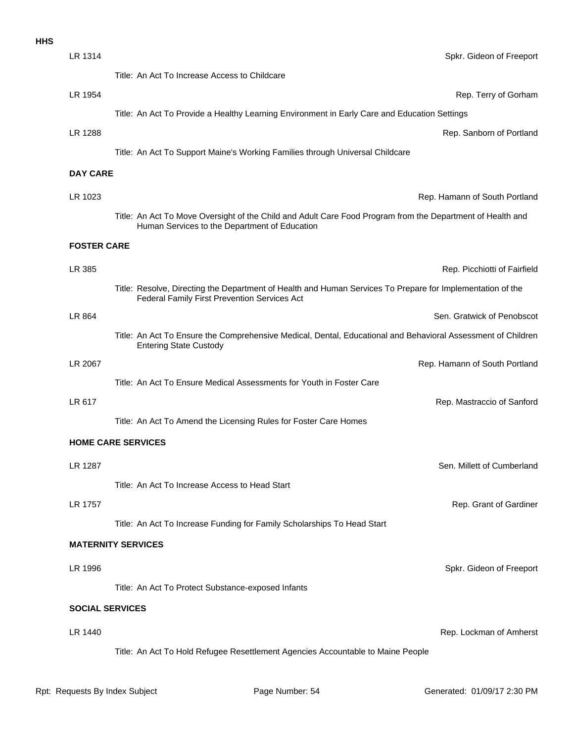| LR 1314                | Spkr. Gideon of Freeport                                                                                                                                    |  |  |
|------------------------|-------------------------------------------------------------------------------------------------------------------------------------------------------------|--|--|
|                        | Title: An Act To Increase Access to Childcare                                                                                                               |  |  |
| LR 1954                | Rep. Terry of Gorham                                                                                                                                        |  |  |
|                        | Title: An Act To Provide a Healthy Learning Environment in Early Care and Education Settings                                                                |  |  |
| LR 1288                | Rep. Sanborn of Portland                                                                                                                                    |  |  |
|                        | Title: An Act To Support Maine's Working Families through Universal Childcare                                                                               |  |  |
| <b>DAY CARE</b>        |                                                                                                                                                             |  |  |
| LR 1023                | Rep. Hamann of South Portland                                                                                                                               |  |  |
|                        | Title: An Act To Move Oversight of the Child and Adult Care Food Program from the Department of Health and<br>Human Services to the Department of Education |  |  |
| <b>FOSTER CARE</b>     |                                                                                                                                                             |  |  |
| LR 385                 | Rep. Picchiotti of Fairfield                                                                                                                                |  |  |
|                        | Title: Resolve, Directing the Department of Health and Human Services To Prepare for Implementation of the<br>Federal Family First Prevention Services Act  |  |  |
| LR 864                 | Sen. Gratwick of Penobscot                                                                                                                                  |  |  |
|                        | Title: An Act To Ensure the Comprehensive Medical, Dental, Educational and Behavioral Assessment of Children<br><b>Entering State Custody</b>               |  |  |
| LR 2067                | Rep. Hamann of South Portland                                                                                                                               |  |  |
|                        | Title: An Act To Ensure Medical Assessments for Youth in Foster Care                                                                                        |  |  |
| LR 617                 | Rep. Mastraccio of Sanford                                                                                                                                  |  |  |
|                        | Title: An Act To Amend the Licensing Rules for Foster Care Homes                                                                                            |  |  |
|                        | <b>HOME CARE SERVICES</b>                                                                                                                                   |  |  |
| LR 1287                | Sen. Millett of Cumberland                                                                                                                                  |  |  |
|                        | Title: An Act To Increase Access to Head Start                                                                                                              |  |  |
| LR 1757                | Rep. Grant of Gardiner                                                                                                                                      |  |  |
|                        | Title: An Act To Increase Funding for Family Scholarships To Head Start                                                                                     |  |  |
|                        | <b>MATERNITY SERVICES</b>                                                                                                                                   |  |  |
| LR 1996                | Spkr. Gideon of Freeport                                                                                                                                    |  |  |
|                        | Title: An Act To Protect Substance-exposed Infants                                                                                                          |  |  |
| <b>SOCIAL SERVICES</b> |                                                                                                                                                             |  |  |
| LR 1440                | Rep. Lockman of Amherst                                                                                                                                     |  |  |
|                        | Title: An Act To Hold Refugee Resettlement Agencies Accountable to Maine People                                                                             |  |  |
|                        |                                                                                                                                                             |  |  |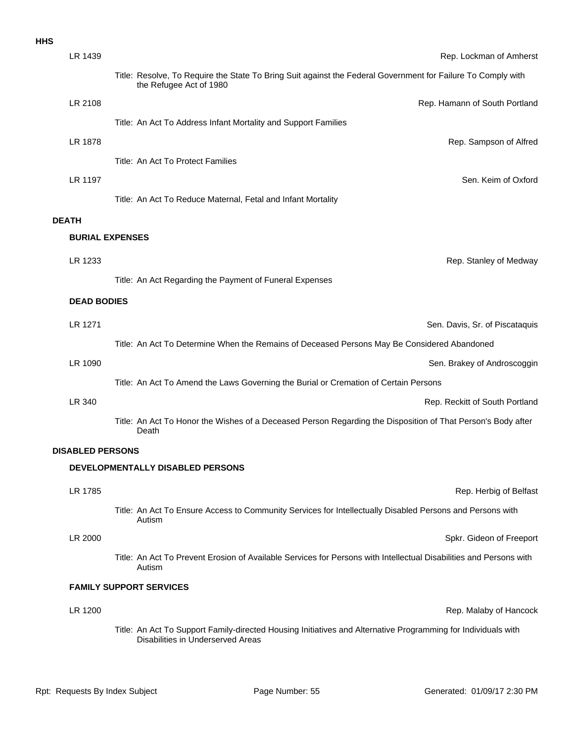| LR 1439                 | Rep. Lockman of Amherst                                                                                                                            |
|-------------------------|----------------------------------------------------------------------------------------------------------------------------------------------------|
|                         | Title: Resolve, To Require the State To Bring Suit against the Federal Government for Failure To Comply with<br>the Refugee Act of 1980            |
| LR 2108                 | Rep. Hamann of South Portland                                                                                                                      |
|                         | Title: An Act To Address Infant Mortality and Support Families                                                                                     |
| LR 1878                 | Rep. Sampson of Alfred                                                                                                                             |
|                         | Title: An Act To Protect Families                                                                                                                  |
| LR 1197                 | Sen. Keim of Oxford                                                                                                                                |
|                         | Title: An Act To Reduce Maternal, Fetal and Infant Mortality                                                                                       |
| <b>DEATH</b>            |                                                                                                                                                    |
|                         | <b>BURIAL EXPENSES</b>                                                                                                                             |
| LR 1233                 | Rep. Stanley of Medway                                                                                                                             |
|                         | Title: An Act Regarding the Payment of Funeral Expenses                                                                                            |
| <b>DEAD BODIES</b>      |                                                                                                                                                    |
| LR 1271                 | Sen. Davis, Sr. of Piscataquis                                                                                                                     |
|                         | Title: An Act To Determine When the Remains of Deceased Persons May Be Considered Abandoned                                                        |
| LR 1090                 | Sen. Brakey of Androscoggin                                                                                                                        |
|                         | Title: An Act To Amend the Laws Governing the Burial or Cremation of Certain Persons                                                               |
| LR 340                  | Rep. Reckitt of South Portland                                                                                                                     |
|                         | Title: An Act To Honor the Wishes of a Deceased Person Regarding the Disposition of That Person's Body after<br>Death                              |
| <b>DISABLED PERSONS</b> |                                                                                                                                                    |
|                         | <b>DEVELOPMENTALLY DISABLED PERSONS</b>                                                                                                            |
| LR 1785                 | Rep. Herbig of Belfast                                                                                                                             |
|                         | Title: An Act To Ensure Access to Community Services for Intellectually Disabled Persons and Persons with<br>Autism                                |
| LR 2000                 | Spkr. Gideon of Freeport                                                                                                                           |
|                         | Title: An Act To Prevent Erosion of Available Services for Persons with Intellectual Disabilities and Persons with<br>Autism                       |
|                         | <b>FAMILY SUPPORT SERVICES</b>                                                                                                                     |
| LR 1200                 | Rep. Malaby of Hancock                                                                                                                             |
|                         | Title: An Act To Support Family-directed Housing Initiatives and Alternative Programming for Individuals with<br>Disabilities in Underserved Areas |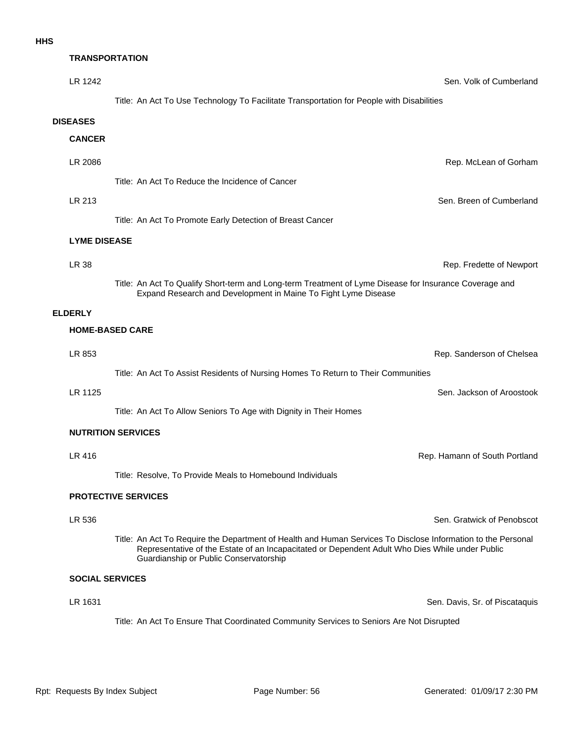| <b>TRANSPORTATION</b>  |                                                                                                                                                                                                                                                           |                               |
|------------------------|-----------------------------------------------------------------------------------------------------------------------------------------------------------------------------------------------------------------------------------------------------------|-------------------------------|
| LR 1242                |                                                                                                                                                                                                                                                           | Sen. Volk of Cumberland       |
|                        | Title: An Act To Use Technology To Facilitate Transportation for People with Disabilities                                                                                                                                                                 |                               |
| <b>DISEASES</b>        |                                                                                                                                                                                                                                                           |                               |
| <b>CANCER</b>          |                                                                                                                                                                                                                                                           |                               |
| LR 2086                |                                                                                                                                                                                                                                                           | Rep. McLean of Gorham         |
|                        | Title: An Act To Reduce the Incidence of Cancer                                                                                                                                                                                                           |                               |
| LR 213                 |                                                                                                                                                                                                                                                           | Sen. Breen of Cumberland      |
|                        | Title: An Act To Promote Early Detection of Breast Cancer                                                                                                                                                                                                 |                               |
| <b>LYME DISEASE</b>    |                                                                                                                                                                                                                                                           |                               |
| LR 38                  |                                                                                                                                                                                                                                                           | Rep. Fredette of Newport      |
|                        | Title: An Act To Qualify Short-term and Long-term Treatment of Lyme Disease for Insurance Coverage and<br>Expand Research and Development in Maine To Fight Lyme Disease                                                                                  |                               |
| <b>ELDERLY</b>         |                                                                                                                                                                                                                                                           |                               |
|                        | <b>HOME-BASED CARE</b>                                                                                                                                                                                                                                    |                               |
| LR 853                 |                                                                                                                                                                                                                                                           | Rep. Sanderson of Chelsea     |
|                        | Title: An Act To Assist Residents of Nursing Homes To Return to Their Communities                                                                                                                                                                         |                               |
| LR 1125                |                                                                                                                                                                                                                                                           | Sen. Jackson of Aroostook     |
|                        | Title: An Act To Allow Seniors To Age with Dignity in Their Homes                                                                                                                                                                                         |                               |
|                        | <b>NUTRITION SERVICES</b>                                                                                                                                                                                                                                 |                               |
| LR 416                 |                                                                                                                                                                                                                                                           | Rep. Hamann of South Portland |
|                        | Title: Resolve, To Provide Meals to Homebound Individuals                                                                                                                                                                                                 |                               |
|                        | <b>PROTECTIVE SERVICES</b>                                                                                                                                                                                                                                |                               |
| LR 536                 |                                                                                                                                                                                                                                                           | Sen. Gratwick of Penobscot    |
|                        | Title: An Act To Require the Department of Health and Human Services To Disclose Information to the Personal<br>Representative of the Estate of an Incapacitated or Dependent Adult Who Dies While under Public<br>Guardianship or Public Conservatorship |                               |
| <b>SOCIAL SERVICES</b> |                                                                                                                                                                                                                                                           |                               |

LR 1631 Sen. Davis, Sr. of Piscataquis

Title: An Act To Ensure That Coordinated Community Services to Seniors Are Not Disrupted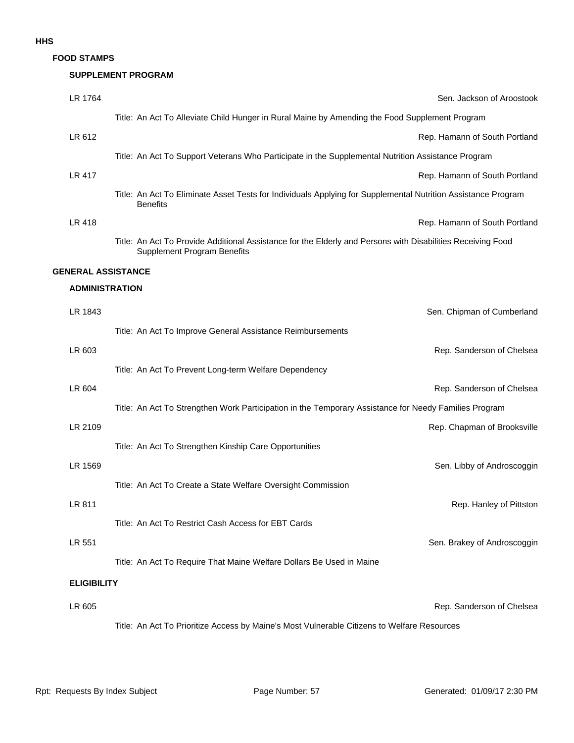**FOOD STAMPS**

#### **SUPPLEMENT PROGRAM**

| LR 1764                   | Sen. Jackson of Aroostook                                                                                                                         |
|---------------------------|---------------------------------------------------------------------------------------------------------------------------------------------------|
|                           | Title: An Act To Alleviate Child Hunger in Rural Maine by Amending the Food Supplement Program                                                    |
| LR 612                    | Rep. Hamann of South Portland                                                                                                                     |
|                           | Title: An Act To Support Veterans Who Participate in the Supplemental Nutrition Assistance Program                                                |
| LR 417                    | Rep. Hamann of South Portland                                                                                                                     |
|                           | Title: An Act To Eliminate Asset Tests for Individuals Applying for Supplemental Nutrition Assistance Program<br><b>Benefits</b>                  |
| LR 418                    | Rep. Hamann of South Portland                                                                                                                     |
|                           | Title: An Act To Provide Additional Assistance for the Elderly and Persons with Disabilities Receiving Food<br><b>Supplement Program Benefits</b> |
| <b>GENERAL ASSISTANCE</b> |                                                                                                                                                   |
| <b>ADMINISTRATION</b>     |                                                                                                                                                   |
| LR 1843                   | Sen. Chipman of Cumberland                                                                                                                        |
|                           | Title: An Act To Improve General Assistance Reimbursements                                                                                        |
| LR 603                    | Rep. Sanderson of Chelsea                                                                                                                         |
|                           | Title: An Act To Prevent Long-term Welfare Dependency                                                                                             |
| LR 604                    | Rep. Sanderson of Chelsea                                                                                                                         |
|                           | Title: An Act To Strengthen Work Participation in the Temporary Assistance for Needy Families Program                                             |
| LR 2109                   | Rep. Chapman of Brooksville                                                                                                                       |
|                           | Title: An Act To Strengthen Kinship Care Opportunities                                                                                            |
| LR 1569                   | Sen. Libby of Androscoggin                                                                                                                        |
|                           | Title: An Act To Create a State Welfare Oversight Commission                                                                                      |
| LR 811                    | Rep. Hanley of Pittston                                                                                                                           |
|                           | Title: An Act To Restrict Cash Access for EBT Cards                                                                                               |
| LR 551                    | Sen. Brakey of Androscoggin                                                                                                                       |
|                           | Title: An Act To Require That Maine Welfare Dollars Be Used in Maine                                                                              |
| <b>ELIGIBILITY</b>        |                                                                                                                                                   |
| LR 605                    | Rep. Sanderson of Chelsea                                                                                                                         |
|                           | Title: An Act To Prioritize Access by Maine's Most Vulnerable Citizens to Welfare Resources                                                       |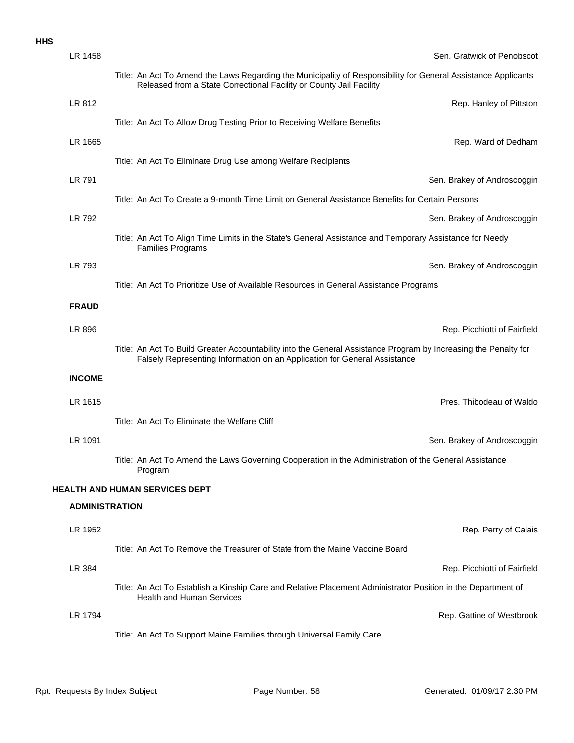| LR 1458               | Sen. Gratwick of Penobscot                                                                                                                                                                   |
|-----------------------|----------------------------------------------------------------------------------------------------------------------------------------------------------------------------------------------|
|                       | Title: An Act To Amend the Laws Regarding the Municipality of Responsibility for General Assistance Applicants<br>Released from a State Correctional Facility or County Jail Facility        |
| LR 812                | Rep. Hanley of Pittston                                                                                                                                                                      |
|                       | Title: An Act To Allow Drug Testing Prior to Receiving Welfare Benefits                                                                                                                      |
| LR 1665               | Rep. Ward of Dedham                                                                                                                                                                          |
|                       | Title: An Act To Eliminate Drug Use among Welfare Recipients                                                                                                                                 |
| LR 791                | Sen. Brakey of Androscoggin                                                                                                                                                                  |
|                       | Title: An Act To Create a 9-month Time Limit on General Assistance Benefits for Certain Persons                                                                                              |
| LR 792                | Sen. Brakey of Androscoggin                                                                                                                                                                  |
|                       | Title: An Act To Align Time Limits in the State's General Assistance and Temporary Assistance for Needy<br><b>Families Programs</b>                                                          |
| LR 793                | Sen. Brakey of Androscoggin                                                                                                                                                                  |
|                       | Title: An Act To Prioritize Use of Available Resources in General Assistance Programs                                                                                                        |
| <b>FRAUD</b>          |                                                                                                                                                                                              |
| LR 896                | Rep. Picchiotti of Fairfield                                                                                                                                                                 |
|                       | Title: An Act To Build Greater Accountability into the General Assistance Program by Increasing the Penalty for<br>Falsely Representing Information on an Application for General Assistance |
| <b>INCOME</b>         |                                                                                                                                                                                              |
| LR 1615               | Pres. Thibodeau of Waldo                                                                                                                                                                     |
|                       | Title: An Act To Eliminate the Welfare Cliff                                                                                                                                                 |
| LR 1091               | Sen. Brakey of Androscoggin                                                                                                                                                                  |
|                       | Title: An Act To Amend the Laws Governing Cooperation in the Administration of the General Assistance<br>Program                                                                             |
|                       | <b>HEALTH AND HUMAN SERVICES DEPT</b>                                                                                                                                                        |
| <b>ADMINISTRATION</b> |                                                                                                                                                                                              |
| LR 1952               | Rep. Perry of Calais                                                                                                                                                                         |
|                       | Title: An Act To Remove the Treasurer of State from the Maine Vaccine Board                                                                                                                  |
| LR 384                | Rep. Picchiotti of Fairfield                                                                                                                                                                 |
|                       | Title: An Act To Establish a Kinship Care and Relative Placement Administrator Position in the Department of<br><b>Health and Human Services</b>                                             |
| LR 1794               | Rep. Gattine of Westbrook                                                                                                                                                                    |
|                       | Title: An Act To Support Maine Families through Universal Family Care                                                                                                                        |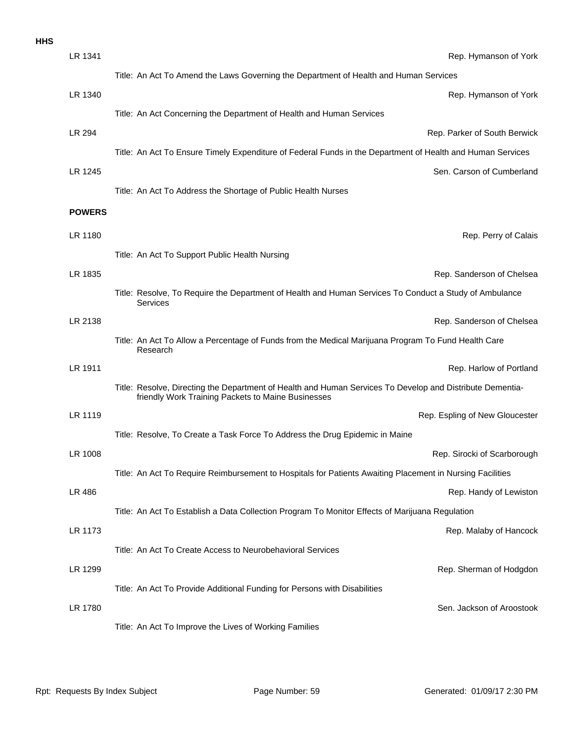| <b>HHS</b> |               |                                                                                                                                                                 |
|------------|---------------|-----------------------------------------------------------------------------------------------------------------------------------------------------------------|
|            | LR 1341       | Rep. Hymanson of York                                                                                                                                           |
|            |               | Title: An Act To Amend the Laws Governing the Department of Health and Human Services                                                                           |
|            | LR 1340       | Rep. Hymanson of York                                                                                                                                           |
|            |               | Title: An Act Concerning the Department of Health and Human Services                                                                                            |
|            | LR 294        | Rep. Parker of South Berwick                                                                                                                                    |
|            |               | Title: An Act To Ensure Timely Expenditure of Federal Funds in the Department of Health and Human Services                                                      |
|            | LR 1245       | Sen. Carson of Cumberland                                                                                                                                       |
|            |               | Title: An Act To Address the Shortage of Public Health Nurses                                                                                                   |
|            | <b>POWERS</b> |                                                                                                                                                                 |
|            | LR 1180       | Rep. Perry of Calais                                                                                                                                            |
|            |               | Title: An Act To Support Public Health Nursing                                                                                                                  |
|            | LR 1835       | Rep. Sanderson of Chelsea                                                                                                                                       |
|            |               | Title: Resolve, To Require the Department of Health and Human Services To Conduct a Study of Ambulance<br>Services                                              |
|            | LR 2138       | Rep. Sanderson of Chelsea                                                                                                                                       |
|            |               | Title: An Act To Allow a Percentage of Funds from the Medical Marijuana Program To Fund Health Care<br>Research                                                 |
|            | LR 1911       | Rep. Harlow of Portland                                                                                                                                         |
|            |               | Title: Resolve, Directing the Department of Health and Human Services To Develop and Distribute Dementia-<br>friendly Work Training Packets to Maine Businesses |
|            | LR 1119       | Rep. Espling of New Gloucester                                                                                                                                  |
|            |               | Title: Resolve, To Create a Task Force To Address the Drug Epidemic in Maine                                                                                    |
|            | LR 1008       | Rep. Sirocki of Scarborough                                                                                                                                     |
|            |               | Title: An Act To Require Reimbursement to Hospitals for Patients Awaiting Placement in Nursing Facilities                                                       |
|            | LR 486        | Rep. Handy of Lewistor                                                                                                                                          |
|            |               | Title: An Act To Establish a Data Collection Program To Monitor Effects of Marijuana Regulation                                                                 |
|            | LR 1173       | Rep. Malaby of Hancock                                                                                                                                          |
|            |               | Title: An Act To Create Access to Neurobehavioral Services                                                                                                      |
|            | LR 1299       | Rep. Sherman of Hodgdon                                                                                                                                         |
|            |               | Title: An Act To Provide Additional Funding for Persons with Disabilities                                                                                       |
|            | LR 1780       | Sen. Jackson of Aroostook                                                                                                                                       |
|            |               | Title: An Act To Improve the Lives of Working Families                                                                                                          |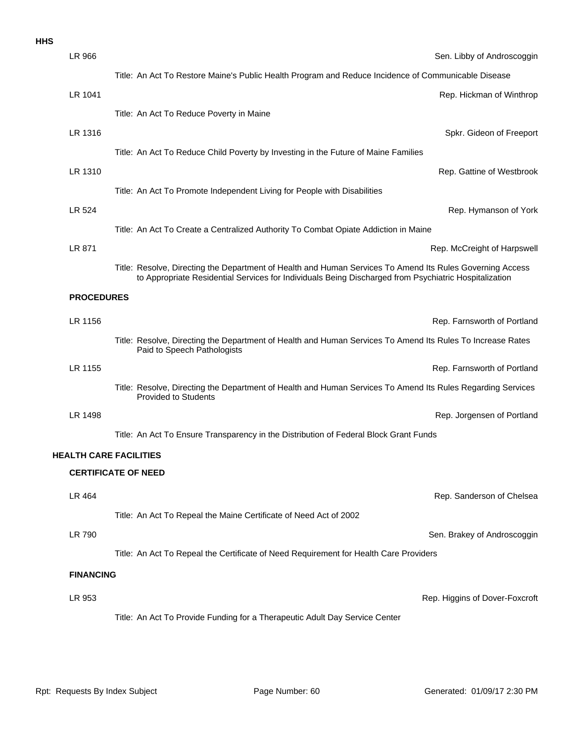|  | ×<br>v |
|--|--------|
|  |        |

| LR 966                        | Sen. Libby of Androscoggin                                                                                                                                                                                         |
|-------------------------------|--------------------------------------------------------------------------------------------------------------------------------------------------------------------------------------------------------------------|
|                               | Title: An Act To Restore Maine's Public Health Program and Reduce Incidence of Communicable Disease                                                                                                                |
| LR 1041                       | Rep. Hickman of Winthrop                                                                                                                                                                                           |
|                               | Title: An Act To Reduce Poverty in Maine                                                                                                                                                                           |
| LR 1316                       | Spkr. Gideon of Freeport                                                                                                                                                                                           |
|                               | Title: An Act To Reduce Child Poverty by Investing in the Future of Maine Families                                                                                                                                 |
| LR 1310                       | Rep. Gattine of Westbrook                                                                                                                                                                                          |
|                               | Title: An Act To Promote Independent Living for People with Disabilities                                                                                                                                           |
| LR 524                        | Rep. Hymanson of York                                                                                                                                                                                              |
|                               | Title: An Act To Create a Centralized Authority To Combat Opiate Addiction in Maine                                                                                                                                |
| LR 871                        | Rep. McCreight of Harpswell                                                                                                                                                                                        |
|                               | Title: Resolve, Directing the Department of Health and Human Services To Amend Its Rules Governing Access<br>to Appropriate Residential Services for Individuals Being Discharged from Psychiatric Hospitalization |
| <b>PROCEDURES</b>             |                                                                                                                                                                                                                    |
| LR 1156                       | Rep. Farnsworth of Portland                                                                                                                                                                                        |
|                               | Title: Resolve, Directing the Department of Health and Human Services To Amend Its Rules To Increase Rates<br>Paid to Speech Pathologists                                                                          |
| LR 1155                       | Rep. Farnsworth of Portland                                                                                                                                                                                        |
|                               | Title: Resolve, Directing the Department of Health and Human Services To Amend Its Rules Regarding Services<br><b>Provided to Students</b>                                                                         |
| LR 1498                       | Rep. Jorgensen of Portland                                                                                                                                                                                         |
|                               | Title: An Act To Ensure Transparency in the Distribution of Federal Block Grant Funds                                                                                                                              |
| <b>HEALTH CARE FACILITIES</b> |                                                                                                                                                                                                                    |
|                               | <b>CERTIFICATE OF NEED</b>                                                                                                                                                                                         |
| LR 464                        | Rep. Sanderson of Chelsea                                                                                                                                                                                          |
|                               | Title: An Act To Repeal the Maine Certificate of Need Act of 2002                                                                                                                                                  |
| LR 790                        | Sen. Brakey of Androscoggin                                                                                                                                                                                        |
|                               | Title: An Act To Repeal the Certificate of Need Requirement for Health Care Providers                                                                                                                              |
| <b>FINANCING</b>              |                                                                                                                                                                                                                    |
| LR 953                        | Rep. Higgins of Dover-Foxcroft                                                                                                                                                                                     |
|                               | Title: An Act To Provide Funding for a Therapeutic Adult Day Service Center                                                                                                                                        |
|                               |                                                                                                                                                                                                                    |
|                               |                                                                                                                                                                                                                    |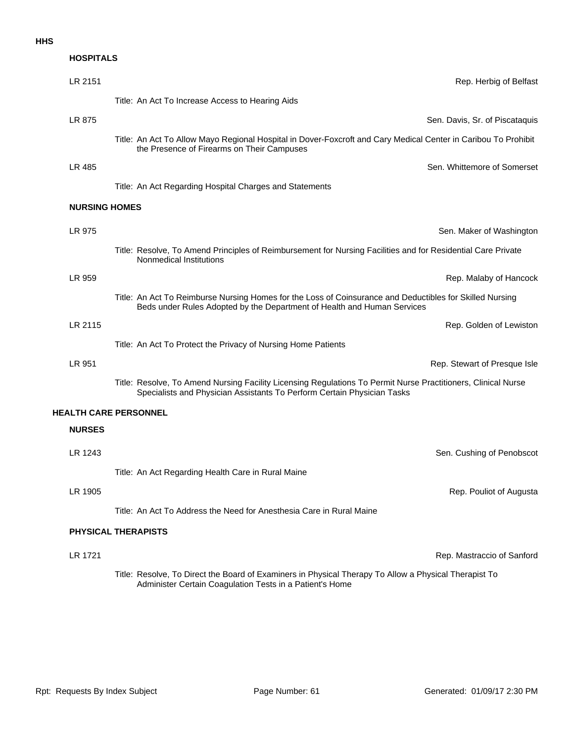### **HOSPITALS**

| LR 2151                      | Rep. Herbig of Belfast                                                                                                                                                                   |
|------------------------------|------------------------------------------------------------------------------------------------------------------------------------------------------------------------------------------|
|                              | Title: An Act To Increase Access to Hearing Aids                                                                                                                                         |
| LR 875                       | Sen. Davis, Sr. of Piscataquis                                                                                                                                                           |
|                              | Title: An Act To Allow Mayo Regional Hospital in Dover-Foxcroft and Cary Medical Center in Caribou To Prohibit<br>the Presence of Firearms on Their Campuses                             |
| LR 485                       | Sen. Whittemore of Somerset                                                                                                                                                              |
|                              | Title: An Act Regarding Hospital Charges and Statements                                                                                                                                  |
| <b>NURSING HOMES</b>         |                                                                                                                                                                                          |
| LR 975                       | Sen. Maker of Washington                                                                                                                                                                 |
|                              | Title: Resolve, To Amend Principles of Reimbursement for Nursing Facilities and for Residential Care Private<br>Nonmedical Institutions                                                  |
| LR 959                       | Rep. Malaby of Hancock                                                                                                                                                                   |
|                              | Title: An Act To Reimburse Nursing Homes for the Loss of Coinsurance and Deductibles for Skilled Nursing<br>Beds under Rules Adopted by the Department of Health and Human Services      |
| LR 2115                      | Rep. Golden of Lewiston                                                                                                                                                                  |
|                              | Title: An Act To Protect the Privacy of Nursing Home Patients                                                                                                                            |
| LR 951                       | Rep. Stewart of Presque Isle                                                                                                                                                             |
|                              | Title: Resolve, To Amend Nursing Facility Licensing Regulations To Permit Nurse Practitioners, Clinical Nurse<br>Specialists and Physician Assistants To Perform Certain Physician Tasks |
| <b>HEALTH CARE PERSONNEL</b> |                                                                                                                                                                                          |
| <b>NURSES</b>                |                                                                                                                                                                                          |
| LR 1243                      | Sen. Cushing of Penobscot                                                                                                                                                                |
|                              | Title: An Act Regarding Health Care in Rural Maine                                                                                                                                       |
| LR 1905                      | Rep. Pouliot of Augusta                                                                                                                                                                  |
|                              | Title: An Act To Address the Need for Anesthesia Care in Rural Maine                                                                                                                     |
|                              | <b>PHYSICAL THERAPISTS</b>                                                                                                                                                               |
| LR 1721                      | Rep. Mastraccio of Sanford                                                                                                                                                               |

Title: Resolve, To Direct the Board of Examiners in Physical Therapy To Allow a Physical Therapist To Administer Certain Coagulation Tests in a Patient's Home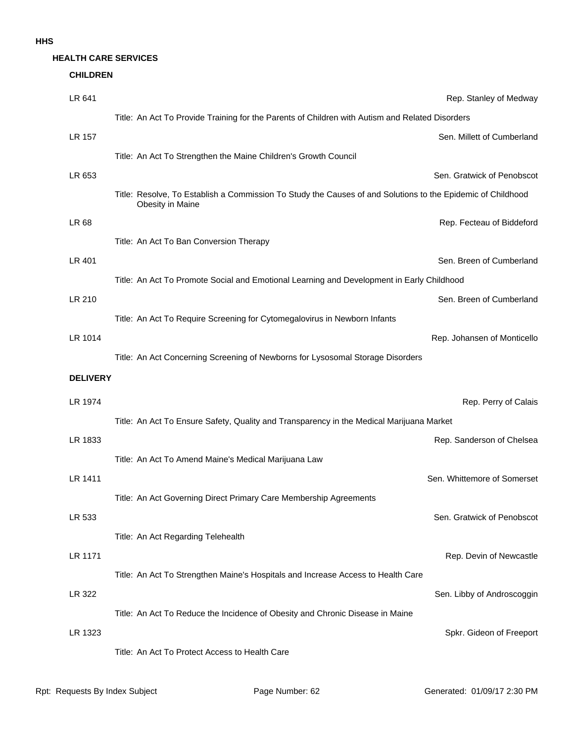#### **HEALTH CARE SERVICES**

#### **CHILDREN**

| LR 641          |                                                                                                                                 | Rep. Stanley of Medway      |
|-----------------|---------------------------------------------------------------------------------------------------------------------------------|-----------------------------|
|                 | Title: An Act To Provide Training for the Parents of Children with Autism and Related Disorders                                 |                             |
| LR 157          |                                                                                                                                 | Sen. Millett of Cumberland  |
|                 | Title: An Act To Strengthen the Maine Children's Growth Council                                                                 |                             |
| LR 653          |                                                                                                                                 | Sen. Gratwick of Penobscot  |
|                 | Title: Resolve, To Establish a Commission To Study the Causes of and Solutions to the Epidemic of Childhood<br>Obesity in Maine |                             |
| LR 68           |                                                                                                                                 | Rep. Fecteau of Biddeford   |
|                 | Title: An Act To Ban Conversion Therapy                                                                                         |                             |
| LR 401          |                                                                                                                                 | Sen. Breen of Cumberland    |
|                 | Title: An Act To Promote Social and Emotional Learning and Development in Early Childhood                                       |                             |
| LR 210          |                                                                                                                                 | Sen. Breen of Cumberland    |
|                 | Title: An Act To Require Screening for Cytomegalovirus in Newborn Infants                                                       |                             |
| LR 1014         |                                                                                                                                 | Rep. Johansen of Monticello |
|                 | Title: An Act Concerning Screening of Newborns for Lysosomal Storage Disorders                                                  |                             |
| <b>DELIVERY</b> |                                                                                                                                 |                             |
| LR 1974         |                                                                                                                                 | Rep. Perry of Calais        |
|                 | Title: An Act To Ensure Safety, Quality and Transparency in the Medical Marijuana Market                                        |                             |
| LR 1833         |                                                                                                                                 | Rep. Sanderson of Chelsea   |
|                 | Title: An Act To Amend Maine's Medical Marijuana Law                                                                            |                             |
| LR 1411         |                                                                                                                                 | Sen. Whittemore of Somerset |
|                 | Title: An Act Governing Direct Primary Care Membership Agreements                                                               |                             |
| LR 533          |                                                                                                                                 | Sen. Gratwick of Penobscot  |
|                 | Title: An Act Regarding Telehealth                                                                                              |                             |
| LR 1171         |                                                                                                                                 | Rep. Devin of Newcastle     |
|                 | Title: An Act To Strengthen Maine's Hospitals and Increase Access to Health Care                                                |                             |
| LR 322          |                                                                                                                                 | Sen. Libby of Androscoggin  |
|                 | Title: An Act To Reduce the Incidence of Obesity and Chronic Disease in Maine                                                   |                             |
| LR 1323         |                                                                                                                                 | Spkr. Gideon of Freeport    |
|                 | Title: An Act To Protect Access to Health Care                                                                                  |                             |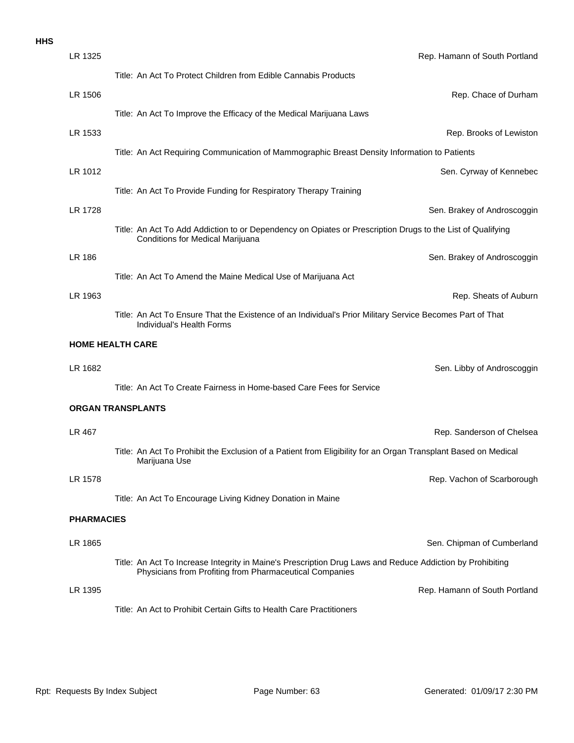|  | ×<br>v |
|--|--------|
|  |        |

| LR 1325           | Rep. Hamann of South Portland                                                                                                                                        |
|-------------------|----------------------------------------------------------------------------------------------------------------------------------------------------------------------|
|                   | Title: An Act To Protect Children from Edible Cannabis Products                                                                                                      |
| LR 1506           | Rep. Chace of Durham                                                                                                                                                 |
|                   | Title: An Act To Improve the Efficacy of the Medical Marijuana Laws                                                                                                  |
| LR 1533           | Rep. Brooks of Lewiston                                                                                                                                              |
|                   | Title: An Act Requiring Communication of Mammographic Breast Density Information to Patients                                                                         |
| LR 1012           | Sen. Cyrway of Kennebec                                                                                                                                              |
|                   | Title: An Act To Provide Funding for Respiratory Therapy Training                                                                                                    |
| LR 1728           | Sen. Brakey of Androscoggin                                                                                                                                          |
|                   | Title: An Act To Add Addiction to or Dependency on Opiates or Prescription Drugs to the List of Qualifying<br>Conditions for Medical Marijuana                       |
| LR 186            | Sen. Brakey of Androscoggin                                                                                                                                          |
|                   | Title: An Act To Amend the Maine Medical Use of Marijuana Act                                                                                                        |
| LR 1963           | Rep. Sheats of Auburn                                                                                                                                                |
|                   | Title: An Act To Ensure That the Existence of an Individual's Prior Military Service Becomes Part of That<br>Individual's Health Forms                               |
|                   | <b>HOME HEALTH CARE</b>                                                                                                                                              |
| LR 1682           | Sen. Libby of Androscoggin                                                                                                                                           |
|                   | Title: An Act To Create Fairness in Home-based Care Fees for Service                                                                                                 |
|                   | <b>ORGAN TRANSPLANTS</b>                                                                                                                                             |
| LR 467            | Rep. Sanderson of Chelsea                                                                                                                                            |
|                   | Title: An Act To Prohibit the Exclusion of a Patient from Eligibility for an Organ Transplant Based on Medical<br>Marijuana Use                                      |
| LR 1578           | Rep. Vachon of Scarborough                                                                                                                                           |
|                   | Title: An Act To Encourage Living Kidney Donation in Maine                                                                                                           |
| <b>PHARMACIES</b> |                                                                                                                                                                      |
| LR 1865           | Sen. Chipman of Cumberland                                                                                                                                           |
|                   | Title: An Act To Increase Integrity in Maine's Prescription Drug Laws and Reduce Addiction by Prohibiting<br>Physicians from Profiting from Pharmaceutical Companies |
| LR 1395           | Rep. Hamann of South Portland                                                                                                                                        |
|                   | Title: An Act to Prohibit Certain Gifts to Health Care Practitioners                                                                                                 |
|                   |                                                                                                                                                                      |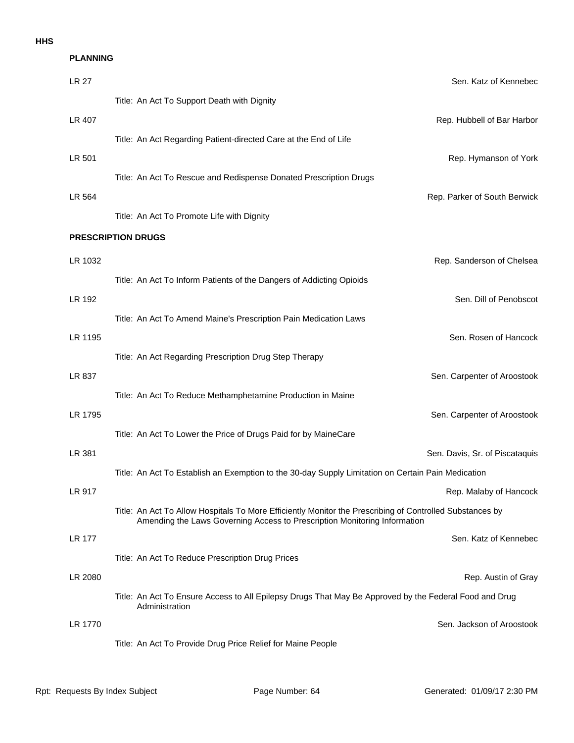| <b>PLANNING</b> |                                                                                                                                                                                       |
|-----------------|---------------------------------------------------------------------------------------------------------------------------------------------------------------------------------------|
| <b>LR 27</b>    | Sen. Katz of Kennebed                                                                                                                                                                 |
|                 | Title: An Act To Support Death with Dignity                                                                                                                                           |
| LR 407          | Rep. Hubbell of Bar Harbor                                                                                                                                                            |
|                 | Title: An Act Regarding Patient-directed Care at the End of Life                                                                                                                      |
| LR 501          | Rep. Hymanson of York                                                                                                                                                                 |
|                 | Title: An Act To Rescue and Redispense Donated Prescription Drugs                                                                                                                     |
| LR 564          | Rep. Parker of South Berwick                                                                                                                                                          |
|                 | Title: An Act To Promote Life with Dignity                                                                                                                                            |
|                 | <b>PRESCRIPTION DRUGS</b>                                                                                                                                                             |
| LR 1032         | Rep. Sanderson of Chelsea                                                                                                                                                             |
|                 | Title: An Act To Inform Patients of the Dangers of Addicting Opioids                                                                                                                  |
| LR 192          | Sen. Dill of Penobscot                                                                                                                                                                |
|                 | Title: An Act To Amend Maine's Prescription Pain Medication Laws                                                                                                                      |
| LR 1195         | Sen. Rosen of Hancock                                                                                                                                                                 |
|                 | Title: An Act Regarding Prescription Drug Step Therapy                                                                                                                                |
| LR 837          | Sen. Carpenter of Aroostook                                                                                                                                                           |
|                 | Title: An Act To Reduce Methamphetamine Production in Maine                                                                                                                           |
| LR 1795         | Sen. Carpenter of Aroostook<br>Title: An Act To Lower the Price of Drugs Paid for by MaineCare                                                                                        |
| LR 381          | Sen. Davis, Sr. of Piscataquis                                                                                                                                                        |
|                 | Title: An Act To Establish an Exemption to the 30-day Supply Limitation on Certain Pain Medication                                                                                    |
| <b>LR 917</b>   | Rep. Malaby of Hancock                                                                                                                                                                |
|                 | Title: An Act To Allow Hospitals To More Efficiently Monitor the Prescribing of Controlled Substances by<br>Amending the Laws Governing Access to Prescription Monitoring Information |
| LR 177          | Sen. Katz of Kennebed                                                                                                                                                                 |
|                 | Title: An Act To Reduce Prescription Drug Prices                                                                                                                                      |
| LR 2080         | Rep. Austin of Gray                                                                                                                                                                   |
|                 | Title: An Act To Ensure Access to All Epilepsy Drugs That May Be Approved by the Federal Food and Drug<br>Administration                                                              |
| LR 1770         | Sen. Jackson of Aroostook                                                                                                                                                             |
|                 | Title: An Act To Provide Drug Price Relief for Maine People                                                                                                                           |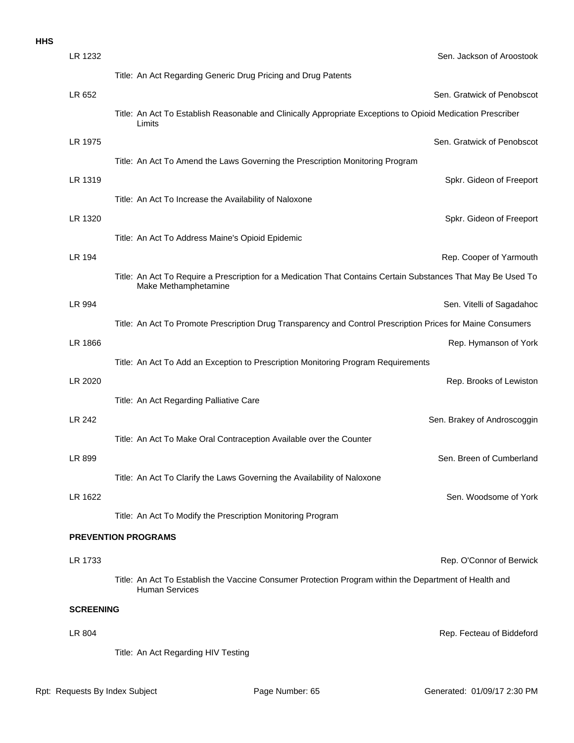| LR 1232          | Sen. Jackson of Aroostook                                                                                                             |
|------------------|---------------------------------------------------------------------------------------------------------------------------------------|
|                  | Title: An Act Regarding Generic Drug Pricing and Drug Patents                                                                         |
| LR 652           | Sen. Gratwick of Penobscot                                                                                                            |
|                  | Title: An Act To Establish Reasonable and Clinically Appropriate Exceptions to Opioid Medication Prescriber<br>Limits                 |
| LR 1975          | Sen. Gratwick of Penobscot                                                                                                            |
|                  | Title: An Act To Amend the Laws Governing the Prescription Monitoring Program                                                         |
| LR 1319          | Spkr. Gideon of Freeport                                                                                                              |
|                  | Title: An Act To Increase the Availability of Naloxone                                                                                |
| LR 1320          | Spkr. Gideon of Freeport                                                                                                              |
|                  | Title: An Act To Address Maine's Opioid Epidemic                                                                                      |
| LR 194           | Rep. Cooper of Yarmouth                                                                                                               |
|                  | Title: An Act To Require a Prescription for a Medication That Contains Certain Substances That May Be Used To<br>Make Methamphetamine |
| LR 994           | Sen. Vitelli of Sagadahoc                                                                                                             |
|                  | Title: An Act To Promote Prescription Drug Transparency and Control Prescription Prices for Maine Consumers                           |
| LR 1866          | Rep. Hymanson of York                                                                                                                 |
|                  | Title: An Act To Add an Exception to Prescription Monitoring Program Requirements                                                     |
| LR 2020          | Rep. Brooks of Lewiston                                                                                                               |
|                  | Title: An Act Regarding Palliative Care                                                                                               |
| LR 242           | Sen. Brakey of Androscoggin                                                                                                           |
|                  | Title: An Act To Make Oral Contraception Available over the Counter                                                                   |
| LR 899           | Sen. Breen of Cumberland                                                                                                              |
|                  | Title: An Act To Clarify the Laws Governing the Availability of Naloxone                                                              |
| LR 1622          | Sen. Woodsome of York                                                                                                                 |
|                  | Title: An Act To Modify the Prescription Monitoring Program                                                                           |
|                  | <b>PREVENTION PROGRAMS</b>                                                                                                            |
| LR 1733          | Rep. O'Connor of Berwick                                                                                                              |
|                  | Title: An Act To Establish the Vaccine Consumer Protection Program within the Department of Health and<br><b>Human Services</b>       |
| <b>SCREENING</b> |                                                                                                                                       |
| LR 804           | Rep. Fecteau of Biddeford                                                                                                             |
|                  | Title: An Act Regarding HIV Testing                                                                                                   |
|                  |                                                                                                                                       |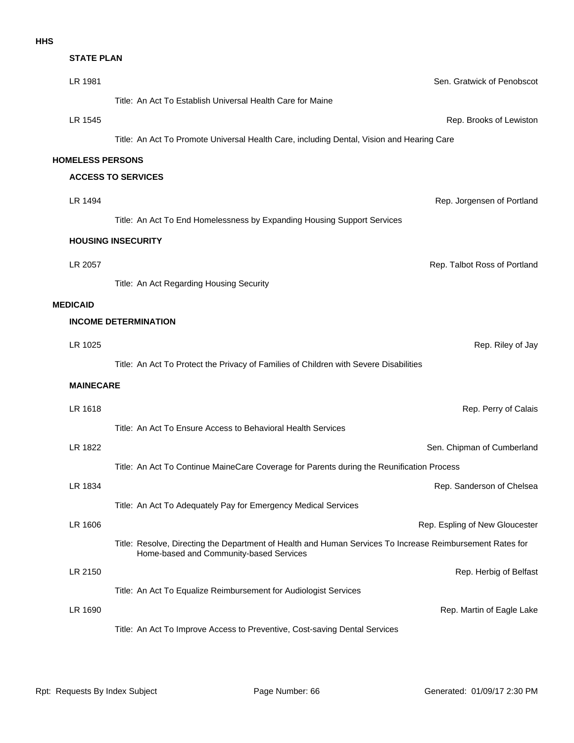| <b>STATE PLAN</b>       |                                                                                                                                                      |
|-------------------------|------------------------------------------------------------------------------------------------------------------------------------------------------|
| LR 1981                 | Sen. Gratwick of Penobscot                                                                                                                           |
|                         | Title: An Act To Establish Universal Health Care for Maine                                                                                           |
| LR 1545                 | Rep. Brooks of Lewiston                                                                                                                              |
|                         | Title: An Act To Promote Universal Health Care, including Dental, Vision and Hearing Care                                                            |
| <b>HOMELESS PERSONS</b> |                                                                                                                                                      |
|                         | <b>ACCESS TO SERVICES</b>                                                                                                                            |
| LR 1494                 | Rep. Jorgensen of Portland                                                                                                                           |
|                         | Title: An Act To End Homelessness by Expanding Housing Support Services                                                                              |
|                         | <b>HOUSING INSECURITY</b>                                                                                                                            |
| LR 2057                 | Rep. Talbot Ross of Portland                                                                                                                         |
|                         | Title: An Act Regarding Housing Security                                                                                                             |
| <b>MEDICAID</b>         |                                                                                                                                                      |
|                         | <b>INCOME DETERMINATION</b>                                                                                                                          |
| LR 1025                 | Rep. Riley of Jay                                                                                                                                    |
|                         | Title: An Act To Protect the Privacy of Families of Children with Severe Disabilities                                                                |
| <b>MAINECARE</b>        |                                                                                                                                                      |
| LR 1618                 | Rep. Perry of Calais                                                                                                                                 |
|                         | Title: An Act To Ensure Access to Behavioral Health Services                                                                                         |
| LR 1822                 | Sen. Chipman of Cumberland                                                                                                                           |
|                         | Title: An Act To Continue MaineCare Coverage for Parents during the Reunification Process                                                            |
| LR 1834                 | Rep. Sanderson of Chelsea                                                                                                                            |
|                         | Title: An Act To Adequately Pay for Emergency Medical Services                                                                                       |
| LR 1606                 | Rep. Espling of New Gloucester                                                                                                                       |
|                         | Title: Resolve, Directing the Department of Health and Human Services To Increase Reimbursement Rates for<br>Home-based and Community-based Services |
| LR 2150                 | Rep. Herbig of Belfast                                                                                                                               |
|                         | Title: An Act To Equalize Reimbursement for Audiologist Services                                                                                     |
| LR 1690                 | Rep. Martin of Eagle Lake                                                                                                                            |
|                         | Title: An Act To Improve Access to Preventive, Cost-saving Dental Services                                                                           |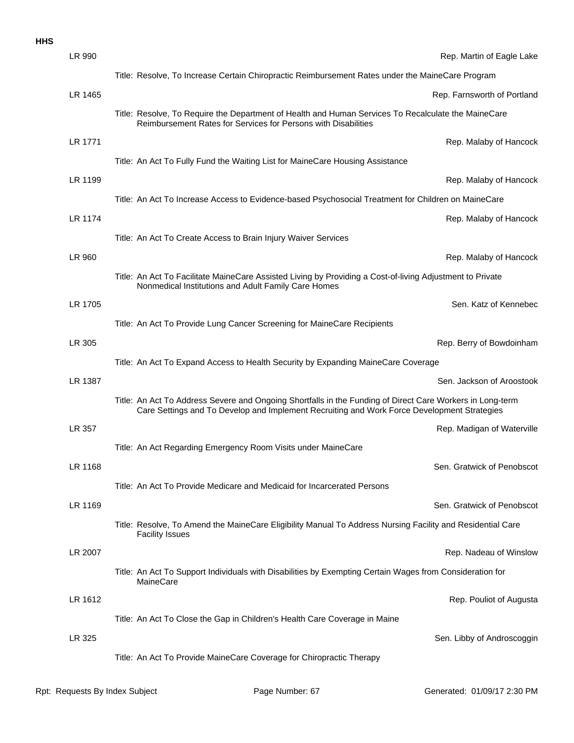| LR 990  | Rep. Martin of Eagle Lake                                                                                                                                                                                |
|---------|----------------------------------------------------------------------------------------------------------------------------------------------------------------------------------------------------------|
|         | Title: Resolve, To Increase Certain Chiropractic Reimbursement Rates under the MaineCare Program                                                                                                         |
| LR 1465 | Rep. Farnsworth of Portland                                                                                                                                                                              |
|         | Title: Resolve, To Require the Department of Health and Human Services To Recalculate the MaineCare<br>Reimbursement Rates for Services for Persons with Disabilities                                    |
| LR 1771 | Rep. Malaby of Hancock                                                                                                                                                                                   |
|         | Title: An Act To Fully Fund the Waiting List for MaineCare Housing Assistance                                                                                                                            |
| LR 1199 | Rep. Malaby of Hancock                                                                                                                                                                                   |
|         | Title: An Act To Increase Access to Evidence-based Psychosocial Treatment for Children on MaineCare                                                                                                      |
| LR 1174 | Rep. Malaby of Hancock                                                                                                                                                                                   |
|         | Title: An Act To Create Access to Brain Injury Waiver Services                                                                                                                                           |
| LR 960  | Rep. Malaby of Hancock                                                                                                                                                                                   |
|         | Title: An Act To Facilitate MaineCare Assisted Living by Providing a Cost-of-living Adjustment to Private<br>Nonmedical Institutions and Adult Family Care Homes                                         |
| LR 1705 | Sen. Katz of Kennebec                                                                                                                                                                                    |
|         | Title: An Act To Provide Lung Cancer Screening for MaineCare Recipients                                                                                                                                  |
| LR 305  | Rep. Berry of Bowdoinham                                                                                                                                                                                 |
|         | Title: An Act To Expand Access to Health Security by Expanding MaineCare Coverage                                                                                                                        |
| LR 1387 | Sen. Jackson of Aroostook                                                                                                                                                                                |
|         | Title: An Act To Address Severe and Ongoing Shortfalls in the Funding of Direct Care Workers in Long-term<br>Care Settings and To Develop and Implement Recruiting and Work Force Development Strategies |
| LR 357  | Rep. Madigan of Waterville                                                                                                                                                                               |
|         | Title: An Act Regarding Emergency Room Visits under MaineCare                                                                                                                                            |
| LR 1168 | Sen. Gratwick of Penobscot                                                                                                                                                                               |
|         | Title: An Act To Provide Medicare and Medicaid for Incarcerated Persons                                                                                                                                  |
| LR 1169 | Sen. Gratwick of Penobscot                                                                                                                                                                               |
|         | Title: Resolve, To Amend the MaineCare Eligibility Manual To Address Nursing Facility and Residential Care<br><b>Facility Issues</b>                                                                     |
| LR 2007 | Rep. Nadeau of Winslow                                                                                                                                                                                   |
|         | Title: An Act To Support Individuals with Disabilities by Exempting Certain Wages from Consideration for<br>MaineCare                                                                                    |
| LR 1612 | Rep. Pouliot of Augusta                                                                                                                                                                                  |
|         | Title: An Act To Close the Gap in Children's Health Care Coverage in Maine                                                                                                                               |
| LR 325  | Sen. Libby of Androscoggin                                                                                                                                                                               |
|         | Title: An Act To Provide MaineCare Coverage for Chiropractic Therapy                                                                                                                                     |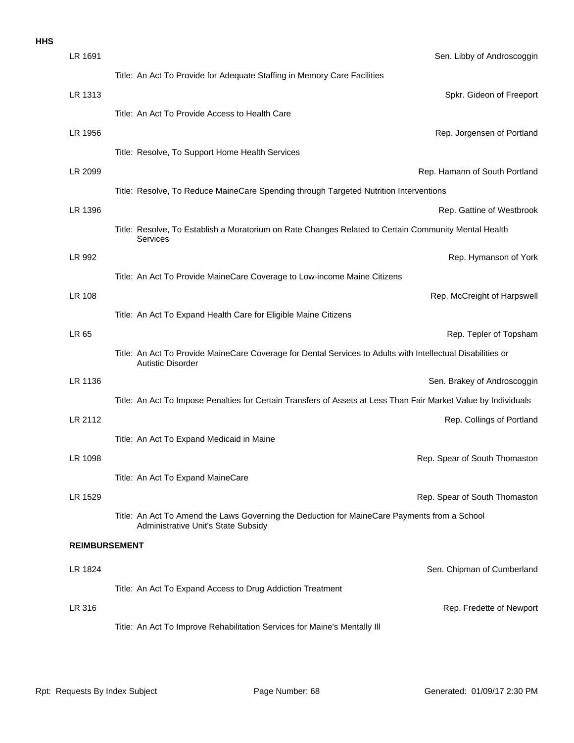| LR 1691              | Sen. Libby of Androscoggin                                                                                                              |
|----------------------|-----------------------------------------------------------------------------------------------------------------------------------------|
|                      | Title: An Act To Provide for Adequate Staffing in Memory Care Facilities                                                                |
| LR 1313              | Spkr. Gideon of Freeport                                                                                                                |
|                      | Title: An Act To Provide Access to Health Care                                                                                          |
| LR 1956              | Rep. Jorgensen of Portland                                                                                                              |
|                      | Title: Resolve, To Support Home Health Services                                                                                         |
| LR 2099              | Rep. Hamann of South Portland                                                                                                           |
|                      | Title: Resolve, To Reduce MaineCare Spending through Targeted Nutrition Interventions                                                   |
| LR 1396              | Rep. Gattine of Westbrook                                                                                                               |
|                      | Title: Resolve, To Establish a Moratorium on Rate Changes Related to Certain Community Mental Health<br>Services                        |
| LR 992               | Rep. Hymanson of York                                                                                                                   |
|                      | Title: An Act To Provide MaineCare Coverage to Low-income Maine Citizens                                                                |
| <b>LR 108</b>        | Rep. McCreight of Harpswell                                                                                                             |
|                      | Title: An Act To Expand Health Care for Eligible Maine Citizens                                                                         |
| LR 65                | Rep. Tepler of Topsham                                                                                                                  |
|                      | Title: An Act To Provide MaineCare Coverage for Dental Services to Adults with Intellectual Disabilities or<br><b>Autistic Disorder</b> |
| LR 1136              | Sen. Brakey of Androscoggin                                                                                                             |
|                      | Title: An Act To Impose Penalties for Certain Transfers of Assets at Less Than Fair Market Value by Individuals                         |
| LR 2112              | Rep. Collings of Portland                                                                                                               |
|                      | Title: An Act To Expand Medicaid in Maine                                                                                               |
| LR 1098              | Rep. Spear of South Thomaston                                                                                                           |
|                      | Title: An Act To Expand MaineCare                                                                                                       |
| LR 1529              | Rep. Spear of South Thomaston                                                                                                           |
|                      | Title: An Act To Amend the Laws Governing the Deduction for MaineCare Payments from a School<br>Administrative Unit's State Subsidy     |
| <b>REIMBURSEMENT</b> |                                                                                                                                         |
| LR 1824              | Sen. Chipman of Cumberland                                                                                                              |
|                      | Title: An Act To Expand Access to Drug Addiction Treatment                                                                              |
| LR 316               | Rep. Fredette of Newport                                                                                                                |
|                      | Title: An Act To Improve Rehabilitation Services for Maine's Mentally III                                                               |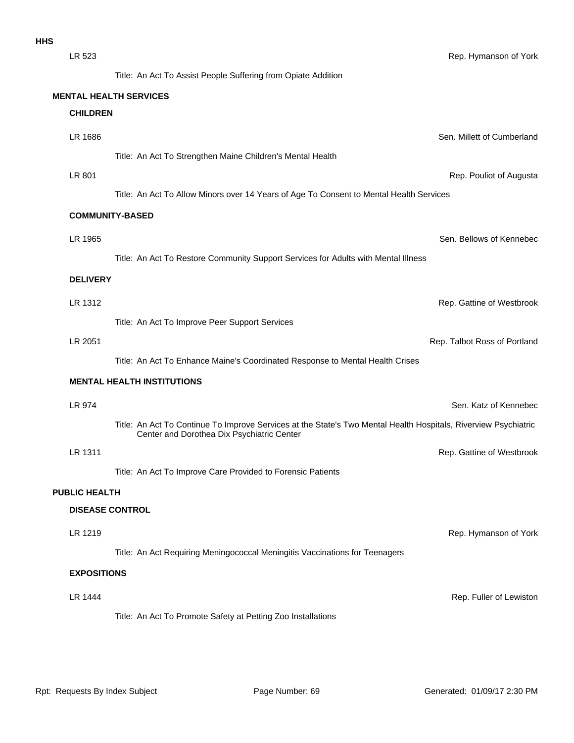| LR 523               | Rep. Hymanson of York                                                                                           |  |
|----------------------|-----------------------------------------------------------------------------------------------------------------|--|
|                      | Title: An Act To Assist People Suffering from Opiate Addition                                                   |  |
|                      | <b>MENTAL HEALTH SERVICES</b>                                                                                   |  |
| <b>CHILDREN</b>      |                                                                                                                 |  |
| LR 1686              | Sen. Millett of Cumberland                                                                                      |  |
|                      | Title: An Act To Strengthen Maine Children's Mental Health                                                      |  |
| LR 801               | Rep. Pouliot of Augusta                                                                                         |  |
|                      | Title: An Act To Allow Minors over 14 Years of Age To Consent to Mental Health Services                         |  |
|                      | <b>COMMUNITY-BASED</b>                                                                                          |  |
| LR 1965              | Sen. Bellows of Kennebec                                                                                        |  |
|                      | Title: An Act To Restore Community Support Services for Adults with Mental Illness                              |  |
| <b>DELIVERY</b>      |                                                                                                                 |  |
| LR 1312              | Rep. Gattine of Westbrook                                                                                       |  |
|                      | Title: An Act To Improve Peer Support Services                                                                  |  |
| LR 2051              | Rep. Talbot Ross of Portland                                                                                    |  |
|                      | Title: An Act To Enhance Maine's Coordinated Response to Mental Health Crises                                   |  |
|                      | <b>MENTAL HEALTH INSTITUTIONS</b>                                                                               |  |
| LR 974               | Sen. Katz of Kennebec                                                                                           |  |
|                      | Title: An Act To Continue To Improve Services at the State's Two Mental Health Hospitals, Riverview Psychiatric |  |
|                      | Center and Dorothea Dix Psychiatric Center                                                                      |  |
| LR 1311              | Rep. Gattine of Westbrook                                                                                       |  |
|                      | Title: An Act To Improve Care Provided to Forensic Patients                                                     |  |
| <b>PUBLIC HEALTH</b> |                                                                                                                 |  |
|                      | <b>DISEASE CONTROL</b>                                                                                          |  |
| LR 1219              | Rep. Hymanson of York                                                                                           |  |
|                      | Title: An Act Requiring Meningococcal Meningitis Vaccinations for Teenagers                                     |  |
| <b>EXPOSITIONS</b>   |                                                                                                                 |  |
| LR 1444              | Rep. Fuller of Lewiston                                                                                         |  |
|                      | Title: An Act To Promote Safety at Petting Zoo Installations                                                    |  |
|                      |                                                                                                                 |  |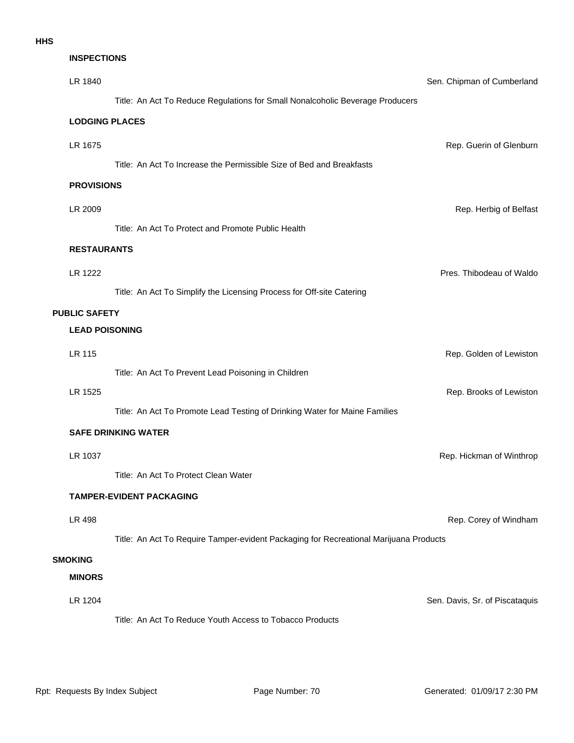# LR 1204 Sen. Davis, Sr. of Piscataquis **MINORS SMOKING** LR 498 **Rep. Corey of Windham** Rep. Corey of Windham Title: An Act To Require Tamper-evident Packaging for Recreational Marijuana Products **TAMPER-EVIDENT PACKAGING LR 1037** Rep. Hickman of Winthrop Rep. Hickman of Winthrop Rep. Hickman of Winthrop Title: An Act To Protect Clean Water **SAFE DRINKING WATER** Title: An Act To Promote Lead Testing of Drinking Water for Maine Families LR 1525 Rep. Brooks of Lewiston **LR 115** Rep. Golden of Lewiston Title: An Act To Prevent Lead Poisoning in Children **LEAD POISONING PUBLIC SAFETY** LR 1222 Pres. Thibodeau of Waldo Title: An Act To Simplify the Licensing Process for Off-site Catering **RESTAURANTS** LR 2009 Rep. Herbig of Belfast Title: An Act To Protect and Promote Public Health **PROVISIONS** LR 1675 Rep. Guerin of Glenburn Title: An Act To Increase the Permissible Size of Bed and Breakfasts **LODGING PLACES** LR 1840 Sen. Chipman of Cumberland Title: An Act To Reduce Regulations for Small Nonalcoholic Beverage Producers **INSPECTIONS**

Title: An Act To Reduce Youth Access to Tobacco Products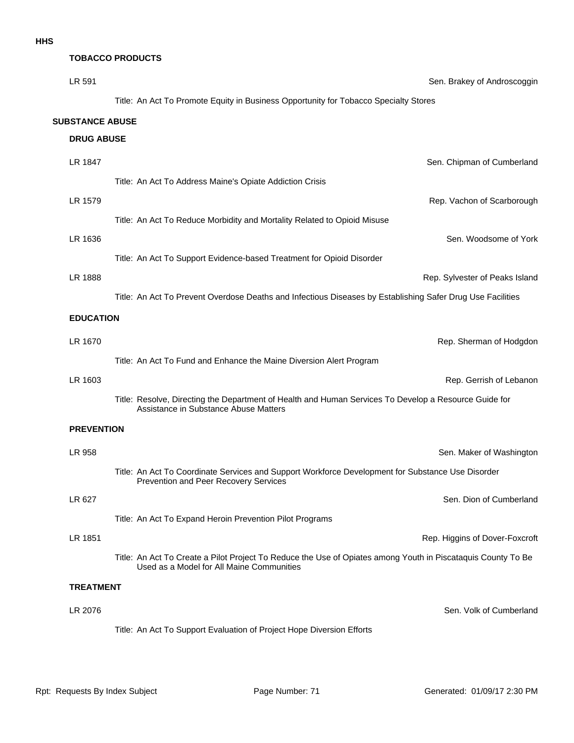#### **TOBACCO PRODUCTS**

| LR 591                 |                   | Sen. Brakey of Androscoggin                                                                                                                               |
|------------------------|-------------------|-----------------------------------------------------------------------------------------------------------------------------------------------------------|
|                        |                   | Title: An Act To Promote Equity in Business Opportunity for Tobacco Specialty Stores                                                                      |
| <b>SUBSTANCE ABUSE</b> |                   |                                                                                                                                                           |
|                        | <b>DRUG ABUSE</b> |                                                                                                                                                           |
| LR 1847                |                   | Sen. Chipman of Cumberland                                                                                                                                |
|                        |                   | Title: An Act To Address Maine's Opiate Addiction Crisis                                                                                                  |
| LR 1579                |                   | Rep. Vachon of Scarborough                                                                                                                                |
|                        |                   | Title: An Act To Reduce Morbidity and Mortality Related to Opioid Misuse                                                                                  |
| LR 1636                |                   | Sen. Woodsome of York                                                                                                                                     |
|                        |                   | Title: An Act To Support Evidence-based Treatment for Opioid Disorder                                                                                     |
| LR 1888                |                   | Rep. Sylvester of Peaks Island                                                                                                                            |
|                        |                   | Title: An Act To Prevent Overdose Deaths and Infectious Diseases by Establishing Safer Drug Use Facilities                                                |
|                        | <b>EDUCATION</b>  |                                                                                                                                                           |
| LR 1670                |                   | Rep. Sherman of Hodgdon                                                                                                                                   |
|                        |                   | Title: An Act To Fund and Enhance the Maine Diversion Alert Program                                                                                       |
| LR 1603                |                   | Rep. Gerrish of Lebanon                                                                                                                                   |
|                        |                   | Title: Resolve, Directing the Department of Health and Human Services To Develop a Resource Guide for<br>Assistance in Substance Abuse Matters            |
|                        | <b>PREVENTION</b> |                                                                                                                                                           |
| LR 958                 |                   | Sen. Maker of Washington                                                                                                                                  |
|                        |                   | Title: An Act To Coordinate Services and Support Workforce Development for Substance Use Disorder<br>Prevention and Peer Recovery Services                |
| LR 627                 |                   | Sen. Dion of Cumberland                                                                                                                                   |
|                        |                   | Title: An Act To Expand Heroin Prevention Pilot Programs                                                                                                  |
| LR 1851                |                   | Rep. Higgins of Dover-Foxcroft                                                                                                                            |
|                        |                   | Title: An Act To Create a Pilot Project To Reduce the Use of Opiates among Youth in Piscataquis County To Be<br>Used as a Model for All Maine Communities |
|                        | <b>TREATMENT</b>  |                                                                                                                                                           |
| LR 2076                |                   | Sen. Volk of Cumberland                                                                                                                                   |
|                        |                   | Title: An Act To Support Evaluation of Project Hope Diversion Efforts                                                                                     |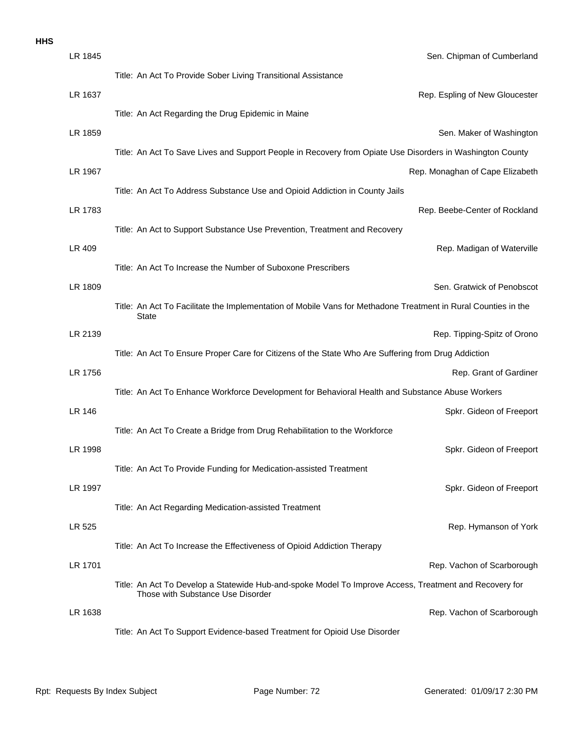|  | ×<br>v |
|--|--------|
|  |        |

| LR 1845 | Sen. Chipman of Cumberland                                                                                                                  |
|---------|---------------------------------------------------------------------------------------------------------------------------------------------|
|         | Title: An Act To Provide Sober Living Transitional Assistance                                                                               |
| LR 1637 | Rep. Espling of New Gloucester                                                                                                              |
|         | Title: An Act Regarding the Drug Epidemic in Maine                                                                                          |
| LR 1859 | Sen. Maker of Washington                                                                                                                    |
|         | Title: An Act To Save Lives and Support People in Recovery from Opiate Use Disorders in Washington County                                   |
| LR 1967 | Rep. Monaghan of Cape Elizabeth                                                                                                             |
|         | Title: An Act To Address Substance Use and Opioid Addiction in County Jails                                                                 |
| LR 1783 | Rep. Beebe-Center of Rockland                                                                                                               |
|         | Title: An Act to Support Substance Use Prevention, Treatment and Recovery                                                                   |
| LR 409  | Rep. Madigan of Waterville                                                                                                                  |
|         | Title: An Act To Increase the Number of Suboxone Prescribers                                                                                |
| LR 1809 | Sen. Gratwick of Penobscot                                                                                                                  |
|         | Title: An Act To Facilitate the Implementation of Mobile Vans for Methadone Treatment in Rural Counties in the<br><b>State</b>              |
| LR 2139 | Rep. Tipping-Spitz of Orono                                                                                                                 |
|         | Title: An Act To Ensure Proper Care for Citizens of the State Who Are Suffering from Drug Addiction                                         |
| LR 1756 | Rep. Grant of Gardiner                                                                                                                      |
|         | Title: An Act To Enhance Workforce Development for Behavioral Health and Substance Abuse Workers                                            |
| LR 146  | Spkr. Gideon of Freeport                                                                                                                    |
|         | Title: An Act To Create a Bridge from Drug Rehabilitation to the Workforce                                                                  |
| LR 1998 | Spkr. Gideon of Freeport                                                                                                                    |
|         | Title: An Act To Provide Funding for Medication-assisted Treatment                                                                          |
| LR 1997 | Spkr. Gideon of Freeport                                                                                                                    |
|         | Title: An Act Regarding Medication-assisted Treatment                                                                                       |
| LR 525  | Rep. Hymanson of York                                                                                                                       |
|         | Title: An Act To Increase the Effectiveness of Opioid Addiction Therapy                                                                     |
| LR 1701 | Rep. Vachon of Scarborough                                                                                                                  |
|         | Title: An Act To Develop a Statewide Hub-and-spoke Model To Improve Access, Treatment and Recovery for<br>Those with Substance Use Disorder |
| LR 1638 | Rep. Vachon of Scarborough                                                                                                                  |
|         | Title: An Act To Support Evidence-based Treatment for Opioid Use Disorder                                                                   |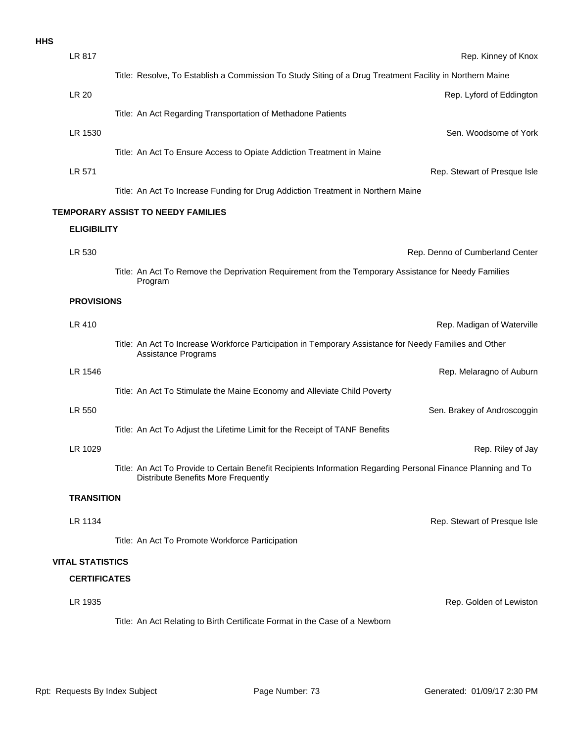| <b>HHS</b> |                         |                                                                                                                                                             |
|------------|-------------------------|-------------------------------------------------------------------------------------------------------------------------------------------------------------|
|            | LR 817                  | Rep. Kinney of Knox                                                                                                                                         |
|            |                         | Title: Resolve, To Establish a Commission To Study Siting of a Drug Treatment Facility in Northern Maine                                                    |
|            | LR 20                   | Rep. Lyford of Eddingtor                                                                                                                                    |
|            |                         | Title: An Act Regarding Transportation of Methadone Patients                                                                                                |
|            | LR 1530                 | Sen. Woodsome of York                                                                                                                                       |
|            |                         | Title: An Act To Ensure Access to Opiate Addiction Treatment in Maine                                                                                       |
|            | LR 571                  | Rep. Stewart of Presque Isle                                                                                                                                |
|            |                         | Title: An Act To Increase Funding for Drug Addiction Treatment in Northern Maine                                                                            |
|            |                         | TEMPORARY ASSIST TO NEEDY FAMILIES                                                                                                                          |
|            | <b>ELIGIBILITY</b>      |                                                                                                                                                             |
|            | LR 530                  | Rep. Denno of Cumberland Center                                                                                                                             |
|            |                         | Title: An Act To Remove the Deprivation Requirement from the Temporary Assistance for Needy Families                                                        |
|            |                         | Program                                                                                                                                                     |
|            | <b>PROVISIONS</b>       |                                                                                                                                                             |
|            | LR 410                  | Rep. Madigan of Waterville                                                                                                                                  |
|            |                         | Title: An Act To Increase Workforce Participation in Temporary Assistance for Needy Families and Other                                                      |
|            |                         | <b>Assistance Programs</b>                                                                                                                                  |
|            | LR 1546                 | Rep. Melaragno of Auburr                                                                                                                                    |
|            |                         | Title: An Act To Stimulate the Maine Economy and Alleviate Child Poverty                                                                                    |
|            | LR 550                  | Sen. Brakey of Androscoggir                                                                                                                                 |
|            |                         | Title: An Act To Adjust the Lifetime Limit for the Receipt of TANF Benefits                                                                                 |
|            | LR 1029                 | Rep. Riley of Jay                                                                                                                                           |
|            |                         | Title: An Act To Provide to Certain Benefit Recipients Information Regarding Personal Finance Planning and To<br><b>Distribute Benefits More Frequently</b> |
|            | <b>TRANSITION</b>       |                                                                                                                                                             |
|            | LR 1134                 | Rep. Stewart of Presque Isle                                                                                                                                |
|            |                         | Title: An Act To Promote Workforce Participation                                                                                                            |
|            | <b>VITAL STATISTICS</b> |                                                                                                                                                             |
|            | <b>CERTIFICATES</b>     |                                                                                                                                                             |
|            | LR 1935                 |                                                                                                                                                             |
|            |                         | Rep. Golden of Lewistor                                                                                                                                     |

Title: An Act Relating to Birth Certificate Format in the Case of a Newborn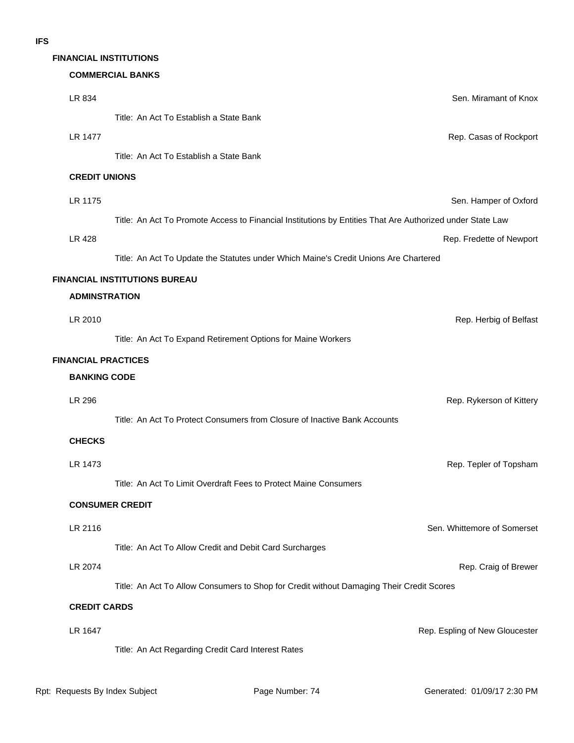## **FINANCIAL INSTITUTIONS**

### **COMMERCIAL BANKS**

| LR 834                     | Sen. Miramant of Knox                                                                                     |
|----------------------------|-----------------------------------------------------------------------------------------------------------|
|                            | Title: An Act To Establish a State Bank                                                                   |
| LR 1477                    | Rep. Casas of Rockport                                                                                    |
|                            | Title: An Act To Establish a State Bank                                                                   |
| <b>CREDIT UNIONS</b>       |                                                                                                           |
| LR 1175                    | Sen. Hamper of Oxford                                                                                     |
|                            | Title: An Act To Promote Access to Financial Institutions by Entities That Are Authorized under State Law |
| <b>LR 428</b>              | Rep. Fredette of Newport                                                                                  |
|                            | Title: An Act To Update the Statutes under Which Maine's Credit Unions Are Chartered                      |
|                            | <b>FINANCIAL INSTITUTIONS BUREAU</b>                                                                      |
| <b>ADMINSTRATION</b>       |                                                                                                           |
| LR 2010                    | Rep. Herbig of Belfast                                                                                    |
|                            | Title: An Act To Expand Retirement Options for Maine Workers                                              |
| <b>FINANCIAL PRACTICES</b> |                                                                                                           |
| <b>BANKING CODE</b>        |                                                                                                           |
| LR 296                     | Rep. Rykerson of Kittery                                                                                  |
|                            | Title: An Act To Protect Consumers from Closure of Inactive Bank Accounts                                 |
| <b>CHECKS</b>              |                                                                                                           |
| LR 1473                    | Rep. Tepler of Topsham                                                                                    |
|                            | Title: An Act To Limit Overdraft Fees to Protect Maine Consumers                                          |
|                            | <b>CONSUMER CREDIT</b>                                                                                    |
| LR 2116                    | Sen. Whittemore of Somerset                                                                               |
|                            | Title: An Act To Allow Credit and Debit Card Surcharges                                                   |
| LR 2074                    | Rep. Craig of Brewer                                                                                      |
|                            | Title: An Act To Allow Consumers to Shop for Credit without Damaging Their Credit Scores                  |
| <b>CREDIT CARDS</b>        |                                                                                                           |
| LR 1647                    | Rep. Espling of New Gloucester                                                                            |
|                            | Title: An Act Regarding Credit Card Interest Rates                                                        |
|                            |                                                                                                           |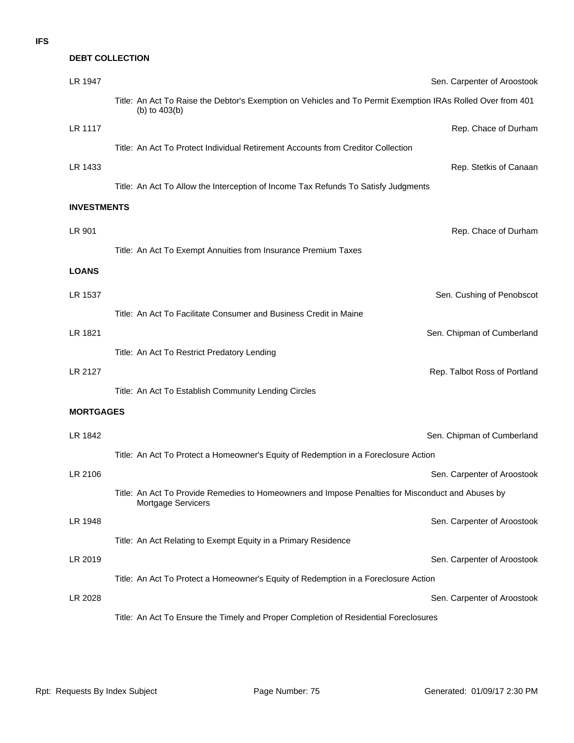## **DEBT COLLECTION**

| LR 1947            |                                                                                                                                | Sen. Carpenter of Aroostook  |
|--------------------|--------------------------------------------------------------------------------------------------------------------------------|------------------------------|
|                    | Title: An Act To Raise the Debtor's Exemption on Vehicles and To Permit Exemption IRAs Rolled Over from 401<br>(b) to $403(b)$ |                              |
| LR 1117            |                                                                                                                                | Rep. Chace of Durham         |
|                    | Title: An Act To Protect Individual Retirement Accounts from Creditor Collection                                               |                              |
| LR 1433            |                                                                                                                                | Rep. Stetkis of Canaan       |
|                    | Title: An Act To Allow the Interception of Income Tax Refunds To Satisfy Judgments                                             |                              |
| <b>INVESTMENTS</b> |                                                                                                                                |                              |
| LR 901             |                                                                                                                                | Rep. Chace of Durham         |
|                    | Title: An Act To Exempt Annuities from Insurance Premium Taxes                                                                 |                              |
| <b>LOANS</b>       |                                                                                                                                |                              |
| LR 1537            |                                                                                                                                | Sen. Cushing of Penobscot    |
|                    | Title: An Act To Facilitate Consumer and Business Credit in Maine                                                              |                              |
| LR 1821            |                                                                                                                                | Sen. Chipman of Cumberland   |
|                    | Title: An Act To Restrict Predatory Lending                                                                                    |                              |
|                    |                                                                                                                                |                              |
| LR 2127            |                                                                                                                                | Rep. Talbot Ross of Portland |
|                    | Title: An Act To Establish Community Lending Circles                                                                           |                              |
| <b>MORTGAGES</b>   |                                                                                                                                |                              |
| LR 1842            |                                                                                                                                | Sen. Chipman of Cumberland   |
|                    | Title: An Act To Protect a Homeowner's Equity of Redemption in a Foreclosure Action                                            |                              |
| LR 2106            |                                                                                                                                | Sen. Carpenter of Aroostook  |
|                    | Title: An Act To Provide Remedies to Homeowners and Impose Penalties for Misconduct and Abuses by<br>Mortgage Servicers        |                              |
| LR 1948            |                                                                                                                                | Sen. Carpenter of Aroostook  |
|                    | Title: An Act Relating to Exempt Equity in a Primary Residence                                                                 |                              |
| LR 2019            |                                                                                                                                | Sen. Carpenter of Aroostook  |
|                    | Title: An Act To Protect a Homeowner's Equity of Redemption in a Foreclosure Action                                            |                              |
| LR 2028            |                                                                                                                                | Sen. Carpenter of Aroostook  |
|                    | Title: An Act To Ensure the Timely and Proper Completion of Residential Foreclosures                                           |                              |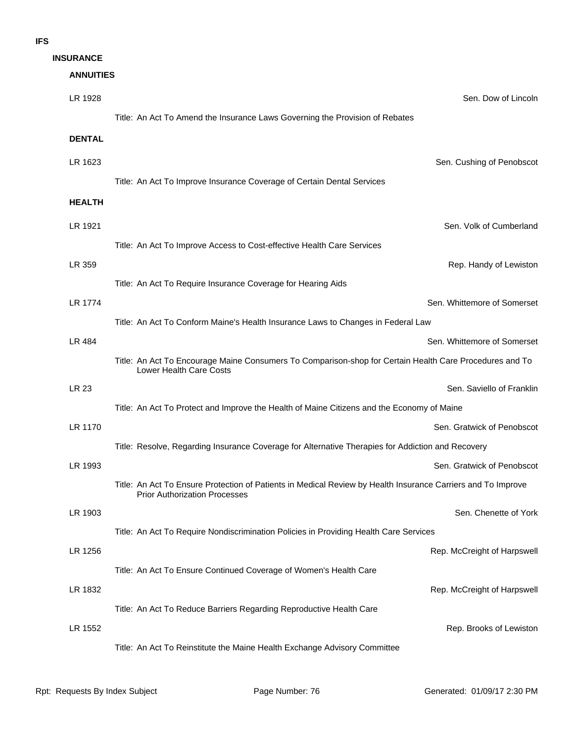| <b>ANNUITIES</b> |                                                                                                                                                      |
|------------------|------------------------------------------------------------------------------------------------------------------------------------------------------|
| LR 1928          | Sen. Dow of Lincoln                                                                                                                                  |
|                  | Title: An Act To Amend the Insurance Laws Governing the Provision of Rebates                                                                         |
| <b>DENTAL</b>    |                                                                                                                                                      |
| LR 1623          | Sen. Cushing of Penobscot                                                                                                                            |
|                  | Title: An Act To Improve Insurance Coverage of Certain Dental Services                                                                               |
| <b>HEALTH</b>    |                                                                                                                                                      |
| LR 1921          | Sen. Volk of Cumberland                                                                                                                              |
|                  | Title: An Act To Improve Access to Cost-effective Health Care Services                                                                               |
| LR 359           | Rep. Handy of Lewistor                                                                                                                               |
|                  | Title: An Act To Require Insurance Coverage for Hearing Aids                                                                                         |
| LR 1774          | Sen. Whittemore of Somerset                                                                                                                          |
|                  | Title: An Act To Conform Maine's Health Insurance Laws to Changes in Federal Law                                                                     |
| LR 484           | Sen. Whittemore of Somerset                                                                                                                          |
|                  | Title: An Act To Encourage Maine Consumers To Comparison-shop for Certain Health Care Procedures and To<br>Lower Health Care Costs                   |
| <b>LR 23</b>     | Sen. Saviello of Franklir                                                                                                                            |
|                  | Title: An Act To Protect and Improve the Health of Maine Citizens and the Economy of Maine                                                           |
| LR 1170          | Sen. Gratwick of Penobscot                                                                                                                           |
|                  | Title: Resolve, Regarding Insurance Coverage for Alternative Therapies for Addiction and Recovery                                                    |
| LR 1993          | Sen. Gratwick of Penobscot                                                                                                                           |
|                  | Title: An Act To Ensure Protection of Patients in Medical Review by Health Insurance Carriers and To Improve<br><b>Prior Authorization Processes</b> |
| LR 1903          | Sen. Chenette of York                                                                                                                                |
|                  | Title: An Act To Require Nondiscrimination Policies in Providing Health Care Services                                                                |
| LR 1256          | Rep. McCreight of Harpswel                                                                                                                           |
|                  | Title: An Act To Ensure Continued Coverage of Women's Health Care                                                                                    |
| LR 1832          | Rep. McCreight of Harpswel                                                                                                                           |
|                  | Title: An Act To Reduce Barriers Regarding Reproductive Health Care                                                                                  |
| LR 1552          | Rep. Brooks of Lewistor                                                                                                                              |
|                  | Title: An Act To Reinstitute the Maine Health Exchange Advisory Committee                                                                            |
|                  |                                                                                                                                                      |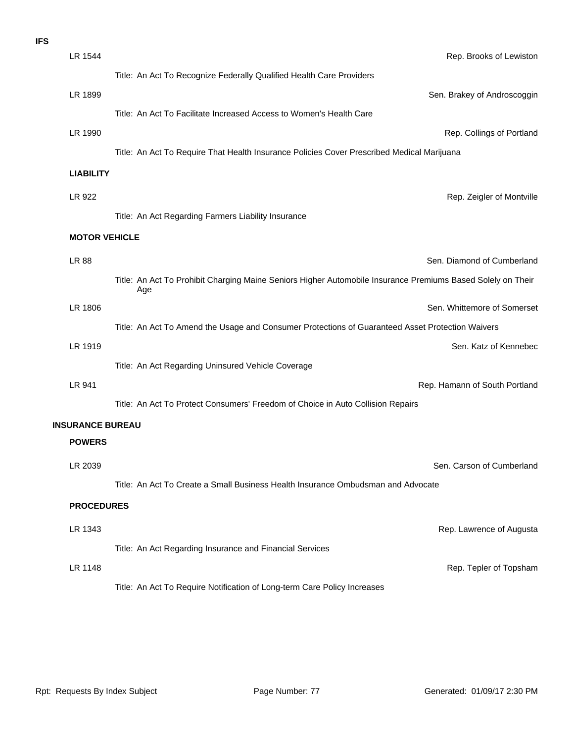| <b>IFS</b> |                         |                                                                                                                    |  |
|------------|-------------------------|--------------------------------------------------------------------------------------------------------------------|--|
|            | LR 1544                 | Rep. Brooks of Lewistor                                                                                            |  |
|            |                         | Title: An Act To Recognize Federally Qualified Health Care Providers                                               |  |
|            | LR 1899                 | Sen. Brakey of Androscoggir                                                                                        |  |
|            |                         | Title: An Act To Facilitate Increased Access to Women's Health Care                                                |  |
|            | LR 1990                 | Rep. Collings of Portland                                                                                          |  |
|            |                         | Title: An Act To Require That Health Insurance Policies Cover Prescribed Medical Marijuana                         |  |
|            | <b>LIABILITY</b>        |                                                                                                                    |  |
|            | LR 922                  | Rep. Zeigler of Montville                                                                                          |  |
|            |                         | Title: An Act Regarding Farmers Liability Insurance                                                                |  |
|            | <b>MOTOR VEHICLE</b>    |                                                                                                                    |  |
|            | LR 88                   | Sen. Diamond of Cumberland                                                                                         |  |
|            |                         | Title: An Act To Prohibit Charging Maine Seniors Higher Automobile Insurance Premiums Based Solely on Their<br>Age |  |
|            | LR 1806                 | Sen. Whittemore of Somerset                                                                                        |  |
|            |                         | Title: An Act To Amend the Usage and Consumer Protections of Guaranteed Asset Protection Waivers                   |  |
|            | LR 1919                 | Sen. Katz of Kennebed                                                                                              |  |
|            |                         | Title: An Act Regarding Uninsured Vehicle Coverage                                                                 |  |
|            | LR 941                  | Rep. Hamann of South Portland                                                                                      |  |
|            |                         | Title: An Act To Protect Consumers' Freedom of Choice in Auto Collision Repairs                                    |  |
|            | <b>INSURANCE BUREAU</b> |                                                                                                                    |  |
|            | <b>POWERS</b>           |                                                                                                                    |  |
|            | LR 2039                 | Sen. Carson of Cumberland                                                                                          |  |
|            |                         | Title: An Act To Create a Small Business Health Insurance Ombudsman and Advocate                                   |  |
|            | <b>PROCEDURES</b>       |                                                                                                                    |  |
|            | LR 1343                 | Rep. Lawrence of Augusta                                                                                           |  |
|            |                         | Title: An Act Regarding Insurance and Financial Services                                                           |  |
|            | LR 1148                 | Rep. Tepler of Topsham                                                                                             |  |
|            |                         | Title: An Act To Require Notification of Long-term Care Policy Increases                                           |  |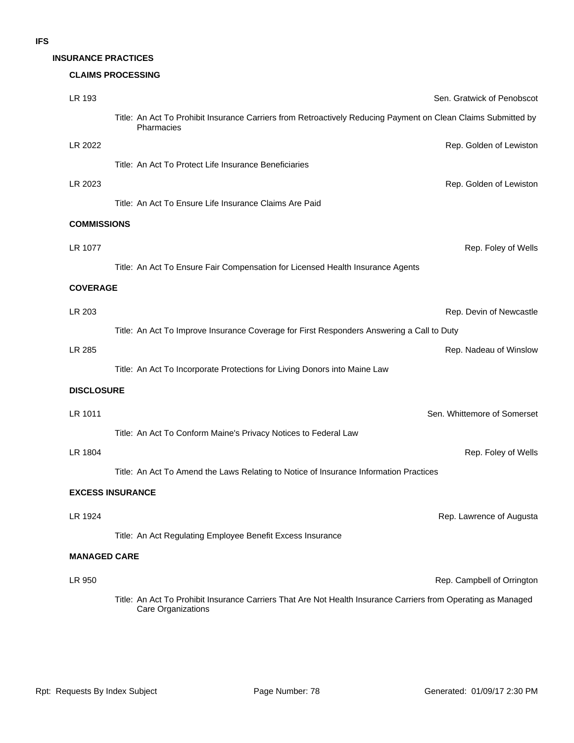### **INSURANCE PRACTICES**

### **CLAIMS PROCESSING**

| LR 193              | Sen. Gratwick of Penobscot                                                                                                          |
|---------------------|-------------------------------------------------------------------------------------------------------------------------------------|
|                     | Title: An Act To Prohibit Insurance Carriers from Retroactively Reducing Payment on Clean Claims Submitted by<br>Pharmacies         |
| LR 2022             | Rep. Golden of Lewiston                                                                                                             |
|                     | Title: An Act To Protect Life Insurance Beneficiaries                                                                               |
| LR 2023             | Rep. Golden of Lewiston                                                                                                             |
|                     | Title: An Act To Ensure Life Insurance Claims Are Paid                                                                              |
| <b>COMMISSIONS</b>  |                                                                                                                                     |
| LR 1077             | Rep. Foley of Wells                                                                                                                 |
|                     | Title: An Act To Ensure Fair Compensation for Licensed Health Insurance Agents                                                      |
| <b>COVERAGE</b>     |                                                                                                                                     |
| LR 203              | Rep. Devin of Newcastle                                                                                                             |
|                     | Title: An Act To Improve Insurance Coverage for First Responders Answering a Call to Duty                                           |
| LR 285              | Rep. Nadeau of Winslow                                                                                                              |
|                     | Title: An Act To Incorporate Protections for Living Donors into Maine Law                                                           |
| <b>DISCLOSURE</b>   |                                                                                                                                     |
| LR 1011             | Sen. Whittemore of Somerset                                                                                                         |
|                     | Title: An Act To Conform Maine's Privacy Notices to Federal Law                                                                     |
| LR 1804             | Rep. Foley of Wells                                                                                                                 |
|                     | Title: An Act To Amend the Laws Relating to Notice of Insurance Information Practices                                               |
|                     | <b>EXCESS INSURANCE</b>                                                                                                             |
| LR 1924             | Rep. Lawrence of Augusta                                                                                                            |
|                     | Title: An Act Regulating Employee Benefit Excess Insurance                                                                          |
| <b>MANAGED CARE</b> |                                                                                                                                     |
| LR 950              | Rep. Campbell of Orrington                                                                                                          |
|                     | Title: An Act To Prohibit Insurance Carriers That Are Not Health Insurance Carriers from Operating as Managed<br>Care Organizations |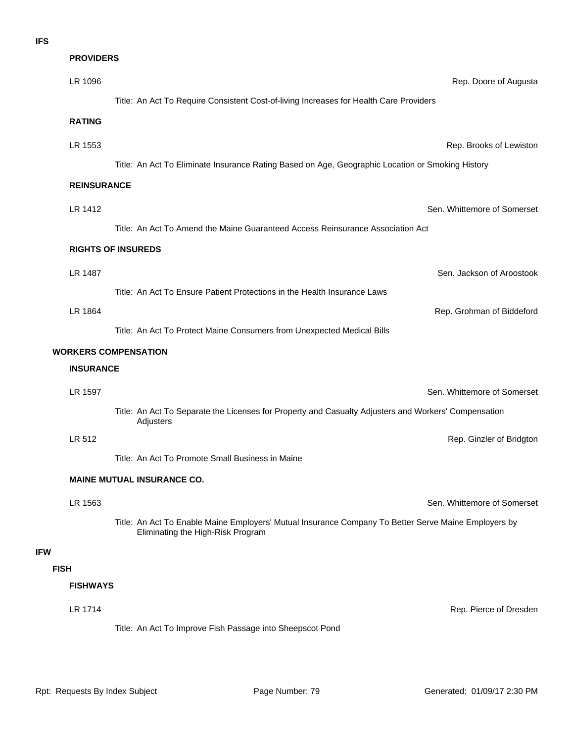|             | <b>PROVIDERS</b>   |                                                                                                                                           |
|-------------|--------------------|-------------------------------------------------------------------------------------------------------------------------------------------|
|             | LR 1096            | Rep. Doore of Augusta                                                                                                                     |
|             |                    | Title: An Act To Require Consistent Cost-of-living Increases for Health Care Providers                                                    |
|             | <b>RATING</b>      |                                                                                                                                           |
|             | LR 1553            | Rep. Brooks of Lewiston                                                                                                                   |
|             |                    | Title: An Act To Eliminate Insurance Rating Based on Age, Geographic Location or Smoking History                                          |
|             | <b>REINSURANCE</b> |                                                                                                                                           |
|             | LR 1412            | Sen. Whittemore of Somerset                                                                                                               |
|             |                    | Title: An Act To Amend the Maine Guaranteed Access Reinsurance Association Act                                                            |
|             |                    | <b>RIGHTS OF INSUREDS</b>                                                                                                                 |
|             | LR 1487            | Sen. Jackson of Aroostook                                                                                                                 |
|             |                    | Title: An Act To Ensure Patient Protections in the Health Insurance Laws                                                                  |
|             | LR 1864            | Rep. Grohman of Biddeford                                                                                                                 |
|             |                    | Title: An Act To Protect Maine Consumers from Unexpected Medical Bills                                                                    |
|             |                    | <b>WORKERS COMPENSATION</b>                                                                                                               |
|             | <b>INSURANCE</b>   |                                                                                                                                           |
|             | LR 1597            | Sen. Whittemore of Somerset                                                                                                               |
|             |                    | Title: An Act To Separate the Licenses for Property and Casualty Adjusters and Workers' Compensation<br>Adjusters                         |
|             | LR 512             | Rep. Ginzler of Bridgton                                                                                                                  |
|             |                    | Title: An Act To Promote Small Business in Maine                                                                                          |
|             |                    | <b>MAINE MUTUAL INSURANCE CO.</b>                                                                                                         |
|             | LR 1563            | Sen. Whittemore of Somerset                                                                                                               |
|             |                    | Title: An Act To Enable Maine Employers' Mutual Insurance Company To Better Serve Maine Employers by<br>Eliminating the High-Risk Program |
|             |                    |                                                                                                                                           |
| <b>FISH</b> |                    |                                                                                                                                           |
|             | <b>FISHWAYS</b>    |                                                                                                                                           |
|             | LR 1714            | Rep. Pierce of Dresden                                                                                                                    |
|             |                    | Title: An Act To Improve Fish Passage into Sheepscot Pond                                                                                 |

**IFW**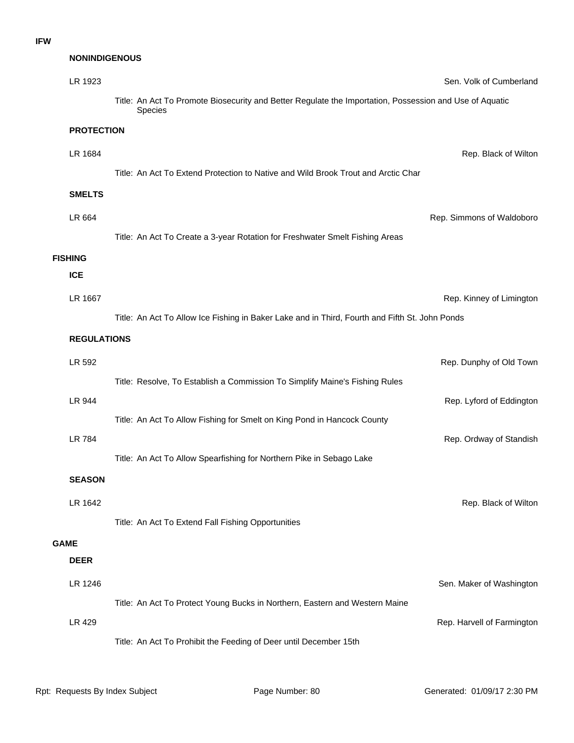## **NONINDIGENOUS**

|             | LR 1923            |                                                                                                                    | Sen. Volk of Cumberland    |
|-------------|--------------------|--------------------------------------------------------------------------------------------------------------------|----------------------------|
|             |                    | Title: An Act To Promote Biosecurity and Better Regulate the Importation, Possession and Use of Aquatic<br>Species |                            |
|             | <b>PROTECTION</b>  |                                                                                                                    |                            |
|             | LR 1684            |                                                                                                                    | Rep. Black of Wilton       |
|             |                    | Title: An Act To Extend Protection to Native and Wild Brook Trout and Arctic Char                                  |                            |
|             | <b>SMELTS</b>      |                                                                                                                    |                            |
|             | LR 664             |                                                                                                                    | Rep. Simmons of Waldoboro  |
|             |                    | Title: An Act To Create a 3-year Rotation for Freshwater Smelt Fishing Areas                                       |                            |
|             | <b>FISHING</b>     |                                                                                                                    |                            |
|             | <b>ICE</b>         |                                                                                                                    |                            |
|             | LR 1667            |                                                                                                                    | Rep. Kinney of Limington   |
|             |                    | Title: An Act To Allow Ice Fishing in Baker Lake and in Third, Fourth and Fifth St. John Ponds                     |                            |
|             | <b>REGULATIONS</b> |                                                                                                                    |                            |
|             | LR 592             |                                                                                                                    | Rep. Dunphy of Old Town    |
|             |                    | Title: Resolve, To Establish a Commission To Simplify Maine's Fishing Rules                                        |                            |
|             | LR 944             |                                                                                                                    | Rep. Lyford of Eddington   |
|             |                    | Title: An Act To Allow Fishing for Smelt on King Pond in Hancock County                                            |                            |
|             | <b>LR 784</b>      |                                                                                                                    | Rep. Ordway of Standish    |
|             |                    | Title: An Act To Allow Spearfishing for Northern Pike in Sebago Lake                                               |                            |
|             | <b>SEASON</b>      |                                                                                                                    |                            |
|             | LR 1642            |                                                                                                                    | Rep. Black of Wilton       |
|             |                    | Title: An Act To Extend Fall Fishing Opportunities                                                                 |                            |
| <b>GAME</b> | <b>DEER</b>        |                                                                                                                    |                            |
|             | LR 1246            |                                                                                                                    |                            |
|             |                    | Title: An Act To Protect Young Bucks in Northern, Eastern and Western Maine                                        | Sen. Maker of Washington   |
|             | LR 429             |                                                                                                                    | Rep. Harvell of Farmington |
|             |                    | Title: An Act To Prohibit the Feeding of Deer until December 15th                                                  |                            |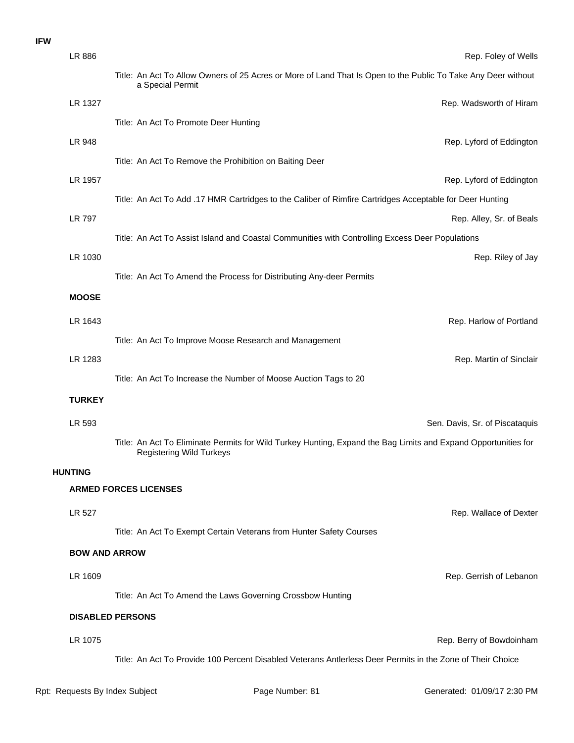### **IFW**

| LR 886         | Rep. Foley of Wells                                                                                                                               |
|----------------|---------------------------------------------------------------------------------------------------------------------------------------------------|
|                | Title: An Act To Allow Owners of 25 Acres or More of Land That Is Open to the Public To Take Any Deer without<br>a Special Permit                 |
| LR 1327        | Rep. Wadsworth of Hiram                                                                                                                           |
|                | Title: An Act To Promote Deer Hunting                                                                                                             |
| LR 948         | Rep. Lyford of Eddington                                                                                                                          |
|                | Title: An Act To Remove the Prohibition on Baiting Deer                                                                                           |
| LR 1957        | Rep. Lyford of Eddington                                                                                                                          |
|                | Title: An Act To Add .17 HMR Cartridges to the Caliber of Rimfire Cartridges Acceptable for Deer Hunting                                          |
| LR 797         | Rep. Alley, Sr. of Beals                                                                                                                          |
|                | Title: An Act To Assist Island and Coastal Communities with Controlling Excess Deer Populations                                                   |
| LR 1030        | Rep. Riley of Jay                                                                                                                                 |
|                | Title: An Act To Amend the Process for Distributing Any-deer Permits                                                                              |
| <b>MOOSE</b>   |                                                                                                                                                   |
| LR 1643        | Rep. Harlow of Portland                                                                                                                           |
|                | Title: An Act To Improve Moose Research and Management                                                                                            |
| LR 1283        | Rep. Martin of Sinclair                                                                                                                           |
|                | Title: An Act To Increase the Number of Moose Auction Tags to 20                                                                                  |
| <b>TURKEY</b>  |                                                                                                                                                   |
|                |                                                                                                                                                   |
| LR 593         | Sen. Davis, Sr. of Piscataquis                                                                                                                    |
|                | Title: An Act To Eliminate Permits for Wild Turkey Hunting, Expand the Bag Limits and Expand Opportunities for<br><b>Registering Wild Turkeys</b> |
| <b>HUNTING</b> |                                                                                                                                                   |
|                | <b>ARMED FORCES LICENSES</b>                                                                                                                      |
| LR 527         | Rep. Wallace of Dexter                                                                                                                            |
|                | Title: An Act To Exempt Certain Veterans from Hunter Safety Courses                                                                               |
|                | <b>BOW AND ARROW</b>                                                                                                                              |
| LR 1609        | Rep. Gerrish of Lebanon                                                                                                                           |
|                | Title: An Act To Amend the Laws Governing Crossbow Hunting                                                                                        |
|                | <b>DISABLED PERSONS</b>                                                                                                                           |
|                |                                                                                                                                                   |
| LR 1075        | Rep. Berry of Bowdoinham<br>Title: An Act To Provide 100 Percent Disabled Veterans Antlerless Deer Permits in the Zone of Their Choice            |
|                |                                                                                                                                                   |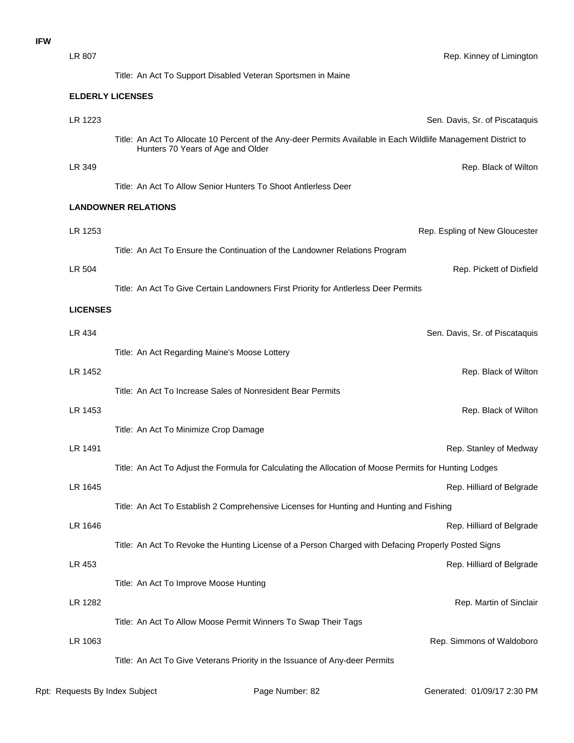| LR 807          |                                                                                                                                                     | Rep. Kinney of Limington       |
|-----------------|-----------------------------------------------------------------------------------------------------------------------------------------------------|--------------------------------|
|                 | Title: An Act To Support Disabled Veteran Sportsmen in Maine                                                                                        |                                |
|                 | <b>ELDERLY LICENSES</b>                                                                                                                             |                                |
| LR 1223         |                                                                                                                                                     | Sen. Davis, Sr. of Piscataquis |
|                 | Title: An Act To Allocate 10 Percent of the Any-deer Permits Available in Each Wildlife Management District to<br>Hunters 70 Years of Age and Older |                                |
| LR 349          |                                                                                                                                                     | Rep. Black of Wilton           |
|                 | Title: An Act To Allow Senior Hunters To Shoot Antlerless Deer                                                                                      |                                |
|                 | <b>LANDOWNER RELATIONS</b>                                                                                                                          |                                |
| LR 1253         |                                                                                                                                                     | Rep. Espling of New Gloucester |
|                 | Title: An Act To Ensure the Continuation of the Landowner Relations Program                                                                         |                                |
| LR 504          |                                                                                                                                                     | Rep. Pickett of Dixfield       |
|                 | Title: An Act To Give Certain Landowners First Priority for Antlerless Deer Permits                                                                 |                                |
| <b>LICENSES</b> |                                                                                                                                                     |                                |
| LR 434          |                                                                                                                                                     | Sen. Davis, Sr. of Piscataquis |
|                 | Title: An Act Regarding Maine's Moose Lottery                                                                                                       |                                |
| LR 1452         |                                                                                                                                                     | Rep. Black of Wilton           |
|                 | Title: An Act To Increase Sales of Nonresident Bear Permits                                                                                         |                                |
| LR 1453         |                                                                                                                                                     | Rep. Black of Wilton           |
|                 | Title: An Act To Minimize Crop Damage                                                                                                               |                                |
| LR 1491         |                                                                                                                                                     | Rep. Stanley of Medway         |
|                 | Title: An Act To Adjust the Formula for Calculating the Allocation of Moose Permits for Hunting Lodges                                              |                                |
| LR 1645         |                                                                                                                                                     | Rep. Hilliard of Belgrade      |
|                 | Title: An Act To Establish 2 Comprehensive Licenses for Hunting and Hunting and Fishing                                                             |                                |
| LR 1646         |                                                                                                                                                     | Rep. Hilliard of Belgrade      |
|                 | Title: An Act To Revoke the Hunting License of a Person Charged with Defacing Properly Posted Signs                                                 |                                |
| LR 453          |                                                                                                                                                     | Rep. Hilliard of Belgrade      |
|                 | Title: An Act To Improve Moose Hunting                                                                                                              |                                |
| LR 1282         |                                                                                                                                                     | Rep. Martin of Sinclair        |
|                 | Title: An Act To Allow Moose Permit Winners To Swap Their Tags                                                                                      |                                |
| LR 1063         |                                                                                                                                                     | Rep. Simmons of Waldoboro      |
|                 | Title: An Act To Give Veterans Priority in the Issuance of Any-deer Permits                                                                         |                                |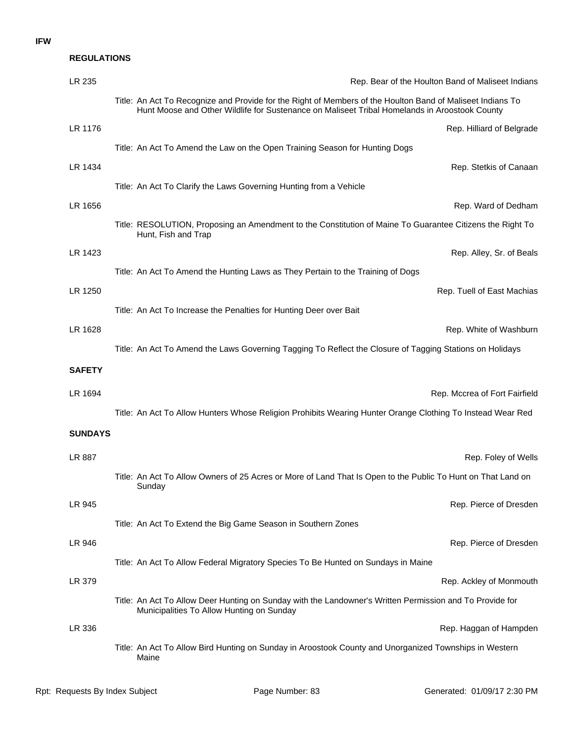### **IFW**

### **REGULATIONS**

| LR 235         | Rep. Bear of the Houlton Band of Maliseet Indians                                                                                                                                                           |
|----------------|-------------------------------------------------------------------------------------------------------------------------------------------------------------------------------------------------------------|
|                | Title: An Act To Recognize and Provide for the Right of Members of the Houlton Band of Maliseet Indians To<br>Hunt Moose and Other Wildlife for Sustenance on Maliseet Tribal Homelands in Aroostook County |
| LR 1176        | Rep. Hilliard of Belgrade                                                                                                                                                                                   |
|                | Title: An Act To Amend the Law on the Open Training Season for Hunting Dogs                                                                                                                                 |
| LR 1434        | Rep. Stetkis of Canaan                                                                                                                                                                                      |
|                | Title: An Act To Clarify the Laws Governing Hunting from a Vehicle                                                                                                                                          |
| LR 1656        | Rep. Ward of Dedham                                                                                                                                                                                         |
|                | Title: RESOLUTION, Proposing an Amendment to the Constitution of Maine To Guarantee Citizens the Right To<br>Hunt, Fish and Trap                                                                            |
| LR 1423        | Rep. Alley, Sr. of Beals                                                                                                                                                                                    |
|                | Title: An Act To Amend the Hunting Laws as They Pertain to the Training of Dogs                                                                                                                             |
| LR 1250        | Rep. Tuell of East Machias                                                                                                                                                                                  |
|                | Title: An Act To Increase the Penalties for Hunting Deer over Bait                                                                                                                                          |
| LR 1628        | Rep. White of Washburn                                                                                                                                                                                      |
|                | Title: An Act To Amend the Laws Governing Tagging To Reflect the Closure of Tagging Stations on Holidays                                                                                                    |
| <b>SAFETY</b>  |                                                                                                                                                                                                             |
| LR 1694        | Rep. Mccrea of Fort Fairfield                                                                                                                                                                               |
|                | Title: An Act To Allow Hunters Whose Religion Prohibits Wearing Hunter Orange Clothing To Instead Wear Red                                                                                                  |
| <b>SUNDAYS</b> |                                                                                                                                                                                                             |
| LR 887         | Rep. Foley of Wells                                                                                                                                                                                         |
|                | Title: An Act To Allow Owners of 25 Acres or More of Land That Is Open to the Public To Hunt on That Land on<br>Sunday                                                                                      |
| LR 945         | Rep. Pierce of Dresden                                                                                                                                                                                      |
|                | Title: An Act To Extend the Big Game Season in Southern Zones                                                                                                                                               |
| LR 946         | Rep. Pierce of Dresden                                                                                                                                                                                      |
|                | Title: An Act To Allow Federal Migratory Species To Be Hunted on Sundays in Maine                                                                                                                           |
| LR 379         | Rep. Ackley of Monmouth                                                                                                                                                                                     |
|                | Title: An Act To Allow Deer Hunting on Sunday with the Landowner's Written Permission and To Provide for<br>Municipalities To Allow Hunting on Sunday                                                       |
| LR 336         | Rep. Haggan of Hampden                                                                                                                                                                                      |
|                | Title: An Act To Allow Bird Hunting on Sunday in Aroostook County and Unorganized Townships in Western<br>Maine                                                                                             |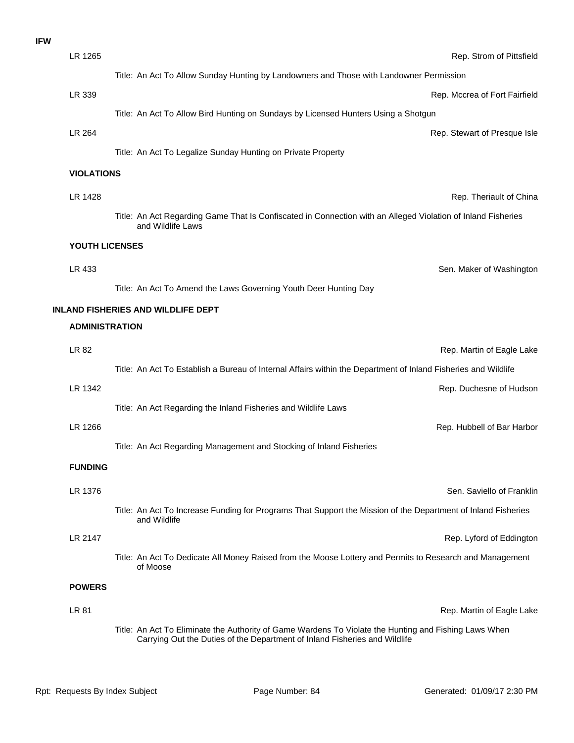| <b>IFW</b> |                       |                                                                                                                                   |
|------------|-----------------------|-----------------------------------------------------------------------------------------------------------------------------------|
|            | LR 1265               | Rep. Strom of Pittsfield                                                                                                          |
|            |                       | Title: An Act To Allow Sunday Hunting by Landowners and Those with Landowner Permission                                           |
|            | LR 339                | Rep. Mccrea of Fort Fairfield                                                                                                     |
|            |                       | Title: An Act To Allow Bird Hunting on Sundays by Licensed Hunters Using a Shotgun                                                |
|            | LR 264                | Rep. Stewart of Presque Isle                                                                                                      |
|            |                       | Title: An Act To Legalize Sunday Hunting on Private Property                                                                      |
|            | <b>VIOLATIONS</b>     |                                                                                                                                   |
|            | LR 1428               | Rep. Theriault of China                                                                                                           |
|            |                       | Title: An Act Regarding Game That Is Confiscated in Connection with an Alleged Violation of Inland Fisheries<br>and Wildlife Laws |
|            | YOUTH LICENSES        |                                                                                                                                   |
|            | LR 433                | Sen. Maker of Washingtor                                                                                                          |
|            |                       | Title: An Act To Amend the Laws Governing Youth Deer Hunting Day                                                                  |
|            |                       | <b>INLAND FISHERIES AND WILDLIFE DEPT</b>                                                                                         |
|            | <b>ADMINISTRATION</b> |                                                                                                                                   |
|            | LR 82                 | Rep. Martin of Eagle Lake                                                                                                         |
|            |                       | Title: An Act To Establish a Bureau of Internal Affairs within the Department of Inland Fisheries and Wildlife                    |
|            | LR 1342               | Rep. Duchesne of Hudsor                                                                                                           |
|            |                       | Title: An Act Regarding the Inland Fisheries and Wildlife Laws                                                                    |
|            | LR 1266               | Rep. Hubbell of Bar Harbor                                                                                                        |
|            |                       | Title: An Act Regarding Management and Stocking of Inland Fisheries                                                               |
|            | <b>FUNDING</b>        |                                                                                                                                   |
|            | LR 1376               | Sen. Saviello of Franklin                                                                                                         |
|            |                       | Title: An Act To Increase Funding for Programs That Support the Mission of the Department of Inland Fisheries<br>and Wildlife     |
|            | LR 2147               | Rep. Lyford of Eddingtor                                                                                                          |
|            |                       | Title: An Act To Dedicate All Money Raised from the Moose Lottery and Permits to Research and Management<br>of Moose              |
|            | <b>POWERS</b>         |                                                                                                                                   |
|            | <b>LR 81</b>          | Rep. Martin of Eagle Lake                                                                                                         |
|            |                       |                                                                                                                                   |

Title: An Act To Eliminate the Authority of Game Wardens To Violate the Hunting and Fishing Laws When Carrying Out the Duties of the Department of Inland Fisheries and Wildlife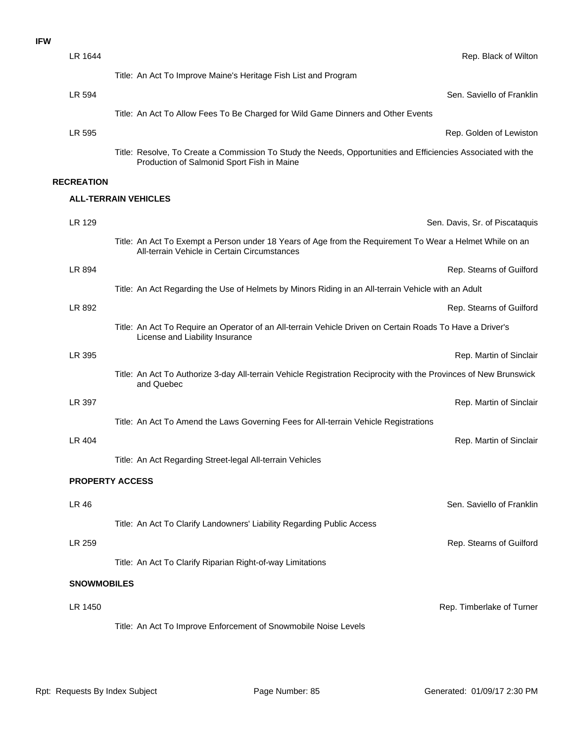| LR 1644                |                                                                                                                                                             | Rep. Black of Wilton           |
|------------------------|-------------------------------------------------------------------------------------------------------------------------------------------------------------|--------------------------------|
|                        | Title: An Act To Improve Maine's Heritage Fish List and Program                                                                                             |                                |
| LR 594                 |                                                                                                                                                             | Sen. Saviello of Franklin      |
|                        | Title: An Act To Allow Fees To Be Charged for Wild Game Dinners and Other Events                                                                            |                                |
| LR 595                 |                                                                                                                                                             | Rep. Golden of Lewiston        |
|                        | Title: Resolve, To Create a Commission To Study the Needs, Opportunities and Efficiencies Associated with the<br>Production of Salmonid Sport Fish in Maine |                                |
| <b>RECREATION</b>      |                                                                                                                                                             |                                |
|                        | <b>ALL-TERRAIN VEHICLES</b>                                                                                                                                 |                                |
| LR 129                 |                                                                                                                                                             | Sen. Davis, Sr. of Piscataquis |
|                        | Title: An Act To Exempt a Person under 18 Years of Age from the Requirement To Wear a Helmet While on an<br>All-terrain Vehicle in Certain Circumstances    |                                |
| LR 894                 |                                                                                                                                                             | Rep. Stearns of Guilford       |
|                        | Title: An Act Regarding the Use of Helmets by Minors Riding in an All-terrain Vehicle with an Adult                                                         |                                |
| LR 892                 |                                                                                                                                                             | Rep. Stearns of Guilford       |
|                        | Title: An Act To Require an Operator of an All-terrain Vehicle Driven on Certain Roads To Have a Driver's<br>License and Liability Insurance                |                                |
| LR 395                 |                                                                                                                                                             | Rep. Martin of Sinclair        |
|                        | Title: An Act To Authorize 3-day All-terrain Vehicle Registration Reciprocity with the Provinces of New Brunswick<br>and Quebec                             |                                |
| LR 397                 |                                                                                                                                                             | Rep. Martin of Sinclair        |
|                        | Title: An Act To Amend the Laws Governing Fees for All-terrain Vehicle Registrations                                                                        |                                |
| LR 404                 |                                                                                                                                                             | Rep. Martin of Sinclair        |
|                        | Title: An Act Regarding Street-legal All-terrain Vehicles                                                                                                   |                                |
| <b>PROPERTY ACCESS</b> |                                                                                                                                                             |                                |
| LR 46                  |                                                                                                                                                             | Sen. Saviello of Franklin      |
|                        | Title: An Act To Clarify Landowners' Liability Regarding Public Access                                                                                      |                                |
| LR 259                 |                                                                                                                                                             | Rep. Stearns of Guilford       |
|                        | Title: An Act To Clarify Riparian Right-of-way Limitations                                                                                                  |                                |
| <b>SNOWMOBILES</b>     |                                                                                                                                                             |                                |
| LR 1450                |                                                                                                                                                             | Rep. Timberlake of Turner      |
|                        | Title: An Act To Improve Enforcement of Snowmobile Noise Levels                                                                                             |                                |
|                        |                                                                                                                                                             |                                |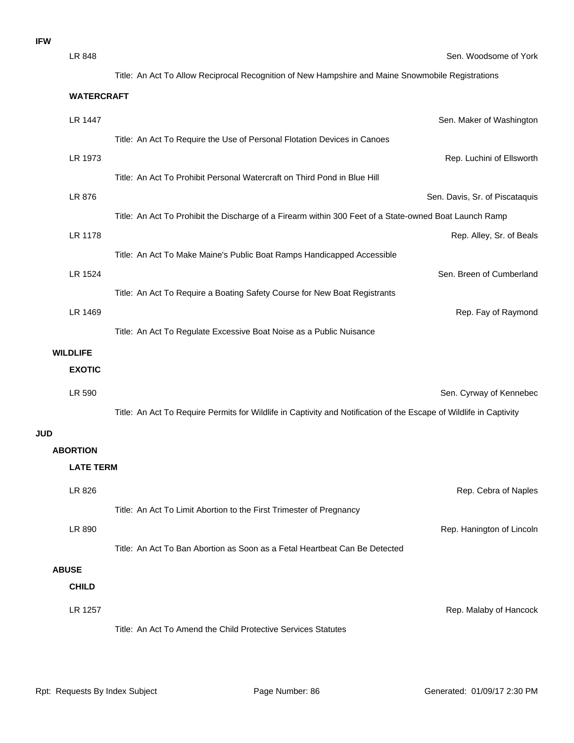**IFW**

|            | LR 848            | Sen. Woodsome of York                                                                                              |
|------------|-------------------|--------------------------------------------------------------------------------------------------------------------|
|            |                   | Title: An Act To Allow Reciprocal Recognition of New Hampshire and Maine Snowmobile Registrations                  |
|            | <b>WATERCRAFT</b> |                                                                                                                    |
|            | LR 1447           | Sen. Maker of Washington                                                                                           |
|            |                   | Title: An Act To Require the Use of Personal Flotation Devices in Canoes                                           |
|            | LR 1973           | Rep. Luchini of Ellsworth                                                                                          |
|            |                   | Title: An Act To Prohibit Personal Watercraft on Third Pond in Blue Hill                                           |
|            | LR 876            | Sen. Davis, Sr. of Piscataquis                                                                                     |
|            |                   | Title: An Act To Prohibit the Discharge of a Firearm within 300 Feet of a State-owned Boat Launch Ramp             |
|            | LR 1178           | Rep. Alley, Sr. of Beals                                                                                           |
|            |                   | Title: An Act To Make Maine's Public Boat Ramps Handicapped Accessible                                             |
|            | LR 1524           | Sen. Breen of Cumberland                                                                                           |
|            |                   | Title: An Act To Require a Boating Safety Course for New Boat Registrants                                          |
|            | LR 1469           | Rep. Fay of Raymond                                                                                                |
|            |                   | Title: An Act To Regulate Excessive Boat Noise as a Public Nuisance                                                |
|            | <b>WILDLIFE</b>   |                                                                                                                    |
|            | <b>EXOTIC</b>     |                                                                                                                    |
|            | LR 590            | Sen. Cyrway of Kennebec                                                                                            |
|            |                   | Title: An Act To Require Permits for Wildlife in Captivity and Notification of the Escape of Wildlife in Captivity |
| <b>JUD</b> |                   |                                                                                                                    |
|            | <b>ABORTION</b>   |                                                                                                                    |
|            | <b>LATE TERM</b>  |                                                                                                                    |
|            | LR 826            | Rep. Cebra of Naples                                                                                               |
|            |                   | Title: An Act To Limit Abortion to the First Trimester of Pregnancy                                                |
|            | LR 890            | Rep. Hanington of Lincoln                                                                                          |
|            |                   | Title: An Act To Ban Abortion as Soon as a Fetal Heartbeat Can Be Detected                                         |
|            | <b>ABUSE</b>      |                                                                                                                    |
|            | <b>CHILD</b>      |                                                                                                                    |
|            | LR 1257           | Rep. Malaby of Hancock                                                                                             |
|            |                   | Title: An Act To Amend the Child Protective Services Statutes                                                      |
|            |                   |                                                                                                                    |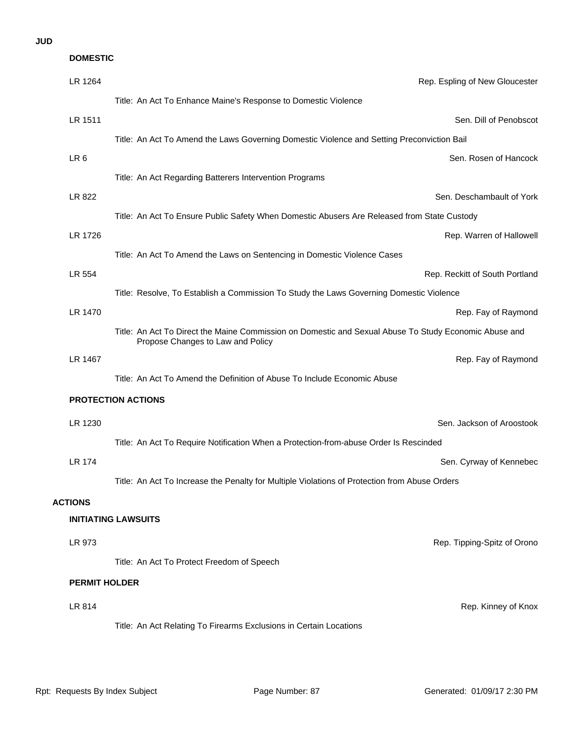### **JUD**

| <b>DOMESTIC</b>      |                                                                                                                                            |
|----------------------|--------------------------------------------------------------------------------------------------------------------------------------------|
| LR 1264              | Rep. Espling of New Gloucester                                                                                                             |
|                      | Title: An Act To Enhance Maine's Response to Domestic Violence                                                                             |
| LR 1511              | Sen. Dill of Penobscot                                                                                                                     |
|                      | Title: An Act To Amend the Laws Governing Domestic Violence and Setting Preconviction Bail                                                 |
| LR <sub>6</sub>      | Sen. Rosen of Hancock                                                                                                                      |
|                      | Title: An Act Regarding Batterers Intervention Programs                                                                                    |
| LR 822               | Sen. Deschambault of York                                                                                                                  |
|                      | Title: An Act To Ensure Public Safety When Domestic Abusers Are Released from State Custody                                                |
| LR 1726              | Rep. Warren of Hallowell                                                                                                                   |
|                      | Title: An Act To Amend the Laws on Sentencing in Domestic Violence Cases                                                                   |
| LR 554               | Rep. Reckitt of South Portland                                                                                                             |
|                      | Title: Resolve, To Establish a Commission To Study the Laws Governing Domestic Violence                                                    |
| LR 1470              | Rep. Fay of Raymond                                                                                                                        |
|                      | Title: An Act To Direct the Maine Commission on Domestic and Sexual Abuse To Study Economic Abuse and<br>Propose Changes to Law and Policy |
| LR 1467              | Rep. Fay of Raymond                                                                                                                        |
|                      | Title: An Act To Amend the Definition of Abuse To Include Economic Abuse                                                                   |
|                      | <b>PROTECTION ACTIONS</b>                                                                                                                  |
| LR 1230              | Sen. Jackson of Aroostook                                                                                                                  |
|                      | Title: An Act To Require Notification When a Protection-from-abuse Order Is Rescinded                                                      |
| LR 174               | Sen. Cyrway of Kennebec                                                                                                                    |
|                      | Title: An Act To Increase the Penalty for Multiple Violations of Protection from Abuse Orders                                              |
| <b>ACTIONS</b>       |                                                                                                                                            |
|                      | <b>INITIATING LAWSUITS</b>                                                                                                                 |
| LR 973               | Rep. Tipping-Spitz of Orono                                                                                                                |
|                      | Title: An Act To Protect Freedom of Speech                                                                                                 |
| <b>PERMIT HOLDER</b> |                                                                                                                                            |
| LR 814               | Rep. Kinney of Knox                                                                                                                        |
|                      | Title: An Act Relating To Firearms Exclusions in Certain Locations                                                                         |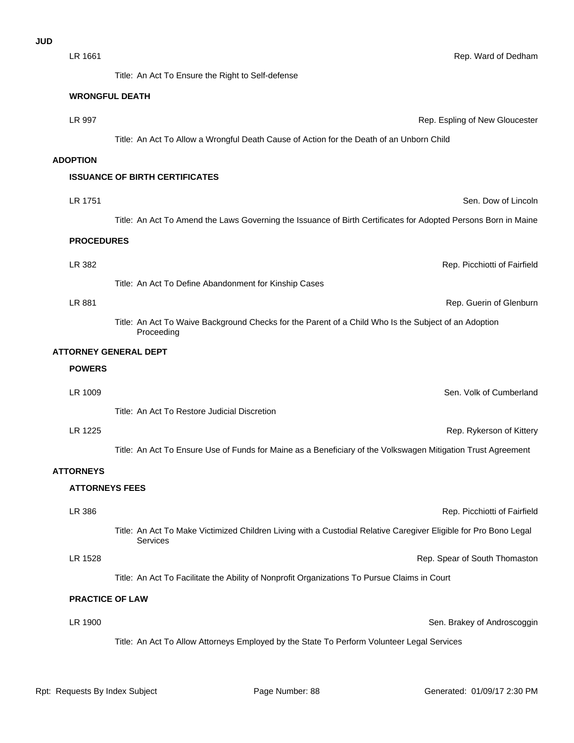LR 1661 Rep. Ward of Dedham

#### **WRONGFUL DEATH**

**LR 997 CONSERVING CONSERVERSE EXAMPLE OF A REP.** Espling of New Gloucester Title: An Act To Allow a Wrongful Death Cause of Action for the Death of an Unborn Child

#### **ADOPTION**

### **ISSUANCE OF BIRTH CERTIFICATES**

LR 1751 Sen. Dow of Lincoln Title: An Act To Amend the Laws Governing the Issuance of Birth Certificates for Adopted Persons Born in Maine

#### **PROCEDURES**

LR 881 Rep. Guerin of Glenburn LR 382 Rep. Picchiotti of Fairfield Title: An Act To Define Abandonment for Kinship Cases

Title: An Act To Waive Background Checks for the Parent of a Child Who Is the Subject of an Adoption Proceeding

#### **ATTORNEY GENERAL DEPT**

#### **POWERS**

Title: An Act To Restore Judicial Discretion LR 1009 Sen. Volk of Cumberland

#### LR 1225 Rep. Rykerson of Kittery

Title: An Act To Ensure Use of Funds for Maine as a Beneficiary of the Volkswagen Mitigation Trust Agreement

#### **ATTORNEYS**

#### **ATTORNEYS FEES**

| LR 386  | Rep. Picchiotti of Fairfield                                                                                                 |
|---------|------------------------------------------------------------------------------------------------------------------------------|
|         | Title: An Act To Make Victimized Children Living with a Custodial Relative Caregiver Eligible for Pro Bono Legal<br>Services |
| LR 1528 | Rep. Spear of South Thomaston                                                                                                |
|         | Title: An Act To Facilitate the Ability of Nonprofit Organizations To Pursue Claims in Court                                 |

### **PRACTICE OF LAW**

LR 1900 **Sen. Brakey of Androscoggin** Title: An Act To Allow Attorneys Employed by the State To Perform Volunteer Legal Services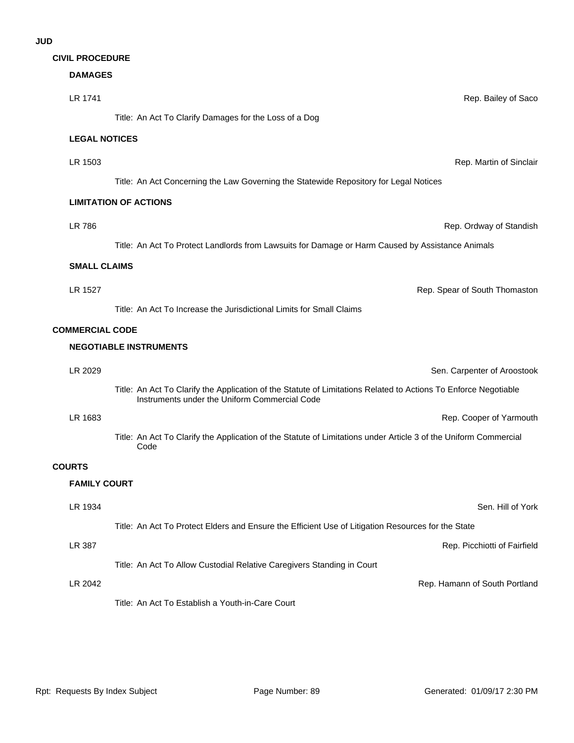|  | <b>CIVIL PROCEDURE</b> |  |
|--|------------------------|--|
|--|------------------------|--|

# **DAMAGES**

| LR 1741                | Rep. Bailey of Saco                                                                                                                                              |
|------------------------|------------------------------------------------------------------------------------------------------------------------------------------------------------------|
|                        | Title: An Act To Clarify Damages for the Loss of a Dog                                                                                                           |
| <b>LEGAL NOTICES</b>   |                                                                                                                                                                  |
| LR 1503                | Rep. Martin of Sinclair                                                                                                                                          |
|                        | Title: An Act Concerning the Law Governing the Statewide Repository for Legal Notices                                                                            |
|                        | <b>LIMITATION OF ACTIONS</b>                                                                                                                                     |
| <b>LR 786</b>          | Rep. Ordway of Standish                                                                                                                                          |
|                        | Title: An Act To Protect Landlords from Lawsuits for Damage or Harm Caused by Assistance Animals                                                                 |
| <b>SMALL CLAIMS</b>    |                                                                                                                                                                  |
| LR 1527                | Rep. Spear of South Thomaston                                                                                                                                    |
|                        | Title: An Act To Increase the Jurisdictional Limits for Small Claims                                                                                             |
| <b>COMMERCIAL CODE</b> |                                                                                                                                                                  |
|                        | <b>NEGOTIABLE INSTRUMENTS</b>                                                                                                                                    |
| LR 2029                | Sen. Carpenter of Aroostook                                                                                                                                      |
|                        | Title: An Act To Clarify the Application of the Statute of Limitations Related to Actions To Enforce Negotiable<br>Instruments under the Uniform Commercial Code |
| LR 1683                | Rep. Cooper of Yarmouth                                                                                                                                          |
|                        | Title: An Act To Clarify the Application of the Statute of Limitations under Article 3 of the Uniform Commercial<br>Code                                         |
| <b>COURTS</b>          |                                                                                                                                                                  |
| <b>FAMILY COURT</b>    |                                                                                                                                                                  |
| LR 1934                | Sen. Hill of York                                                                                                                                                |
|                        | Title: An Act To Protect Elders and Ensure the Efficient Use of Litigation Resources for the State                                                               |
| LR 387                 | Rep. Picchiotti of Fairfield                                                                                                                                     |
|                        | Title: An Act To Allow Custodial Relative Caregivers Standing in Court                                                                                           |
| LR 2042                | Rep. Hamann of South Portland                                                                                                                                    |
|                        | Title: An Act To Establish a Youth-in-Care Court                                                                                                                 |
|                        |                                                                                                                                                                  |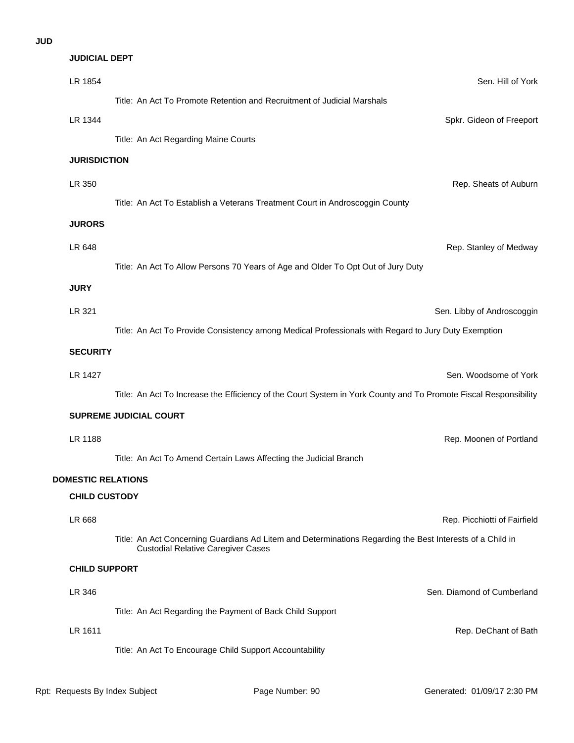### **JUD**

| <b>JUDICIAL DEPT</b>      |                                                                                                                                                        |                              |
|---------------------------|--------------------------------------------------------------------------------------------------------------------------------------------------------|------------------------------|
| LR 1854                   |                                                                                                                                                        | Sen. Hill of York            |
|                           | Title: An Act To Promote Retention and Recruitment of Judicial Marshals                                                                                |                              |
| LR 1344                   |                                                                                                                                                        | Spkr. Gideon of Freeport     |
|                           | Title: An Act Regarding Maine Courts                                                                                                                   |                              |
| <b>JURISDICTION</b>       |                                                                                                                                                        |                              |
| LR 350                    |                                                                                                                                                        | Rep. Sheats of Auburn        |
|                           | Title: An Act To Establish a Veterans Treatment Court in Androscoggin County                                                                           |                              |
| <b>JURORS</b>             |                                                                                                                                                        |                              |
| LR 648                    |                                                                                                                                                        | Rep. Stanley of Medway       |
|                           | Title: An Act To Allow Persons 70 Years of Age and Older To Opt Out of Jury Duty                                                                       |                              |
| <b>JURY</b>               |                                                                                                                                                        |                              |
| LR 321                    |                                                                                                                                                        | Sen. Libby of Androscoggin   |
|                           | Title: An Act To Provide Consistency among Medical Professionals with Regard to Jury Duty Exemption                                                    |                              |
| <b>SECURITY</b>           |                                                                                                                                                        |                              |
| LR 1427                   |                                                                                                                                                        | Sen. Woodsome of York        |
|                           | Title: An Act To Increase the Efficiency of the Court System in York County and To Promote Fiscal Responsibility                                       |                              |
|                           | SUPREME JUDICIAL COURT                                                                                                                                 |                              |
| LR 1188                   |                                                                                                                                                        | Rep. Moonen of Portland      |
|                           | Title: An Act To Amend Certain Laws Affecting the Judicial Branch                                                                                      |                              |
| <b>DOMESTIC RELATIONS</b> |                                                                                                                                                        |                              |
| <b>CHILD CUSTODY</b>      |                                                                                                                                                        |                              |
| LR 668                    |                                                                                                                                                        | Rep. Picchiotti of Fairfield |
|                           | Title: An Act Concerning Guardians Ad Litem and Determinations Regarding the Best Interests of a Child in<br><b>Custodial Relative Caregiver Cases</b> |                              |
| <b>CHILD SUPPORT</b>      |                                                                                                                                                        |                              |
| LR 346                    |                                                                                                                                                        | Sen. Diamond of Cumberland   |
|                           | Title: An Act Regarding the Payment of Back Child Support                                                                                              |                              |
| LR 1611                   |                                                                                                                                                        | Rep. DeChant of Bath         |
|                           | Title: An Act To Encourage Child Support Accountability                                                                                                |                              |
|                           |                                                                                                                                                        |                              |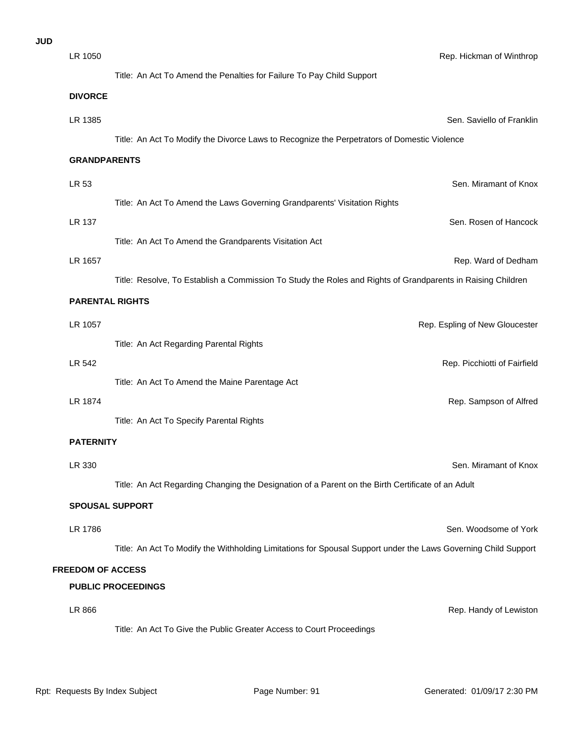| <b>JUD</b> |                          |                                                                                                                |                                |
|------------|--------------------------|----------------------------------------------------------------------------------------------------------------|--------------------------------|
|            | LR 1050                  |                                                                                                                | Rep. Hickman of Winthrop       |
|            |                          | Title: An Act To Amend the Penalties for Failure To Pay Child Support                                          |                                |
|            | <b>DIVORCE</b>           |                                                                                                                |                                |
|            | LR 1385                  |                                                                                                                | Sen. Saviello of Franklir      |
|            |                          | Title: An Act To Modify the Divorce Laws to Recognize the Perpetrators of Domestic Violence                    |                                |
|            | <b>GRANDPARENTS</b>      |                                                                                                                |                                |
|            | LR 53                    |                                                                                                                | Sen. Miramant of Knox          |
|            |                          | Title: An Act To Amend the Laws Governing Grandparents' Visitation Rights                                      |                                |
|            | <b>LR 137</b>            |                                                                                                                | Sen. Rosen of Hancock          |
|            |                          | Title: An Act To Amend the Grandparents Visitation Act                                                         |                                |
|            | LR 1657                  |                                                                                                                | Rep. Ward of Dedham            |
|            |                          | Title: Resolve, To Establish a Commission To Study the Roles and Rights of Grandparents in Raising Children    |                                |
|            | <b>PARENTAL RIGHTS</b>   |                                                                                                                |                                |
|            | LR 1057                  |                                                                                                                | Rep. Espling of New Gloucester |
|            |                          | Title: An Act Regarding Parental Rights                                                                        |                                |
|            | LR 542                   |                                                                                                                | Rep. Picchiotti of Fairfield   |
|            |                          | Title: An Act To Amend the Maine Parentage Act                                                                 |                                |
|            | LR 1874                  |                                                                                                                | Rep. Sampson of Alfrec         |
|            |                          | Title: An Act To Specify Parental Rights                                                                       |                                |
|            | <b>PATERNITY</b>         |                                                                                                                |                                |
|            | LR 330                   |                                                                                                                | Sen. Miramant of Knox          |
|            |                          | Title: An Act Regarding Changing the Designation of a Parent on the Birth Certificate of an Adult              |                                |
|            |                          |                                                                                                                |                                |
|            |                          | <b>SPOUSAL SUPPORT</b>                                                                                         |                                |
|            | LR 1786                  |                                                                                                                | Sen. Woodsome of York          |
|            |                          | Title: An Act To Modify the Withholding Limitations for Spousal Support under the Laws Governing Child Support |                                |
|            | <b>FREEDOM OF ACCESS</b> |                                                                                                                |                                |
|            |                          | <b>PUBLIC PROCEEDINGS</b>                                                                                      |                                |
|            | LR 866                   |                                                                                                                | Rep. Handy of Lewistor         |
|            |                          |                                                                                                                |                                |

Title: An Act To Give the Public Greater Access to Court Proceedings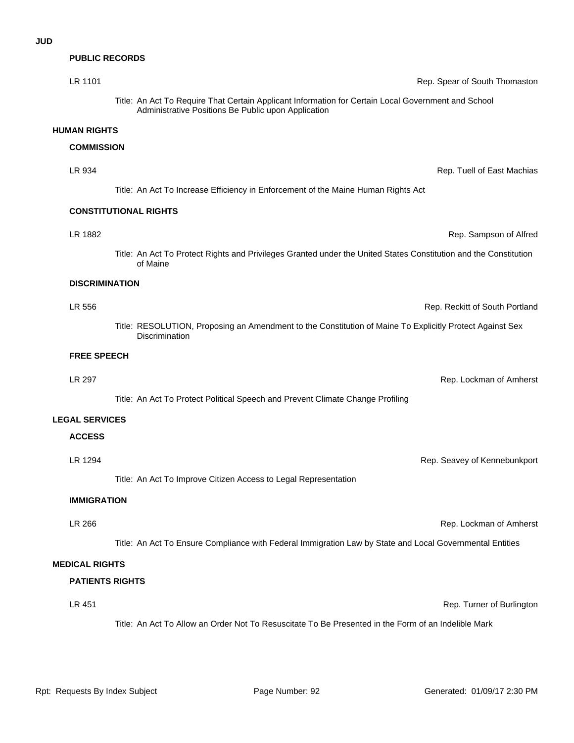### **PUBLIC RECORDS**

| LR 1101               | Rep. Spear of South Thomaston                                                                                                                              |
|-----------------------|------------------------------------------------------------------------------------------------------------------------------------------------------------|
|                       | Title: An Act To Require That Certain Applicant Information for Certain Local Government and School<br>Administrative Positions Be Public upon Application |
| <b>HUMAN RIGHTS</b>   |                                                                                                                                                            |
| <b>COMMISSION</b>     |                                                                                                                                                            |
| LR 934                | Rep. Tuell of East Machias                                                                                                                                 |
|                       | Title: An Act To Increase Efficiency in Enforcement of the Maine Human Rights Act                                                                          |
|                       | <b>CONSTITUTIONAL RIGHTS</b>                                                                                                                               |
| LR 1882               | Rep. Sampson of Alfred                                                                                                                                     |
|                       | Title: An Act To Protect Rights and Privileges Granted under the United States Constitution and the Constitution<br>of Maine                               |
| <b>DISCRIMINATION</b> |                                                                                                                                                            |
| LR 556                | Rep. Reckitt of South Portland                                                                                                                             |
|                       | Title: RESOLUTION, Proposing an Amendment to the Constitution of Maine To Explicitly Protect Against Sex<br>Discrimination                                 |
| <b>FREE SPEECH</b>    |                                                                                                                                                            |
| <b>LR 297</b>         | Rep. Lockman of Amherst                                                                                                                                    |
|                       | Title: An Act To Protect Political Speech and Prevent Climate Change Profiling                                                                             |
| I EANI CEDIAAEC       |                                                                                                                                                            |

#### **LEGAL SERVICES**

# **ACCESS**

Title: An Act To Improve Citizen Access to Legal Representation

#### **IMMIGRATION**

LR 266 Rep. Lockman of Amherst

Title: An Act To Ensure Compliance with Federal Immigration Law by State and Local Governmental Entities

### **MEDICAL RIGHTS**

#### **PATIENTS RIGHTS**

## LR 451 Rep. Turner of Burlington

Title: An Act To Allow an Order Not To Resuscitate To Be Presented in the Form of an Indelible Mark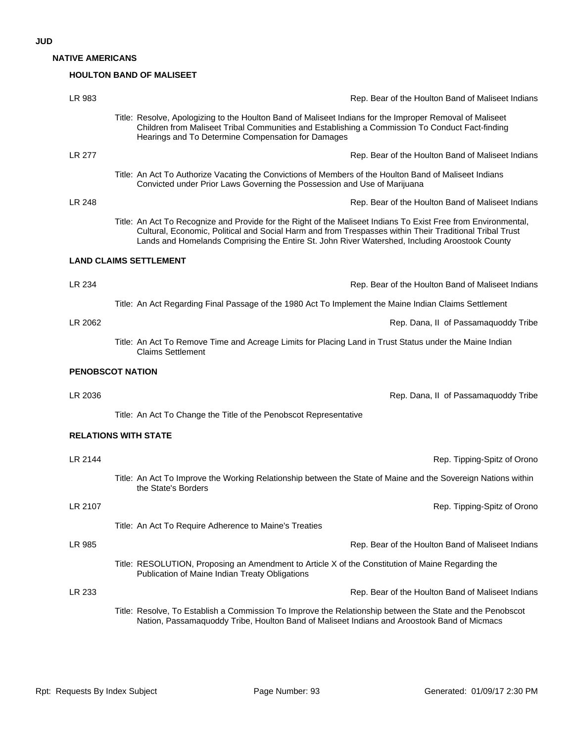**NATIVE AMERICANS**

### **HOULTON BAND OF MALISEET**

| LR 983  | Rep. Bear of the Houlton Band of Maliseet Indians                                                                                                                                                                                                                                                                           |
|---------|-----------------------------------------------------------------------------------------------------------------------------------------------------------------------------------------------------------------------------------------------------------------------------------------------------------------------------|
|         | Title: Resolve, Apologizing to the Houlton Band of Maliseet Indians for the Improper Removal of Maliseet<br>Children from Maliseet Tribal Communities and Establishing a Commission To Conduct Fact-finding<br>Hearings and To Determine Compensation for Damages                                                           |
| LR 277  | Rep. Bear of the Houlton Band of Maliseet Indians                                                                                                                                                                                                                                                                           |
|         | Title: An Act To Authorize Vacating the Convictions of Members of the Houlton Band of Maliseet Indians<br>Convicted under Prior Laws Governing the Possession and Use of Marijuana                                                                                                                                          |
| LR 248  | Rep. Bear of the Houlton Band of Maliseet Indians                                                                                                                                                                                                                                                                           |
|         | Title: An Act To Recognize and Provide for the Right of the Maliseet Indians To Exist Free from Environmental,<br>Cultural, Economic, Political and Social Harm and from Trespasses within Their Traditional Tribal Trust<br>Lands and Homelands Comprising the Entire St. John River Watershed, Including Aroostook County |
|         | <b>LAND CLAIMS SETTLEMENT</b>                                                                                                                                                                                                                                                                                               |
| LR 234  | Rep. Bear of the Houlton Band of Maliseet Indians                                                                                                                                                                                                                                                                           |
|         | Title: An Act Regarding Final Passage of the 1980 Act To Implement the Maine Indian Claims Settlement                                                                                                                                                                                                                       |
| LR 2062 | Rep. Dana, II of Passamaquoddy Tribe                                                                                                                                                                                                                                                                                        |
|         | Title: An Act To Remove Time and Acreage Limits for Placing Land in Trust Status under the Maine Indian<br><b>Claims Settlement</b>                                                                                                                                                                                         |
|         | <b>PENOBSCOT NATION</b>                                                                                                                                                                                                                                                                                                     |
| LR 2036 | Rep. Dana, II of Passamaquoddy Tribe                                                                                                                                                                                                                                                                                        |
|         | Title: An Act To Change the Title of the Penobscot Representative                                                                                                                                                                                                                                                           |
|         | <b>RELATIONS WITH STATE</b>                                                                                                                                                                                                                                                                                                 |
| LR 2144 | Rep. Tipping-Spitz of Orono                                                                                                                                                                                                                                                                                                 |
|         | Title: An Act To Improve the Working Relationship between the State of Maine and the Sovereign Nations within<br>the State's Borders                                                                                                                                                                                        |
| LR 2107 | Rep. Tipping-Spitz of Orono                                                                                                                                                                                                                                                                                                 |
|         | Title: An Act To Require Adherence to Maine's Treaties                                                                                                                                                                                                                                                                      |
| LR 985  | Rep. Bear of the Houlton Band of Maliseet Indians                                                                                                                                                                                                                                                                           |
|         | Title: RESOLUTION, Proposing an Amendment to Article X of the Constitution of Maine Regarding the<br>Publication of Maine Indian Treaty Obligations                                                                                                                                                                         |
| LR 233  | Rep. Bear of the Houlton Band of Maliseet Indians                                                                                                                                                                                                                                                                           |
|         | Title: Resolve, To Establish a Commission To Improve the Relationship between the State and the Penobscot<br>Nation, Passamaquoddy Tribe, Houlton Band of Maliseet Indians and Aroostook Band of Micmacs                                                                                                                    |
|         |                                                                                                                                                                                                                                                                                                                             |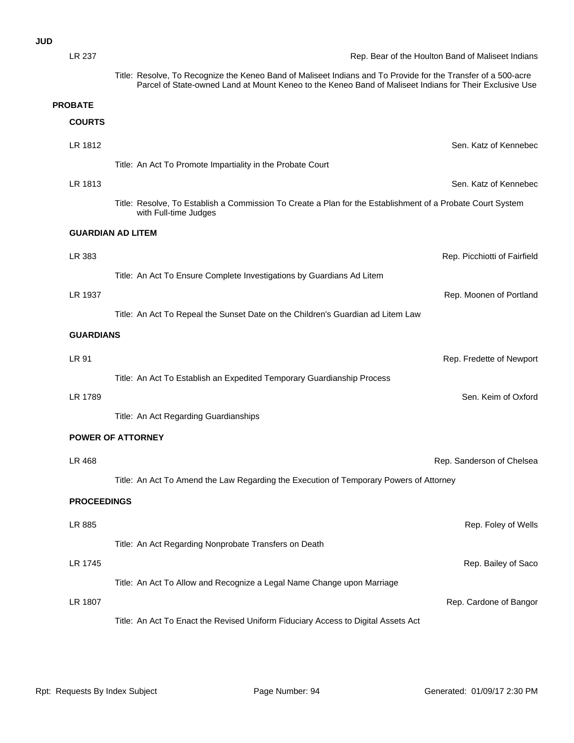### **JUD**

| <b>LR 237</b>  |                          | Rep. Bear of the Houlton Band of Maliseet Indians                                                                                                                                                                        |
|----------------|--------------------------|--------------------------------------------------------------------------------------------------------------------------------------------------------------------------------------------------------------------------|
|                |                          | Title: Resolve, To Recognize the Keneo Band of Maliseet Indians and To Provide for the Transfer of a 500-acre<br>Parcel of State-owned Land at Mount Keneo to the Keneo Band of Maliseet Indians for Their Exclusive Use |
| <b>PROBATE</b> |                          |                                                                                                                                                                                                                          |
| <b>COURTS</b>  |                          |                                                                                                                                                                                                                          |
| LR 1812        |                          | Sen. Katz of Kennebec                                                                                                                                                                                                    |
|                |                          | Title: An Act To Promote Impartiality in the Probate Court                                                                                                                                                               |
| LR 1813        |                          | Sen. Katz of Kennebec                                                                                                                                                                                                    |
|                |                          | Title: Resolve, To Establish a Commission To Create a Plan for the Establishment of a Probate Court System<br>with Full-time Judges                                                                                      |
|                | <b>GUARDIAN AD LITEM</b> |                                                                                                                                                                                                                          |
| LR 383         |                          | Rep. Picchiotti of Fairfield                                                                                                                                                                                             |
|                |                          | Title: An Act To Ensure Complete Investigations by Guardians Ad Litem                                                                                                                                                    |
| LR 1937        |                          | Rep. Moonen of Portland                                                                                                                                                                                                  |
|                |                          | Title: An Act To Repeal the Sunset Date on the Children's Guardian ad Litem Law                                                                                                                                          |
|                | <b>GUARDIANS</b>         |                                                                                                                                                                                                                          |
| LR 91          |                          | Rep. Fredette of Newport                                                                                                                                                                                                 |
|                |                          | Title: An Act To Establish an Expedited Temporary Guardianship Process                                                                                                                                                   |
| LR 1789        |                          | Sen. Keim of Oxford                                                                                                                                                                                                      |
|                |                          |                                                                                                                                                                                                                          |
|                |                          | Title: An Act Regarding Guardianships                                                                                                                                                                                    |
|                | <b>POWER OF ATTORNEY</b> |                                                                                                                                                                                                                          |
| LR 468         |                          | Rep. Sanderson of Chelsea                                                                                                                                                                                                |
|                |                          | Title: An Act To Amend the Law Regarding the Execution of Temporary Powers of Attorney                                                                                                                                   |
|                | <b>PROCEEDINGS</b>       |                                                                                                                                                                                                                          |
| LR 885         |                          | Rep. Foley of Wells                                                                                                                                                                                                      |
|                |                          |                                                                                                                                                                                                                          |
|                |                          | Title: An Act Regarding Nonprobate Transfers on Death                                                                                                                                                                    |
| LR 1745        |                          | Rep. Bailey of Saco                                                                                                                                                                                                      |
|                |                          | Title: An Act To Allow and Recognize a Legal Name Change upon Marriage                                                                                                                                                   |
| LR 1807        |                          | Rep. Cardone of Bangor                                                                                                                                                                                                   |
|                |                          | Title: An Act To Enact the Revised Uniform Fiduciary Access to Digital Assets Act                                                                                                                                        |
|                |                          |                                                                                                                                                                                                                          |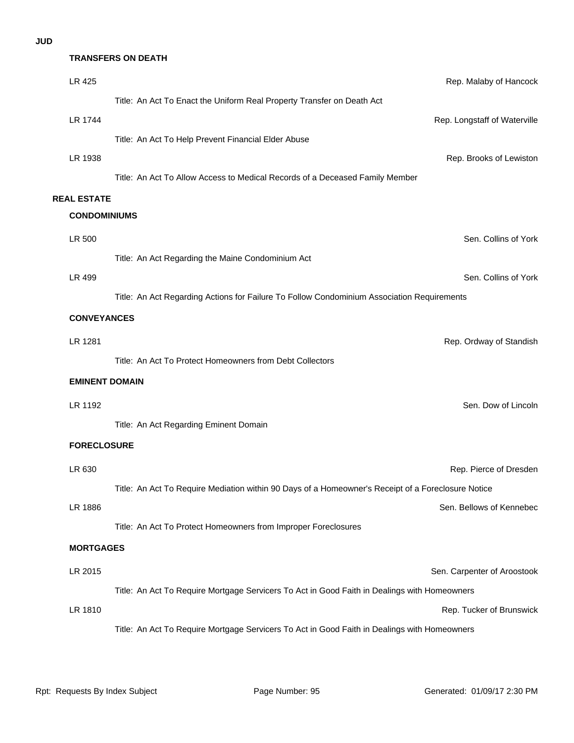## **TRANSFERS ON DEATH**

| LR 425                | Rep. Malaby of Hancock                                                                             |
|-----------------------|----------------------------------------------------------------------------------------------------|
|                       | Title: An Act To Enact the Uniform Real Property Transfer on Death Act                             |
| LR 1744               | Rep. Longstaff of Waterville                                                                       |
|                       | Title: An Act To Help Prevent Financial Elder Abuse                                                |
| LR 1938               | Rep. Brooks of Lewiston                                                                            |
|                       | Title: An Act To Allow Access to Medical Records of a Deceased Family Member                       |
| <b>REAL ESTATE</b>    |                                                                                                    |
| <b>CONDOMINIUMS</b>   |                                                                                                    |
| LR 500                | Sen. Collins of York                                                                               |
|                       | Title: An Act Regarding the Maine Condominium Act                                                  |
| LR 499                | Sen. Collins of York                                                                               |
|                       | Title: An Act Regarding Actions for Failure To Follow Condominium Association Requirements         |
| <b>CONVEYANCES</b>    |                                                                                                    |
| LR 1281               | Rep. Ordway of Standish                                                                            |
|                       | Title: An Act To Protect Homeowners from Debt Collectors                                           |
| <b>EMINENT DOMAIN</b> |                                                                                                    |
| LR 1192               | Sen. Dow of Lincoln                                                                                |
|                       | Title: An Act Regarding Eminent Domain                                                             |
| <b>FORECLOSURE</b>    |                                                                                                    |
|                       |                                                                                                    |
| LR 630                | Rep. Pierce of Dresden                                                                             |
|                       | Title: An Act To Require Mediation within 90 Days of a Homeowner's Receipt of a Foreclosure Notice |
| LR 1886               | Sen. Bellows of Kennebec                                                                           |
|                       | Title: An Act To Protect Homeowners from Improper Foreclosures                                     |
| <b>MORTGAGES</b>      |                                                                                                    |
| LR 2015               | Sen. Carpenter of Aroostook                                                                        |
|                       | Title: An Act To Require Mortgage Servicers To Act in Good Faith in Dealings with Homeowners       |
| LR 1810               | Rep. Tucker of Brunswick                                                                           |
|                       | Title: An Act To Require Mortgage Servicers To Act in Good Faith in Dealings with Homeowners       |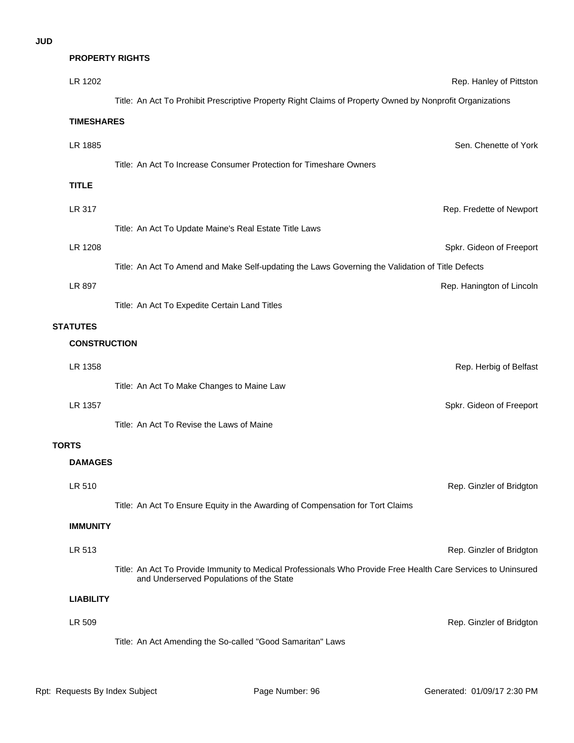### **PROPERTY RIGHTS**

| LR 1202                                | Rep. Hanley of Pittston                                                                                                                                   |  |
|----------------------------------------|-----------------------------------------------------------------------------------------------------------------------------------------------------------|--|
|                                        | Title: An Act To Prohibit Prescriptive Property Right Claims of Property Owned by Nonprofit Organizations                                                 |  |
| <b>TIMESHARES</b>                      |                                                                                                                                                           |  |
| LR 1885                                | Sen. Chenette of York                                                                                                                                     |  |
|                                        | Title: An Act To Increase Consumer Protection for Timeshare Owners                                                                                        |  |
| <b>TITLE</b>                           |                                                                                                                                                           |  |
| LR 317                                 | Rep. Fredette of Newport                                                                                                                                  |  |
|                                        | Title: An Act To Update Maine's Real Estate Title Laws                                                                                                    |  |
| LR 1208                                | Spkr. Gideon of Freeport                                                                                                                                  |  |
|                                        | Title: An Act To Amend and Make Self-updating the Laws Governing the Validation of Title Defects                                                          |  |
| LR 897                                 | Rep. Hanington of Lincoln                                                                                                                                 |  |
|                                        | Title: An Act To Expedite Certain Land Titles                                                                                                             |  |
| <b>STATUTES</b><br><b>CONSTRUCTION</b> |                                                                                                                                                           |  |
|                                        |                                                                                                                                                           |  |
| LR 1358                                | Rep. Herbig of Belfast<br>Title: An Act To Make Changes to Maine Law                                                                                      |  |
| LR 1357                                | Spkr. Gideon of Freeport                                                                                                                                  |  |
|                                        | Title: An Act To Revise the Laws of Maine                                                                                                                 |  |
| <b>TORTS</b>                           |                                                                                                                                                           |  |
| <b>DAMAGES</b>                         |                                                                                                                                                           |  |
| LR 510                                 | Rep. Ginzler of Bridgton                                                                                                                                  |  |
|                                        | Title: An Act To Ensure Equity in the Awarding of Compensation for Tort Claims                                                                            |  |
| <b>IMMUNITY</b>                        |                                                                                                                                                           |  |
| LR 513                                 | Rep. Ginzler of Bridgton                                                                                                                                  |  |
|                                        | Title: An Act To Provide Immunity to Medical Professionals Who Provide Free Health Care Services to Uninsured<br>and Underserved Populations of the State |  |
| <b>LIABILITY</b>                       |                                                                                                                                                           |  |
| LR 509                                 | Rep. Ginzler of Bridgton                                                                                                                                  |  |
|                                        | Title: An Act Amending the So-called "Good Samaritan" Laws                                                                                                |  |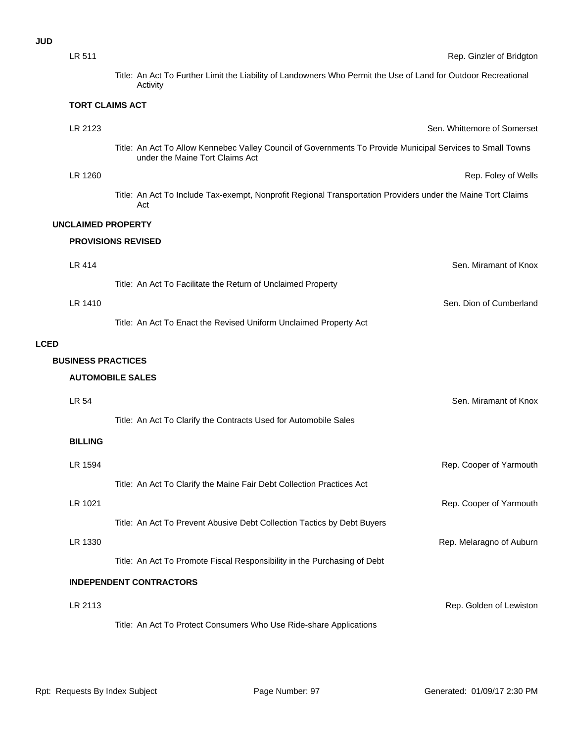| I<br>۰.<br>×<br>w | ۰.<br>۰.<br>I<br>۰. |
|-------------------|---------------------|
|-------------------|---------------------|

|             | LR 511                    |                                                                                                                                               | Rep. Ginzler of Bridgtor    |
|-------------|---------------------------|-----------------------------------------------------------------------------------------------------------------------------------------------|-----------------------------|
|             |                           | Title: An Act To Further Limit the Liability of Landowners Who Permit the Use of Land for Outdoor Recreational<br>Activity                    |                             |
|             | <b>TORT CLAIMS ACT</b>    |                                                                                                                                               |                             |
|             | LR 2123                   |                                                                                                                                               | Sen. Whittemore of Somerset |
|             |                           | Title: An Act To Allow Kennebec Valley Council of Governments To Provide Municipal Services to Small Towns<br>under the Maine Tort Claims Act |                             |
|             | LR 1260                   |                                                                                                                                               | Rep. Foley of Wells         |
|             |                           | Title: An Act To Include Tax-exempt, Nonprofit Regional Transportation Providers under the Maine Tort Claims<br>Act                           |                             |
|             | <b>UNCLAIMED PROPERTY</b> |                                                                                                                                               |                             |
|             |                           | <b>PROVISIONS REVISED</b>                                                                                                                     |                             |
|             | <b>LR 414</b>             |                                                                                                                                               | Sen. Miramant of Knox       |
|             |                           | Title: An Act To Facilitate the Return of Unclaimed Property                                                                                  |                             |
|             | LR 1410                   |                                                                                                                                               | Sen. Dion of Cumberland     |
|             |                           | Title: An Act To Enact the Revised Uniform Unclaimed Property Act                                                                             |                             |
| <b>LCED</b> |                           |                                                                                                                                               |                             |
|             | <b>BUSINESS PRACTICES</b> |                                                                                                                                               |                             |
|             |                           | <b>AUTOMOBILE SALES</b>                                                                                                                       |                             |
|             | LR 54                     |                                                                                                                                               | Sen. Miramant of Knox       |
|             |                           | Title: An Act To Clarify the Contracts Used for Automobile Sales                                                                              |                             |
|             | <b>BILLING</b>            |                                                                                                                                               |                             |
|             | LR 1594                   |                                                                                                                                               | Rep. Cooper of Yarmouth     |
|             |                           | Title: An Act To Clarify the Maine Fair Debt Collection Practices Act                                                                         |                             |
|             | LR 1021                   |                                                                                                                                               | Rep. Cooper of Yarmouth     |
|             |                           | Title: An Act To Prevent Abusive Debt Collection Tactics by Debt Buyers                                                                       |                             |
|             | LR 1330                   |                                                                                                                                               | Rep. Melaragno of Auburr    |
|             |                           | Title: An Act To Promote Fiscal Responsibility in the Purchasing of Debt                                                                      |                             |
|             |                           | <b>INDEPENDENT CONTRACTORS</b>                                                                                                                |                             |
|             | LR 2113                   |                                                                                                                                               | Rep. Golden of Lewistor     |
|             |                           | Title: An Act To Protect Consumers Who Use Ride-share Applications                                                                            |                             |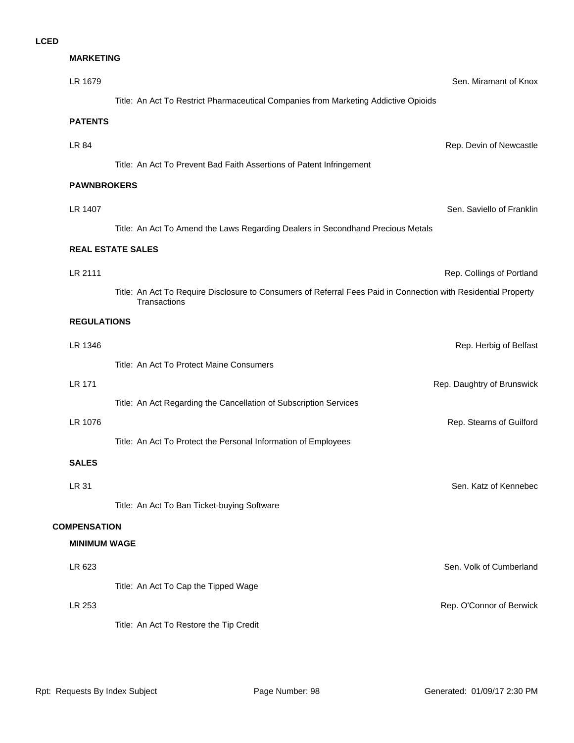### **MARKETING**

| LR 1679                                    |                                                                                                                                | Sen. Miramant of Knox      |
|--------------------------------------------|--------------------------------------------------------------------------------------------------------------------------------|----------------------------|
|                                            | Title: An Act To Restrict Pharmaceutical Companies from Marketing Addictive Opioids                                            |                            |
| <b>PATENTS</b>                             |                                                                                                                                |                            |
| LR 84                                      |                                                                                                                                | Rep. Devin of Newcastle    |
|                                            | Title: An Act To Prevent Bad Faith Assertions of Patent Infringement                                                           |                            |
| <b>PAWNBROKERS</b>                         |                                                                                                                                |                            |
| LR 1407                                    |                                                                                                                                | Sen. Saviello of Franklin  |
|                                            | Title: An Act To Amend the Laws Regarding Dealers in Secondhand Precious Metals                                                |                            |
|                                            | <b>REAL ESTATE SALES</b>                                                                                                       |                            |
| LR 2111                                    |                                                                                                                                | Rep. Collings of Portland  |
|                                            | Title: An Act To Require Disclosure to Consumers of Referral Fees Paid in Connection with Residential Property<br>Transactions |                            |
| <b>REGULATIONS</b>                         |                                                                                                                                |                            |
| LR 1346                                    |                                                                                                                                | Rep. Herbig of Belfast     |
|                                            | Title: An Act To Protect Maine Consumers                                                                                       |                            |
| <b>LR 171</b>                              |                                                                                                                                | Rep. Daughtry of Brunswick |
|                                            | Title: An Act Regarding the Cancellation of Subscription Services                                                              |                            |
| LR 1076                                    |                                                                                                                                | Rep. Stearns of Guilford   |
|                                            | Title: An Act To Protect the Personal Information of Employees                                                                 |                            |
| <b>SALES</b>                               |                                                                                                                                |                            |
| LR 31                                      |                                                                                                                                | Sen. Katz of Kennebec      |
|                                            | Title: An Act To Ban Ticket-buying Software                                                                                    |                            |
| <b>COMPENSATION</b><br><b>MINIMUM WAGE</b> |                                                                                                                                |                            |
|                                            |                                                                                                                                | Sen. Volk of Cumberland    |
| LR 623                                     | Title: An Act To Cap the Tipped Wage                                                                                           |                            |
| LR 253                                     |                                                                                                                                | Rep. O'Connor of Berwick   |
|                                            | Title: An Act To Restore the Tip Credit                                                                                        |                            |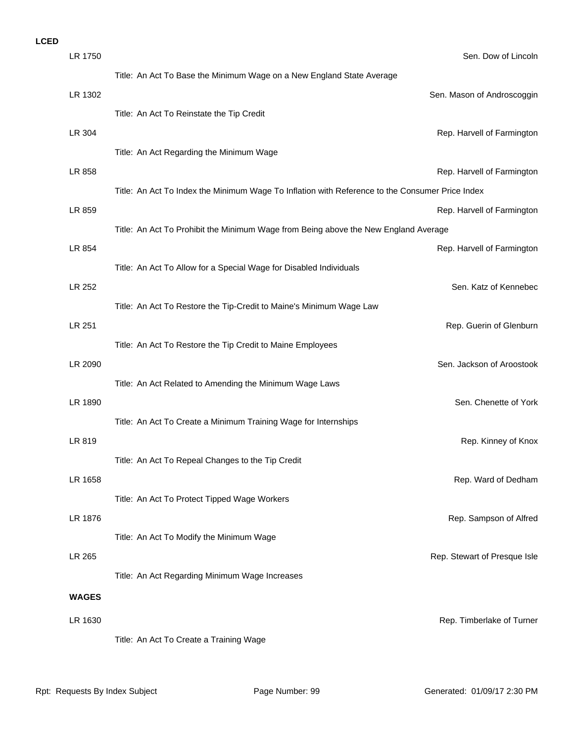| LR 1750      | Sen. Dow of Lincoln                                                                             |
|--------------|-------------------------------------------------------------------------------------------------|
|              | Title: An Act To Base the Minimum Wage on a New England State Average                           |
| LR 1302      | Sen. Mason of Androscoggin                                                                      |
|              | Title: An Act To Reinstate the Tip Credit                                                       |
| LR 304       | Rep. Harvell of Farmington                                                                      |
|              | Title: An Act Regarding the Minimum Wage                                                        |
| LR 858       | Rep. Harvell of Farmington                                                                      |
|              | Title: An Act To Index the Minimum Wage To Inflation with Reference to the Consumer Price Index |
| LR 859       | Rep. Harvell of Farmington                                                                      |
|              | Title: An Act To Prohibit the Minimum Wage from Being above the New England Average             |
| LR 854       | Rep. Harvell of Farmington                                                                      |
|              | Title: An Act To Allow for a Special Wage for Disabled Individuals                              |
| LR 252       | Sen. Katz of Kennebec                                                                           |
|              | Title: An Act To Restore the Tip-Credit to Maine's Minimum Wage Law                             |
| LR 251       | Rep. Guerin of Glenburn                                                                         |
|              | Title: An Act To Restore the Tip Credit to Maine Employees                                      |
| LR 2090      | Sen. Jackson of Aroostook                                                                       |
|              | Title: An Act Related to Amending the Minimum Wage Laws                                         |
| LR 1890      | Sen. Chenette of York                                                                           |
|              | Title: An Act To Create a Minimum Training Wage for Internships                                 |
| LR 819       | Rep. Kinney of Knox                                                                             |
|              | Title: An Act To Repeal Changes to the Tip Credit                                               |
| LR 1658      | Rep. Ward of Dedham                                                                             |
|              | Title: An Act To Protect Tipped Wage Workers                                                    |
| LR 1876      | Rep. Sampson of Alfred                                                                          |
|              | Title: An Act To Modify the Minimum Wage                                                        |
| LR 265       | Rep. Stewart of Presque Isle                                                                    |
|              | Title: An Act Regarding Minimum Wage Increases                                                  |
| <b>WAGES</b> |                                                                                                 |
| LR 1630      | Rep. Timberlake of Turner                                                                       |
|              | Title: An Act To Create a Training Wage                                                         |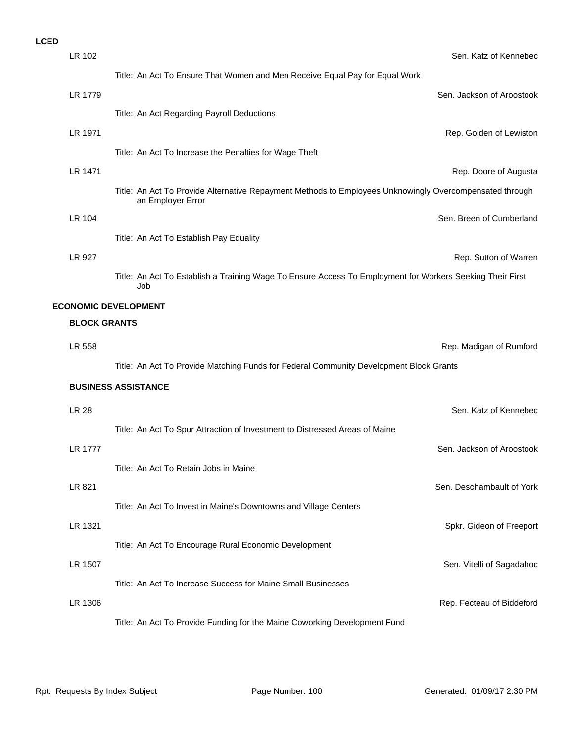| LR 102              | Sen. Katz of Kennebec                                                                                                        |
|---------------------|------------------------------------------------------------------------------------------------------------------------------|
|                     | Title: An Act To Ensure That Women and Men Receive Equal Pay for Equal Work                                                  |
| LR 1779             | Sen. Jackson of Aroostook                                                                                                    |
|                     | Title: An Act Regarding Payroll Deductions                                                                                   |
| LR 1971             | Rep. Golden of Lewiston                                                                                                      |
|                     | Title: An Act To Increase the Penalties for Wage Theft                                                                       |
| LR 1471             | Rep. Doore of Augusta                                                                                                        |
|                     | Title: An Act To Provide Alternative Repayment Methods to Employees Unknowingly Overcompensated through<br>an Employer Error |
| LR 104              | Sen. Breen of Cumberland                                                                                                     |
|                     | Title: An Act To Establish Pay Equality                                                                                      |
| LR 927              | Rep. Sutton of Warren                                                                                                        |
|                     | Title: An Act To Establish a Training Wage To Ensure Access To Employment for Workers Seeking Their First<br>Job             |
|                     | <b>ECONOMIC DEVELOPMENT</b>                                                                                                  |
| <b>BLOCK GRANTS</b> |                                                                                                                              |
| LR 558              | Rep. Madigan of Rumford                                                                                                      |
|                     | Title: An Act To Provide Matching Funds for Federal Community Development Block Grants                                       |
|                     | <b>BUSINESS ASSISTANCE</b>                                                                                                   |
| <b>LR 28</b>        | Sen. Katz of Kennebec                                                                                                        |
|                     | Title: An Act To Spur Attraction of Investment to Distressed Areas of Maine                                                  |
| <b>LR 1777</b>      | Sen. Jackson of Aroostook                                                                                                    |
|                     | Title: An Act To Retain Jobs in Maine                                                                                        |
| LR 821              | Sen. Deschambault of York                                                                                                    |
|                     | Title: An Act To Invest in Maine's Downtowns and Village Centers                                                             |
| LR 1321             | Spkr. Gideon of Freeport                                                                                                     |
|                     | Title: An Act To Encourage Rural Economic Development                                                                        |
| LR 1507             | Sen. Vitelli of Sagadahoc                                                                                                    |
|                     | Title: An Act To Increase Success for Maine Small Businesses                                                                 |
| LR 1306             | Rep. Fecteau of Biddeford                                                                                                    |
|                     | Title: An Act To Provide Funding for the Maine Coworking Development Fund                                                    |
|                     |                                                                                                                              |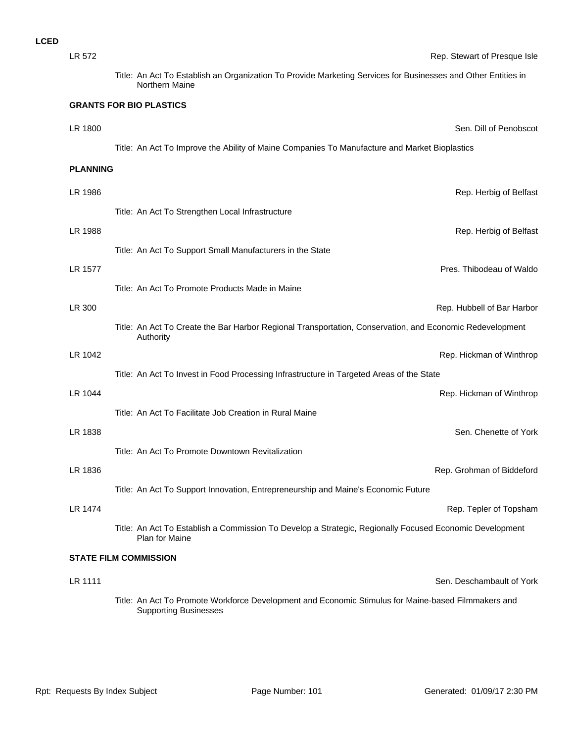| LR 572          | Rep. Stewart of Presque Isle                                                                                                        |
|-----------------|-------------------------------------------------------------------------------------------------------------------------------------|
|                 | Title: An Act To Establish an Organization To Provide Marketing Services for Businesses and Other Entities in<br>Northern Maine     |
|                 | <b>GRANTS FOR BIO PLASTICS</b>                                                                                                      |
| LR 1800         | Sen. Dill of Penobscot                                                                                                              |
|                 | Title: An Act To Improve the Ability of Maine Companies To Manufacture and Market Bioplastics                                       |
| <b>PLANNING</b> |                                                                                                                                     |
| LR 1986         | Rep. Herbig of Belfast                                                                                                              |
|                 | Title: An Act To Strengthen Local Infrastructure                                                                                    |
| LR 1988         | Rep. Herbig of Belfast                                                                                                              |
|                 | Title: An Act To Support Small Manufacturers in the State                                                                           |
| LR 1577         | Pres. Thibodeau of Waldo                                                                                                            |
|                 | Title: An Act To Promote Products Made in Maine                                                                                     |
| LR 300          | Rep. Hubbell of Bar Harbor                                                                                                          |
|                 | Title: An Act To Create the Bar Harbor Regional Transportation, Conservation, and Economic Redevelopment<br>Authority               |
| LR 1042         | Rep. Hickman of Winthrop                                                                                                            |
|                 | Title: An Act To Invest in Food Processing Infrastructure in Targeted Areas of the State                                            |
| LR 1044         | Rep. Hickman of Winthrop                                                                                                            |
|                 | Title: An Act To Facilitate Job Creation in Rural Maine                                                                             |
| LR 1838         | Sen. Chenette of York                                                                                                               |
|                 | Title: An Act To Promote Downtown Revitalization                                                                                    |
| LR 1836         | Rep. Grohman of Biddeford                                                                                                           |
|                 | Title: An Act To Support Innovation, Entrepreneurship and Maine's Economic Future                                                   |
| LR 1474         | Rep. Tepler of Topsham                                                                                                              |
|                 | Title: An Act To Establish a Commission To Develop a Strategic, Regionally Focused Economic Development<br><b>Plan for Maine</b>    |
|                 | <b>STATE FILM COMMISSION</b>                                                                                                        |
| LR 1111         | Sen. Deschambault of York                                                                                                           |
|                 | Title: An Act To Promote Workforce Development and Economic Stimulus for Maine-based Filmmakers and<br><b>Supporting Businesses</b> |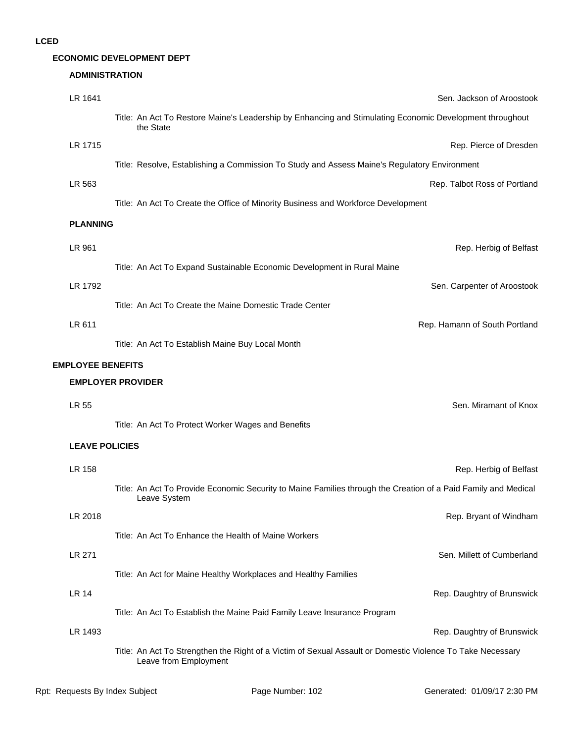## **ECONOMIC DEVELOPMENT DEPT**

### **ADMINISTRATION**

| LR 1641                  |                          | Sen. Jackson of Aroostook                                                                                                           |
|--------------------------|--------------------------|-------------------------------------------------------------------------------------------------------------------------------------|
|                          |                          | Title: An Act To Restore Maine's Leadership by Enhancing and Stimulating Economic Development throughout<br>the State               |
| LR 1715                  |                          | Rep. Pierce of Dresden                                                                                                              |
|                          |                          | Title: Resolve, Establishing a Commission To Study and Assess Maine's Regulatory Environment                                        |
| LR 563                   |                          | Rep. Talbot Ross of Portland                                                                                                        |
|                          |                          | Title: An Act To Create the Office of Minority Business and Workforce Development                                                   |
| <b>PLANNING</b>          |                          |                                                                                                                                     |
| LR 961                   |                          | Rep. Herbig of Belfast                                                                                                              |
|                          |                          | Title: An Act To Expand Sustainable Economic Development in Rural Maine                                                             |
| LR 1792                  |                          | Sen. Carpenter of Aroostook                                                                                                         |
|                          |                          | Title: An Act To Create the Maine Domestic Trade Center                                                                             |
| LR 611                   |                          | Rep. Hamann of South Portland                                                                                                       |
|                          |                          | Title: An Act To Establish Maine Buy Local Month                                                                                    |
|                          |                          |                                                                                                                                     |
| <b>EMPLOYEE BENEFITS</b> | <b>EMPLOYER PROVIDER</b> |                                                                                                                                     |
|                          |                          |                                                                                                                                     |
| LR 55                    |                          | Sen. Miramant of Knox                                                                                                               |
|                          |                          | Title: An Act To Protect Worker Wages and Benefits                                                                                  |
|                          | <b>LEAVE POLICIES</b>    |                                                                                                                                     |
| LR 158                   |                          | Rep. Herbig of Belfast                                                                                                              |
|                          |                          | Title: An Act To Provide Economic Security to Maine Families through the Creation of a Paid Family and Medical<br>Leave System      |
| LR 2018                  |                          | Rep. Bryant of Windham                                                                                                              |
|                          |                          | Title: An Act To Enhance the Health of Maine Workers                                                                                |
| LR 271                   |                          | Sen. Millett of Cumberland                                                                                                          |
|                          |                          | Title: An Act for Maine Healthy Workplaces and Healthy Families                                                                     |
| LR 14                    |                          | Rep. Daughtry of Brunswick                                                                                                          |
|                          |                          | Title: An Act To Establish the Maine Paid Family Leave Insurance Program                                                            |
| LR 1493                  |                          | Rep. Daughtry of Brunswick                                                                                                          |
|                          |                          | Title: An Act To Strengthen the Right of a Victim of Sexual Assault or Domestic Violence To Take Necessary<br>Leave from Employment |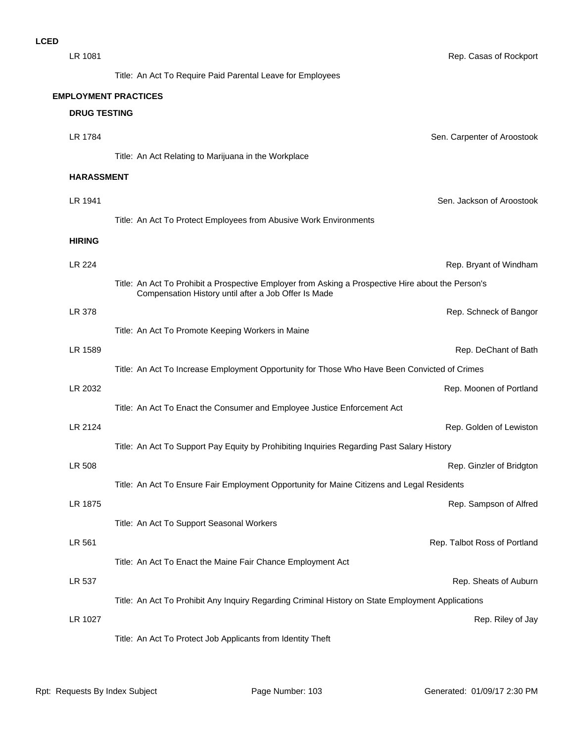| LR 1081       |                                                                                                    | Rep. Casas of Rockport       |
|---------------|----------------------------------------------------------------------------------------------------|------------------------------|
|               | Title: An Act To Require Paid Parental Leave for Employees                                         |                              |
|               | <b>EMPLOYMENT PRACTICES</b>                                                                        |                              |
|               | <b>DRUG TESTING</b>                                                                                |                              |
| LR 1784       |                                                                                                    | Sen. Carpenter of Aroostook  |
|               | Title: An Act Relating to Marijuana in the Workplace                                               |                              |
|               | <b>HARASSMENT</b>                                                                                  |                              |
| LR 1941       |                                                                                                    | Sen. Jackson of Aroostook    |
|               | Title: An Act To Protect Employees from Abusive Work Environments                                  |                              |
| <b>HIRING</b> |                                                                                                    |                              |
| LR 224        |                                                                                                    |                              |
|               | Title: An Act To Prohibit a Prospective Employer from Asking a Prospective Hire about the Person's | Rep. Bryant of Windham       |
|               | Compensation History until after a Job Offer Is Made                                               |                              |
| LR 378        |                                                                                                    | Rep. Schneck of Bangor       |
|               | Title: An Act To Promote Keeping Workers in Maine                                                  |                              |
| LR 1589       |                                                                                                    | Rep. DeChant of Bath         |
|               | Title: An Act To Increase Employment Opportunity for Those Who Have Been Convicted of Crimes       |                              |
| LR 2032       |                                                                                                    | Rep. Moonen of Portland      |
|               | Title: An Act To Enact the Consumer and Employee Justice Enforcement Act                           |                              |
| LR 2124       |                                                                                                    | Rep. Golden of Lewiston      |
|               | Title: An Act To Support Pay Equity by Prohibiting Inquiries Regarding Past Salary History         |                              |
| LR 508        |                                                                                                    | Rep. Ginzler of Bridgton     |
|               | Title: An Act To Ensure Fair Employment Opportunity for Maine Citizens and Legal Residents         |                              |
| LR 1875       |                                                                                                    | Rep. Sampson of Alfred       |
|               | Title: An Act To Support Seasonal Workers                                                          |                              |
| LR 561        |                                                                                                    | Rep. Talbot Ross of Portland |
|               | Title: An Act To Enact the Maine Fair Chance Employment Act                                        |                              |
| LR 537        |                                                                                                    | Rep. Sheats of Auburn        |
|               | Title: An Act To Prohibit Any Inquiry Regarding Criminal History on State Employment Applications  |                              |
| LR 1027       |                                                                                                    | Rep. Riley of Jay            |
|               | Title: An Act To Protect Job Applicants from Identity Theft                                        |                              |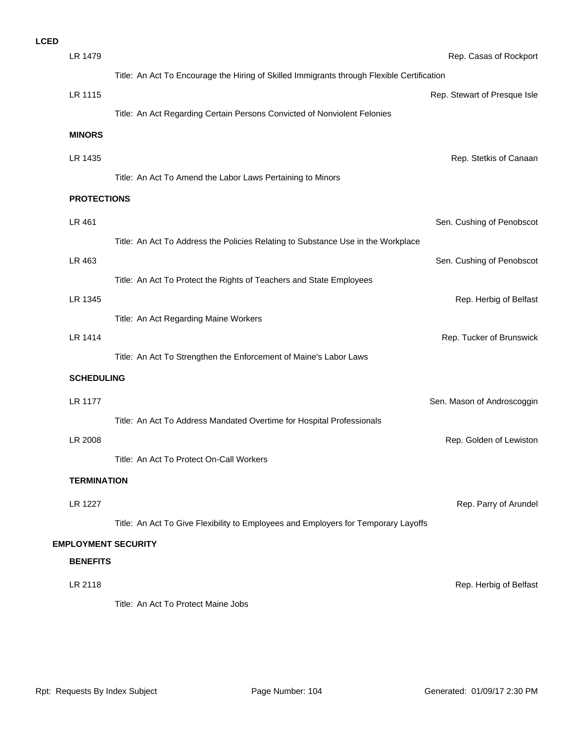| <b>LCED</b> |                    |                                                                                            |                              |
|-------------|--------------------|--------------------------------------------------------------------------------------------|------------------------------|
|             | LR 1479            |                                                                                            | Rep. Casas of Rockport       |
|             |                    | Title: An Act To Encourage the Hiring of Skilled Immigrants through Flexible Certification |                              |
|             | LR 1115            |                                                                                            | Rep. Stewart of Presque Isle |
|             |                    | Title: An Act Regarding Certain Persons Convicted of Nonviolent Felonies                   |                              |
|             | <b>MINORS</b>      |                                                                                            |                              |
|             | LR 1435            |                                                                                            | Rep. Stetkis of Canaan       |
|             |                    | Title: An Act To Amend the Labor Laws Pertaining to Minors                                 |                              |
|             | <b>PROTECTIONS</b> |                                                                                            |                              |
|             |                    |                                                                                            |                              |
|             | LR 461             |                                                                                            | Sen. Cushing of Penobscot    |
|             |                    | Title: An Act To Address the Policies Relating to Substance Use in the Workplace           |                              |
|             | LR 463             |                                                                                            | Sen. Cushing of Penobscot    |
|             |                    | Title: An Act To Protect the Rights of Teachers and State Employees                        |                              |
|             | LR 1345            |                                                                                            | Rep. Herbig of Belfast       |
|             |                    | Title: An Act Regarding Maine Workers                                                      |                              |
|             | <b>LR 1414</b>     |                                                                                            | Rep. Tucker of Brunswick     |
|             |                    | Title: An Act To Strengthen the Enforcement of Maine's Labor Laws                          |                              |
|             | <b>SCHEDULING</b>  |                                                                                            |                              |
|             | <b>LR 1177</b>     |                                                                                            | Sen. Mason of Androscoggin   |
|             |                    | Title: An Act To Address Mandated Overtime for Hospital Professionals                      |                              |
|             | LR 2008            |                                                                                            | Rep. Golden of Lewiston      |
|             |                    | Title: An Act To Protect On-Call Workers                                                   |                              |
|             | <b>TERMINATION</b> |                                                                                            |                              |
|             |                    |                                                                                            |                              |
|             | <b>LR 1227</b>     |                                                                                            | Rep. Parry of Arundel        |
|             |                    | Title: An Act To Give Flexibility to Employees and Employers for Temporary Layoffs         |                              |
|             |                    | <b>EMPLOYMENT SECURITY</b>                                                                 |                              |
|             | <b>BENEFITS</b>    |                                                                                            |                              |
|             | LR 2118            |                                                                                            | Rep. Herbig of Belfast       |
|             |                    | Title: An Act To Protect Maine Jobs                                                        |                              |
|             |                    |                                                                                            |                              |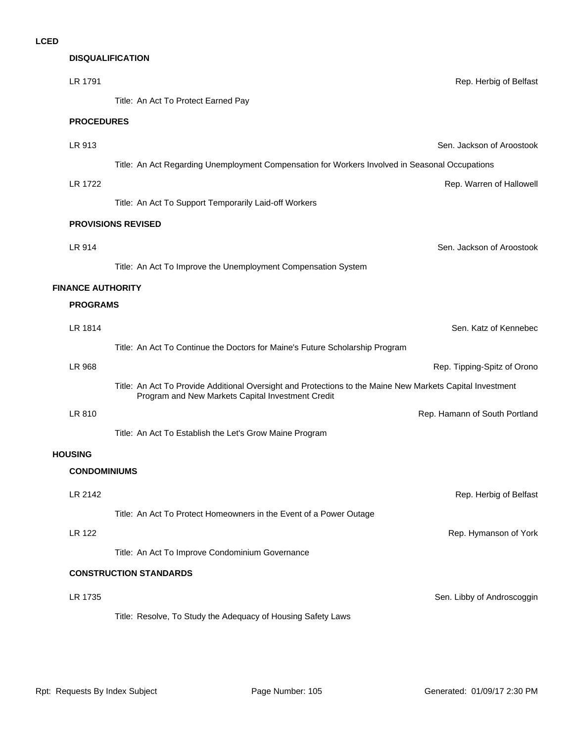# **DISQUALIFICATION**

| LR 1791                  | Rep. Herbig of Belfast                                                                                                                                         |  |  |
|--------------------------|----------------------------------------------------------------------------------------------------------------------------------------------------------------|--|--|
|                          | Title: An Act To Protect Earned Pay                                                                                                                            |  |  |
|                          | <b>PROCEDURES</b>                                                                                                                                              |  |  |
| LR 913                   | Sen. Jackson of Aroostook                                                                                                                                      |  |  |
|                          | Title: An Act Regarding Unemployment Compensation for Workers Involved in Seasonal Occupations                                                                 |  |  |
| LR 1722                  | Rep. Warren of Hallowell                                                                                                                                       |  |  |
|                          | Title: An Act To Support Temporarily Laid-off Workers                                                                                                          |  |  |
|                          | <b>PROVISIONS REVISED</b>                                                                                                                                      |  |  |
| LR 914                   | Sen. Jackson of Aroostook                                                                                                                                      |  |  |
|                          | Title: An Act To Improve the Unemployment Compensation System                                                                                                  |  |  |
| <b>FINANCE AUTHORITY</b> |                                                                                                                                                                |  |  |
| <b>PROGRAMS</b>          |                                                                                                                                                                |  |  |
| LR 1814                  | Sen. Katz of Kennebec                                                                                                                                          |  |  |
|                          | Title: An Act To Continue the Doctors for Maine's Future Scholarship Program                                                                                   |  |  |
| <b>LR 968</b>            | Rep. Tipping-Spitz of Orono                                                                                                                                    |  |  |
|                          | Title: An Act To Provide Additional Oversight and Protections to the Maine New Markets Capital Investment<br>Program and New Markets Capital Investment Credit |  |  |
| LR 810                   | Rep. Hamann of South Portland                                                                                                                                  |  |  |
|                          | Title: An Act To Establish the Let's Grow Maine Program                                                                                                        |  |  |
| <b>HOUSING</b>           |                                                                                                                                                                |  |  |
| <b>CONDOMINIUMS</b>      |                                                                                                                                                                |  |  |
| LR 2142                  | Rep. Herbig of Belfast                                                                                                                                         |  |  |
|                          | Title: An Act To Protect Homeowners in the Event of a Power Outage                                                                                             |  |  |
| <b>LR 122</b>            | Rep. Hymanson of York                                                                                                                                          |  |  |
|                          | Title: An Act To Improve Condominium Governance                                                                                                                |  |  |
|                          | <b>CONSTRUCTION STANDARDS</b>                                                                                                                                  |  |  |
| LR 1735                  | Sen. Libby of Androscoggin                                                                                                                                     |  |  |
|                          | Title: Resolve, To Study the Adequacy of Housing Safety Laws                                                                                                   |  |  |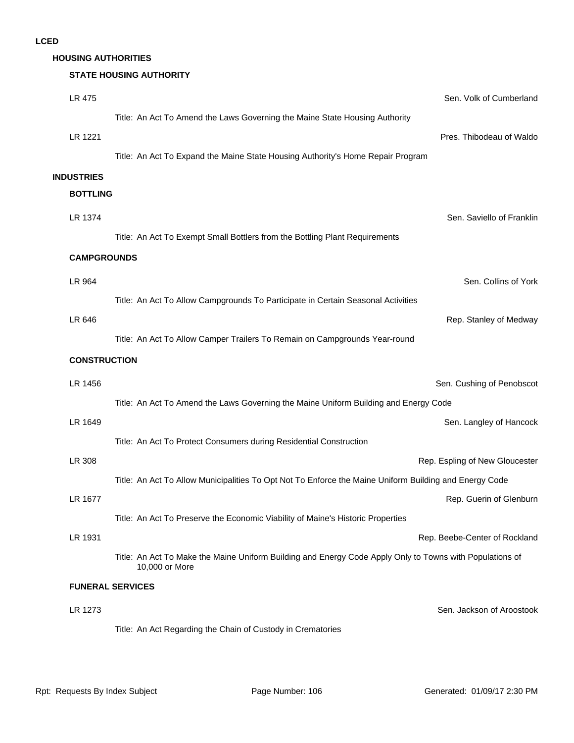### **HOUSING AUTHORITIES**

## **STATE HOUSING AUTHORITY**

| <b>LR 475</b>       | Sen. Volk of Cumberland                                                                                                    |  |
|---------------------|----------------------------------------------------------------------------------------------------------------------------|--|
|                     | Title: An Act To Amend the Laws Governing the Maine State Housing Authority                                                |  |
| LR 1221             | Pres. Thibodeau of Waldo                                                                                                   |  |
|                     | Title: An Act To Expand the Maine State Housing Authority's Home Repair Program                                            |  |
| <b>INDUSTRIES</b>   |                                                                                                                            |  |
| <b>BOTTLING</b>     |                                                                                                                            |  |
| LR 1374             | Sen. Saviello of Franklin                                                                                                  |  |
|                     | Title: An Act To Exempt Small Bottlers from the Bottling Plant Requirements                                                |  |
|                     | <b>CAMPGROUNDS</b>                                                                                                         |  |
| LR 964              | Sen. Collins of York                                                                                                       |  |
|                     | Title: An Act To Allow Campgrounds To Participate in Certain Seasonal Activities                                           |  |
| LR 646              | Rep. Stanley of Medway                                                                                                     |  |
|                     | Title: An Act To Allow Camper Trailers To Remain on Campgrounds Year-round                                                 |  |
| <b>CONSTRUCTION</b> |                                                                                                                            |  |
| LR 1456             | Sen. Cushing of Penobscot                                                                                                  |  |
|                     | Title: An Act To Amend the Laws Governing the Maine Uniform Building and Energy Code                                       |  |
| LR 1649             | Sen. Langley of Hancock                                                                                                    |  |
|                     | Title: An Act To Protect Consumers during Residential Construction                                                         |  |
| LR 308              | Rep. Espling of New Gloucester                                                                                             |  |
|                     | Title: An Act To Allow Municipalities To Opt Not To Enforce the Maine Uniform Building and Energy Code                     |  |
| LR 1677             | Rep. Guerin of Glenburn                                                                                                    |  |
|                     | Title: An Act To Preserve the Economic Viability of Maine's Historic Properties                                            |  |
| LR 1931             | Rep. Beebe-Center of Rockland                                                                                              |  |
|                     | Title: An Act To Make the Maine Uniform Building and Energy Code Apply Only to Towns with Populations of<br>10,000 or More |  |
|                     | <b>FUNERAL SERVICES</b>                                                                                                    |  |
| LR 1273             | Sen. Jackson of Aroostook                                                                                                  |  |
|                     | Title: An Act Regarding the Chain of Custody in Crematories                                                                |  |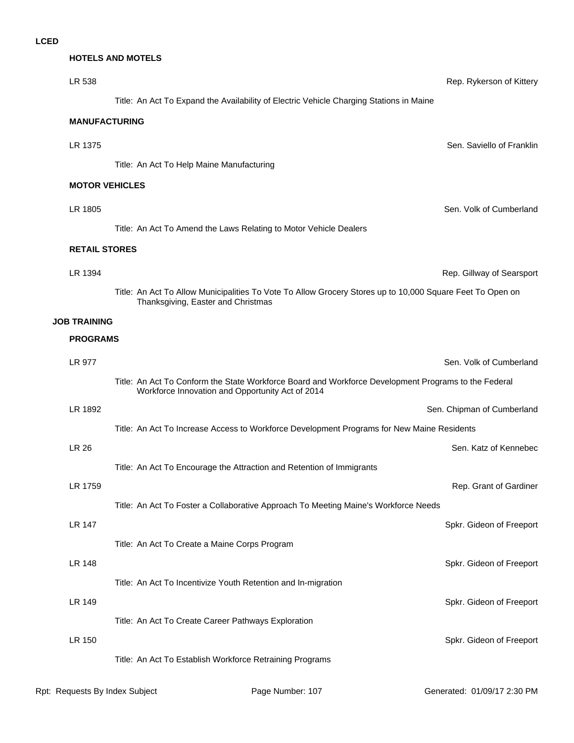## **HOTELS AND MOTELS**

| LR 538                |                                                                                                                                                          | Rep. Rykerson of Kittery   |  |
|-----------------------|----------------------------------------------------------------------------------------------------------------------------------------------------------|----------------------------|--|
|                       | Title: An Act To Expand the Availability of Electric Vehicle Charging Stations in Maine                                                                  |                            |  |
|                       | <b>MANUFACTURING</b>                                                                                                                                     |                            |  |
| LR 1375               |                                                                                                                                                          | Sen. Saviello of Franklin  |  |
|                       | Title: An Act To Help Maine Manufacturing                                                                                                                |                            |  |
| <b>MOTOR VEHICLES</b> |                                                                                                                                                          |                            |  |
| LR 1805               |                                                                                                                                                          | Sen. Volk of Cumberland    |  |
|                       | Title: An Act To Amend the Laws Relating to Motor Vehicle Dealers                                                                                        |                            |  |
|                       | <b>RETAIL STORES</b>                                                                                                                                     |                            |  |
| LR 1394               |                                                                                                                                                          | Rep. Gillway of Searsport  |  |
|                       | Title: An Act To Allow Municipalities To Vote To Allow Grocery Stores up to 10,000 Square Feet To Open on<br>Thanksgiving, Easter and Christmas          |                            |  |
| <b>JOB TRAINING</b>   |                                                                                                                                                          |                            |  |
| <b>PROGRAMS</b>       |                                                                                                                                                          |                            |  |
| LR 977                |                                                                                                                                                          | Sen. Volk of Cumberland    |  |
|                       | Title: An Act To Conform the State Workforce Board and Workforce Development Programs to the Federal<br>Workforce Innovation and Opportunity Act of 2014 |                            |  |
| LR 1892               |                                                                                                                                                          | Sen. Chipman of Cumberland |  |
|                       | Title: An Act To Increase Access to Workforce Development Programs for New Maine Residents                                                               |                            |  |
| <b>LR 26</b>          |                                                                                                                                                          | Sen. Katz of Kennebec      |  |
|                       | Title: An Act To Encourage the Attraction and Retention of Immigrants                                                                                    |                            |  |
| LR 1759               |                                                                                                                                                          | Rep. Grant of Gardiner     |  |
|                       | Title: An Act To Foster a Collaborative Approach To Meeting Maine's Workforce Needs                                                                      |                            |  |
| <b>LR 147</b>         |                                                                                                                                                          | Spkr. Gideon of Freeport   |  |
| LR 148                | Title: An Act To Create a Maine Corps Program                                                                                                            | Spkr. Gideon of Freeport   |  |
|                       | Title: An Act To Incentivize Youth Retention and In-migration                                                                                            |                            |  |
| <b>LR 149</b>         |                                                                                                                                                          | Spkr. Gideon of Freeport   |  |
|                       | Title: An Act To Create Career Pathways Exploration                                                                                                      |                            |  |
| LR 150                |                                                                                                                                                          | Spkr. Gideon of Freeport   |  |
|                       | Title: An Act To Establish Workforce Retraining Programs                                                                                                 |                            |  |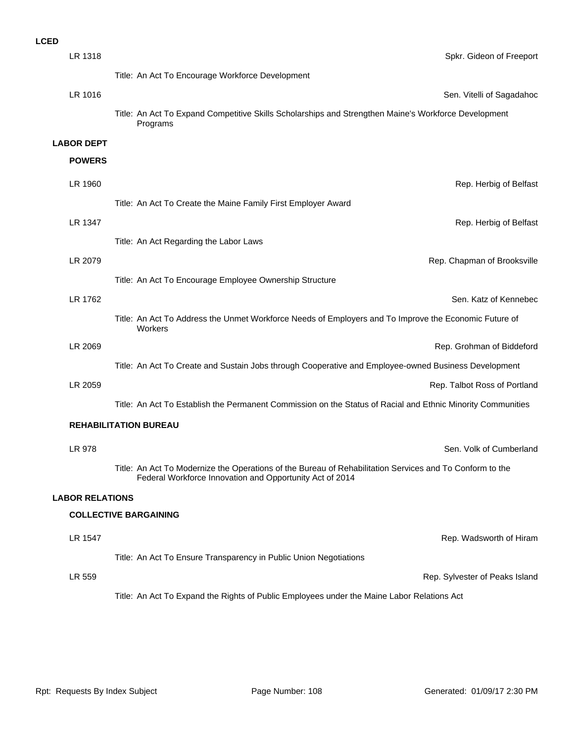| LR 1318                | Spkr. Gideon of Freeport                                                                                                                                             |
|------------------------|----------------------------------------------------------------------------------------------------------------------------------------------------------------------|
|                        | Title: An Act To Encourage Workforce Development                                                                                                                     |
| LR 1016                | Sen. Vitelli of Sagadahoc                                                                                                                                            |
|                        | Title: An Act To Expand Competitive Skills Scholarships and Strengthen Maine's Workforce Development<br>Programs                                                     |
| <b>LABOR DEPT</b>      |                                                                                                                                                                      |
| <b>POWERS</b>          |                                                                                                                                                                      |
| LR 1960                | Rep. Herbig of Belfast                                                                                                                                               |
|                        | Title: An Act To Create the Maine Family First Employer Award                                                                                                        |
| LR 1347                | Rep. Herbig of Belfast                                                                                                                                               |
|                        | Title: An Act Regarding the Labor Laws                                                                                                                               |
| LR 2079                | Rep. Chapman of Brooksville                                                                                                                                          |
|                        | Title: An Act To Encourage Employee Ownership Structure                                                                                                              |
| LR 1762                | Sen. Katz of Kennebec                                                                                                                                                |
|                        | Title: An Act To Address the Unmet Workforce Needs of Employers and To Improve the Economic Future of<br>Workers                                                     |
| LR 2069                | Rep. Grohman of Biddeford                                                                                                                                            |
|                        | Title: An Act To Create and Sustain Jobs through Cooperative and Employee-owned Business Development                                                                 |
| LR 2059                | Rep. Talbot Ross of Portland                                                                                                                                         |
|                        | Title: An Act To Establish the Permanent Commission on the Status of Racial and Ethnic Minority Communities                                                          |
|                        | <b>REHABILITATION BUREAU</b>                                                                                                                                         |
| LR 978                 | Sen. Volk of Cumberland                                                                                                                                              |
|                        | Title: An Act To Modernize the Operations of the Bureau of Rehabilitation Services and To Conform to the<br>Federal Workforce Innovation and Opportunity Act of 2014 |
| <b>LABOR RELATIONS</b> |                                                                                                                                                                      |
|                        | <b>COLLECTIVE BARGAINING</b>                                                                                                                                         |
| LR 1547                | Rep. Wadsworth of Hiram                                                                                                                                              |
|                        | Title: An Act To Ensure Transparency in Public Union Negotiations                                                                                                    |
| LR 559                 | Rep. Sylvester of Peaks Island                                                                                                                                       |
|                        | Title: An Act To Expand the Rights of Public Employees under the Maine Labor Relations Act                                                                           |
|                        |                                                                                                                                                                      |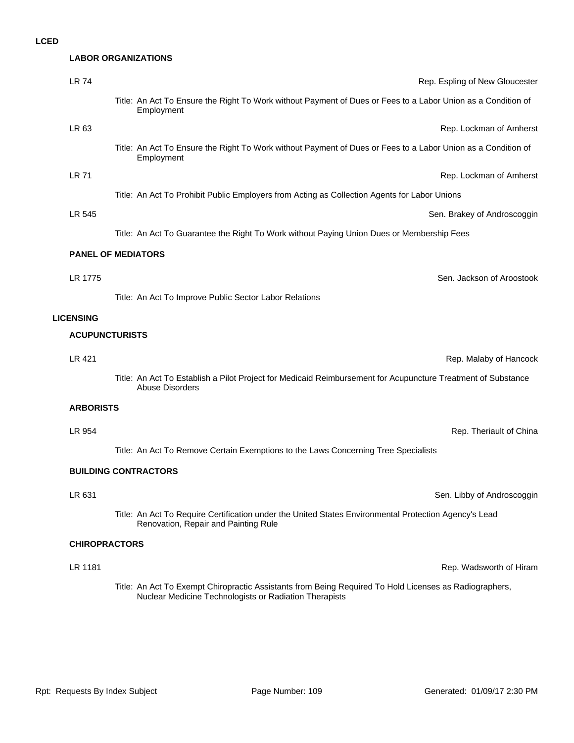| :D |                       |                                                                                                                                               |
|----|-----------------------|-----------------------------------------------------------------------------------------------------------------------------------------------|
|    |                       | <b>LABOR ORGANIZATIONS</b>                                                                                                                    |
|    | <b>LR 74</b>          | Rep. Espling of New Gloucester                                                                                                                |
|    |                       | Title: An Act To Ensure the Right To Work without Payment of Dues or Fees to a Labor Union as a Condition of<br>Employment                    |
|    | LR 63                 | Rep. Lockman of Amherst                                                                                                                       |
|    |                       | Title: An Act To Ensure the Right To Work without Payment of Dues or Fees to a Labor Union as a Condition of<br>Employment                    |
|    | LR 71                 | Rep. Lockman of Amherst                                                                                                                       |
|    |                       | Title: An Act To Prohibit Public Employers from Acting as Collection Agents for Labor Unions                                                  |
|    | LR 545                | Sen. Brakey of Androscoggin                                                                                                                   |
|    |                       | Title: An Act To Guarantee the Right To Work without Paying Union Dues or Membership Fees                                                     |
|    |                       | <b>PANEL OF MEDIATORS</b>                                                                                                                     |
|    | LR 1775               | Sen. Jackson of Aroostook                                                                                                                     |
|    |                       | Title: An Act To Improve Public Sector Labor Relations                                                                                        |
|    | <b>LICENSING</b>      |                                                                                                                                               |
|    | <b>ACUPUNCTURISTS</b> |                                                                                                                                               |
|    | <b>LR 421</b>         | Rep. Malaby of Hancock                                                                                                                        |
|    |                       | Title: An Act To Establish a Pilot Project for Medicaid Reimbursement for Acupuncture Treatment of Substance<br><b>Abuse Disorders</b>        |
|    | <b>ARBORISTS</b>      |                                                                                                                                               |
|    | LR 954                | Rep. Theriault of China                                                                                                                       |
|    |                       | Title: An Act To Remove Certain Exemptions to the Laws Concerning Tree Specialists                                                            |
|    |                       | <b>BUILDING CONTRACTORS</b>                                                                                                                   |
|    | LR 631                | Sen. Libby of Androscoggin                                                                                                                    |
|    |                       | Title: An Act To Require Certification under the United States Environmental Protection Agency's Lead<br>Renovation, Repair and Painting Rule |
|    | <b>CHIROPRACTORS</b>  |                                                                                                                                               |

**LR 1181** Rep. Wadsworth of Hiram

Title: An Act To Exempt Chiropractic Assistants from Being Required To Hold Licenses as Radiographers, Nuclear Medicine Technologists or Radiation Therapists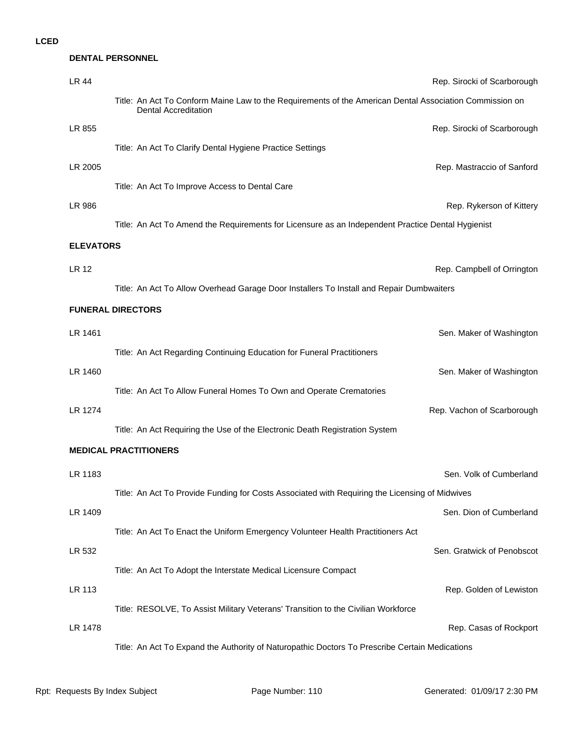|                  | <b>DENTAL PERSONNEL</b>                                                                                                                |                             |
|------------------|----------------------------------------------------------------------------------------------------------------------------------------|-----------------------------|
| LR 44            |                                                                                                                                        | Rep. Sirocki of Scarborough |
|                  | Title: An Act To Conform Maine Law to the Requirements of the American Dental Association Commission on<br><b>Dental Accreditation</b> |                             |
| LR 855           |                                                                                                                                        | Rep. Sirocki of Scarborough |
|                  | Title: An Act To Clarify Dental Hygiene Practice Settings                                                                              |                             |
| LR 2005          |                                                                                                                                        | Rep. Mastraccio of Sanford  |
|                  | Title: An Act To Improve Access to Dental Care                                                                                         |                             |
| LR 986           |                                                                                                                                        | Rep. Rykerson of Kittery    |
|                  | Title: An Act To Amend the Requirements for Licensure as an Independent Practice Dental Hygienist                                      |                             |
| <b>ELEVATORS</b> |                                                                                                                                        |                             |
| <b>LR 12</b>     |                                                                                                                                        | Rep. Campbell of Orringtor  |
|                  | Title: An Act To Allow Overhead Garage Door Installers To Install and Repair Dumbwaiters                                               |                             |
|                  | <b>FUNERAL DIRECTORS</b>                                                                                                               |                             |
| LR 1461          |                                                                                                                                        | Sen. Maker of Washingtor    |
|                  | Title: An Act Regarding Continuing Education for Funeral Practitioners                                                                 |                             |
| LR 1460          |                                                                                                                                        | Sen. Maker of Washingtor    |
|                  | Title: An Act To Allow Funeral Homes To Own and Operate Crematories                                                                    |                             |
| LR 1274          |                                                                                                                                        | Rep. Vachon of Scarborough  |
|                  | Title: An Act Requiring the Use of the Electronic Death Registration System                                                            |                             |
|                  | <b>MEDICAL PRACTITIONERS</b>                                                                                                           |                             |
| LR 1183          |                                                                                                                                        | Sen. Volk of Cumberland     |
|                  | Title: An Act To Provide Funding for Costs Associated with Requiring the Licensing of Midwives                                         |                             |
| LR 1409          |                                                                                                                                        | Sen. Dion of Cumberland     |
|                  | Title: An Act To Enact the Uniform Emergency Volunteer Health Practitioners Act                                                        |                             |
| LR 532           |                                                                                                                                        | Sen. Gratwick of Penobscot  |
|                  | Title: An Act To Adopt the Interstate Medical Licensure Compact                                                                        |                             |
| LR 113           |                                                                                                                                        | Rep. Golden of Lewistor     |
|                  | Title: RESOLVE, To Assist Military Veterans' Transition to the Civilian Workforce                                                      |                             |
| LR 1478          |                                                                                                                                        | Rep. Casas of Rockport      |
|                  | Title: An Act To Expand the Authority of Naturopathic Doctors To Prescribe Certain Medications                                         |                             |
|                  |                                                                                                                                        |                             |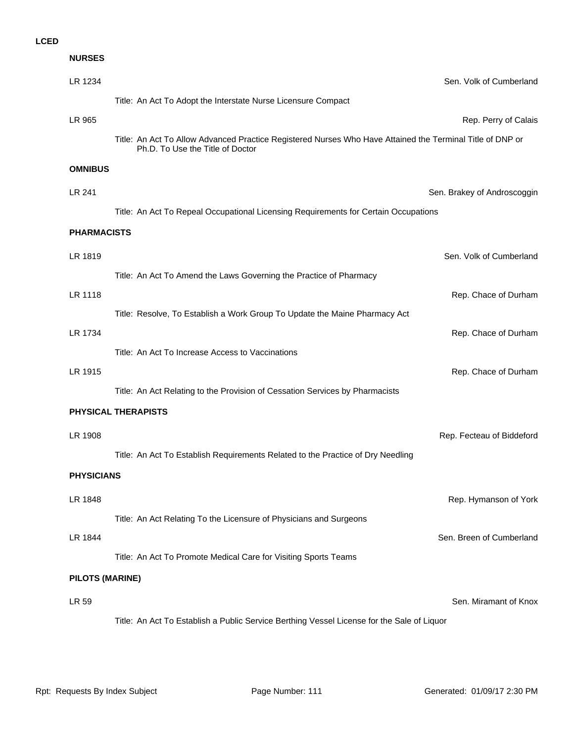| <b>NURSES</b>          |                                                                                                                                               |
|------------------------|-----------------------------------------------------------------------------------------------------------------------------------------------|
| LR 1234                | Sen. Volk of Cumberland                                                                                                                       |
|                        | Title: An Act To Adopt the Interstate Nurse Licensure Compact                                                                                 |
| LR 965                 | Rep. Perry of Calais                                                                                                                          |
|                        | Title: An Act To Allow Advanced Practice Registered Nurses Who Have Attained the Terminal Title of DNP or<br>Ph.D. To Use the Title of Doctor |
| <b>OMNIBUS</b>         |                                                                                                                                               |
| LR 241                 | Sen. Brakey of Androscoggin                                                                                                                   |
|                        | Title: An Act To Repeal Occupational Licensing Requirements for Certain Occupations                                                           |
| <b>PHARMACISTS</b>     |                                                                                                                                               |
| LR 1819                | Sen. Volk of Cumberland                                                                                                                       |
|                        | Title: An Act To Amend the Laws Governing the Practice of Pharmacy                                                                            |
| LR 1118                | Rep. Chace of Durham                                                                                                                          |
|                        | Title: Resolve, To Establish a Work Group To Update the Maine Pharmacy Act                                                                    |
| LR 1734                | Rep. Chace of Durham                                                                                                                          |
|                        | Title: An Act To Increase Access to Vaccinations                                                                                              |
| LR 1915                | Rep. Chace of Durham                                                                                                                          |
|                        | Title: An Act Relating to the Provision of Cessation Services by Pharmacists                                                                  |
|                        | <b>PHYSICAL THERAPISTS</b>                                                                                                                    |
| LR 1908                | Rep. Fecteau of Biddeford                                                                                                                     |
|                        | Title: An Act To Establish Requirements Related to the Practice of Dry Needling                                                               |
| <b>PHYSICIANS</b>      |                                                                                                                                               |
| LR 1848                | Rep. Hymanson of York                                                                                                                         |
|                        | Title: An Act Relating To the Licensure of Physicians and Surgeons                                                                            |
| LR 1844                | Sen. Breen of Cumberland                                                                                                                      |
|                        | Title: An Act To Promote Medical Care for Visiting Sports Teams                                                                               |
| <b>PILOTS (MARINE)</b> |                                                                                                                                               |
| LR 59                  | Sen. Miramant of Knox                                                                                                                         |
|                        | Title: An Act To Establish a Public Service Berthing Vessel License for the Sale of Liquor                                                    |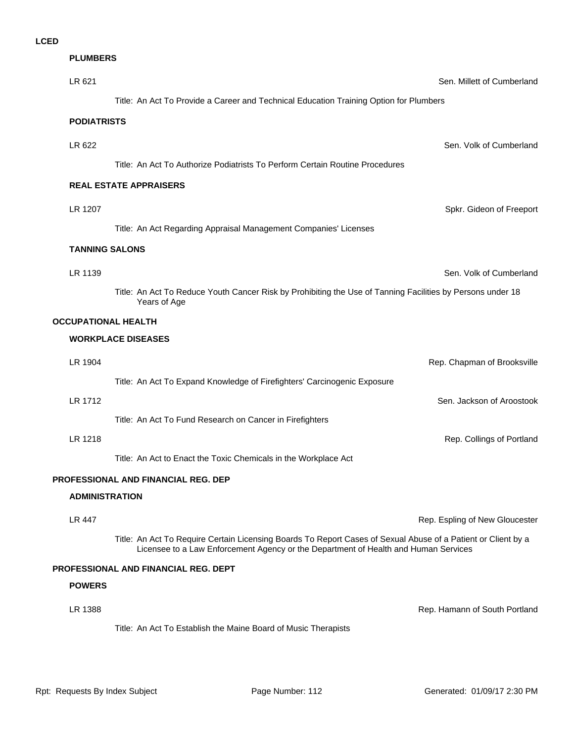#### **PLUMBERS**

| LR 621                     | Sen. Millett of Cumberland                                                                                                                                                                           |
|----------------------------|------------------------------------------------------------------------------------------------------------------------------------------------------------------------------------------------------|
|                            | Title: An Act To Provide a Career and Technical Education Training Option for Plumbers                                                                                                               |
| <b>PODIATRISTS</b>         |                                                                                                                                                                                                      |
| LR 622                     | Sen. Volk of Cumberland                                                                                                                                                                              |
|                            | Title: An Act To Authorize Podiatrists To Perform Certain Routine Procedures                                                                                                                         |
|                            | <b>REAL ESTATE APPRAISERS</b>                                                                                                                                                                        |
| LR 1207                    | Spkr. Gideon of Freeport                                                                                                                                                                             |
|                            | Title: An Act Regarding Appraisal Management Companies' Licenses                                                                                                                                     |
| <b>TANNING SALONS</b>      |                                                                                                                                                                                                      |
| LR 1139                    | Sen. Volk of Cumberland                                                                                                                                                                              |
|                            | Title: An Act To Reduce Youth Cancer Risk by Prohibiting the Use of Tanning Facilities by Persons under 18<br>Years of Age                                                                           |
| <b>OCCUPATIONAL HEALTH</b> |                                                                                                                                                                                                      |
|                            | <b>WORKPLACE DISEASES</b>                                                                                                                                                                            |
| LR 1904                    | Rep. Chapman of Brooksville                                                                                                                                                                          |
|                            | Title: An Act To Expand Knowledge of Firefighters' Carcinogenic Exposure                                                                                                                             |
| LR 1712                    | Sen. Jackson of Aroostook                                                                                                                                                                            |
|                            | Title: An Act To Fund Research on Cancer in Firefighters                                                                                                                                             |
| LR 1218                    | Rep. Collings of Portland                                                                                                                                                                            |
|                            | Title: An Act to Enact the Toxic Chemicals in the Workplace Act                                                                                                                                      |
|                            | PROFESSIONAL AND FINANCIAL REG. DEP                                                                                                                                                                  |
| <b>ADMINISTRATION</b>      |                                                                                                                                                                                                      |
| <b>LR 447</b>              | Rep. Espling of New Gloucester                                                                                                                                                                       |
|                            | Title: An Act To Require Certain Licensing Boards To Report Cases of Sexual Abuse of a Patient or Client by a<br>Licensee to a Law Enforcement Agency or the Department of Health and Human Services |
|                            | <b>PROFESSIONAL AND FINANCIAL REG. DEPT</b>                                                                                                                                                          |
| <b>POWERS</b>              |                                                                                                                                                                                                      |
| LR 1388                    | Rep. Hamann of South Portland                                                                                                                                                                        |
|                            | Title: An Act To Establish the Maine Board of Music Therapists                                                                                                                                       |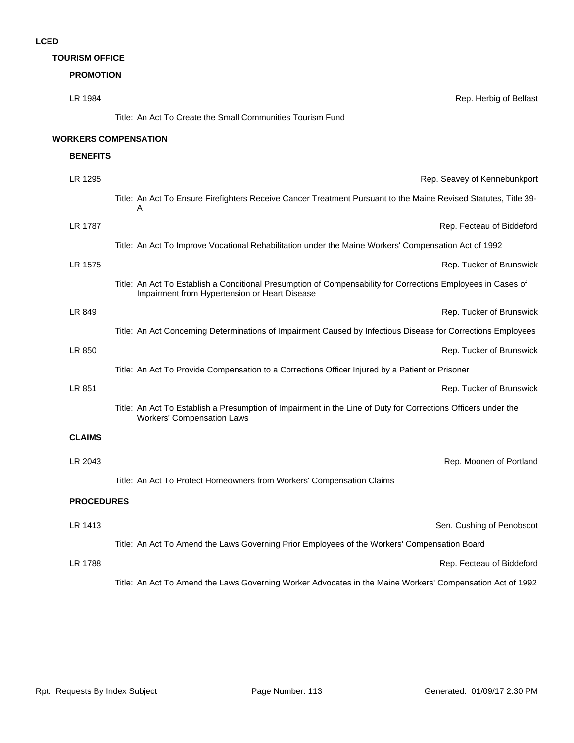## **TOURISM OFFICE**

# **PROMOTION**

| LR 1984           | Rep. Herbig of Belfast                                                                                                                                        |
|-------------------|---------------------------------------------------------------------------------------------------------------------------------------------------------------|
|                   | Title: An Act To Create the Small Communities Tourism Fund                                                                                                    |
|                   | <b>WORKERS COMPENSATION</b>                                                                                                                                   |
| <b>BENEFITS</b>   |                                                                                                                                                               |
| LR 1295           | Rep. Seavey of Kennebunkport                                                                                                                                  |
|                   | Title: An Act To Ensure Firefighters Receive Cancer Treatment Pursuant to the Maine Revised Statutes, Title 39-<br>Α                                          |
| LR 1787           | Rep. Fecteau of Biddeford                                                                                                                                     |
|                   | Title: An Act To Improve Vocational Rehabilitation under the Maine Workers' Compensation Act of 1992                                                          |
| LR 1575           | Rep. Tucker of Brunswick                                                                                                                                      |
|                   | Title: An Act To Establish a Conditional Presumption of Compensability for Corrections Employees in Cases of<br>Impairment from Hypertension or Heart Disease |
| LR 849            | Rep. Tucker of Brunswick                                                                                                                                      |
|                   | Title: An Act Concerning Determinations of Impairment Caused by Infectious Disease for Corrections Employees                                                  |
| LR 850            | Rep. Tucker of Brunswick                                                                                                                                      |
|                   | Title: An Act To Provide Compensation to a Corrections Officer Injured by a Patient or Prisoner                                                               |
| LR 851            | Rep. Tucker of Brunswick                                                                                                                                      |
|                   | Title: An Act To Establish a Presumption of Impairment in the Line of Duty for Corrections Officers under the<br><b>Workers' Compensation Laws</b>            |
| <b>CLAIMS</b>     |                                                                                                                                                               |
| LR 2043           | Rep. Moonen of Portland                                                                                                                                       |
|                   | Title: An Act To Protect Homeowners from Workers' Compensation Claims                                                                                         |
| <b>PROCEDURES</b> |                                                                                                                                                               |
| LR 1413           | Sen. Cushing of Penobscot                                                                                                                                     |
|                   | Title: An Act To Amend the Laws Governing Prior Employees of the Workers' Compensation Board                                                                  |
| LR 1788           | Rep. Fecteau of Biddeford                                                                                                                                     |
|                   | Title: An Act To Amend the Laws Governing Worker Advocates in the Maine Workers' Compensation Act of 1992                                                     |
|                   |                                                                                                                                                               |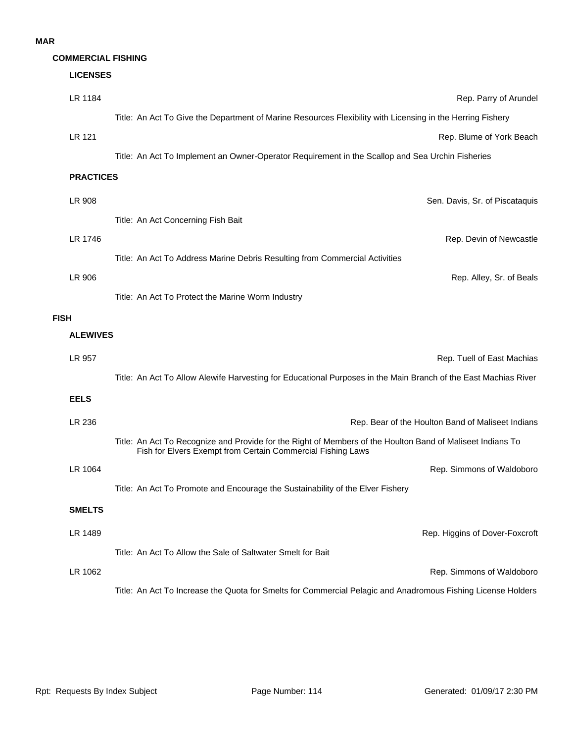#### **MAR**

## **COMMERCIAL FISHING**

# LR 1062 Rep. Simmons of Waldoboro **LR 1489 Rep. Higgins of Dover-Foxcroft CR** 1489 Title: An Act To Allow the Sale of Saltwater Smelt for Bait **SMELTS LR 1064** Rep. Simmons of Waldoboro Title: An Act To Promote and Encourage the Sustainability of the Elver Fishery LR 236 **Rep. Bear of the Houlton Band of Maliseet Indians** Title: An Act To Recognize and Provide for the Right of Members of the Houlton Band of Maliseet Indians To Fish for Elvers Exempt from Certain Commercial Fishing Laws **EELS** LR 957 Rep. Tuell of East Machias Title: An Act To Allow Alewife Harvesting for Educational Purposes in the Main Branch of the East Machias River **ALEWIVES FISH** LR 906 Rep. Alley, Sr. of Beals Title: An Act To Protect the Marine Worm Industry **LR 1746** Rep. Devin of Newcastle Title: An Act To Address Marine Debris Resulting from Commercial Activities LR 908 Sen. Davis, Sr. of Piscataquis Title: An Act Concerning Fish Bait **PRACTICES LR 121** Rep. Blume of York Beach Title: An Act To Implement an Owner-Operator Requirement in the Scallop and Sea Urchin Fisheries LR 1184 Rep. Parry of Arundel Title: An Act To Give the Department of Marine Resources Flexibility with Licensing in the Herring Fishery **LICENSES**

Title: An Act To Increase the Quota for Smelts for Commercial Pelagic and Anadromous Fishing License Holders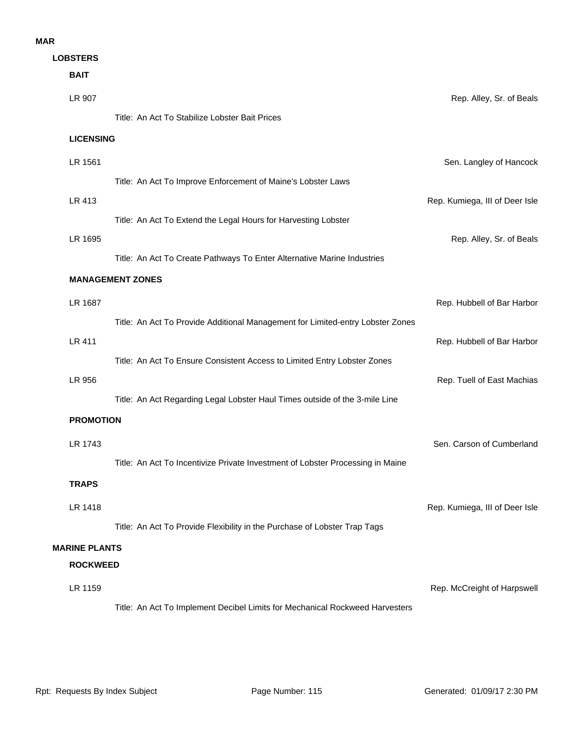## **MAR**

**LOBSTERS**

| <b>BAIT</b>          |                                                                                |                                |
|----------------------|--------------------------------------------------------------------------------|--------------------------------|
| LR 907               |                                                                                | Rep. Alley, Sr. of Beals       |
|                      | Title: An Act To Stabilize Lobster Bait Prices                                 |                                |
| <b>LICENSING</b>     |                                                                                |                                |
| LR 1561              |                                                                                | Sen. Langley of Hancock        |
|                      | Title: An Act To Improve Enforcement of Maine's Lobster Laws                   |                                |
| LR 413               |                                                                                | Rep. Kumiega, III of Deer Isle |
|                      | Title: An Act To Extend the Legal Hours for Harvesting Lobster                 |                                |
| LR 1695              |                                                                                | Rep. Alley, Sr. of Beals       |
|                      | Title: An Act To Create Pathways To Enter Alternative Marine Industries        |                                |
|                      | <b>MANAGEMENT ZONES</b>                                                        |                                |
| LR 1687              |                                                                                | Rep. Hubbell of Bar Harbor     |
|                      | Title: An Act To Provide Additional Management for Limited-entry Lobster Zones |                                |
| <b>LR 411</b>        |                                                                                | Rep. Hubbell of Bar Harbor     |
|                      | Title: An Act To Ensure Consistent Access to Limited Entry Lobster Zones       |                                |
| LR 956               |                                                                                | Rep. Tuell of East Machias     |
|                      | Title: An Act Regarding Legal Lobster Haul Times outside of the 3-mile Line    |                                |
| <b>PROMOTION</b>     |                                                                                |                                |
| LR 1743              |                                                                                | Sen. Carson of Cumberland      |
|                      | Title: An Act To Incentivize Private Investment of Lobster Processing in Maine |                                |
| TRAPS                |                                                                                |                                |
| LR 1418              |                                                                                | Rep. Kumiega, III of Deer Isle |
|                      | Title: An Act To Provide Flexibility in the Purchase of Lobster Trap Tags      |                                |
| <b>MARINE PLANTS</b> |                                                                                |                                |
| <b>ROCKWEED</b>      |                                                                                |                                |
| LR 1159              |                                                                                | Rep. McCreight of Harpswell    |
|                      | Title: An Act To Implement Decibel Limits for Mechanical Rockweed Harvesters   |                                |
|                      |                                                                                |                                |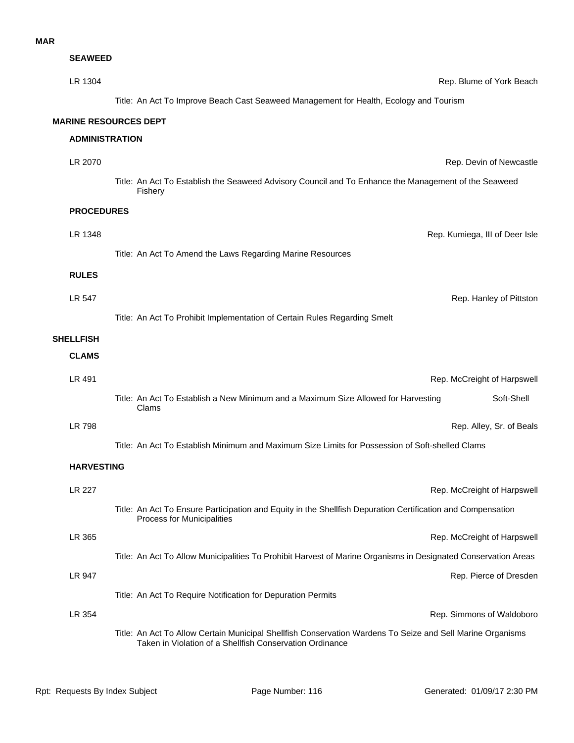| <b>SEAWEED</b>        |                                                                                                                                                                        |
|-----------------------|------------------------------------------------------------------------------------------------------------------------------------------------------------------------|
| LR 1304               | Rep. Blume of York Beach                                                                                                                                               |
|                       | Title: An Act To Improve Beach Cast Seaweed Management for Health, Ecology and Tourism                                                                                 |
|                       | <b>MARINE RESOURCES DEPT</b>                                                                                                                                           |
| <b>ADMINISTRATION</b> |                                                                                                                                                                        |
| LR 2070               | Rep. Devin of Newcastle                                                                                                                                                |
|                       | Title: An Act To Establish the Seaweed Advisory Council and To Enhance the Management of the Seaweed<br>Fishery                                                        |
| <b>PROCEDURES</b>     |                                                                                                                                                                        |
| LR 1348               | Rep. Kumiega, III of Deer Isle                                                                                                                                         |
|                       | Title: An Act To Amend the Laws Regarding Marine Resources                                                                                                             |
| <b>RULES</b>          |                                                                                                                                                                        |
| LR 547                | Rep. Hanley of Pittston                                                                                                                                                |
|                       | Title: An Act To Prohibit Implementation of Certain Rules Regarding Smelt                                                                                              |
| <b>SHELLFISH</b>      |                                                                                                                                                                        |
| <b>CLAMS</b>          |                                                                                                                                                                        |
| LR 491                | Rep. McCreight of Harpswell                                                                                                                                            |
|                       | Title: An Act To Establish a New Minimum and a Maximum Size Allowed for Harvesting<br>Soft-Shell<br>Clams                                                              |
| <b>LR 798</b>         | Rep. Alley, Sr. of Beals                                                                                                                                               |
|                       | Title: An Act To Establish Minimum and Maximum Size Limits for Possession of Soft-shelled Clams                                                                        |
| <b>HARVESTING</b>     |                                                                                                                                                                        |
| <b>LR 227</b>         | Rep. McCreight of Harpswell                                                                                                                                            |
|                       | Title: An Act To Ensure Participation and Equity in the Shellfish Depuration Certification and Compensation<br>Process for Municipalities                              |
| LR 365                | Rep. McCreight of Harpswell                                                                                                                                            |
|                       | Title: An Act To Allow Municipalities To Prohibit Harvest of Marine Organisms in Designated Conservation Areas                                                         |
| LR 947                | Rep. Pierce of Dresden                                                                                                                                                 |
|                       | Title: An Act To Require Notification for Depuration Permits                                                                                                           |
| LR 354                | Rep. Simmons of Waldoboro                                                                                                                                              |
|                       | Title: An Act To Allow Certain Municipal Shellfish Conservation Wardens To Seize and Sell Marine Organisms<br>Taken in Violation of a Shellfish Conservation Ordinance |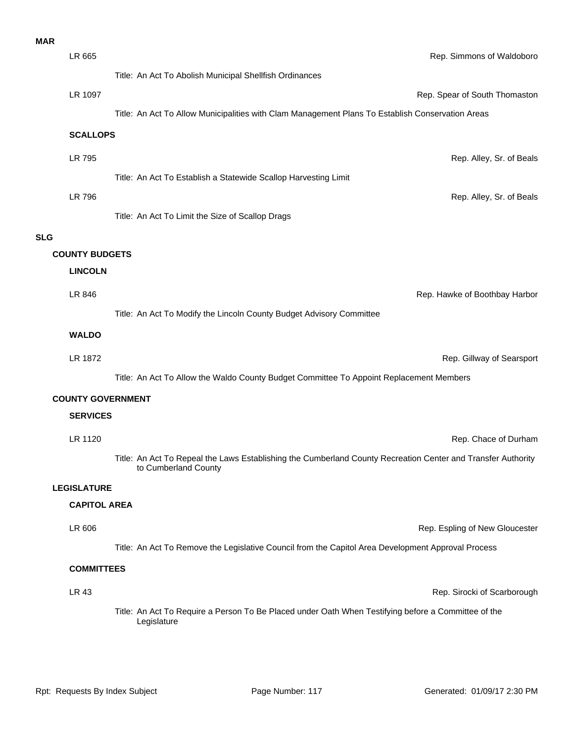# **MAR**

| LR 665<br>Rep. Simmons of Waldoboro<br>Title: An Act To Abolish Municipal Shellfish Ordinances<br>LR 1097<br>Rep. Spear of South Thomaston<br>Title: An Act To Allow Municipalities with Clam Management Plans To Establish Conservation Areas<br><b>SCALLOPS</b><br><b>LR 795</b><br>Rep. Alley, Sr. of Beals<br>Title: An Act To Establish a Statewide Scallop Harvesting Limit<br>LR 796<br>Rep. Alley, Sr. of Beals<br>Title: An Act To Limit the Size of Scallop Drags<br><b>SLG</b><br><b>COUNTY BUDGETS</b><br><b>LINCOLN</b><br>LR 846<br>Rep. Hawke of Boothbay Harbor<br>Title: An Act To Modify the Lincoln County Budget Advisory Committee<br><b>WALDO</b><br>LR 1872<br>Rep. Gillway of Searsport<br>Title: An Act To Allow the Waldo County Budget Committee To Appoint Replacement Members<br><b>COUNTY GOVERNMENT</b><br><b>SERVICES</b><br>LR 1120<br>Rep. Chace of Durham<br>Title: An Act To Repeal the Laws Establishing the Cumberland County Recreation Center and Transfer Authority<br>to Cumberland County<br><b>LEGISLATURE</b><br><b>CAPITOL AREA</b><br>LR 606<br>Rep. Espling of New Gloucester<br>Title: An Act To Remove the Legislative Council from the Capitol Area Development Approval Process<br><b>COMMITTEES</b><br><b>LR 43</b><br>Rep. Sirocki of Scarborough<br>Title: An Act To Require a Person To Be Placed under Oath When Testifying before a Committee of the<br>Legislature | MAR |  |
|-------------------------------------------------------------------------------------------------------------------------------------------------------------------------------------------------------------------------------------------------------------------------------------------------------------------------------------------------------------------------------------------------------------------------------------------------------------------------------------------------------------------------------------------------------------------------------------------------------------------------------------------------------------------------------------------------------------------------------------------------------------------------------------------------------------------------------------------------------------------------------------------------------------------------------------------------------------------------------------------------------------------------------------------------------------------------------------------------------------------------------------------------------------------------------------------------------------------------------------------------------------------------------------------------------------------------------------------------------------------------------------------------------------------------------|-----|--|
|                                                                                                                                                                                                                                                                                                                                                                                                                                                                                                                                                                                                                                                                                                                                                                                                                                                                                                                                                                                                                                                                                                                                                                                                                                                                                                                                                                                                                               |     |  |
|                                                                                                                                                                                                                                                                                                                                                                                                                                                                                                                                                                                                                                                                                                                                                                                                                                                                                                                                                                                                                                                                                                                                                                                                                                                                                                                                                                                                                               |     |  |
|                                                                                                                                                                                                                                                                                                                                                                                                                                                                                                                                                                                                                                                                                                                                                                                                                                                                                                                                                                                                                                                                                                                                                                                                                                                                                                                                                                                                                               |     |  |
|                                                                                                                                                                                                                                                                                                                                                                                                                                                                                                                                                                                                                                                                                                                                                                                                                                                                                                                                                                                                                                                                                                                                                                                                                                                                                                                                                                                                                               |     |  |
|                                                                                                                                                                                                                                                                                                                                                                                                                                                                                                                                                                                                                                                                                                                                                                                                                                                                                                                                                                                                                                                                                                                                                                                                                                                                                                                                                                                                                               |     |  |
|                                                                                                                                                                                                                                                                                                                                                                                                                                                                                                                                                                                                                                                                                                                                                                                                                                                                                                                                                                                                                                                                                                                                                                                                                                                                                                                                                                                                                               |     |  |
|                                                                                                                                                                                                                                                                                                                                                                                                                                                                                                                                                                                                                                                                                                                                                                                                                                                                                                                                                                                                                                                                                                                                                                                                                                                                                                                                                                                                                               |     |  |
|                                                                                                                                                                                                                                                                                                                                                                                                                                                                                                                                                                                                                                                                                                                                                                                                                                                                                                                                                                                                                                                                                                                                                                                                                                                                                                                                                                                                                               |     |  |
|                                                                                                                                                                                                                                                                                                                                                                                                                                                                                                                                                                                                                                                                                                                                                                                                                                                                                                                                                                                                                                                                                                                                                                                                                                                                                                                                                                                                                               |     |  |
|                                                                                                                                                                                                                                                                                                                                                                                                                                                                                                                                                                                                                                                                                                                                                                                                                                                                                                                                                                                                                                                                                                                                                                                                                                                                                                                                                                                                                               |     |  |
|                                                                                                                                                                                                                                                                                                                                                                                                                                                                                                                                                                                                                                                                                                                                                                                                                                                                                                                                                                                                                                                                                                                                                                                                                                                                                                                                                                                                                               |     |  |
|                                                                                                                                                                                                                                                                                                                                                                                                                                                                                                                                                                                                                                                                                                                                                                                                                                                                                                                                                                                                                                                                                                                                                                                                                                                                                                                                                                                                                               |     |  |
|                                                                                                                                                                                                                                                                                                                                                                                                                                                                                                                                                                                                                                                                                                                                                                                                                                                                                                                                                                                                                                                                                                                                                                                                                                                                                                                                                                                                                               |     |  |
|                                                                                                                                                                                                                                                                                                                                                                                                                                                                                                                                                                                                                                                                                                                                                                                                                                                                                                                                                                                                                                                                                                                                                                                                                                                                                                                                                                                                                               |     |  |
|                                                                                                                                                                                                                                                                                                                                                                                                                                                                                                                                                                                                                                                                                                                                                                                                                                                                                                                                                                                                                                                                                                                                                                                                                                                                                                                                                                                                                               |     |  |
|                                                                                                                                                                                                                                                                                                                                                                                                                                                                                                                                                                                                                                                                                                                                                                                                                                                                                                                                                                                                                                                                                                                                                                                                                                                                                                                                                                                                                               |     |  |
|                                                                                                                                                                                                                                                                                                                                                                                                                                                                                                                                                                                                                                                                                                                                                                                                                                                                                                                                                                                                                                                                                                                                                                                                                                                                                                                                                                                                                               |     |  |
|                                                                                                                                                                                                                                                                                                                                                                                                                                                                                                                                                                                                                                                                                                                                                                                                                                                                                                                                                                                                                                                                                                                                                                                                                                                                                                                                                                                                                               |     |  |
|                                                                                                                                                                                                                                                                                                                                                                                                                                                                                                                                                                                                                                                                                                                                                                                                                                                                                                                                                                                                                                                                                                                                                                                                                                                                                                                                                                                                                               |     |  |
|                                                                                                                                                                                                                                                                                                                                                                                                                                                                                                                                                                                                                                                                                                                                                                                                                                                                                                                                                                                                                                                                                                                                                                                                                                                                                                                                                                                                                               |     |  |
|                                                                                                                                                                                                                                                                                                                                                                                                                                                                                                                                                                                                                                                                                                                                                                                                                                                                                                                                                                                                                                                                                                                                                                                                                                                                                                                                                                                                                               |     |  |
|                                                                                                                                                                                                                                                                                                                                                                                                                                                                                                                                                                                                                                                                                                                                                                                                                                                                                                                                                                                                                                                                                                                                                                                                                                                                                                                                                                                                                               |     |  |
|                                                                                                                                                                                                                                                                                                                                                                                                                                                                                                                                                                                                                                                                                                                                                                                                                                                                                                                                                                                                                                                                                                                                                                                                                                                                                                                                                                                                                               |     |  |
|                                                                                                                                                                                                                                                                                                                                                                                                                                                                                                                                                                                                                                                                                                                                                                                                                                                                                                                                                                                                                                                                                                                                                                                                                                                                                                                                                                                                                               |     |  |
|                                                                                                                                                                                                                                                                                                                                                                                                                                                                                                                                                                                                                                                                                                                                                                                                                                                                                                                                                                                                                                                                                                                                                                                                                                                                                                                                                                                                                               |     |  |
|                                                                                                                                                                                                                                                                                                                                                                                                                                                                                                                                                                                                                                                                                                                                                                                                                                                                                                                                                                                                                                                                                                                                                                                                                                                                                                                                                                                                                               |     |  |
|                                                                                                                                                                                                                                                                                                                                                                                                                                                                                                                                                                                                                                                                                                                                                                                                                                                                                                                                                                                                                                                                                                                                                                                                                                                                                                                                                                                                                               |     |  |
|                                                                                                                                                                                                                                                                                                                                                                                                                                                                                                                                                                                                                                                                                                                                                                                                                                                                                                                                                                                                                                                                                                                                                                                                                                                                                                                                                                                                                               |     |  |
|                                                                                                                                                                                                                                                                                                                                                                                                                                                                                                                                                                                                                                                                                                                                                                                                                                                                                                                                                                                                                                                                                                                                                                                                                                                                                                                                                                                                                               |     |  |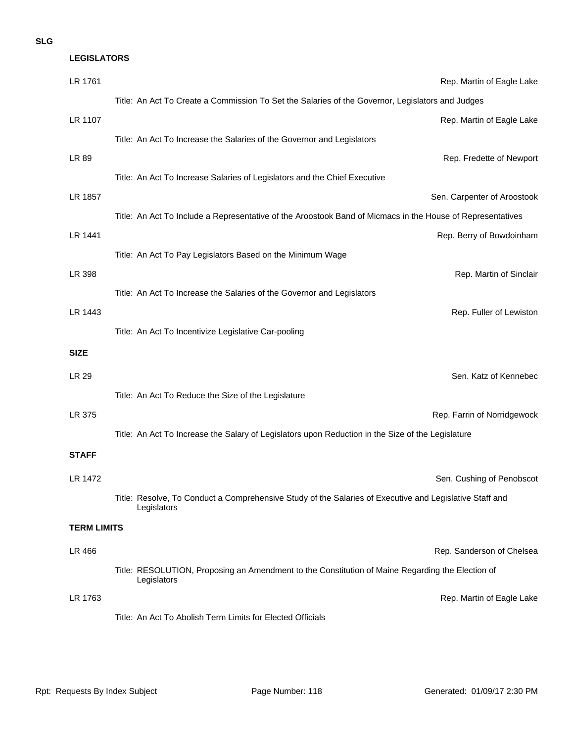## **SLG**

| <b>LEGISLATORS</b> |                                                                                                                        |  |
|--------------------|------------------------------------------------------------------------------------------------------------------------|--|
| LR 1761            | Rep. Martin of Eagle Lake                                                                                              |  |
|                    | Title: An Act To Create a Commission To Set the Salaries of the Governor, Legislators and Judges                       |  |
| LR 1107            | Rep. Martin of Eagle Lake                                                                                              |  |
|                    | Title: An Act To Increase the Salaries of the Governor and Legislators                                                 |  |
| LR 89              | Rep. Fredette of Newport                                                                                               |  |
|                    | Title: An Act To Increase Salaries of Legislators and the Chief Executive                                              |  |
| LR 1857            | Sen. Carpenter of Aroostook                                                                                            |  |
|                    | Title: An Act To Include a Representative of the Aroostook Band of Micmacs in the House of Representatives             |  |
| LR 1441            | Rep. Berry of Bowdoinham                                                                                               |  |
|                    | Title: An Act To Pay Legislators Based on the Minimum Wage                                                             |  |
| LR 398             | Rep. Martin of Sinclair                                                                                                |  |
|                    | Title: An Act To Increase the Salaries of the Governor and Legislators                                                 |  |
| LR 1443            | Rep. Fuller of Lewiston                                                                                                |  |
|                    | Title: An Act To Incentivize Legislative Car-pooling                                                                   |  |
| <b>SIZE</b>        |                                                                                                                        |  |
| <b>LR 29</b>       | Sen. Katz of Kennebec                                                                                                  |  |
|                    | Title: An Act To Reduce the Size of the Legislature                                                                    |  |
| LR 375             | Rep. Farrin of Norridgewock                                                                                            |  |
|                    | Title: An Act To Increase the Salary of Legislators upon Reduction in the Size of the Legislature                      |  |
| <b>STAFF</b>       |                                                                                                                        |  |
| LR 1472            | Sen. Cushing of Penobscot                                                                                              |  |
|                    | Title: Resolve, To Conduct a Comprehensive Study of the Salaries of Executive and Legislative Staff and<br>Legislators |  |
| <b>TERM LIMITS</b> |                                                                                                                        |  |
| LR 466             | Rep. Sanderson of Chelsea                                                                                              |  |
|                    | Title: RESOLUTION, Proposing an Amendment to the Constitution of Maine Regarding the Election of<br>Legislators        |  |
| LR 1763            | Rep. Martin of Eagle Lake                                                                                              |  |
|                    | Title: An Act To Abolish Term Limits for Elected Officials                                                             |  |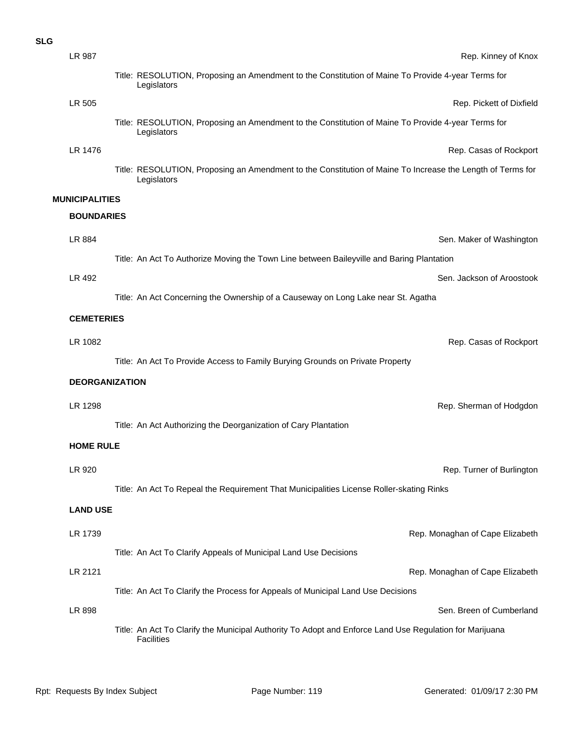| <b>SLG</b> |                       |                                                                                                                              |
|------------|-----------------------|------------------------------------------------------------------------------------------------------------------------------|
|            | LR 987                | Rep. Kinney of Knox                                                                                                          |
|            |                       | Title: RESOLUTION, Proposing an Amendment to the Constitution of Maine To Provide 4-year Terms for<br>Legislators            |
|            | LR 505                | Rep. Pickett of Dixfield                                                                                                     |
|            |                       | Title: RESOLUTION, Proposing an Amendment to the Constitution of Maine To Provide 4-year Terms for<br>Legislators            |
|            | LR 1476               | Rep. Casas of Rockport                                                                                                       |
|            |                       | Title: RESOLUTION, Proposing an Amendment to the Constitution of Maine To Increase the Length of Terms for<br>Legislators    |
|            | <b>MUNICIPALITIES</b> |                                                                                                                              |
|            | <b>BOUNDARIES</b>     |                                                                                                                              |
|            | LR 884                | Sen. Maker of Washington                                                                                                     |
|            |                       | Title: An Act To Authorize Moving the Town Line between Baileyville and Baring Plantation                                    |
|            | LR 492                | Sen. Jackson of Aroostook                                                                                                    |
|            |                       | Title: An Act Concerning the Ownership of a Causeway on Long Lake near St. Agatha                                            |
|            | <b>CEMETERIES</b>     |                                                                                                                              |
|            | LR 1082               | Rep. Casas of Rockport                                                                                                       |
|            |                       | Title: An Act To Provide Access to Family Burying Grounds on Private Property                                                |
|            | <b>DEORGANIZATION</b> |                                                                                                                              |
|            | LR 1298               | Rep. Sherman of Hodgdon                                                                                                      |
|            |                       | Title: An Act Authorizing the Deorganization of Cary Plantation                                                              |
|            | <b>HOME RULE</b>      |                                                                                                                              |
|            | LR 920                | Rep. Turner of Burlington                                                                                                    |
|            |                       | Title: An Act To Repeal the Requirement That Municipalities License Roller-skating Rinks                                     |
|            | <b>LAND USE</b>       |                                                                                                                              |
|            | LR 1739               | Rep. Monaghan of Cape Elizabeth                                                                                              |
|            |                       | Title: An Act To Clarify Appeals of Municipal Land Use Decisions                                                             |
|            | LR 2121               | Rep. Monaghan of Cape Elizabeth                                                                                              |
|            |                       | Title: An Act To Clarify the Process for Appeals of Municipal Land Use Decisions                                             |
|            | LR 898                | Sen. Breen of Cumberland                                                                                                     |
|            |                       | Title: An Act To Clarify the Municipal Authority To Adopt and Enforce Land Use Regulation for Marijuana<br><b>Facilities</b> |
|            |                       |                                                                                                                              |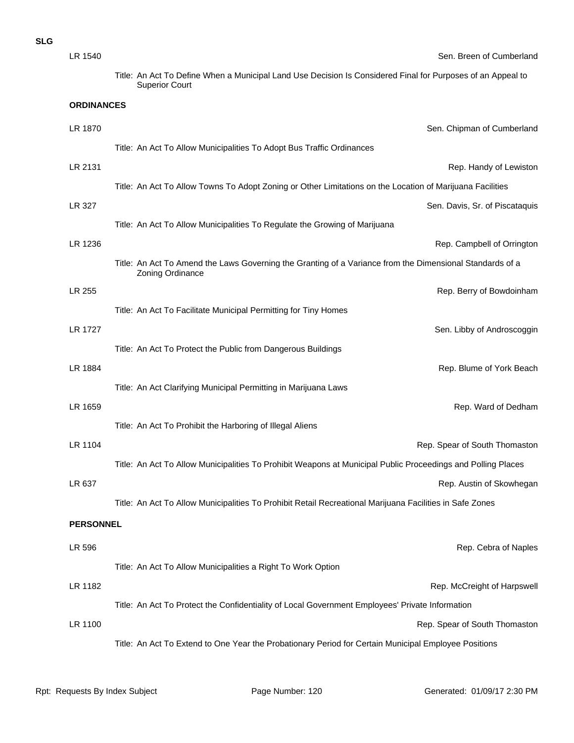| ۰,<br>۰.<br>×<br>× | ۰.<br>۰. |
|--------------------|----------|
|--------------------|----------|

| LR 1540           | Sen. Breen of Cumberland                                                                                                             |
|-------------------|--------------------------------------------------------------------------------------------------------------------------------------|
|                   | Title: An Act To Define When a Municipal Land Use Decision Is Considered Final for Purposes of an Appeal to<br><b>Superior Court</b> |
| <b>ORDINANCES</b> |                                                                                                                                      |
| LR 1870           | Sen. Chipman of Cumberland                                                                                                           |
|                   | Title: An Act To Allow Municipalities To Adopt Bus Traffic Ordinances                                                                |
| LR 2131           | Rep. Handy of Lewiston                                                                                                               |
|                   | Title: An Act To Allow Towns To Adopt Zoning or Other Limitations on the Location of Marijuana Facilities                            |
| LR 327            | Sen. Davis, Sr. of Piscataquis                                                                                                       |
|                   | Title: An Act To Allow Municipalities To Regulate the Growing of Marijuana                                                           |
| LR 1236           | Rep. Campbell of Orrington                                                                                                           |
|                   | Title: An Act To Amend the Laws Governing the Granting of a Variance from the Dimensional Standards of a<br>Zoning Ordinance         |
| LR 255            | Rep. Berry of Bowdoinham                                                                                                             |
|                   | Title: An Act To Facilitate Municipal Permitting for Tiny Homes                                                                      |
| <b>LR 1727</b>    | Sen. Libby of Androscoggin                                                                                                           |
|                   | Title: An Act To Protect the Public from Dangerous Buildings                                                                         |
| LR 1884           | Rep. Blume of York Beach                                                                                                             |
|                   | Title: An Act Clarifying Municipal Permitting in Marijuana Laws                                                                      |
| LR 1659           | Rep. Ward of Dedham                                                                                                                  |
|                   | Title: An Act To Prohibit the Harboring of Illegal Aliens                                                                            |
| LR 1104           | Rep. Spear of South Thomaston                                                                                                        |
|                   | Title: An Act To Allow Municipalities To Prohibit Weapons at Municipal Public Proceedings and Polling Places                         |
| LR 637            | Rep. Austin of Skowhegan                                                                                                             |
|                   | Title: An Act To Allow Municipalities To Prohibit Retail Recreational Marijuana Facilities in Safe Zones                             |
| <b>PERSONNEL</b>  |                                                                                                                                      |
| LR 596            | Rep. Cebra of Naples                                                                                                                 |
|                   | Title: An Act To Allow Municipalities a Right To Work Option                                                                         |
| LR 1182           | Rep. McCreight of Harpswell                                                                                                          |
|                   | Title: An Act To Protect the Confidentiality of Local Government Employees' Private Information                                      |
| LR 1100           | Rep. Spear of South Thomaston                                                                                                        |
|                   | Title: An Act To Extend to One Year the Probationary Period for Certain Municipal Employee Positions                                 |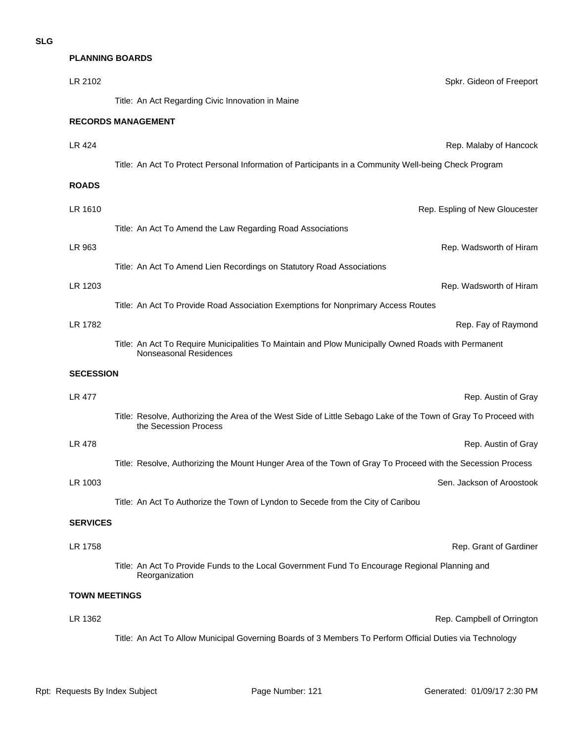## **PLANNING BOARDS**

| LR 2102              | Spkr. Gideon of Freeport                                                                                                                 |
|----------------------|------------------------------------------------------------------------------------------------------------------------------------------|
|                      | Title: An Act Regarding Civic Innovation in Maine                                                                                        |
|                      | <b>RECORDS MANAGEMENT</b>                                                                                                                |
| LR 424               | Rep. Malaby of Hancock                                                                                                                   |
|                      | Title: An Act To Protect Personal Information of Participants in a Community Well-being Check Program                                    |
| <b>ROADS</b>         |                                                                                                                                          |
| LR 1610              | Rep. Espling of New Gloucester                                                                                                           |
|                      | Title: An Act To Amend the Law Regarding Road Associations                                                                               |
| LR 963               | Rep. Wadsworth of Hiram                                                                                                                  |
|                      | Title: An Act To Amend Lien Recordings on Statutory Road Associations                                                                    |
| LR 1203              | Rep. Wadsworth of Hiram                                                                                                                  |
|                      | Title: An Act To Provide Road Association Exemptions for Nonprimary Access Routes                                                        |
| LR 1782              | Rep. Fay of Raymond                                                                                                                      |
|                      | Title: An Act To Require Municipalities To Maintain and Plow Municipally Owned Roads with Permanent<br>Nonseasonal Residences            |
|                      |                                                                                                                                          |
| <b>SECESSION</b>     |                                                                                                                                          |
| <b>LR 477</b>        | Rep. Austin of Gray                                                                                                                      |
|                      | Title: Resolve, Authorizing the Area of the West Side of Little Sebago Lake of the Town of Gray To Proceed with<br>the Secession Process |
| LR 478               | Rep. Austin of Gray                                                                                                                      |
|                      | Title: Resolve, Authorizing the Mount Hunger Area of the Town of Gray To Proceed with the Secession Process                              |
| LR 1003              | Sen. Jackson of Aroostook                                                                                                                |
|                      | Title: An Act To Authorize the Town of Lyndon to Secede from the City of Caribou                                                         |
| <b>SERVICES</b>      |                                                                                                                                          |
| LR 1758              | Rep. Grant of Gardiner                                                                                                                   |
|                      | Title: An Act To Provide Funds to the Local Government Fund To Encourage Regional Planning and<br>Reorganization                         |
| <b>TOWN MEETINGS</b> |                                                                                                                                          |
| LR 1362              | Rep. Campbell of Orrington                                                                                                               |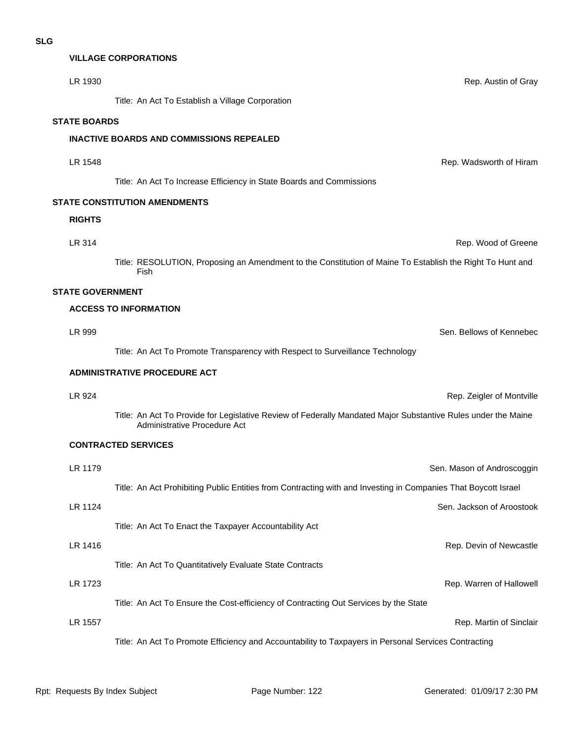#### **VILLAGE CORPORATIONS**

| LR 1930                 | Rep. Austin of Gray                                                                                                                           |
|-------------------------|-----------------------------------------------------------------------------------------------------------------------------------------------|
|                         | Title: An Act To Establish a Village Corporation                                                                                              |
| <b>STATE BOARDS</b>     |                                                                                                                                               |
|                         | <b>INACTIVE BOARDS AND COMMISSIONS REPEALED</b>                                                                                               |
| LR 1548                 | Rep. Wadsworth of Hiram                                                                                                                       |
|                         | Title: An Act To Increase Efficiency in State Boards and Commissions                                                                          |
|                         | <b>STATE CONSTITUTION AMENDMENTS</b>                                                                                                          |
| <b>RIGHTS</b>           |                                                                                                                                               |
| LR 314                  | Rep. Wood of Greene                                                                                                                           |
|                         | Title: RESOLUTION, Proposing an Amendment to the Constitution of Maine To Establish the Right To Hunt and<br>Fish                             |
| <b>STATE GOVERNMENT</b> |                                                                                                                                               |
|                         | <b>ACCESS TO INFORMATION</b>                                                                                                                  |
| LR 999                  | Sen. Bellows of Kennebec                                                                                                                      |
|                         | Title: An Act To Promote Transparency with Respect to Surveillance Technology                                                                 |
|                         | <b>ADMINISTRATIVE PROCEDURE ACT</b>                                                                                                           |
| LR 924                  | Rep. Zeigler of Montville                                                                                                                     |
|                         | Title: An Act To Provide for Legislative Review of Federally Mandated Major Substantive Rules under the Maine<br>Administrative Procedure Act |
|                         | <b>CONTRACTED SERVICES</b>                                                                                                                    |
| LR 1179                 | Sen. Mason of Androscoggin                                                                                                                    |
|                         | Title: An Act Prohibiting Public Entities from Contracting with and Investing in Companies That Boycott Israel                                |
| LR 1124                 | Sen. Jackson of Aroostook                                                                                                                     |
|                         | Title: An Act To Enact the Taxpayer Accountability Act                                                                                        |
| LR 1416                 | Rep. Devin of Newcastle                                                                                                                       |
|                         | Title: An Act To Quantitatively Evaluate State Contracts                                                                                      |
| LR 1723                 | Rep. Warren of Hallowell                                                                                                                      |
|                         | Title: An Act To Ensure the Cost-efficiency of Contracting Out Services by the State                                                          |
| LR 1557                 | Rep. Martin of Sinclair                                                                                                                       |

Title: An Act To Promote Efficiency and Accountability to Taxpayers in Personal Services Contracting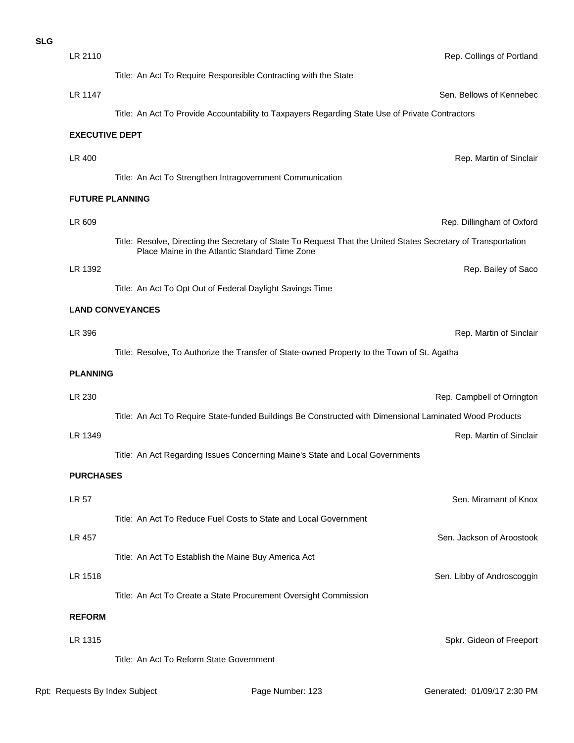| LR 2110               | Rep. Collings of Portland                                                                                                                                        |
|-----------------------|------------------------------------------------------------------------------------------------------------------------------------------------------------------|
|                       | Title: An Act To Require Responsible Contracting with the State                                                                                                  |
| LR 1147               | Sen. Bellows of Kennebec                                                                                                                                         |
|                       | Title: An Act To Provide Accountability to Taxpayers Regarding State Use of Private Contractors                                                                  |
| <b>EXECUTIVE DEPT</b> |                                                                                                                                                                  |
| LR 400                | Rep. Martin of Sinclair                                                                                                                                          |
|                       | Title: An Act To Strengthen Intragovernment Communication                                                                                                        |
|                       | <b>FUTURE PLANNING</b>                                                                                                                                           |
| LR 609                | Rep. Dillingham of Oxford                                                                                                                                        |
|                       | Title: Resolve, Directing the Secretary of State To Request That the United States Secretary of Transportation<br>Place Maine in the Atlantic Standard Time Zone |
| LR 1392               | Rep. Bailey of Saco                                                                                                                                              |
|                       | Title: An Act To Opt Out of Federal Daylight Savings Time                                                                                                        |
|                       | <b>LAND CONVEYANCES</b>                                                                                                                                          |
| LR 396                | Rep. Martin of Sinclair                                                                                                                                          |
|                       | Title: Resolve, To Authorize the Transfer of State-owned Property to the Town of St. Agatha                                                                      |
| <b>PLANNING</b>       |                                                                                                                                                                  |
| LR 230                | Rep. Campbell of Orrington                                                                                                                                       |
|                       | Title: An Act To Require State-funded Buildings Be Constructed with Dimensional Laminated Wood Products                                                          |
| LR 1349               | Rep. Martin of Sinclair                                                                                                                                          |
|                       | Title: An Act Regarding Issues Concerning Maine's State and Local Governments                                                                                    |
| <b>PURCHASES</b>      |                                                                                                                                                                  |
| LR 57                 | Sen. Miramant of Knox                                                                                                                                            |
|                       | Title: An Act To Reduce Fuel Costs to State and Local Government                                                                                                 |
| LR 457                | Sen. Jackson of Aroostook                                                                                                                                        |
|                       | Title: An Act To Establish the Maine Buy America Act                                                                                                             |
| LR 1518               | Sen. Libby of Androscoggin                                                                                                                                       |
|                       | Title: An Act To Create a State Procurement Oversight Commission                                                                                                 |
| <b>REFORM</b>         |                                                                                                                                                                  |
| LR 1315               | Spkr. Gideon of Freeport                                                                                                                                         |
|                       | Title: An Act To Reform State Government                                                                                                                         |

**SLG**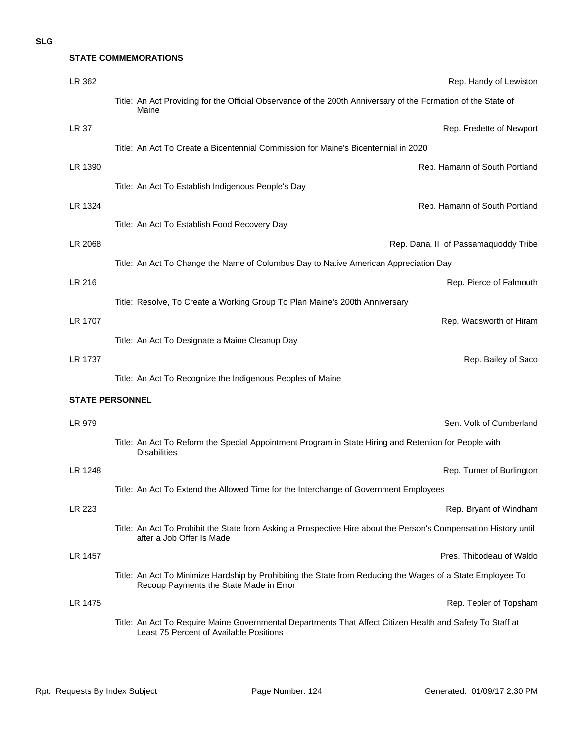## **SLG**

**STATE COMMEMORATIONS**

| LR 362                 | Rep. Handy of Lewiston                                                                                                                                |
|------------------------|-------------------------------------------------------------------------------------------------------------------------------------------------------|
|                        | Title: An Act Providing for the Official Observance of the 200th Anniversary of the Formation of the State of<br>Maine                                |
| LR 37                  | Rep. Fredette of Newport                                                                                                                              |
|                        | Title: An Act To Create a Bicentennial Commission for Maine's Bicentennial in 2020                                                                    |
| LR 1390                | Rep. Hamann of South Portland                                                                                                                         |
|                        | Title: An Act To Establish Indigenous People's Day                                                                                                    |
| LR 1324                | Rep. Hamann of South Portland                                                                                                                         |
|                        | Title: An Act To Establish Food Recovery Day                                                                                                          |
| LR 2068                | Rep. Dana, II of Passamaquoddy Tribe                                                                                                                  |
|                        | Title: An Act To Change the Name of Columbus Day to Native American Appreciation Day                                                                  |
| LR 216                 | Rep. Pierce of Falmouth                                                                                                                               |
|                        | Title: Resolve, To Create a Working Group To Plan Maine's 200th Anniversary                                                                           |
| LR 1707                | Rep. Wadsworth of Hiram                                                                                                                               |
|                        | Title: An Act To Designate a Maine Cleanup Day                                                                                                        |
| LR 1737                | Rep. Bailey of Saco                                                                                                                                   |
|                        | Title: An Act To Recognize the Indigenous Peoples of Maine                                                                                            |
| <b>STATE PERSONNEL</b> |                                                                                                                                                       |
| LR 979                 | Sen. Volk of Cumberland                                                                                                                               |
|                        | Title: An Act To Reform the Special Appointment Program in State Hiring and Retention for People with<br><b>Disabilities</b>                          |
| LR 1248                | Rep. Turner of Burlington                                                                                                                             |
|                        | Title: An Act To Extend the Allowed Time for the Interchange of Government Employees                                                                  |
| LR 223                 | Rep. Bryant of Windham                                                                                                                                |
|                        | Title: An Act To Prohibit the State from Asking a Prospective Hire about the Person's Compensation History until<br>after a Job Offer Is Made         |
| LR 1457                | Pres. Thibodeau of Waldo                                                                                                                              |
|                        | Title: An Act To Minimize Hardship by Prohibiting the State from Reducing the Wages of a State Employee To<br>Recoup Payments the State Made in Error |
| LR 1475                | Rep. Tepler of Topsham                                                                                                                                |
|                        | Title: An Act To Require Maine Governmental Departments That Affect Citizen Health and Safety To Staff at<br>Least 75 Percent of Available Positions  |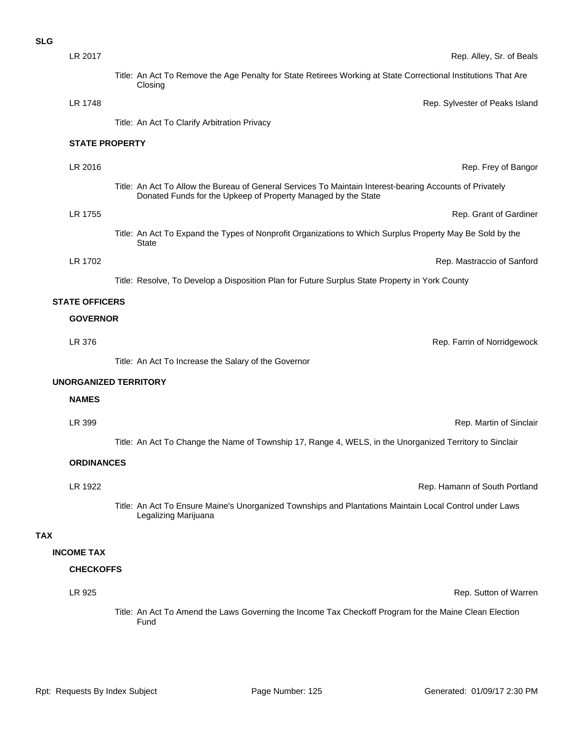| <b>SLG</b> |                       |                                                                                                                                                                           |
|------------|-----------------------|---------------------------------------------------------------------------------------------------------------------------------------------------------------------------|
|            | LR 2017               | Rep. Alley, Sr. of Beals                                                                                                                                                  |
|            |                       | Title: An Act To Remove the Age Penalty for State Retirees Working at State Correctional Institutions That Are<br>Closing                                                 |
|            | LR 1748               | Rep. Sylvester of Peaks Island                                                                                                                                            |
|            |                       | Title: An Act To Clarify Arbitration Privacy                                                                                                                              |
|            | <b>STATE PROPERTY</b> |                                                                                                                                                                           |
|            | LR 2016               | Rep. Frey of Bangor                                                                                                                                                       |
|            |                       | Title: An Act To Allow the Bureau of General Services To Maintain Interest-bearing Accounts of Privately<br>Donated Funds for the Upkeep of Property Managed by the State |
|            | LR 1755               | Rep. Grant of Gardiner                                                                                                                                                    |
|            |                       | Title: An Act To Expand the Types of Nonprofit Organizations to Which Surplus Property May Be Sold by the<br><b>State</b>                                                 |
|            | LR 1702               | Rep. Mastraccio of Sanford                                                                                                                                                |
|            |                       | Title: Resolve, To Develop a Disposition Plan for Future Surplus State Property in York County                                                                            |
|            | <b>STATE OFFICERS</b> |                                                                                                                                                                           |
|            | <b>GOVERNOR</b>       |                                                                                                                                                                           |
|            | LR 376                | Rep. Farrin of Norridgewock                                                                                                                                               |
|            |                       | Title: An Act To Increase the Salary of the Governor                                                                                                                      |
|            |                       | <b>UNORGANIZED TERRITORY</b>                                                                                                                                              |
|            | <b>NAMES</b>          |                                                                                                                                                                           |
|            | LR 399                | Rep. Martin of Sinclair                                                                                                                                                   |
|            |                       | Title: An Act To Change the Name of Township 17, Range 4, WELS, in the Unorganized Territory to Sinclair                                                                  |
|            | <b>ORDINANCES</b>     |                                                                                                                                                                           |
|            | LR 1922               | Rep. Hamann of South Portland                                                                                                                                             |
|            |                       | Title: An Act To Ensure Maine's Unorganized Townships and Plantations Maintain Local Control under Laws<br>Legalizing Marijuana                                           |
| <b>TAX</b> |                       |                                                                                                                                                                           |
|            | <b>INCOME TAX</b>     |                                                                                                                                                                           |
|            | <b>CHECKOFFS</b>      |                                                                                                                                                                           |
|            | LR 925                | Rep. Sutton of Warren                                                                                                                                                     |
|            |                       | Title: An Act To Amend the Laws Governing the Income Tax Checkoff Program for the Maine Clean Election<br>Fund                                                            |
|            |                       |                                                                                                                                                                           |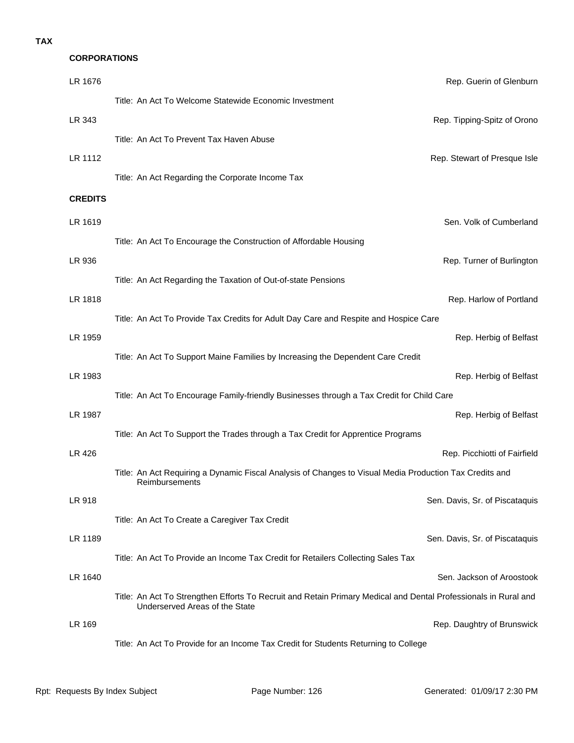## **TAX**

# **CORPORATIONS**

| LR 1676        | Rep. Guerin of Glenburn                                                                                                                           |
|----------------|---------------------------------------------------------------------------------------------------------------------------------------------------|
|                | Title: An Act To Welcome Statewide Economic Investment                                                                                            |
| LR 343         | Rep. Tipping-Spitz of Orono                                                                                                                       |
|                | Title: An Act To Prevent Tax Haven Abuse                                                                                                          |
| LR 1112        | Rep. Stewart of Presque Isle                                                                                                                      |
|                | Title: An Act Regarding the Corporate Income Tax                                                                                                  |
| <b>CREDITS</b> |                                                                                                                                                   |
| LR 1619        | Sen. Volk of Cumberland                                                                                                                           |
|                | Title: An Act To Encourage the Construction of Affordable Housing                                                                                 |
| LR 936         | Rep. Turner of Burlington                                                                                                                         |
|                | Title: An Act Regarding the Taxation of Out-of-state Pensions                                                                                     |
| LR 1818        | Rep. Harlow of Portland                                                                                                                           |
|                | Title: An Act To Provide Tax Credits for Adult Day Care and Respite and Hospice Care                                                              |
| LR 1959        | Rep. Herbig of Belfast                                                                                                                            |
|                | Title: An Act To Support Maine Families by Increasing the Dependent Care Credit                                                                   |
| LR 1983        | Rep. Herbig of Belfast                                                                                                                            |
|                | Title: An Act To Encourage Family-friendly Businesses through a Tax Credit for Child Care                                                         |
| LR 1987        | Rep. Herbig of Belfast                                                                                                                            |
| LR 426         | Title: An Act To Support the Trades through a Tax Credit for Apprentice Programs                                                                  |
|                | Rep. Picchiotti of Fairfield<br>Title: An Act Requiring a Dynamic Fiscal Analysis of Changes to Visual Media Production Tax Credits and           |
|                | Reimbursements                                                                                                                                    |
| LR 918         | Sen. Davis, Sr. of Piscataquis                                                                                                                    |
|                | Title: An Act To Create a Caregiver Tax Credit                                                                                                    |
| LR 1189        | Sen. Davis, Sr. of Piscataquis                                                                                                                    |
|                | Title: An Act To Provide an Income Tax Credit for Retailers Collecting Sales Tax                                                                  |
| LR 1640        | Sen. Jackson of Aroostook                                                                                                                         |
|                | Title: An Act To Strengthen Efforts To Recruit and Retain Primary Medical and Dental Professionals in Rural and<br>Underserved Areas of the State |
| LR 169         | Rep. Daughtry of Brunswick                                                                                                                        |
|                | Title: An Act To Provide for an Income Tax Credit for Students Returning to College                                                               |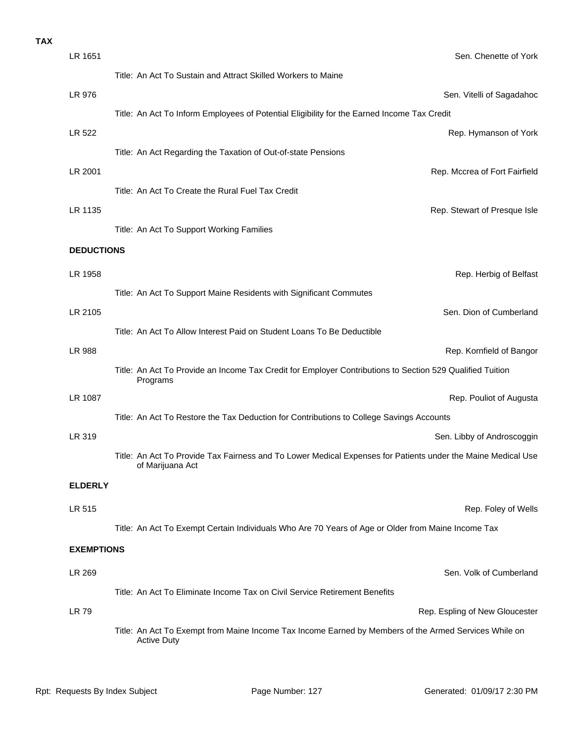| LR 1651           | Sen. Chenette of York                                                                                                            |
|-------------------|----------------------------------------------------------------------------------------------------------------------------------|
|                   | Title: An Act To Sustain and Attract Skilled Workers to Maine                                                                    |
| LR 976            | Sen. Vitelli of Sagadahoc                                                                                                        |
|                   | Title: An Act To Inform Employees of Potential Eligibility for the Earned Income Tax Credit                                      |
| LR 522            | Rep. Hymanson of York                                                                                                            |
|                   | Title: An Act Regarding the Taxation of Out-of-state Pensions                                                                    |
| LR 2001           | Rep. Mccrea of Fort Fairfield                                                                                                    |
|                   | Title: An Act To Create the Rural Fuel Tax Credit                                                                                |
| LR 1135           | Rep. Stewart of Presque Isle                                                                                                     |
|                   | Title: An Act To Support Working Families                                                                                        |
| <b>DEDUCTIONS</b> |                                                                                                                                  |
| LR 1958           | Rep. Herbig of Belfast                                                                                                           |
|                   | Title: An Act To Support Maine Residents with Significant Commutes                                                               |
| LR 2105           | Sen. Dion of Cumberland                                                                                                          |
|                   | Title: An Act To Allow Interest Paid on Student Loans To Be Deductible                                                           |
| LR 988            | Rep. Kornfield of Bangor                                                                                                         |
|                   | Title: An Act To Provide an Income Tax Credit for Employer Contributions to Section 529 Qualified Tuition<br>Programs            |
| LR 1087           | Rep. Pouliot of Augusta                                                                                                          |
|                   | Title: An Act To Restore the Tax Deduction for Contributions to College Savings Accounts                                         |
| LR 319            | Sen. Libby of Androscoggin                                                                                                       |
|                   | Title: An Act To Provide Tax Fairness and To Lower Medical Expenses for Patients under the Maine Medical Use<br>of Marijuana Act |
| <b>ELDERLY</b>    |                                                                                                                                  |
| LR 515            | Rep. Foley of Wells                                                                                                              |
|                   | Title: An Act To Exempt Certain Individuals Who Are 70 Years of Age or Older from Maine Income Tax                               |
| <b>EXEMPTIONS</b> |                                                                                                                                  |
| LR 269            | Sen. Volk of Cumberland                                                                                                          |
|                   | Title: An Act To Eliminate Income Tax on Civil Service Retirement Benefits                                                       |
| LR 79             | Rep. Espling of New Gloucester                                                                                                   |
|                   | Title: An Act To Exempt from Maine Income Tax Income Earned by Members of the Armed Services While on<br><b>Active Duty</b>      |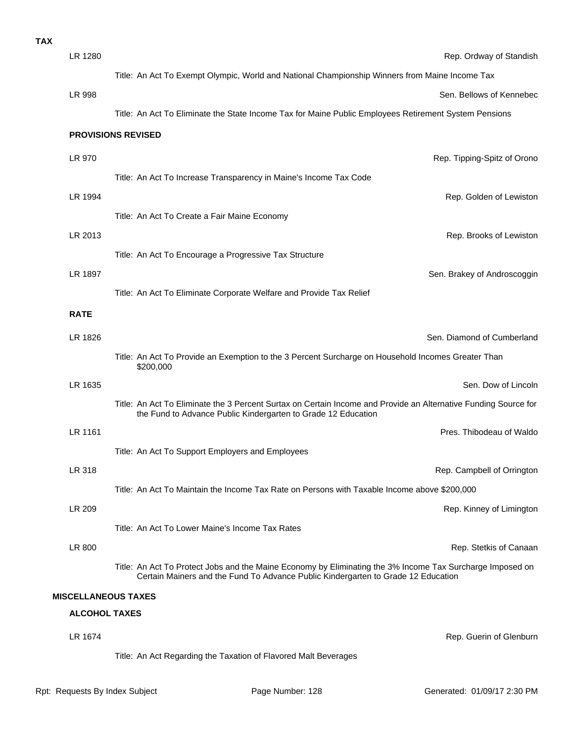| <b>TAX</b> |                      |                                                                                                                                                                                                |
|------------|----------------------|------------------------------------------------------------------------------------------------------------------------------------------------------------------------------------------------|
|            | LR 1280              | Rep. Ordway of Standish                                                                                                                                                                        |
|            |                      | Title: An Act To Exempt Olympic, World and National Championship Winners from Maine Income Tax                                                                                                 |
|            | <b>LR 998</b>        | Sen. Bellows of Kennebec                                                                                                                                                                       |
|            |                      | Title: An Act To Eliminate the State Income Tax for Maine Public Employees Retirement System Pensions                                                                                          |
|            |                      | <b>PROVISIONS REVISED</b>                                                                                                                                                                      |
|            | LR 970               | Rep. Tipping-Spitz of Orono                                                                                                                                                                    |
|            |                      | Title: An Act To Increase Transparency in Maine's Income Tax Code                                                                                                                              |
|            | LR 1994              | Rep. Golden of Lewiston                                                                                                                                                                        |
|            |                      | Title: An Act To Create a Fair Maine Economy                                                                                                                                                   |
|            | LR 2013              | Rep. Brooks of Lewiston                                                                                                                                                                        |
|            |                      | Title: An Act To Encourage a Progressive Tax Structure                                                                                                                                         |
|            | LR 1897              | Sen. Brakey of Androscoggin                                                                                                                                                                    |
|            |                      | Title: An Act To Eliminate Corporate Welfare and Provide Tax Relief                                                                                                                            |
|            | <b>RATE</b>          |                                                                                                                                                                                                |
|            | LR 1826              | Sen. Diamond of Cumberland                                                                                                                                                                     |
|            |                      | Title: An Act To Provide an Exemption to the 3 Percent Surcharge on Household Incomes Greater Than<br>\$200,000                                                                                |
|            | LR 1635              | Sen. Dow of Lincoln                                                                                                                                                                            |
|            |                      | Title: An Act To Eliminate the 3 Percent Surtax on Certain Income and Provide an Alternative Funding Source for<br>the Fund to Advance Public Kindergarten to Grade 12 Education               |
|            | LR 1161              | Pres. Thibodeau of Waldo                                                                                                                                                                       |
|            |                      | Title: An Act To Support Employers and Employees                                                                                                                                               |
|            | LR 318               | Rep. Campbell of Orrington                                                                                                                                                                     |
|            |                      | Title: An Act To Maintain the Income Tax Rate on Persons with Taxable Income above \$200,000                                                                                                   |
|            | LR 209               | Rep. Kinney of Limington                                                                                                                                                                       |
|            |                      | Title: An Act To Lower Maine's Income Tax Rates                                                                                                                                                |
|            | LR 800               | Rep. Stetkis of Canaan                                                                                                                                                                         |
|            |                      | Title: An Act To Protect Jobs and the Maine Economy by Eliminating the 3% Income Tax Surcharge Imposed on<br>Certain Mainers and the Fund To Advance Public Kindergarten to Grade 12 Education |
|            |                      | <b>MISCELLANEOUS TAXES</b>                                                                                                                                                                     |
|            | <b>ALCOHOL TAXES</b> |                                                                                                                                                                                                |
|            | LR 1674              | Rep. Guerin of Glenburn                                                                                                                                                                        |

Title: An Act Regarding the Taxation of Flavored Malt Beverages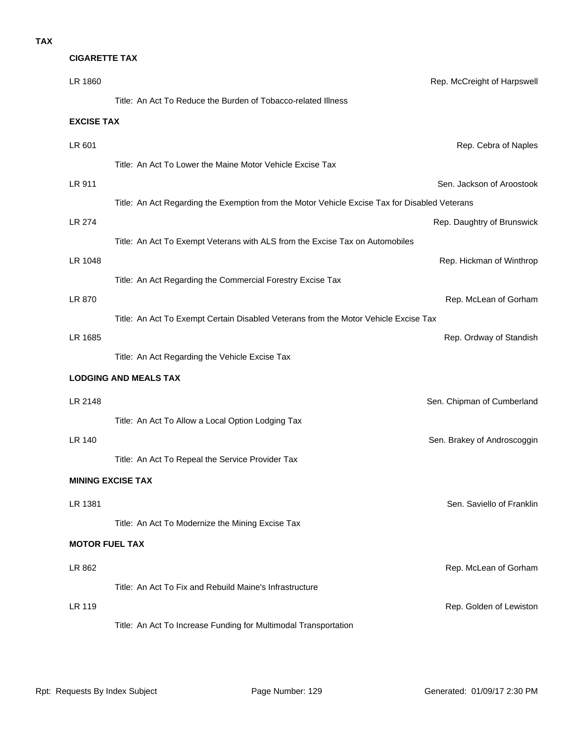## **CIGARETTE TAX**

| LR 1860               |                                                                                               | Rep. McCreight of Harpswell |
|-----------------------|-----------------------------------------------------------------------------------------------|-----------------------------|
|                       | Title: An Act To Reduce the Burden of Tobacco-related Illness                                 |                             |
| <b>EXCISE TAX</b>     |                                                                                               |                             |
| LR 601                |                                                                                               | Rep. Cebra of Naples        |
|                       | Title: An Act To Lower the Maine Motor Vehicle Excise Tax                                     |                             |
| LR 911                |                                                                                               | Sen. Jackson of Aroostook   |
|                       | Title: An Act Regarding the Exemption from the Motor Vehicle Excise Tax for Disabled Veterans |                             |
| LR 274                |                                                                                               | Rep. Daughtry of Brunswick  |
|                       | Title: An Act To Exempt Veterans with ALS from the Excise Tax on Automobiles                  |                             |
| LR 1048               |                                                                                               | Rep. Hickman of Winthrop    |
|                       | Title: An Act Regarding the Commercial Forestry Excise Tax                                    |                             |
| LR 870                |                                                                                               | Rep. McLean of Gorham       |
|                       | Title: An Act To Exempt Certain Disabled Veterans from the Motor Vehicle Excise Tax           |                             |
| LR 1685               |                                                                                               | Rep. Ordway of Standish     |
|                       | Title: An Act Regarding the Vehicle Excise Tax                                                |                             |
|                       | <b>LODGING AND MEALS TAX</b>                                                                  |                             |
| LR 2148               |                                                                                               | Sen. Chipman of Cumberland  |
|                       | Title: An Act To Allow a Local Option Lodging Tax                                             |                             |
| LR 140                |                                                                                               | Sen. Brakey of Androscoggin |
|                       | Title: An Act To Repeal the Service Provider Tax                                              |                             |
|                       | <b>MINING EXCISE TAX</b>                                                                      |                             |
| LR 1381               |                                                                                               | Sen. Saviello of Franklin   |
|                       | Title: An Act To Modernize the Mining Excise Tax                                              |                             |
| <b>MOTOR FUEL TAX</b> |                                                                                               |                             |
| LR 862                |                                                                                               | Rep. McLean of Gorham       |
|                       | Title: An Act To Fix and Rebuild Maine's Infrastructure                                       |                             |
| <b>LR 119</b>         |                                                                                               | Rep. Golden of Lewiston     |
|                       | Title: An Act To Increase Funding for Multimodal Transportation                               |                             |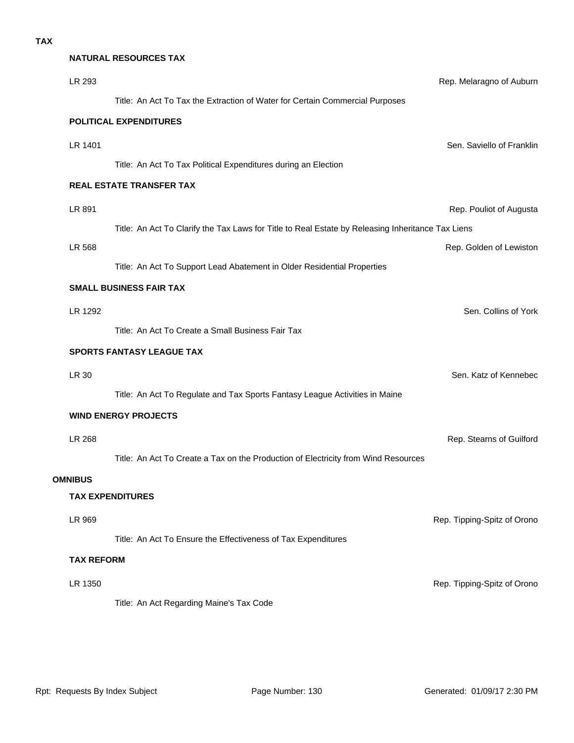# **LR 1350** Rep. Tipping-Spitz of Orono Title: An Act Regarding Maine's Tax Code **TAX REFORM LR 969 Rep. Tipping-Spitz of Orono Rep. Tipping-Spitz of Orono** Title: An Act To Ensure the Effectiveness of Tax Expenditures **TAX EXPENDITURES OMNIBUS** LR 268 Rep. Stearns of Guilford Title: An Act To Create a Tax on the Production of Electricity from Wind Resources **WIND ENERGY PROJECTS** Title: An Act To Regulate and Tax Sports Fantasy League Activities in Maine LR 30 Sen. Katz of Kennebec **SPORTS FANTASY LEAGUE TAX** LR 1292 Sen. Collins of York Title: An Act To Create a Small Business Fair Tax **SMALL BUSINESS FAIR TAX** LR 568 Rep. Golden of Lewiston Title: An Act To Support Lead Abatement in Older Residential Properties LR 891 Rep. Pouliot of Augusta Title: An Act To Clarify the Tax Laws for Title to Real Estate by Releasing Inheritance Tax Liens **REAL ESTATE TRANSFER TAX** LR 1401 Sen. Saviello of Franklin Title: An Act To Tax Political Expenditures during an Election **POLITICAL EXPENDITURES** LR 293 Rep. Melaragno of Auburn Title: An Act To Tax the Extraction of Water for Certain Commercial Purposes **NATURAL RESOURCES TAX**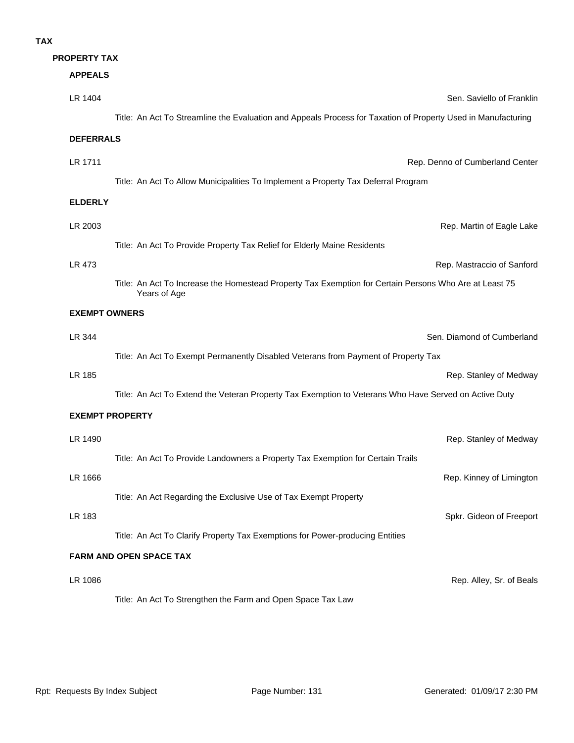## **TAX**

## **PROPERTY TAX**

| <b>APPEALS</b>         |                                                                                                                        |                                 |
|------------------------|------------------------------------------------------------------------------------------------------------------------|---------------------------------|
| LR 1404                |                                                                                                                        | Sen. Saviello of Franklir       |
|                        | Title: An Act To Streamline the Evaluation and Appeals Process for Taxation of Property Used in Manufacturing          |                                 |
| <b>DEFERRALS</b>       |                                                                                                                        |                                 |
| LR 1711                |                                                                                                                        | Rep. Denno of Cumberland Center |
|                        | Title: An Act To Allow Municipalities To Implement a Property Tax Deferral Program                                     |                                 |
| <b>ELDERLY</b>         |                                                                                                                        |                                 |
| LR 2003                |                                                                                                                        | Rep. Martin of Eagle Lake       |
|                        | Title: An Act To Provide Property Tax Relief for Elderly Maine Residents                                               |                                 |
| LR 473                 |                                                                                                                        | Rep. Mastraccio of Sanford      |
|                        | Title: An Act To Increase the Homestead Property Tax Exemption for Certain Persons Who Are at Least 75<br>Years of Age |                                 |
| <b>EXEMPT OWNERS</b>   |                                                                                                                        |                                 |
| LR 344                 |                                                                                                                        | Sen. Diamond of Cumberland      |
|                        | Title: An Act To Exempt Permanently Disabled Veterans from Payment of Property Tax                                     |                                 |
| LR 185                 |                                                                                                                        | Rep. Stanley of Medway          |
|                        | Title: An Act To Extend the Veteran Property Tax Exemption to Veterans Who Have Served on Active Duty                  |                                 |
| <b>EXEMPT PROPERTY</b> |                                                                                                                        |                                 |
| LR 1490                |                                                                                                                        | Rep. Stanley of Medway          |
|                        | Title: An Act To Provide Landowners a Property Tax Exemption for Certain Trails                                        |                                 |
| LR 1666                |                                                                                                                        | Rep. Kinney of Limingtor        |
|                        | Title: An Act Regarding the Exclusive Use of Tax Exempt Property                                                       |                                 |
| LR 183                 |                                                                                                                        | Spkr. Gideon of Freeport        |
|                        | Title: An Act To Clarify Property Tax Exemptions for Power-producing Entities                                          |                                 |
|                        | <b>FARM AND OPEN SPACE TAX</b>                                                                                         |                                 |
| LR 1086                |                                                                                                                        | Rep. Alley, Sr. of Beals        |
|                        | Title: An Act To Strengthen the Farm and Open Space Tax Law                                                            |                                 |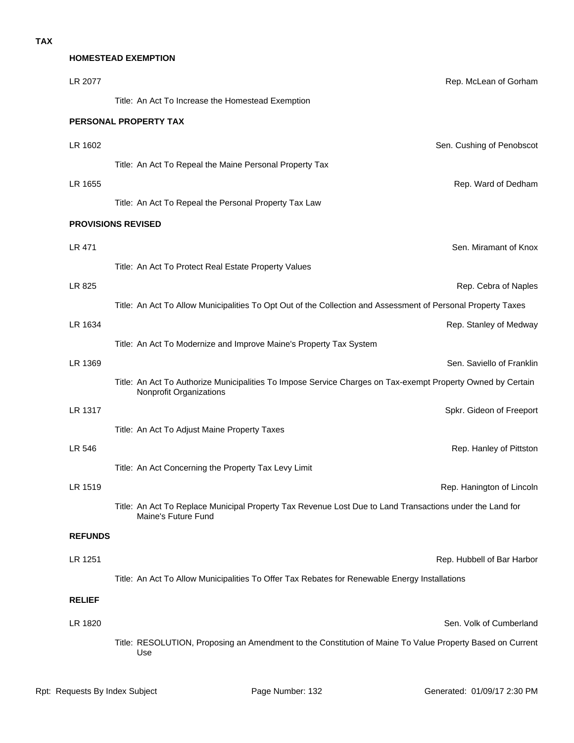## **HOMESTEAD EXEMPTION**

| LR 2077        | Rep. McLean of Gorham                                                                                                                  |
|----------------|----------------------------------------------------------------------------------------------------------------------------------------|
|                | Title: An Act To Increase the Homestead Exemption                                                                                      |
|                | PERSONAL PROPERTY TAX                                                                                                                  |
| LR 1602        | Sen. Cushing of Penobscot                                                                                                              |
|                | Title: An Act To Repeal the Maine Personal Property Tax                                                                                |
| LR 1655        | Rep. Ward of Dedham                                                                                                                    |
|                | Title: An Act To Repeal the Personal Property Tax Law                                                                                  |
|                | <b>PROVISIONS REVISED</b>                                                                                                              |
| LR 471         | Sen. Miramant of Knox                                                                                                                  |
|                | Title: An Act To Protect Real Estate Property Values                                                                                   |
| LR 825         | Rep. Cebra of Naples                                                                                                                   |
|                | Title: An Act To Allow Municipalities To Opt Out of the Collection and Assessment of Personal Property Taxes                           |
| LR 1634        | Rep. Stanley of Medway                                                                                                                 |
|                | Title: An Act To Modernize and Improve Maine's Property Tax System                                                                     |
| LR 1369        | Sen. Saviello of Franklin                                                                                                              |
|                | Title: An Act To Authorize Municipalities To Impose Service Charges on Tax-exempt Property Owned by Certain<br>Nonprofit Organizations |
| LR 1317        | Spkr. Gideon of Freeport                                                                                                               |
|                | Title: An Act To Adjust Maine Property Taxes                                                                                           |
| LR 546         | Rep. Hanley of Pittston                                                                                                                |
|                | Title: An Act Concerning the Property Tax Levy Limit                                                                                   |
| LR 1519        | Rep. Hanington of Lincoln                                                                                                              |
|                | Title: An Act To Replace Municipal Property Tax Revenue Lost Due to Land Transactions under the Land for<br>Maine's Future Fund        |
| <b>REFUNDS</b> |                                                                                                                                        |
| LR 1251        | Rep. Hubbell of Bar Harbor                                                                                                             |
|                | Title: An Act To Allow Municipalities To Offer Tax Rebates for Renewable Energy Installations                                          |
| <b>RELIEF</b>  |                                                                                                                                        |
| LR 1820        | Sen. Volk of Cumberland                                                                                                                |
|                | Title: RESOLUTION, Proposing an Amendment to the Constitution of Maine To Value Property Based on Current<br>Use                       |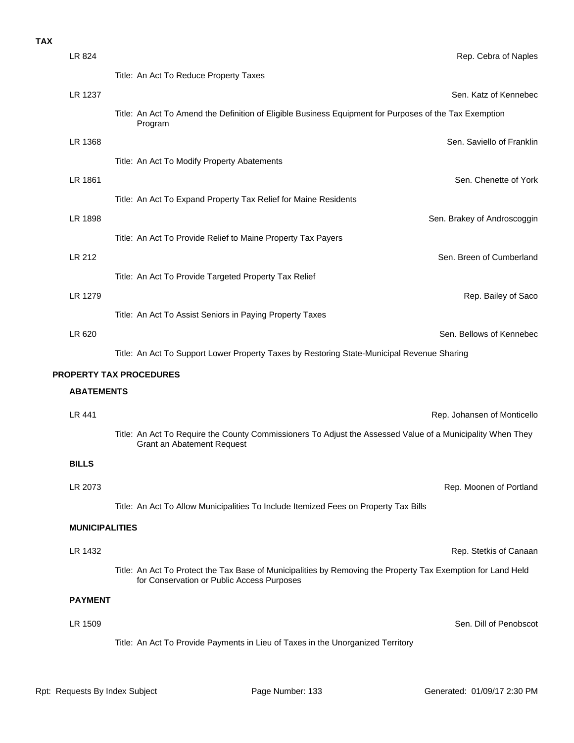## **TAX**

| LR 824                | Rep. Cebra of Naples                                                                                                                                       |
|-----------------------|------------------------------------------------------------------------------------------------------------------------------------------------------------|
|                       | Title: An Act To Reduce Property Taxes                                                                                                                     |
| LR 1237               | Sen. Katz of Kennebec                                                                                                                                      |
|                       | Title: An Act To Amend the Definition of Eligible Business Equipment for Purposes of the Tax Exemption<br>Program                                          |
| LR 1368               | Sen. Saviello of Franklin                                                                                                                                  |
|                       | Title: An Act To Modify Property Abatements                                                                                                                |
| LR 1861               | Sen. Chenette of York                                                                                                                                      |
|                       | Title: An Act To Expand Property Tax Relief for Maine Residents                                                                                            |
| LR 1898               | Sen. Brakey of Androscoggin                                                                                                                                |
|                       | Title: An Act To Provide Relief to Maine Property Tax Payers                                                                                               |
| LR 212                | Sen. Breen of Cumberland                                                                                                                                   |
|                       | Title: An Act To Provide Targeted Property Tax Relief                                                                                                      |
| LR 1279               | Rep. Bailey of Saco                                                                                                                                        |
|                       | Title: An Act To Assist Seniors in Paying Property Taxes                                                                                                   |
| LR 620                | Sen. Bellows of Kennebec                                                                                                                                   |
|                       | Title: An Act To Support Lower Property Taxes by Restoring State-Municipal Revenue Sharing                                                                 |
|                       | <b>PROPERTY TAX PROCEDURES</b>                                                                                                                             |
| <b>ABATEMENTS</b>     |                                                                                                                                                            |
| LR 441                | Rep. Johansen of Monticello                                                                                                                                |
|                       | Title: An Act To Require the County Commissioners To Adjust the Assessed Value of a Municipality When They<br>Grant an Abatement Request                   |
| <b>BILLS</b>          |                                                                                                                                                            |
| LR 2073               | Rep. Moonen of Portland                                                                                                                                    |
|                       | Title: An Act To Allow Municipalities To Include Itemized Fees on Property Tax Bills                                                                       |
| <b>MUNICIPALITIES</b> |                                                                                                                                                            |
| LR 1432               | Rep. Stetkis of Canaan                                                                                                                                     |
|                       | Title: An Act To Protect the Tax Base of Municipalities by Removing the Property Tax Exemption for Land Held<br>for Conservation or Public Access Purposes |
| <b>PAYMENT</b>        |                                                                                                                                                            |
| LR 1509               | Sen. Dill of Penobscot                                                                                                                                     |
|                       | Title: An Act To Provide Payments in Lieu of Taxes in the Unorganized Territory                                                                            |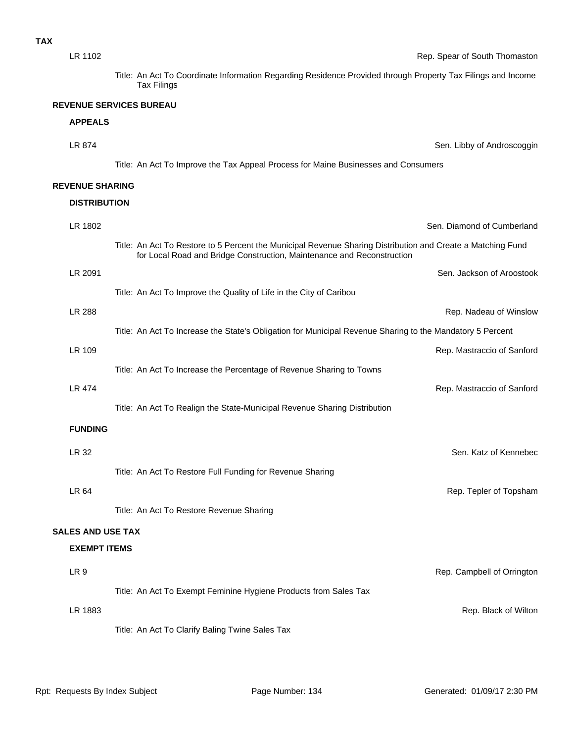| LR 1102                  | Rep. Spear of South Thomaston                                                                                                                                                         |
|--------------------------|---------------------------------------------------------------------------------------------------------------------------------------------------------------------------------------|
|                          | Title: An Act To Coordinate Information Regarding Residence Provided through Property Tax Filings and Income<br><b>Tax Filings</b>                                                    |
|                          | <b>REVENUE SERVICES BUREAU</b>                                                                                                                                                        |
| <b>APPEALS</b>           |                                                                                                                                                                                       |
| LR 874                   | Sen. Libby of Androscoggin                                                                                                                                                            |
|                          | Title: An Act To Improve the Tax Appeal Process for Maine Businesses and Consumers                                                                                                    |
| <b>REVENUE SHARING</b>   |                                                                                                                                                                                       |
| <b>DISTRIBUTION</b>      |                                                                                                                                                                                       |
| LR 1802                  | Sen. Diamond of Cumberland                                                                                                                                                            |
|                          | Title: An Act To Restore to 5 Percent the Municipal Revenue Sharing Distribution and Create a Matching Fund<br>for Local Road and Bridge Construction, Maintenance and Reconstruction |
| LR 2091                  | Sen. Jackson of Aroostook                                                                                                                                                             |
|                          | Title: An Act To Improve the Quality of Life in the City of Caribou                                                                                                                   |
| <b>LR 288</b>            | Rep. Nadeau of Winslow                                                                                                                                                                |
|                          | Title: An Act To Increase the State's Obligation for Municipal Revenue Sharing to the Mandatory 5 Percent                                                                             |
| LR 109                   | Rep. Mastraccio of Sanford                                                                                                                                                            |
|                          | Title: An Act To Increase the Percentage of Revenue Sharing to Towns                                                                                                                  |
| <b>LR 474</b>            | Rep. Mastraccio of Sanford                                                                                                                                                            |
|                          | Title: An Act To Realign the State-Municipal Revenue Sharing Distribution                                                                                                             |
| <b>FUNDING</b>           |                                                                                                                                                                                       |
| LR 32                    | Sen. Katz of Kennebec                                                                                                                                                                 |
|                          | Title: An Act To Restore Full Funding for Revenue Sharing                                                                                                                             |
| LR 64                    | Rep. Tepler of Topsham                                                                                                                                                                |
|                          | Title: An Act To Restore Revenue Sharing                                                                                                                                              |
| <b>SALES AND USE TAX</b> |                                                                                                                                                                                       |
| <b>EXEMPT ITEMS</b>      |                                                                                                                                                                                       |
| LR <sub>9</sub>          | Rep. Campbell of Orrington                                                                                                                                                            |
|                          | Title: An Act To Exempt Feminine Hygiene Products from Sales Tax                                                                                                                      |
| LR 1883                  | Rep. Black of Wilton                                                                                                                                                                  |
|                          | Title: An Act To Clarify Baling Twine Sales Tax                                                                                                                                       |
|                          |                                                                                                                                                                                       |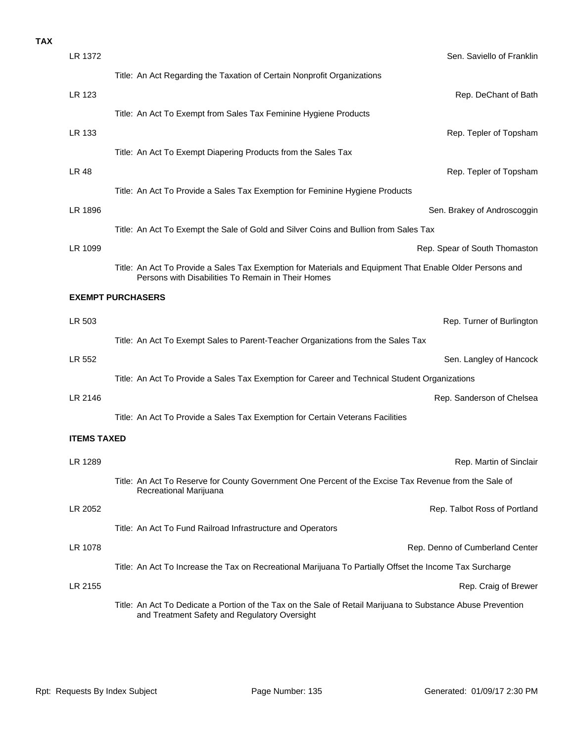| <b>TAX</b> |                    |                                                                                                                                                                |
|------------|--------------------|----------------------------------------------------------------------------------------------------------------------------------------------------------------|
|            | LR 1372            | Sen. Saviello of Franklin                                                                                                                                      |
|            |                    | Title: An Act Regarding the Taxation of Certain Nonprofit Organizations                                                                                        |
|            | LR 123             | Rep. DeChant of Bath                                                                                                                                           |
|            |                    | Title: An Act To Exempt from Sales Tax Feminine Hygiene Products                                                                                               |
|            | LR 133             | Rep. Tepler of Topsham                                                                                                                                         |
|            |                    | Title: An Act To Exempt Diapering Products from the Sales Tax                                                                                                  |
|            | <b>LR 48</b>       | Rep. Tepler of Topsham                                                                                                                                         |
|            |                    | Title: An Act To Provide a Sales Tax Exemption for Feminine Hygiene Products                                                                                   |
|            | LR 1896            | Sen. Brakey of Androscoggin                                                                                                                                    |
|            |                    | Title: An Act To Exempt the Sale of Gold and Silver Coins and Bullion from Sales Tax                                                                           |
|            | LR 1099            | Rep. Spear of South Thomaston                                                                                                                                  |
|            |                    | Title: An Act To Provide a Sales Tax Exemption for Materials and Equipment That Enable Older Persons and<br>Persons with Disabilities To Remain in Their Homes |
|            |                    | <b>EXEMPT PURCHASERS</b>                                                                                                                                       |
|            | LR 503             | Rep. Turner of Burlington                                                                                                                                      |
|            |                    | Title: An Act To Exempt Sales to Parent-Teacher Organizations from the Sales Tax                                                                               |
|            | LR 552             | Sen. Langley of Hancock                                                                                                                                        |
|            |                    | Title: An Act To Provide a Sales Tax Exemption for Career and Technical Student Organizations                                                                  |
|            | LR 2146            | Rep. Sanderson of Chelsea                                                                                                                                      |
|            |                    | Title: An Act To Provide a Sales Tax Exemption for Certain Veterans Facilities                                                                                 |
|            | <b>ITEMS TAXED</b> |                                                                                                                                                                |
|            | LR 1289            | Rep. Martin of Sinclair                                                                                                                                        |
|            |                    | Title: An Act To Reserve for County Government One Percent of the Excise Tax Revenue from the Sale of<br>Recreational Marijuana                                |
|            | LR 2052            | Rep. Talbot Ross of Portland                                                                                                                                   |
|            |                    | Title: An Act To Fund Railroad Infrastructure and Operators                                                                                                    |
|            | LR 1078            | Rep. Denno of Cumberland Center                                                                                                                                |
|            |                    | Title: An Act To Increase the Tax on Recreational Marijuana To Partially Offset the Income Tax Surcharge                                                       |
|            | LR 2155            | Rep. Craig of Brewer                                                                                                                                           |
|            |                    | Title: An Act To Dedicate a Portion of the Tax on the Sale of Retail Marijuana to Substance Abuse Prevention<br>and Treatment Safety and Regulatory Oversight  |
|            |                    |                                                                                                                                                                |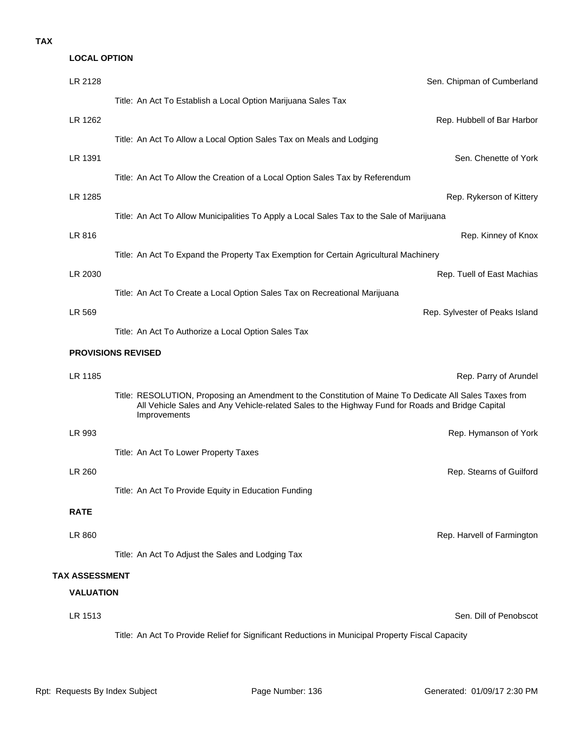## **TAX**

| <b>LOCAL OPTION</b>   |                                                                                                                                                                                                                             |
|-----------------------|-----------------------------------------------------------------------------------------------------------------------------------------------------------------------------------------------------------------------------|
| LR 2128               | Sen. Chipman of Cumberland                                                                                                                                                                                                  |
|                       | Title: An Act To Establish a Local Option Marijuana Sales Tax                                                                                                                                                               |
| LR 1262               | Rep. Hubbell of Bar Harbor                                                                                                                                                                                                  |
|                       | Title: An Act To Allow a Local Option Sales Tax on Meals and Lodging                                                                                                                                                        |
| LR 1391               | Sen. Chenette of York                                                                                                                                                                                                       |
|                       | Title: An Act To Allow the Creation of a Local Option Sales Tax by Referendum                                                                                                                                               |
| LR 1285               | Rep. Rykerson of Kittery                                                                                                                                                                                                    |
|                       | Title: An Act To Allow Municipalities To Apply a Local Sales Tax to the Sale of Marijuana                                                                                                                                   |
| LR 816                | Rep. Kinney of Knox                                                                                                                                                                                                         |
|                       | Title: An Act To Expand the Property Tax Exemption for Certain Agricultural Machinery                                                                                                                                       |
| LR 2030               | Rep. Tuell of East Machias                                                                                                                                                                                                  |
|                       | Title: An Act To Create a Local Option Sales Tax on Recreational Marijuana                                                                                                                                                  |
| LR 569                | Rep. Sylvester of Peaks Island                                                                                                                                                                                              |
|                       | Title: An Act To Authorize a Local Option Sales Tax                                                                                                                                                                         |
|                       | <b>PROVISIONS REVISED</b>                                                                                                                                                                                                   |
| LR 1185               | Rep. Parry of Arundel                                                                                                                                                                                                       |
|                       | Title: RESOLUTION, Proposing an Amendment to the Constitution of Maine To Dedicate All Sales Taxes from<br>All Vehicle Sales and Any Vehicle-related Sales to the Highway Fund for Roads and Bridge Capital<br>Improvements |
| LR 993                | Rep. Hymanson of York                                                                                                                                                                                                       |
|                       | Title: An Act To Lower Property Taxes                                                                                                                                                                                       |
| LR 260                | Rep. Stearns of Guilford                                                                                                                                                                                                    |
|                       | Title: An Act To Provide Equity in Education Funding                                                                                                                                                                        |
| <b>RATE</b>           |                                                                                                                                                                                                                             |
| LR 860                | Rep. Harvell of Farmington                                                                                                                                                                                                  |
|                       | Title: An Act To Adjust the Sales and Lodging Tax                                                                                                                                                                           |
| <b>TAX ASSESSMENT</b> |                                                                                                                                                                                                                             |
| <b>VALUATION</b>      |                                                                                                                                                                                                                             |
| LR 1513               | Sen. Dill of Penobscot                                                                                                                                                                                                      |
|                       | Title: An Act To Provide Relief for Significant Reductions in Municipal Property Fiscal Capacity                                                                                                                            |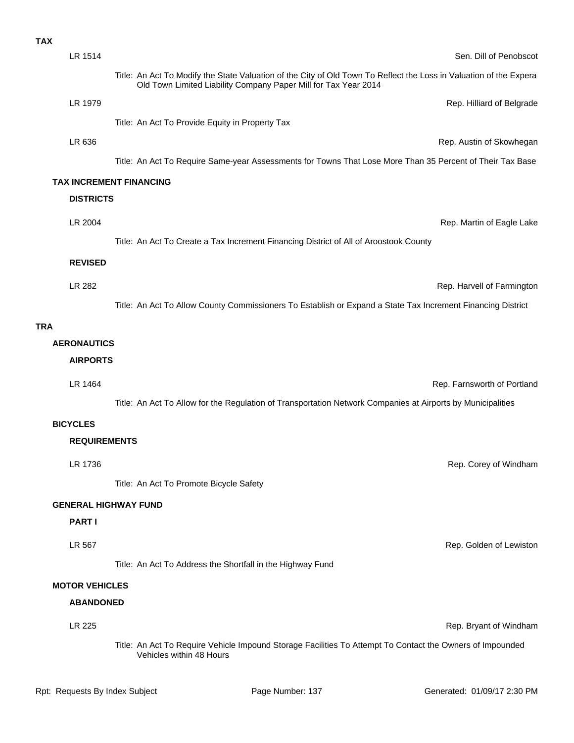| <b>TAX</b> |                       |                                                                                                                                                                                       |                             |
|------------|-----------------------|---------------------------------------------------------------------------------------------------------------------------------------------------------------------------------------|-----------------------------|
|            | LR 1514               |                                                                                                                                                                                       | Sen. Dill of Penobscot      |
|            |                       | Title: An Act To Modify the State Valuation of the City of Old Town To Reflect the Loss in Valuation of the Expera<br>Old Town Limited Liability Company Paper Mill for Tax Year 2014 |                             |
|            | LR 1979               |                                                                                                                                                                                       | Rep. Hilliard of Belgrade   |
|            |                       | Title: An Act To Provide Equity in Property Tax                                                                                                                                       |                             |
|            | LR 636                |                                                                                                                                                                                       | Rep. Austin of Skowhegan    |
|            |                       | Title: An Act To Require Same-year Assessments for Towns That Lose More Than 35 Percent of Their Tax Base                                                                             |                             |
|            |                       | <b>TAX INCREMENT FINANCING</b>                                                                                                                                                        |                             |
|            | <b>DISTRICTS</b>      |                                                                                                                                                                                       |                             |
|            | LR 2004               |                                                                                                                                                                                       | Rep. Martin of Eagle Lake   |
|            |                       | Title: An Act To Create a Tax Increment Financing District of All of Aroostook County                                                                                                 |                             |
|            | <b>REVISED</b>        |                                                                                                                                                                                       |                             |
|            | LR 282                |                                                                                                                                                                                       | Rep. Harvell of Farmington  |
|            |                       | Title: An Act To Allow County Commissioners To Establish or Expand a State Tax Increment Financing District                                                                           |                             |
| <b>TRA</b> |                       |                                                                                                                                                                                       |                             |
|            | <b>AERONAUTICS</b>    |                                                                                                                                                                                       |                             |
|            | <b>AIRPORTS</b>       |                                                                                                                                                                                       |                             |
|            | LR 1464               |                                                                                                                                                                                       | Rep. Farnsworth of Portland |
|            |                       | Title: An Act To Allow for the Regulation of Transportation Network Companies at Airports by Municipalities                                                                           |                             |
|            | <b>BICYCLES</b>       |                                                                                                                                                                                       |                             |
|            | <b>REQUIREMENTS</b>   |                                                                                                                                                                                       |                             |
|            |                       |                                                                                                                                                                                       |                             |
|            | LR 1736               |                                                                                                                                                                                       | Rep. Corey of Windham       |
|            |                       | Title: An Act To Promote Bicycle Safety                                                                                                                                               |                             |
|            |                       | <b>GENERAL HIGHWAY FUND</b>                                                                                                                                                           |                             |
|            | <b>PARTI</b>          |                                                                                                                                                                                       |                             |
|            | LR 567                |                                                                                                                                                                                       | Rep. Golden of Lewiston     |
|            |                       | Title: An Act To Address the Shortfall in the Highway Fund                                                                                                                            |                             |
|            | <b>MOTOR VEHICLES</b> |                                                                                                                                                                                       |                             |
|            | <b>ABANDONED</b>      |                                                                                                                                                                                       |                             |
|            | LR 225                |                                                                                                                                                                                       | Rep. Bryant of Windham      |

Title: An Act To Require Vehicle Impound Storage Facilities To Attempt To Contact the Owners of Impounded Vehicles within 48 Hours

Rpt: Requests By Index Subject **Page Number: 137** Generated: 01/09/17 2:30 PM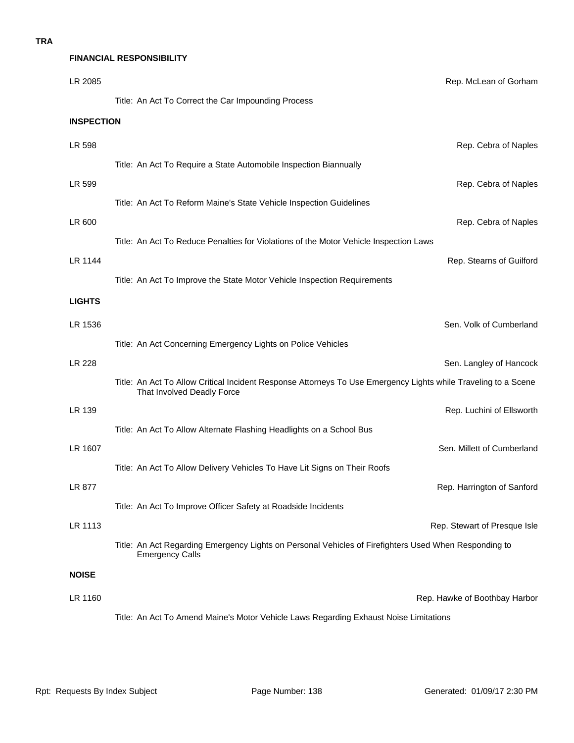# **FINANCIAL RESPONSIBILITY**

| LR 2085           |                                                                                                                                              | Rep. McLean of Gorham         |
|-------------------|----------------------------------------------------------------------------------------------------------------------------------------------|-------------------------------|
|                   | Title: An Act To Correct the Car Impounding Process                                                                                          |                               |
| <b>INSPECTION</b> |                                                                                                                                              |                               |
| LR 598            |                                                                                                                                              | Rep. Cebra of Naples          |
|                   | Title: An Act To Require a State Automobile Inspection Biannually                                                                            |                               |
| LR 599            |                                                                                                                                              | Rep. Cebra of Naples          |
|                   | Title: An Act To Reform Maine's State Vehicle Inspection Guidelines                                                                          |                               |
| LR 600            |                                                                                                                                              | Rep. Cebra of Naples          |
|                   | Title: An Act To Reduce Penalties for Violations of the Motor Vehicle Inspection Laws                                                        |                               |
| LR 1144           |                                                                                                                                              | Rep. Stearns of Guilford      |
|                   | Title: An Act To Improve the State Motor Vehicle Inspection Requirements                                                                     |                               |
| <b>LIGHTS</b>     |                                                                                                                                              |                               |
| LR 1536           |                                                                                                                                              | Sen. Volk of Cumberland       |
|                   | Title: An Act Concerning Emergency Lights on Police Vehicles                                                                                 |                               |
| LR 228            |                                                                                                                                              | Sen. Langley of Hancock       |
|                   | Title: An Act To Allow Critical Incident Response Attorneys To Use Emergency Lights while Traveling to a Scene<br>That Involved Deadly Force |                               |
| LR 139            |                                                                                                                                              | Rep. Luchini of Ellsworth     |
|                   | Title: An Act To Allow Alternate Flashing Headlights on a School Bus                                                                         |                               |
| LR 1607           |                                                                                                                                              | Sen. Millett of Cumberland    |
|                   | Title: An Act To Allow Delivery Vehicles To Have Lit Signs on Their Roofs                                                                    |                               |
| LR 877            |                                                                                                                                              | Rep. Harrington of Sanford    |
|                   | Title: An Act To Improve Officer Safety at Roadside Incidents                                                                                |                               |
| LR 1113           |                                                                                                                                              | Rep. Stewart of Presque Isle  |
|                   | Title: An Act Regarding Emergency Lights on Personal Vehicles of Firefighters Used When Responding to<br><b>Emergency Calls</b>              |                               |
| <b>NOISE</b>      |                                                                                                                                              |                               |
| LR 1160           |                                                                                                                                              | Rep. Hawke of Boothbay Harbor |
|                   | Title: An Act To Amend Maine's Motor Vehicle Laws Regarding Exhaust Noise Limitations                                                        |                               |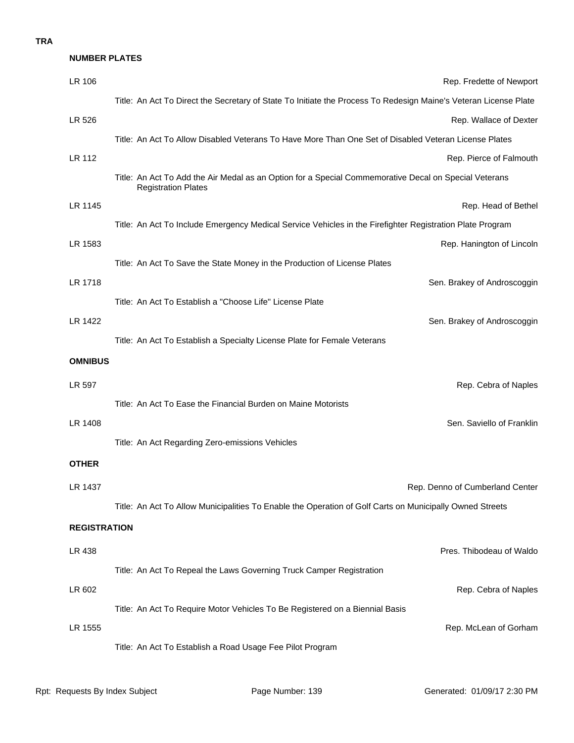## **TRA**

#### **NUMBER PLATES**

| LR 106              | Rep. Fredette of Newport                                                                                                            |
|---------------------|-------------------------------------------------------------------------------------------------------------------------------------|
|                     | Title: An Act To Direct the Secretary of State To Initiate the Process To Redesign Maine's Veteran License Plate                    |
| LR 526              | Rep. Wallace of Dexter                                                                                                              |
|                     | Title: An Act To Allow Disabled Veterans To Have More Than One Set of Disabled Veteran License Plates                               |
| LR 112              | Rep. Pierce of Falmouth                                                                                                             |
|                     | Title: An Act To Add the Air Medal as an Option for a Special Commemorative Decal on Special Veterans<br><b>Registration Plates</b> |
| LR 1145             | Rep. Head of Bethel                                                                                                                 |
|                     | Title: An Act To Include Emergency Medical Service Vehicles in the Firefighter Registration Plate Program                           |
| LR 1583             | Rep. Hanington of Lincoln                                                                                                           |
|                     | Title: An Act To Save the State Money in the Production of License Plates                                                           |
| LR 1718             | Sen. Brakey of Androscoggin                                                                                                         |
|                     | Title: An Act To Establish a "Choose Life" License Plate                                                                            |
| LR 1422             | Sen. Brakey of Androscoggin                                                                                                         |
|                     | Title: An Act To Establish a Specialty License Plate for Female Veterans                                                            |
| <b>OMNIBUS</b>      |                                                                                                                                     |
| LR 597              | Rep. Cebra of Naples                                                                                                                |
|                     | Title: An Act To Ease the Financial Burden on Maine Motorists                                                                       |
| LR 1408             | Sen. Saviello of Franklin                                                                                                           |
|                     | Title: An Act Regarding Zero-emissions Vehicles                                                                                     |
| <b>OTHER</b>        |                                                                                                                                     |
| LR 1437             | Rep. Denno of Cumberland Center                                                                                                     |
|                     | Title: An Act To Allow Municipalities To Enable the Operation of Golf Carts on Municipally Owned Streets                            |
| <b>REGISTRATION</b> |                                                                                                                                     |
| LR 438              | Pres. Thibodeau of Waldo                                                                                                            |
|                     | Title: An Act To Repeal the Laws Governing Truck Camper Registration                                                                |
| LR 602              | Rep. Cebra of Naples                                                                                                                |
|                     | Title: An Act To Require Motor Vehicles To Be Registered on a Biennial Basis                                                        |
| LR 1555             | Rep. McLean of Gorham                                                                                                               |
|                     | Title: An Act To Establish a Road Usage Fee Pilot Program                                                                           |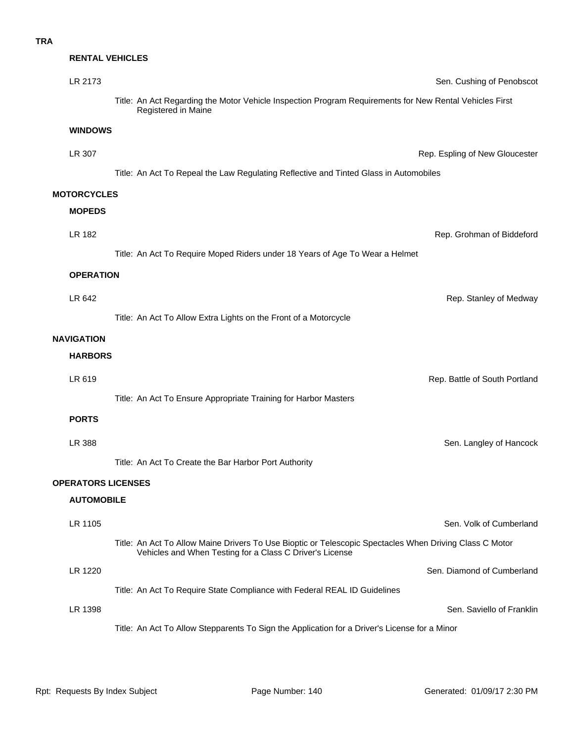| LR 2173       |                                                                                                                                                                     | Sen. Cushing of Penobscot                                                                                                                              |
|---------------|---------------------------------------------------------------------------------------------------------------------------------------------------------------------|--------------------------------------------------------------------------------------------------------------------------------------------------------|
|               | Title: An Act Regarding the Motor Vehicle Inspection Program Requirements for New Rental Vehicles First<br>Registered in Maine                                      |                                                                                                                                                        |
|               |                                                                                                                                                                     |                                                                                                                                                        |
| LR 307        |                                                                                                                                                                     | Rep. Espling of New Gloucester                                                                                                                         |
|               | Title: An Act To Repeal the Law Regulating Reflective and Tinted Glass in Automobiles                                                                               |                                                                                                                                                        |
|               |                                                                                                                                                                     |                                                                                                                                                        |
| <b>MOPEDS</b> |                                                                                                                                                                     |                                                                                                                                                        |
| LR 182        |                                                                                                                                                                     | Rep. Grohman of Biddeford                                                                                                                              |
|               | Title: An Act To Require Moped Riders under 18 Years of Age To Wear a Helmet                                                                                        |                                                                                                                                                        |
|               |                                                                                                                                                                     |                                                                                                                                                        |
| LR 642        |                                                                                                                                                                     | Rep. Stanley of Medway                                                                                                                                 |
|               | Title: An Act To Allow Extra Lights on the Front of a Motorcycle                                                                                                    |                                                                                                                                                        |
| NAVIGATION    |                                                                                                                                                                     |                                                                                                                                                        |
|               |                                                                                                                                                                     |                                                                                                                                                        |
| LR 619        |                                                                                                                                                                     | Rep. Battle of South Portland                                                                                                                          |
|               | Title: An Act To Ensure Appropriate Training for Harbor Masters                                                                                                     |                                                                                                                                                        |
| <b>PORTS</b>  |                                                                                                                                                                     |                                                                                                                                                        |
| LR 388        |                                                                                                                                                                     | Sen. Langley of Hancock                                                                                                                                |
|               | Title: An Act To Create the Bar Harbor Port Authority                                                                                                               |                                                                                                                                                        |
|               |                                                                                                                                                                     |                                                                                                                                                        |
|               |                                                                                                                                                                     |                                                                                                                                                        |
| LR 1105       |                                                                                                                                                                     | Sen. Volk of Cumberland                                                                                                                                |
|               | Title: An Act To Allow Maine Drivers To Use Bioptic or Telescopic Spectacles When Driving Class C Motor<br>Vehicles and When Testing for a Class C Driver's License |                                                                                                                                                        |
| LR 1220       |                                                                                                                                                                     | Sen. Diamond of Cumberland                                                                                                                             |
|               | Title: An Act To Require State Compliance with Federal REAL ID Guidelines                                                                                           |                                                                                                                                                        |
| LR 1398       |                                                                                                                                                                     | Sen. Saviello of Franklin                                                                                                                              |
|               | Title: An Act To Allow Stepparents To Sign the Application for a Driver's License for a Minor                                                                       |                                                                                                                                                        |
|               |                                                                                                                                                                     | <b>RENTAL VEHICLES</b><br><b>WINDOWS</b><br><b>MOTORCYCLES</b><br><b>OPERATION</b><br><b>HARBORS</b><br><b>OPERATORS LICENSES</b><br><b>AUTOMOBILE</b> |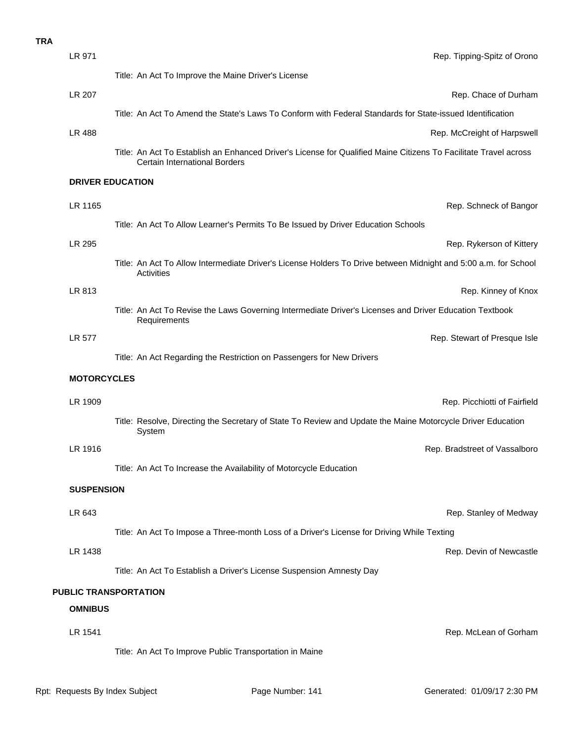| LR 971                  | Rep. Tipping-Spitz of Orono                                                                                                                              |
|-------------------------|----------------------------------------------------------------------------------------------------------------------------------------------------------|
|                         | Title: An Act To Improve the Maine Driver's License                                                                                                      |
| <b>LR 207</b>           | Rep. Chace of Durham                                                                                                                                     |
|                         | Title: An Act To Amend the State's Laws To Conform with Federal Standards for State-issued Identification                                                |
| LR 488                  | Rep. McCreight of Harpswell                                                                                                                              |
|                         | Title: An Act To Establish an Enhanced Driver's License for Qualified Maine Citizens To Facilitate Travel across<br><b>Certain International Borders</b> |
| <b>DRIVER EDUCATION</b> |                                                                                                                                                          |
| LR 1165                 | Rep. Schneck of Bangor                                                                                                                                   |
|                         | Title: An Act To Allow Learner's Permits To Be Issued by Driver Education Schools                                                                        |
| LR 295                  | Rep. Rykerson of Kittery                                                                                                                                 |
|                         | Title: An Act To Allow Intermediate Driver's License Holders To Drive between Midnight and 5:00 a.m. for School<br>Activities                            |
| LR 813                  | Rep. Kinney of Knox                                                                                                                                      |
|                         | Title: An Act To Revise the Laws Governing Intermediate Driver's Licenses and Driver Education Textbook<br>Requirements                                  |
| <b>LR 577</b>           | Rep. Stewart of Presque Isle                                                                                                                             |
|                         | Title: An Act Regarding the Restriction on Passengers for New Drivers                                                                                    |
| <b>MOTORCYCLES</b>      |                                                                                                                                                          |
| LR 1909                 | Rep. Picchiotti of Fairfield                                                                                                                             |
|                         | Title: Resolve, Directing the Secretary of State To Review and Update the Maine Motorcycle Driver Education<br>System                                    |
| LR 1916                 | Rep. Bradstreet of Vassalboro                                                                                                                            |
|                         | Title: An Act To Increase the Availability of Motorcycle Education                                                                                       |
| <b>SUSPENSION</b>       |                                                                                                                                                          |
| LR 643                  | Rep. Stanley of Medway                                                                                                                                   |
|                         | Title: An Act To Impose a Three-month Loss of a Driver's License for Driving While Texting                                                               |
| LR 1438                 | Rep. Devin of Newcastle                                                                                                                                  |
|                         | Title: An Act To Establish a Driver's License Suspension Amnesty Day                                                                                     |
|                         | PUBLIC TRANSPORTATION                                                                                                                                    |
| <b>OMNIBUS</b>          |                                                                                                                                                          |
| LR 1541                 | Rep. McLean of Gorham                                                                                                                                    |
|                         | Title: An Act To Improve Public Transportation in Maine                                                                                                  |
|                         |                                                                                                                                                          |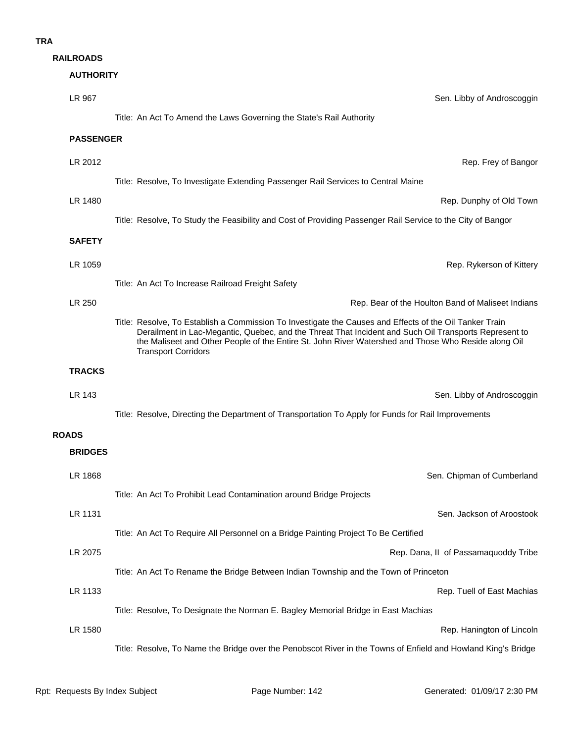| <b>RAILROADS</b> |  |  |
|------------------|--|--|
|                  |  |  |

# **AUTHORITY**

| LR 967           | Sen. Libby of Androscoggin                                                                                                                                                                                                                                                                                                                            |
|------------------|-------------------------------------------------------------------------------------------------------------------------------------------------------------------------------------------------------------------------------------------------------------------------------------------------------------------------------------------------------|
|                  | Title: An Act To Amend the Laws Governing the State's Rail Authority                                                                                                                                                                                                                                                                                  |
| <b>PASSENGER</b> |                                                                                                                                                                                                                                                                                                                                                       |
| LR 2012          | Rep. Frey of Bangor                                                                                                                                                                                                                                                                                                                                   |
|                  | Title: Resolve, To Investigate Extending Passenger Rail Services to Central Maine                                                                                                                                                                                                                                                                     |
| LR 1480          | Rep. Dunphy of Old Town                                                                                                                                                                                                                                                                                                                               |
|                  | Title: Resolve, To Study the Feasibility and Cost of Providing Passenger Rail Service to the City of Bangor                                                                                                                                                                                                                                           |
| <b>SAFETY</b>    |                                                                                                                                                                                                                                                                                                                                                       |
| LR 1059          | Rep. Rykerson of Kittery                                                                                                                                                                                                                                                                                                                              |
|                  | Title: An Act To Increase Railroad Freight Safety                                                                                                                                                                                                                                                                                                     |
| LR 250           | Rep. Bear of the Houlton Band of Maliseet Indians                                                                                                                                                                                                                                                                                                     |
|                  | Title: Resolve, To Establish a Commission To Investigate the Causes and Effects of the Oil Tanker Train<br>Derailment in Lac-Megantic, Quebec, and the Threat That Incident and Such Oil Transports Represent to<br>the Maliseet and Other People of the Entire St. John River Watershed and Those Who Reside along Oil<br><b>Transport Corridors</b> |
| <b>TRACKS</b>    |                                                                                                                                                                                                                                                                                                                                                       |
| LR 143           | Sen. Libby of Androscoggin                                                                                                                                                                                                                                                                                                                            |
|                  | Title: Resolve, Directing the Department of Transportation To Apply for Funds for Rail Improvements                                                                                                                                                                                                                                                   |
| <b>ROADS</b>     |                                                                                                                                                                                                                                                                                                                                                       |
| <b>BRIDGES</b>   |                                                                                                                                                                                                                                                                                                                                                       |
| LR 1868          | Sen. Chipman of Cumberland                                                                                                                                                                                                                                                                                                                            |
|                  | Title: An Act To Prohibit Lead Contamination around Bridge Projects                                                                                                                                                                                                                                                                                   |
| LR 1131          | Sen. Jackson of Aroostook                                                                                                                                                                                                                                                                                                                             |
|                  | Title: An Act To Require All Personnel on a Bridge Painting Project To Be Certified                                                                                                                                                                                                                                                                   |
| LR 2075          | Rep. Dana, II of Passamaquoddy Tribe                                                                                                                                                                                                                                                                                                                  |
|                  | Title: An Act To Rename the Bridge Between Indian Township and the Town of Princeton                                                                                                                                                                                                                                                                  |
| LR 1133          | Rep. Tuell of East Machias                                                                                                                                                                                                                                                                                                                            |
| LR 1580          | Title: Resolve, To Designate the Norman E. Bagley Memorial Bridge in East Machias                                                                                                                                                                                                                                                                     |
|                  | Rep. Hanington of Lincoln<br>Title: Resolve, To Name the Bridge over the Penobscot River in the Towns of Enfield and Howland King's Bridge                                                                                                                                                                                                            |
|                  |                                                                                                                                                                                                                                                                                                                                                       |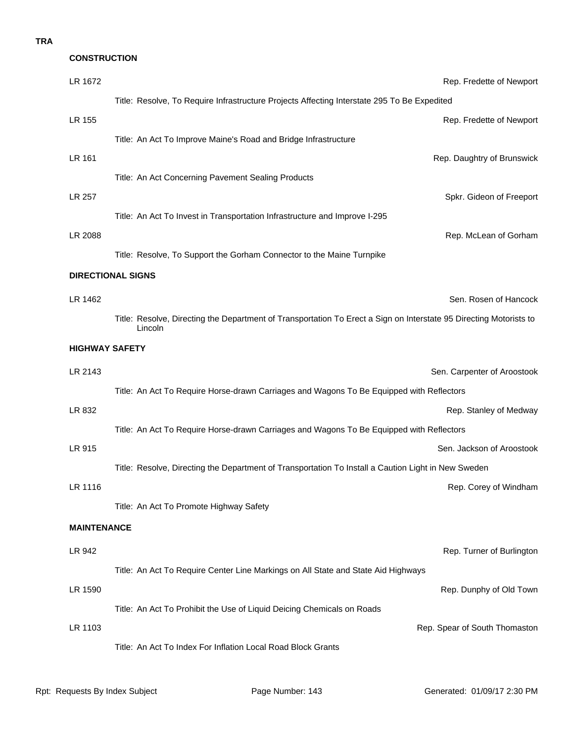## **TRA**

# **LR 1462** Sen. Rosen of Hancock **DIRECTIONAL SIGNS** LR 2088 Rep. McLean of Gorham Title: Resolve, To Support the Gorham Connector to the Maine Turnpike LR 257 Spkr. Gideon of Freeport Title: An Act To Invest in Transportation Infrastructure and Improve I-295 **LR 161** Rep. Daughtry of Brunswick Title: An Act Concerning Pavement Sealing Products LR 155 Rep. Fredette of Newport Title: An Act To Improve Maine's Road and Bridge Infrastructure LR 1672 Rep. Fredette of Newport Title: Resolve, To Require Infrastructure Projects Affecting Interstate 295 To Be Expedited **CONSTRUCTION**

Title: Resolve, Directing the Department of Transportation To Erect a Sign on Interstate 95 Directing Motorists to Lincoln

## **HIGHWAY SAFETY**

| LR 2143            |                                                                                                     | Sen. Carpenter of Aroostook   |  |
|--------------------|-----------------------------------------------------------------------------------------------------|-------------------------------|--|
|                    | Title: An Act To Require Horse-drawn Carriages and Wagons To Be Equipped with Reflectors            |                               |  |
| LR 832             |                                                                                                     | Rep. Stanley of Medway        |  |
|                    | Title: An Act To Require Horse-drawn Carriages and Wagons To Be Equipped with Reflectors            |                               |  |
| LR 915             |                                                                                                     | Sen. Jackson of Aroostook     |  |
|                    | Title: Resolve, Directing the Department of Transportation To Install a Caution Light in New Sweden |                               |  |
| LR 1116            |                                                                                                     | Rep. Corey of Windham         |  |
|                    | Title: An Act To Promote Highway Safety                                                             |                               |  |
| <b>MAINTENANCE</b> |                                                                                                     |                               |  |
| LR 942             |                                                                                                     | Rep. Turner of Burlington     |  |
|                    | Title: An Act To Require Center Line Markings on All State and State Aid Highways                   |                               |  |
| LR 1590            |                                                                                                     | Rep. Dunphy of Old Town       |  |
|                    | Title: An Act To Prohibit the Use of Liquid Deicing Chemicals on Roads                              |                               |  |
| LR 1103            |                                                                                                     | Rep. Spear of South Thomaston |  |
|                    | Title: An Act To Index For Inflation Local Road Block Grants                                        |                               |  |
|                    |                                                                                                     |                               |  |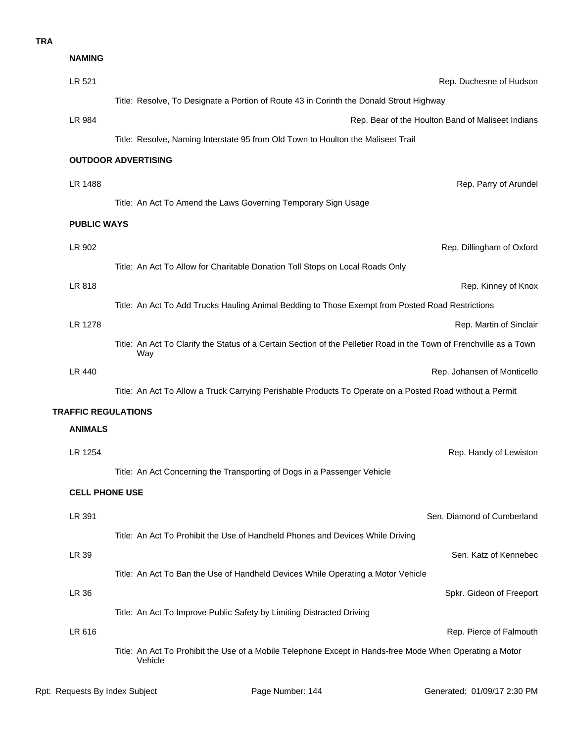## **TRA**

|                            | <b>NAMING</b>      |                                                                                                                            |  |  |
|----------------------------|--------------------|----------------------------------------------------------------------------------------------------------------------------|--|--|
|                            | LR 521             | Rep. Duchesne of Hudson                                                                                                    |  |  |
|                            |                    | Title: Resolve, To Designate a Portion of Route 43 in Corinth the Donald Strout Highway                                    |  |  |
|                            | LR 984             | Rep. Bear of the Houlton Band of Maliseet Indians                                                                          |  |  |
|                            |                    | Title: Resolve, Naming Interstate 95 from Old Town to Houlton the Maliseet Trail                                           |  |  |
|                            |                    | <b>OUTDOOR ADVERTISING</b>                                                                                                 |  |  |
|                            | LR 1488            | Rep. Parry of Arundel                                                                                                      |  |  |
|                            |                    | Title: An Act To Amend the Laws Governing Temporary Sign Usage                                                             |  |  |
|                            | <b>PUBLIC WAYS</b> |                                                                                                                            |  |  |
|                            | LR 902             | Rep. Dillingham of Oxford                                                                                                  |  |  |
|                            |                    | Title: An Act To Allow for Charitable Donation Toll Stops on Local Roads Only                                              |  |  |
|                            | LR 818             | Rep. Kinney of Knox                                                                                                        |  |  |
|                            |                    | Title: An Act To Add Trucks Hauling Animal Bedding to Those Exempt from Posted Road Restrictions                           |  |  |
|                            | LR 1278            | Rep. Martin of Sinclair                                                                                                    |  |  |
|                            |                    | Title: An Act To Clarify the Status of a Certain Section of the Pelletier Road in the Town of Frenchville as a Town<br>Way |  |  |
|                            | <b>LR 440</b>      | Rep. Johansen of Monticello                                                                                                |  |  |
|                            |                    | Title: An Act To Allow a Truck Carrying Perishable Products To Operate on a Posted Road without a Permit                   |  |  |
| <b>TRAFFIC REGULATIONS</b> |                    |                                                                                                                            |  |  |
|                            | <b>ANIMALS</b>     |                                                                                                                            |  |  |
|                            | LR 1254            | Rep. Handy of Lewiston                                                                                                     |  |  |
|                            |                    | Title: An Act Concerning the Transporting of Dogs in a Passenger Vehicle                                                   |  |  |
| <b>CELL PHONE USE</b>      |                    |                                                                                                                            |  |  |
|                            | LR 391             | Sen. Diamond of Cumberland                                                                                                 |  |  |
|                            |                    | Title: An Act To Prohibit the Use of Handheld Phones and Devices While Driving                                             |  |  |
|                            | LR 39              | Sen. Katz of Kennebec                                                                                                      |  |  |
|                            |                    | Title: An Act To Ban the Use of Handheld Devices While Operating a Motor Vehicle                                           |  |  |
|                            | <b>LR 36</b>       | Spkr. Gideon of Freeport                                                                                                   |  |  |
|                            |                    | Title: An Act To Improve Public Safety by Limiting Distracted Driving                                                      |  |  |
|                            | LR 616             | Rep. Pierce of Falmouth                                                                                                    |  |  |
|                            |                    | Title: An Act To Prohibit the Use of a Mobile Telephone Except in Hands-free Mode When Operating a Motor<br>Vehicle        |  |  |
|                            |                    |                                                                                                                            |  |  |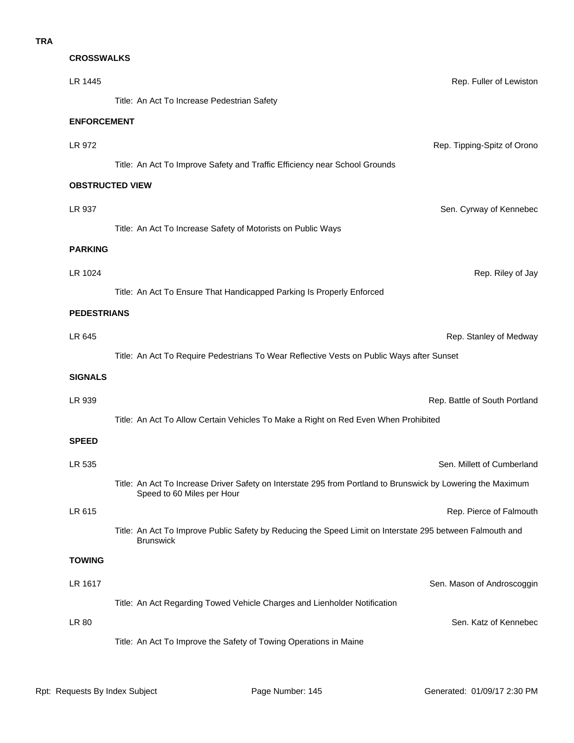# **CROSSWALKS**

| LR 1445                | Rep. Fuller of Lewiston                                                                                                                    |
|------------------------|--------------------------------------------------------------------------------------------------------------------------------------------|
|                        | Title: An Act To Increase Pedestrian Safety                                                                                                |
| <b>ENFORCEMENT</b>     |                                                                                                                                            |
| LR 972                 | Rep. Tipping-Spitz of Orono                                                                                                                |
|                        | Title: An Act To Improve Safety and Traffic Efficiency near School Grounds                                                                 |
| <b>OBSTRUCTED VIEW</b> |                                                                                                                                            |
| LR 937                 | Sen. Cyrway of Kennebec                                                                                                                    |
|                        | Title: An Act To Increase Safety of Motorists on Public Ways                                                                               |
| <b>PARKING</b>         |                                                                                                                                            |
| LR 1024                | Rep. Riley of Jay                                                                                                                          |
|                        | Title: An Act To Ensure That Handicapped Parking Is Properly Enforced                                                                      |
| <b>PEDESTRIANS</b>     |                                                                                                                                            |
| LR 645                 | Rep. Stanley of Medway                                                                                                                     |
|                        | Title: An Act To Require Pedestrians To Wear Reflective Vests on Public Ways after Sunset                                                  |
| <b>SIGNALS</b>         |                                                                                                                                            |
|                        |                                                                                                                                            |
| LR 939                 | Rep. Battle of South Portland                                                                                                              |
|                        | Title: An Act To Allow Certain Vehicles To Make a Right on Red Even When Prohibited                                                        |
| <b>SPEED</b>           |                                                                                                                                            |
| LR 535                 | Sen. Millett of Cumberland                                                                                                                 |
|                        | Title: An Act To Increase Driver Safety on Interstate 295 from Portland to Brunswick by Lowering the Maximum<br>Speed to 60 Miles per Hour |
| LR 615                 | Rep. Pierce of Falmouth                                                                                                                    |
|                        | Title: An Act To Improve Public Safety by Reducing the Speed Limit on Interstate 295 between Falmouth and<br><b>Brunswick</b>              |
| <b>TOWING</b>          |                                                                                                                                            |
| LR 1617                | Sen. Mason of Androscoggin                                                                                                                 |
|                        | Title: An Act Regarding Towed Vehicle Charges and Lienholder Notification                                                                  |
| LR 80                  | Sen. Katz of Kennebec                                                                                                                      |
|                        | Title: An Act To Improve the Safety of Towing Operations in Maine                                                                          |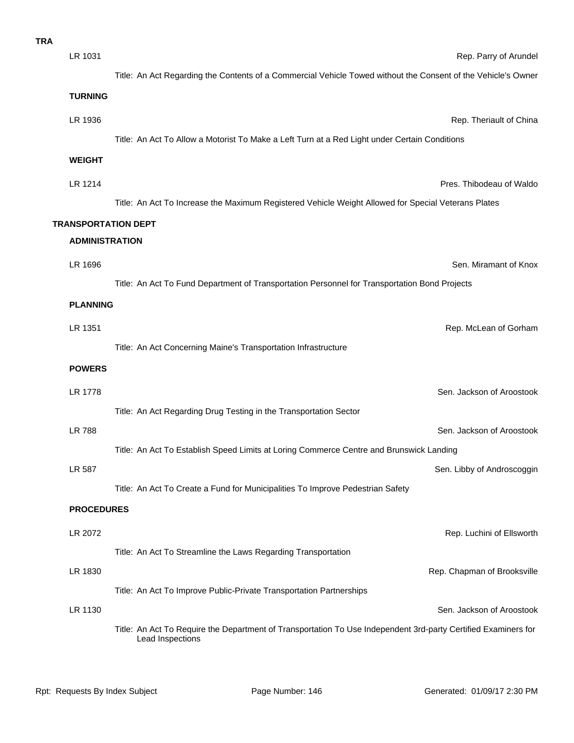| <b>TRA</b> |                            |                                                                                                               |
|------------|----------------------------|---------------------------------------------------------------------------------------------------------------|
|            | LR 1031                    | Rep. Parry of Arunde                                                                                          |
|            |                            | Title: An Act Regarding the Contents of a Commercial Vehicle Towed without the Consent of the Vehicle's Owner |
|            | <b>TURNING</b>             |                                                                                                               |
|            | LR 1936                    | Rep. Theriault of China                                                                                       |
|            |                            | Title: An Act To Allow a Motorist To Make a Left Turn at a Red Light under Certain Conditions                 |
|            | <b>WEIGHT</b>              |                                                                                                               |
|            | LR 1214                    | Pres. Thibodeau of Waldo                                                                                      |
|            |                            | Title: An Act To Increase the Maximum Registered Vehicle Weight Allowed for Special Veterans Plates           |
|            | <b>TRANSPORTATION DEPT</b> |                                                                                                               |
|            | <b>ADMINISTRATION</b>      |                                                                                                               |
|            | LR 1696                    | Sen. Miramant of Knox                                                                                         |
|            |                            | Title: An Act To Fund Department of Transportation Personnel for Transportation Bond Projects                 |
|            | <b>PLANNING</b>            |                                                                                                               |
|            | LR 1351                    | Rep. McLean of Gorham                                                                                         |
|            |                            | Title: An Act Concerning Maine's Transportation Infrastructure                                                |
|            | <b>POWERS</b>              |                                                                                                               |
|            | LR 1778                    | Sen. Jackson of Aroostook                                                                                     |
|            |                            | Title: An Act Regarding Drug Testing in the Transportation Sector                                             |
|            | <b>LR 788</b>              | Sen. Jackson of Aroostook                                                                                     |
|            |                            | Title: An Act To Establish Speed Limits at Loring Commerce Centre and Brunswick Landing                       |
|            | LR 587                     | Sen. Libby of Androscoggin                                                                                    |
|            |                            | Title: An Act To Create a Fund for Municipalities To Improve Pedestrian Safety                                |
|            | <b>PROCEDURES</b>          |                                                                                                               |
|            | LR 2072                    | Rep. Luchini of Ellsworth                                                                                     |
|            |                            | Title: An Act To Streamline the Laws Regarding Transportation                                                 |
|            | LR 1830                    | Rep. Chapman of Brooksville                                                                                   |
|            |                            | Title: An Act To Improve Public-Private Transportation Partnerships                                           |
|            |                            |                                                                                                               |

Title: An Act To Require the Department of Transportation To Use Independent 3rd-party Certified Examiners for Lead Inspections

LR 1130 Sen. Jackson of Aroostook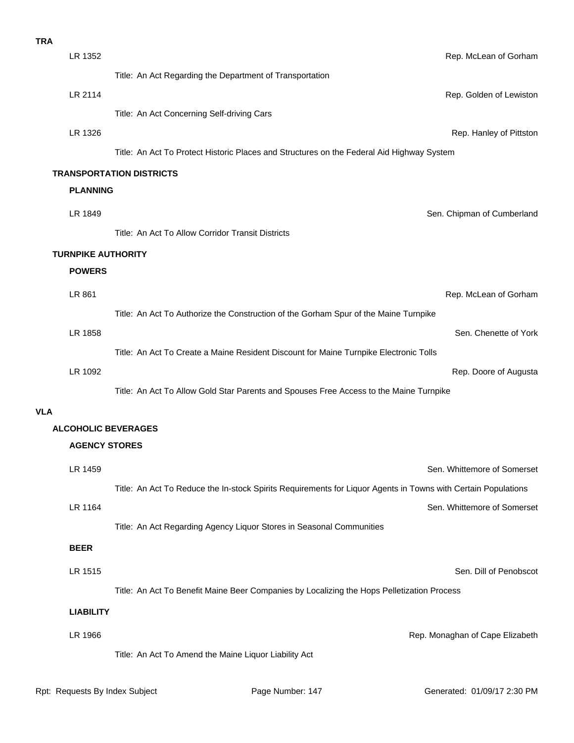| <b>TRA</b>       |                                                                                                               |
|------------------|---------------------------------------------------------------------------------------------------------------|
| LR 1352          | Rep. McLean of Gorham                                                                                         |
|                  | Title: An Act Regarding the Department of Transportation                                                      |
| LR 2114          | Rep. Golden of Lewiston                                                                                       |
|                  | Title: An Act Concerning Self-driving Cars                                                                    |
| LR 1326          | Rep. Hanley of Pittston                                                                                       |
|                  | Title: An Act To Protect Historic Places and Structures on the Federal Aid Highway System                     |
|                  | <b>TRANSPORTATION DISTRICTS</b>                                                                               |
| <b>PLANNING</b>  |                                                                                                               |
| LR 1849          | Sen. Chipman of Cumberland                                                                                    |
|                  | Title: An Act To Allow Corridor Transit Districts                                                             |
|                  | <b>TURNPIKE AUTHORITY</b>                                                                                     |
| <b>POWERS</b>    |                                                                                                               |
| LR 861           | Rep. McLean of Gorham                                                                                         |
|                  | Title: An Act To Authorize the Construction of the Gorham Spur of the Maine Turnpike                          |
| LR 1858          | Sen. Chenette of York                                                                                         |
|                  | Title: An Act To Create a Maine Resident Discount for Maine Turnpike Electronic Tolls                         |
| LR 1092          | Rep. Doore of Augusta                                                                                         |
|                  | Title: An Act To Allow Gold Star Parents and Spouses Free Access to the Maine Turnpike                        |
| <b>VLA</b>       |                                                                                                               |
|                  | <b>ALCOHOLIC BEVERAGES</b>                                                                                    |
|                  | <b>AGENCY STORES</b>                                                                                          |
| LR 1459          | Sen. Whittemore of Somerset                                                                                   |
|                  | Title: An Act To Reduce the In-stock Spirits Requirements for Liquor Agents in Towns with Certain Populations |
| LR 1164          | Sen. Whittemore of Somerset                                                                                   |
|                  | Title: An Act Regarding Agency Liquor Stores in Seasonal Communities                                          |
| <b>BEER</b>      |                                                                                                               |
|                  | Sen. Dill of Penobscot                                                                                        |
| LR 1515          |                                                                                                               |
|                  | Title: An Act To Benefit Maine Beer Companies by Localizing the Hops Pelletization Process                    |
| <b>LIABILITY</b> |                                                                                                               |
| LR 1966          | Rep. Monaghan of Cape Elizabeth                                                                               |

Title: An Act To Amend the Maine Liquor Liability Act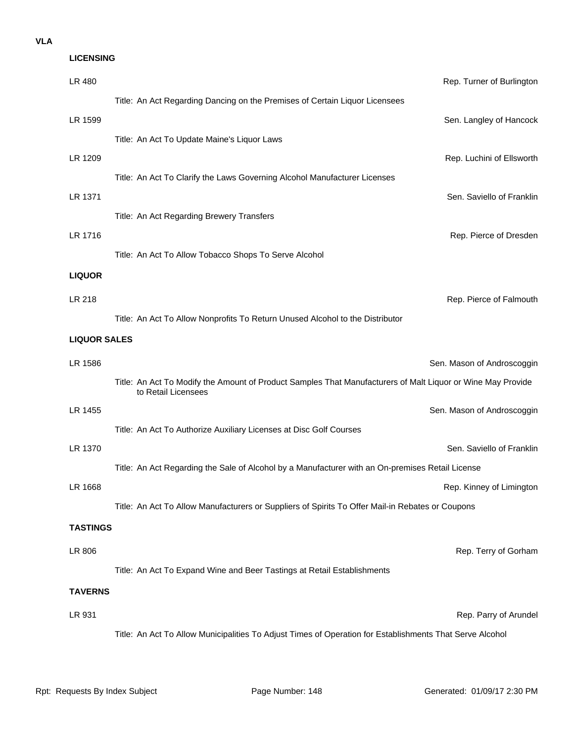| <b>LICENSING</b>    |                                                                                                                                    |                            |
|---------------------|------------------------------------------------------------------------------------------------------------------------------------|----------------------------|
| LR 480              |                                                                                                                                    | Rep. Turner of Burlington  |
|                     | Title: An Act Regarding Dancing on the Premises of Certain Liquor Licensees                                                        |                            |
| LR 1599             |                                                                                                                                    | Sen. Langley of Hancock    |
|                     | Title: An Act To Update Maine's Liquor Laws                                                                                        |                            |
| LR 1209             |                                                                                                                                    | Rep. Luchini of Ellsworth  |
|                     | Title: An Act To Clarify the Laws Governing Alcohol Manufacturer Licenses                                                          |                            |
| LR 1371             |                                                                                                                                    | Sen. Saviello of Franklin  |
|                     | Title: An Act Regarding Brewery Transfers                                                                                          |                            |
| LR 1716             |                                                                                                                                    | Rep. Pierce of Dresden     |
|                     | Title: An Act To Allow Tobacco Shops To Serve Alcohol                                                                              |                            |
| <b>LIQUOR</b>       |                                                                                                                                    |                            |
| LR 218              |                                                                                                                                    | Rep. Pierce of Falmouth    |
|                     | Title: An Act To Allow Nonprofits To Return Unused Alcohol to the Distributor                                                      |                            |
| <b>LIQUOR SALES</b> |                                                                                                                                    |                            |
| LR 1586             |                                                                                                                                    | Sen. Mason of Androscoggin |
|                     | Title: An Act To Modify the Amount of Product Samples That Manufacturers of Malt Liquor or Wine May Provide<br>to Retail Licensees |                            |
| LR 1455             |                                                                                                                                    | Sen. Mason of Androscoggin |
|                     | Title: An Act To Authorize Auxiliary Licenses at Disc Golf Courses                                                                 |                            |
| LR 1370             |                                                                                                                                    | Sen. Saviello of Franklin  |
|                     | Title: An Act Regarding the Sale of Alcohol by a Manufacturer with an On-premises Retail License                                   |                            |
| LR 1668             |                                                                                                                                    | Rep. Kinney of Limington   |
|                     | Title: An Act To Allow Manufacturers or Suppliers of Spirits To Offer Mail-in Rebates or Coupons                                   |                            |
| <b>TASTINGS</b>     |                                                                                                                                    |                            |
| LR 806              |                                                                                                                                    | Rep. Terry of Gorham       |
|                     | Title: An Act To Expand Wine and Beer Tastings at Retail Establishments                                                            |                            |
| <b>TAVERNS</b>      |                                                                                                                                    |                            |
| LR 931              |                                                                                                                                    | Rep. Parry of Arundel      |
|                     | Title: An Act To Allow Municipalities To Adjust Times of Operation for Establishments That Serve Alcohol                           |                            |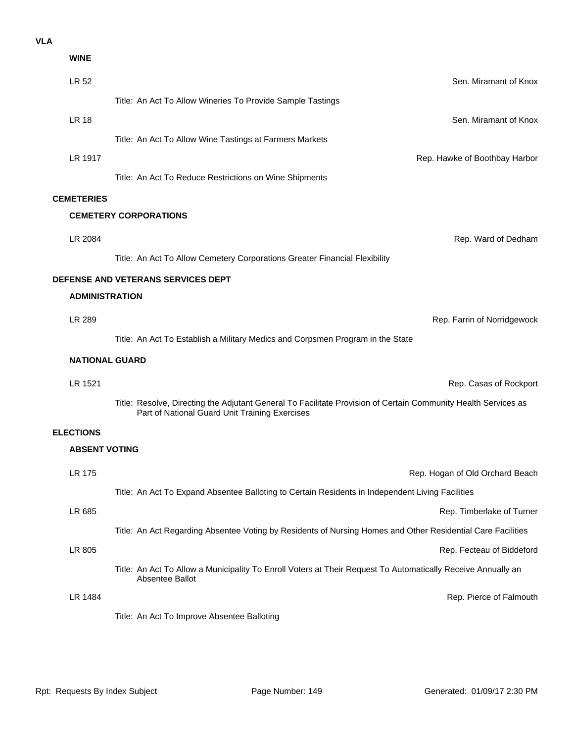| <b>WINE</b>           |                                                                                                                                                                  |
|-----------------------|------------------------------------------------------------------------------------------------------------------------------------------------------------------|
| LR 52                 | Sen. Miramant of Knox                                                                                                                                            |
|                       | Title: An Act To Allow Wineries To Provide Sample Tastings                                                                                                       |
| <b>LR 18</b>          | Sen. Miramant of Knox                                                                                                                                            |
|                       | Title: An Act To Allow Wine Tastings at Farmers Markets                                                                                                          |
| LR 1917               | Rep. Hawke of Boothbay Harbor                                                                                                                                    |
|                       | Title: An Act To Reduce Restrictions on Wine Shipments                                                                                                           |
| <b>CEMETERIES</b>     |                                                                                                                                                                  |
|                       | <b>CEMETERY CORPORATIONS</b>                                                                                                                                     |
| LR 2084               | Rep. Ward of Dedham                                                                                                                                              |
|                       | Title: An Act To Allow Cemetery Corporations Greater Financial Flexibility                                                                                       |
|                       | DEFENSE AND VETERANS SERVICES DEPT                                                                                                                               |
| <b>ADMINISTRATION</b> |                                                                                                                                                                  |
| LR 289                | Rep. Farrin of Norridgewock                                                                                                                                      |
|                       | Title: An Act To Establish a Military Medics and Corpsmen Program in the State                                                                                   |
| <b>NATIONAL GUARD</b> |                                                                                                                                                                  |
| LR 1521               | Rep. Casas of Rockport                                                                                                                                           |
|                       | Title: Resolve, Directing the Adjutant General To Facilitate Provision of Certain Community Health Services as<br>Part of National Guard Unit Training Exercises |
| <b>ELECTIONS</b>      |                                                                                                                                                                  |
| <b>ABSENT VOTING</b>  |                                                                                                                                                                  |
| LR 175                | Rep. Hogan of Old Orchard Beach                                                                                                                                  |
|                       | Title: An Act To Expand Absentee Balloting to Certain Residents in Independent Living Facilities                                                                 |
| LR 685                | Rep. Timberlake of Turner                                                                                                                                        |
|                       | Title: An Act Regarding Absentee Voting by Residents of Nursing Homes and Other Residential Care Facilities                                                      |
| LR 805                | Rep. Fecteau of Biddeford                                                                                                                                        |
|                       | Title: An Act To Allow a Municipality To Enroll Voters at Their Request To Automatically Receive Annually an<br>Absentee Ballot                                  |
| LR 1484               | Rep. Pierce of Falmouth                                                                                                                                          |
|                       | Title: An Act To Improve Absentee Balloting                                                                                                                      |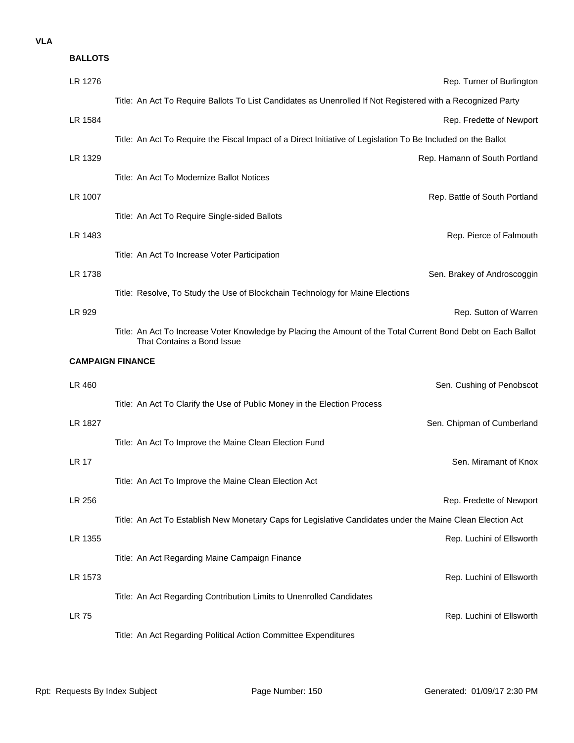| <b>BALLOTS</b> |                                                                                                                                             |
|----------------|---------------------------------------------------------------------------------------------------------------------------------------------|
| LR 1276        | Rep. Turner of Burlington                                                                                                                   |
|                | Title: An Act To Require Ballots To List Candidates as Unenrolled If Not Registered with a Recognized Party                                 |
| LR 1584        | Rep. Fredette of Newport                                                                                                                    |
|                | Title: An Act To Require the Fiscal Impact of a Direct Initiative of Legislation To Be Included on the Ballot                               |
| LR 1329        | Rep. Hamann of South Portland                                                                                                               |
|                | Title: An Act To Modernize Ballot Notices                                                                                                   |
| LR 1007        | Rep. Battle of South Portland                                                                                                               |
|                | Title: An Act To Require Single-sided Ballots                                                                                               |
| LR 1483        | Rep. Pierce of Falmouth                                                                                                                     |
|                | Title: An Act To Increase Voter Participation                                                                                               |
| LR 1738        | Sen. Brakey of Androscoggin                                                                                                                 |
|                | Title: Resolve, To Study the Use of Blockchain Technology for Maine Elections                                                               |
| LR 929         | Rep. Sutton of Warren                                                                                                                       |
|                | Title: An Act To Increase Voter Knowledge by Placing the Amount of the Total Current Bond Debt on Each Ballot<br>That Contains a Bond Issue |
|                |                                                                                                                                             |
|                | <b>CAMPAIGN FINANCE</b>                                                                                                                     |
| LR 460         | Sen. Cushing of Penobscot                                                                                                                   |
|                | Title: An Act To Clarify the Use of Public Money in the Election Process                                                                    |
| LR 1827        | Sen. Chipman of Cumberland                                                                                                                  |
|                | Title: An Act To Improve the Maine Clean Election Fund                                                                                      |
| <b>LR 17</b>   | Sen. Miramant of Knox                                                                                                                       |
|                | Title: An Act To Improve the Maine Clean Election Act                                                                                       |
| LR 256         | Rep. Fredette of Newport                                                                                                                    |
|                | Title: An Act To Establish New Monetary Caps for Legislative Candidates under the Maine Clean Election Act                                  |
| LR 1355        | Rep. Luchini of Ellsworth                                                                                                                   |
|                | Title: An Act Regarding Maine Campaign Finance                                                                                              |
| LR 1573        | Rep. Luchini of Ellsworth                                                                                                                   |
|                | Title: An Act Regarding Contribution Limits to Unenrolled Candidates                                                                        |
| LR 75          | Rep. Luchini of Ellsworth                                                                                                                   |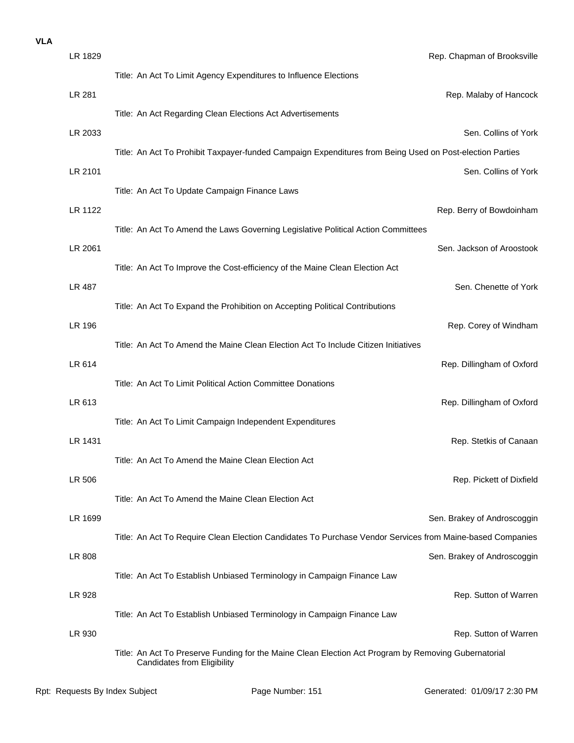| LR 1829       | Rep. Chapman of Brooksville                                                                                                                |
|---------------|--------------------------------------------------------------------------------------------------------------------------------------------|
|               | Title: An Act To Limit Agency Expenditures to Influence Elections                                                                          |
| <b>LR 281</b> | Rep. Malaby of Hancock                                                                                                                     |
|               | Title: An Act Regarding Clean Elections Act Advertisements                                                                                 |
| LR 2033       | Sen. Collins of York                                                                                                                       |
|               | Title: An Act To Prohibit Taxpayer-funded Campaign Expenditures from Being Used on Post-election Parties                                   |
| LR 2101       | Sen. Collins of York                                                                                                                       |
|               | Title: An Act To Update Campaign Finance Laws                                                                                              |
| LR 1122       | Rep. Berry of Bowdoinham                                                                                                                   |
|               | Title: An Act To Amend the Laws Governing Legislative Political Action Committees                                                          |
| LR 2061       | Sen. Jackson of Aroostook                                                                                                                  |
| <b>LR 487</b> | Title: An Act To Improve the Cost-efficiency of the Maine Clean Election Act<br>Sen. Chenette of York                                      |
|               | Title: An Act To Expand the Prohibition on Accepting Political Contributions                                                               |
| LR 196        | Rep. Corey of Windham                                                                                                                      |
|               | Title: An Act To Amend the Maine Clean Election Act To Include Citizen Initiatives                                                         |
| LR 614        | Rep. Dillingham of Oxford                                                                                                                  |
|               | Title: An Act To Limit Political Action Committee Donations                                                                                |
| LR 613        | Rep. Dillingham of Oxford                                                                                                                  |
|               | Title: An Act To Limit Campaign Independent Expenditures                                                                                   |
| LR 1431       | Rep. Stetkis of Canaan                                                                                                                     |
|               | Title: An Act To Amend the Maine Clean Election Act                                                                                        |
| LR 506        | Rep. Pickett of Dixfield                                                                                                                   |
|               | Title: An Act To Amend the Maine Clean Election Act                                                                                        |
| LR 1699       | Sen. Brakey of Androscoggin                                                                                                                |
|               | Title: An Act To Require Clean Election Candidates To Purchase Vendor Services from Maine-based Companies                                  |
| LR 808        | Sen. Brakey of Androscoggin                                                                                                                |
|               | Title: An Act To Establish Unbiased Terminology in Campaign Finance Law                                                                    |
| LR 928        | Rep. Sutton of Warren                                                                                                                      |
|               | Title: An Act To Establish Unbiased Terminology in Campaign Finance Law                                                                    |
| LR 930        | Rep. Sutton of Warren                                                                                                                      |
|               | Title: An Act To Preserve Funding for the Maine Clean Election Act Program by Removing Gubernatorial<br><b>Candidates from Eligibility</b> |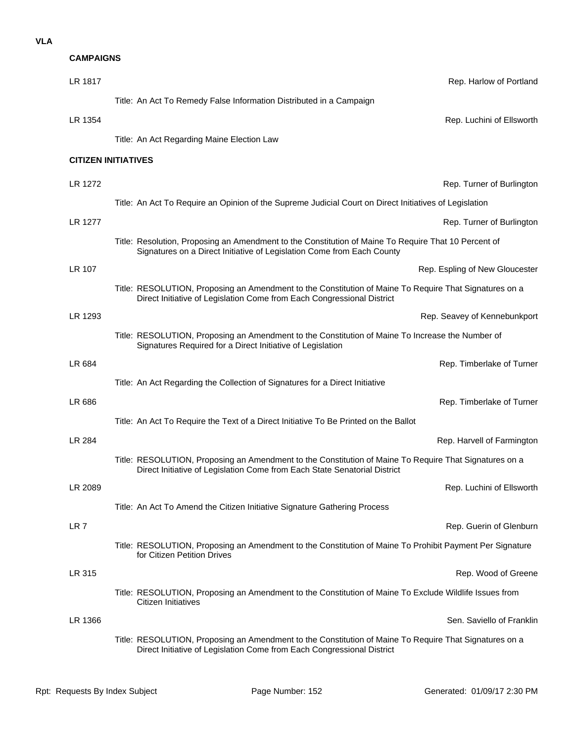| <b>CAMPAIGNS</b> |                                                                                                                                                                                     |
|------------------|-------------------------------------------------------------------------------------------------------------------------------------------------------------------------------------|
| LR 1817          | Rep. Harlow of Portland                                                                                                                                                             |
|                  | Title: An Act To Remedy False Information Distributed in a Campaign                                                                                                                 |
| LR 1354          | Rep. Luchini of Ellsworth                                                                                                                                                           |
|                  | Title: An Act Regarding Maine Election Law                                                                                                                                          |
|                  | <b>CITIZEN INITIATIVES</b>                                                                                                                                                          |
| LR 1272          | Rep. Turner of Burlingtor                                                                                                                                                           |
|                  | Title: An Act To Require an Opinion of the Supreme Judicial Court on Direct Initiatives of Legislation                                                                              |
| LR 1277          | Rep. Turner of Burlington                                                                                                                                                           |
|                  | Title: Resolution, Proposing an Amendment to the Constitution of Maine To Require That 10 Percent of<br>Signatures on a Direct Initiative of Legislation Come from Each County      |
| LR 107           | Rep. Espling of New Gloucester                                                                                                                                                      |
|                  | Title: RESOLUTION, Proposing an Amendment to the Constitution of Maine To Require That Signatures on a<br>Direct Initiative of Legislation Come from Each Congressional District    |
| LR 1293          | Rep. Seavey of Kennebunkport                                                                                                                                                        |
|                  | Title: RESOLUTION, Proposing an Amendment to the Constitution of Maine To Increase the Number of<br>Signatures Required for a Direct Initiative of Legislation                      |
| LR 684           | Rep. Timberlake of Turner                                                                                                                                                           |
|                  | Title: An Act Regarding the Collection of Signatures for a Direct Initiative                                                                                                        |
| LR 686           | Rep. Timberlake of Turner                                                                                                                                                           |
|                  | Title: An Act To Require the Text of a Direct Initiative To Be Printed on the Ballot                                                                                                |
| <b>LR 284</b>    | Rep. Harvell of Farmington                                                                                                                                                          |
|                  | Title: RESOLUTION, Proposing an Amendment to the Constitution of Maine To Require That Signatures on a<br>Direct Initiative of Legislation Come from Each State Senatorial District |
| LR 2089          | Rep. Luchini of Ellsworth                                                                                                                                                           |
|                  | Title: An Act To Amend the Citizen Initiative Signature Gathering Process                                                                                                           |
| LR <sub>7</sub>  | Rep. Guerin of Glenburr                                                                                                                                                             |
|                  | Title: RESOLUTION, Proposing an Amendment to the Constitution of Maine To Prohibit Payment Per Signature<br>for Citizen Petition Drives                                             |
| LR 315           | Rep. Wood of Greene                                                                                                                                                                 |
|                  | Title: RESOLUTION, Proposing an Amendment to the Constitution of Maine To Exclude Wildlife Issues from<br>Citizen Initiatives                                                       |
| LR 1366          | Sen. Saviello of Franklin                                                                                                                                                           |
|                  | Title: RESOLUTION, Proposing an Amendment to the Constitution of Maine To Require That Signatures on a                                                                              |

Direct Initiative of Legislation Come from Each Congressional District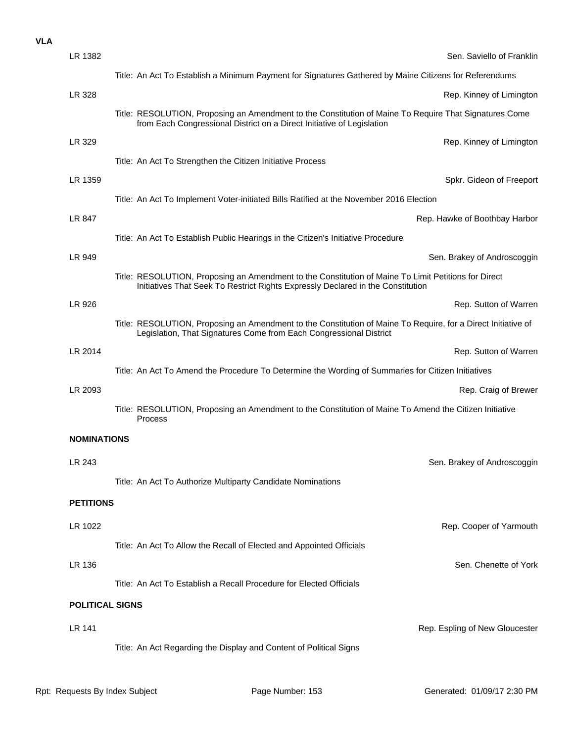| LR 1382                | Sen. Saviello of Franklin                                                                                                                                                               |  |
|------------------------|-----------------------------------------------------------------------------------------------------------------------------------------------------------------------------------------|--|
|                        | Title: An Act To Establish a Minimum Payment for Signatures Gathered by Maine Citizens for Referendums                                                                                  |  |
| LR 328                 | Rep. Kinney of Limington                                                                                                                                                                |  |
|                        | Title: RESOLUTION, Proposing an Amendment to the Constitution of Maine To Require That Signatures Come<br>from Each Congressional District on a Direct Initiative of Legislation        |  |
| LR 329                 | Rep. Kinney of Limington                                                                                                                                                                |  |
|                        | Title: An Act To Strengthen the Citizen Initiative Process                                                                                                                              |  |
| LR 1359                | Spkr. Gideon of Freeport                                                                                                                                                                |  |
|                        | Title: An Act To Implement Voter-initiated Bills Ratified at the November 2016 Election                                                                                                 |  |
| LR 847                 | Rep. Hawke of Boothbay Harbor                                                                                                                                                           |  |
|                        | Title: An Act To Establish Public Hearings in the Citizen's Initiative Procedure                                                                                                        |  |
| LR 949                 | Sen. Brakey of Androscoggin                                                                                                                                                             |  |
|                        | Title: RESOLUTION, Proposing an Amendment to the Constitution of Maine To Limit Petitions for Direct<br>Initiatives That Seek To Restrict Rights Expressly Declared in the Constitution |  |
| LR 926                 | Rep. Sutton of Warren                                                                                                                                                                   |  |
|                        | Title: RESOLUTION, Proposing an Amendment to the Constitution of Maine To Require, for a Direct Initiative of<br>Legislation, That Signatures Come from Each Congressional District     |  |
| LR 2014                | Rep. Sutton of Warren                                                                                                                                                                   |  |
|                        | Title: An Act To Amend the Procedure To Determine the Wording of Summaries for Citizen Initiatives                                                                                      |  |
| LR 2093                | Rep. Craig of Brewer                                                                                                                                                                    |  |
|                        | Title: RESOLUTION, Proposing an Amendment to the Constitution of Maine To Amend the Citizen Initiative<br>Process                                                                       |  |
| <b>NOMINATIONS</b>     |                                                                                                                                                                                         |  |
| LR 243                 | Sen. Brakey of Androscoggin                                                                                                                                                             |  |
|                        | Title: An Act To Authorize Multiparty Candidate Nominations                                                                                                                             |  |
| <b>PETITIONS</b>       |                                                                                                                                                                                         |  |
| LR 1022                | Rep. Cooper of Yarmouth                                                                                                                                                                 |  |
|                        |                                                                                                                                                                                         |  |
|                        | Title: An Act To Allow the Recall of Elected and Appointed Officials<br>Sen. Chenette of York                                                                                           |  |
| LR 136                 | Title: An Act To Establish a Recall Procedure for Elected Officials                                                                                                                     |  |
|                        |                                                                                                                                                                                         |  |
| <b>POLITICAL SIGNS</b> |                                                                                                                                                                                         |  |
| LR 141                 | Rep. Espling of New Gloucester                                                                                                                                                          |  |
|                        | Title: An Act Regarding the Display and Content of Political Signs                                                                                                                      |  |
|                        |                                                                                                                                                                                         |  |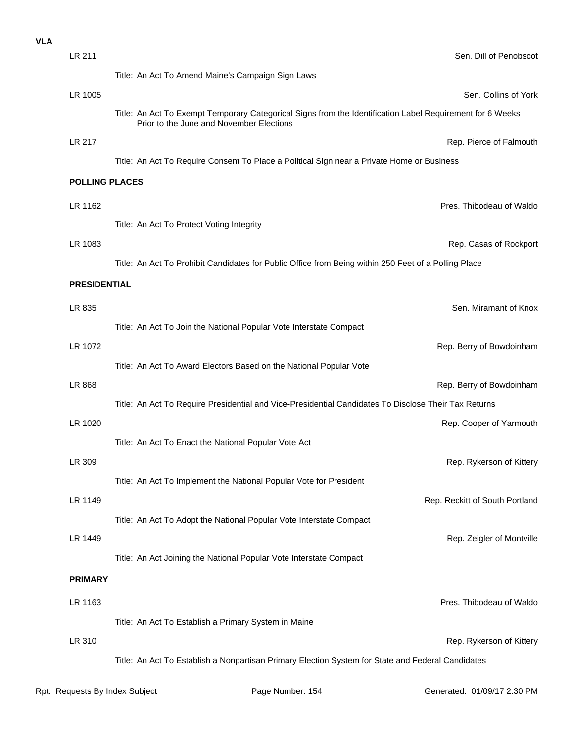| <b>VLA</b> |                       |                                                                                                                                                       |
|------------|-----------------------|-------------------------------------------------------------------------------------------------------------------------------------------------------|
|            | LR 211                | Sen. Dill of Penobscot                                                                                                                                |
|            |                       | Title: An Act To Amend Maine's Campaign Sign Laws                                                                                                     |
|            | LR 1005               | Sen. Collins of York                                                                                                                                  |
|            |                       | Title: An Act To Exempt Temporary Categorical Signs from the Identification Label Requirement for 6 Weeks<br>Prior to the June and November Elections |
|            | LR 217                | Rep. Pierce of Falmouth                                                                                                                               |
|            |                       | Title: An Act To Require Consent To Place a Political Sign near a Private Home or Business                                                            |
|            | <b>POLLING PLACES</b> |                                                                                                                                                       |
|            | LR 1162               | Pres. Thibodeau of Waldo                                                                                                                              |
|            |                       | Title: An Act To Protect Voting Integrity                                                                                                             |
|            | LR 1083               | Rep. Casas of Rockport                                                                                                                                |
|            |                       | Title: An Act To Prohibit Candidates for Public Office from Being within 250 Feet of a Polling Place                                                  |
|            | <b>PRESIDENTIAL</b>   |                                                                                                                                                       |
|            | LR 835                | Sen. Miramant of Knox                                                                                                                                 |
|            |                       | Title: An Act To Join the National Popular Vote Interstate Compact                                                                                    |
|            | LR 1072               | Rep. Berry of Bowdoinham                                                                                                                              |
|            |                       | Title: An Act To Award Electors Based on the National Popular Vote                                                                                    |
|            | LR 868                | Rep. Berry of Bowdoinham                                                                                                                              |
|            |                       | Title: An Act To Require Presidential and Vice-Presidential Candidates To Disclose Their Tax Returns                                                  |
|            | LR 1020               | Rep. Cooper of Yarmouth                                                                                                                               |
|            |                       | Title: An Act To Enact the National Popular Vote Act                                                                                                  |
|            | LR 309                | Rep. Rykerson of Kittery                                                                                                                              |
|            |                       | Title: An Act To Implement the National Popular Vote for President                                                                                    |
|            | LR 1149               | Rep. Reckitt of South Portland                                                                                                                        |
|            |                       | Title: An Act To Adopt the National Popular Vote Interstate Compact                                                                                   |
|            | LR 1449               | Rep. Zeigler of Montville                                                                                                                             |
|            |                       | Title: An Act Joining the National Popular Vote Interstate Compact                                                                                    |
|            | <b>PRIMARY</b>        |                                                                                                                                                       |
|            | LR 1163               | Pres. Thibodeau of Waldo                                                                                                                              |
|            |                       | Title: An Act To Establish a Primary System in Maine                                                                                                  |
|            | LR 310                | Rep. Rykerson of Kittery                                                                                                                              |
|            |                       |                                                                                                                                                       |

Title: An Act To Establish a Nonpartisan Primary Election System for State and Federal Candidates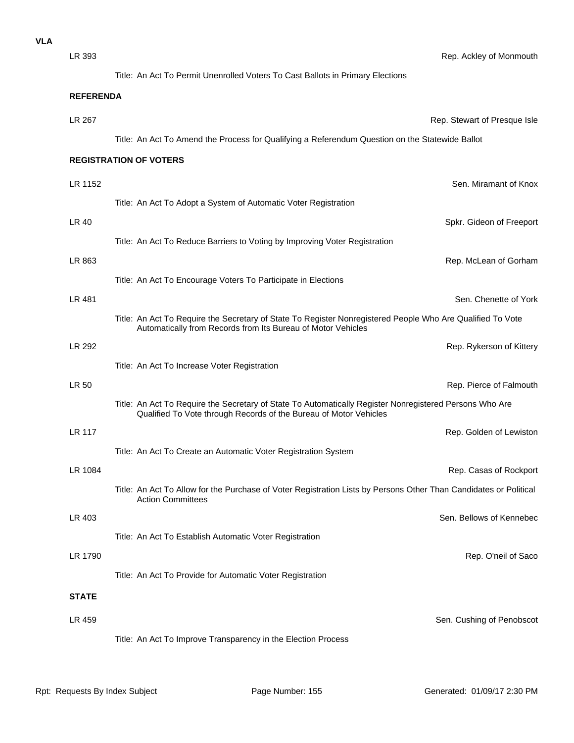| LR 393           | Rep. Ackley of Monmouth                                                                                                                                                      |  |
|------------------|------------------------------------------------------------------------------------------------------------------------------------------------------------------------------|--|
|                  | Title: An Act To Permit Unenrolled Voters To Cast Ballots in Primary Elections                                                                                               |  |
| <b>REFERENDA</b> |                                                                                                                                                                              |  |
| LR 267           | Rep. Stewart of Presque Isle                                                                                                                                                 |  |
|                  | Title: An Act To Amend the Process for Qualifying a Referendum Question on the Statewide Ballot                                                                              |  |
|                  | <b>REGISTRATION OF VOTERS</b>                                                                                                                                                |  |
| LR 1152          | Sen. Miramant of Knox                                                                                                                                                        |  |
|                  | Title: An Act To Adopt a System of Automatic Voter Registration                                                                                                              |  |
| LR 40            | Spkr. Gideon of Freeport                                                                                                                                                     |  |
|                  | Title: An Act To Reduce Barriers to Voting by Improving Voter Registration                                                                                                   |  |
| LR 863           | Rep. McLean of Gorham                                                                                                                                                        |  |
|                  | Title: An Act To Encourage Voters To Participate in Elections                                                                                                                |  |
| LR 481           | Sen. Chenette of York                                                                                                                                                        |  |
|                  | Title: An Act To Require the Secretary of State To Register Nonregistered People Who Are Qualified To Vote<br>Automatically from Records from Its Bureau of Motor Vehicles   |  |
| LR 292           | Rep. Rykerson of Kittery                                                                                                                                                     |  |
|                  | Title: An Act To Increase Voter Registration                                                                                                                                 |  |
| LR 50            | Rep. Pierce of Falmouth                                                                                                                                                      |  |
|                  | Title: An Act To Require the Secretary of State To Automatically Register Nonregistered Persons Who Are<br>Qualified To Vote through Records of the Bureau of Motor Vehicles |  |
| LR 117           | Rep. Golden of Lewistor                                                                                                                                                      |  |
|                  | Title: An Act To Create an Automatic Voter Registration System                                                                                                               |  |
| LR 1084          | Rep. Casas of Rockport                                                                                                                                                       |  |
|                  | Title: An Act To Allow for the Purchase of Voter Registration Lists by Persons Other Than Candidates or Political<br><b>Action Committees</b>                                |  |
| LR 403           | Sen. Bellows of Kennebed                                                                                                                                                     |  |
|                  | Title: An Act To Establish Automatic Voter Registration                                                                                                                      |  |
| LR 1790          | Rep. O'neil of Sacc                                                                                                                                                          |  |
|                  | Title: An Act To Provide for Automatic Voter Registration                                                                                                                    |  |
| <b>STATE</b>     |                                                                                                                                                                              |  |
| LR 459           | Sen. Cushing of Penobscot                                                                                                                                                    |  |
|                  | Title: An Act To Improve Transparency in the Election Process                                                                                                                |  |
|                  |                                                                                                                                                                              |  |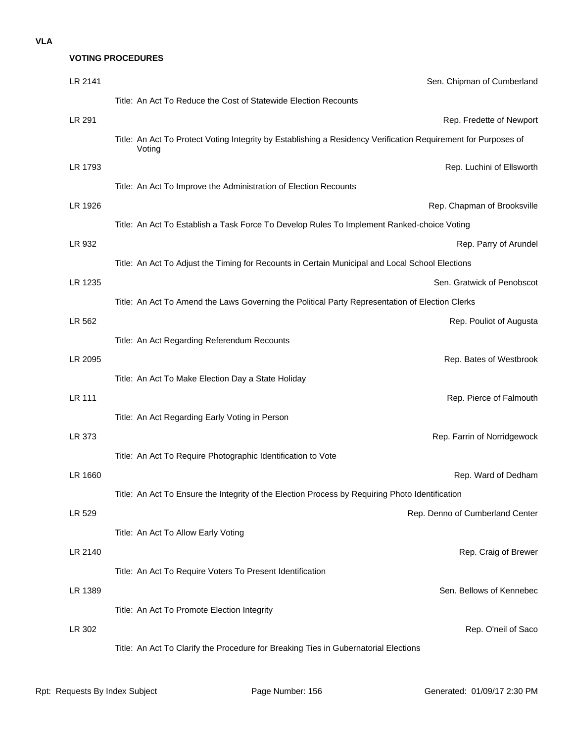# **VOTING PROCEDURES**

| LR 2141       | Sen. Chipman of Cumberland                                                                                               |
|---------------|--------------------------------------------------------------------------------------------------------------------------|
|               | Title: An Act To Reduce the Cost of Statewide Election Recounts                                                          |
| LR 291        | Rep. Fredette of Newport                                                                                                 |
|               | Title: An Act To Protect Voting Integrity by Establishing a Residency Verification Requirement for Purposes of<br>Voting |
| LR 1793       | Rep. Luchini of Ellsworth                                                                                                |
|               | Title: An Act To Improve the Administration of Election Recounts                                                         |
| LR 1926       | Rep. Chapman of Brooksville                                                                                              |
|               | Title: An Act To Establish a Task Force To Develop Rules To Implement Ranked-choice Voting                               |
| LR 932        | Rep. Parry of Arundel                                                                                                    |
|               | Title: An Act To Adjust the Timing for Recounts in Certain Municipal and Local School Elections                          |
| LR 1235       | Sen. Gratwick of Penobscot                                                                                               |
|               | Title: An Act To Amend the Laws Governing the Political Party Representation of Election Clerks                          |
| LR 562        | Rep. Pouliot of Augusta                                                                                                  |
|               | Title: An Act Regarding Referendum Recounts                                                                              |
| LR 2095       | Rep. Bates of Westbrook                                                                                                  |
|               | Title: An Act To Make Election Day a State Holiday                                                                       |
| <b>LR 111</b> | Rep. Pierce of Falmouth                                                                                                  |
|               | Title: An Act Regarding Early Voting in Person                                                                           |
| LR 373        | Rep. Farrin of Norridgewock                                                                                              |
|               | Title: An Act To Require Photographic Identification to Vote                                                             |
| LR 1660       | Rep. Ward of Dedham                                                                                                      |
|               | Title: An Act To Ensure the Integrity of the Election Process by Requiring Photo Identification                          |
| LR 529        | Rep. Denno of Cumberland Center                                                                                          |
|               | Title: An Act To Allow Early Voting                                                                                      |
| LR 2140       | Rep. Craig of Brewer                                                                                                     |
|               | Title: An Act To Require Voters To Present Identification                                                                |
| LR 1389       | Sen. Bellows of Kennebec                                                                                                 |
|               | Title: An Act To Promote Election Integrity                                                                              |
| LR 302        | Rep. O'neil of Saco                                                                                                      |
|               | Title: An Act To Clarify the Procedure for Breaking Ties in Gubernatorial Elections                                      |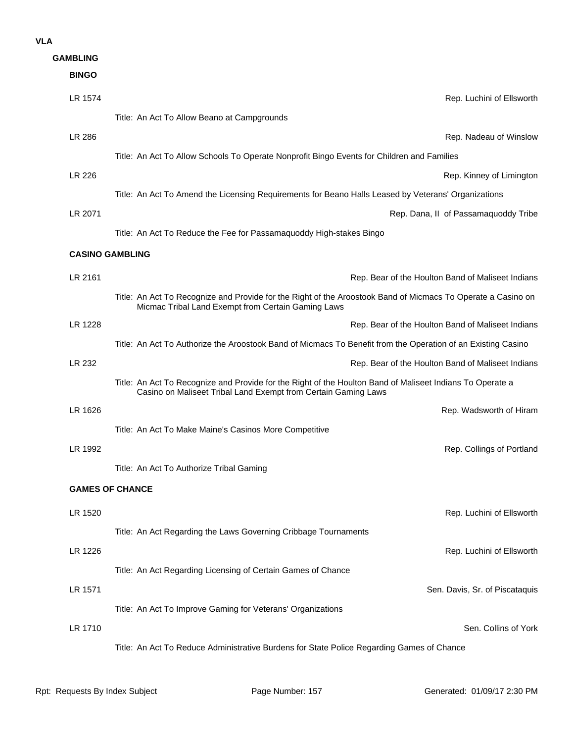| <b>GAMBLING</b>        |                                                                                                                                                                             |  |  |  |
|------------------------|-----------------------------------------------------------------------------------------------------------------------------------------------------------------------------|--|--|--|
| <b>BINGO</b>           |                                                                                                                                                                             |  |  |  |
| LR 1574                | Rep. Luchini of Ellsworth                                                                                                                                                   |  |  |  |
|                        | Title: An Act To Allow Beano at Campgrounds                                                                                                                                 |  |  |  |
| LR 286                 | Rep. Nadeau of Winslow                                                                                                                                                      |  |  |  |
|                        | Title: An Act To Allow Schools To Operate Nonprofit Bingo Events for Children and Families                                                                                  |  |  |  |
| LR 226                 | Rep. Kinney of Limington                                                                                                                                                    |  |  |  |
|                        | Title: An Act To Amend the Licensing Requirements for Beano Halls Leased by Veterans' Organizations                                                                         |  |  |  |
| LR 2071                | Rep. Dana, II of Passamaquoddy Tribe                                                                                                                                        |  |  |  |
|                        | Title: An Act To Reduce the Fee for Passamaquoddy High-stakes Bingo                                                                                                         |  |  |  |
| <b>CASINO GAMBLING</b> |                                                                                                                                                                             |  |  |  |
|                        |                                                                                                                                                                             |  |  |  |
| LR 2161                | Rep. Bear of the Houlton Band of Maliseet Indians                                                                                                                           |  |  |  |
|                        | Title: An Act To Recognize and Provide for the Right of the Aroostook Band of Micmacs To Operate a Casino on<br>Micmac Tribal Land Exempt from Certain Gaming Laws          |  |  |  |
| LR 1228                | Rep. Bear of the Houlton Band of Maliseet Indians                                                                                                                           |  |  |  |
|                        | Title: An Act To Authorize the Aroostook Band of Micmacs To Benefit from the Operation of an Existing Casino                                                                |  |  |  |
| LR 232                 | Rep. Bear of the Houlton Band of Maliseet Indians                                                                                                                           |  |  |  |
|                        | Title: An Act To Recognize and Provide for the Right of the Houlton Band of Maliseet Indians To Operate a<br>Casino on Maliseet Tribal Land Exempt from Certain Gaming Laws |  |  |  |
| LR 1626                | Rep. Wadsworth of Hiram                                                                                                                                                     |  |  |  |
|                        | Title: An Act To Make Maine's Casinos More Competitive                                                                                                                      |  |  |  |
| LR 1992                | Rep. Collings of Portland                                                                                                                                                   |  |  |  |
|                        | Title: An Act To Authorize Tribal Gaming                                                                                                                                    |  |  |  |
| <b>GAMES OF CHANCE</b> |                                                                                                                                                                             |  |  |  |
| LR 1520                | Rep. Luchini of Ellsworth                                                                                                                                                   |  |  |  |
|                        | Title: An Act Regarding the Laws Governing Cribbage Tournaments                                                                                                             |  |  |  |
| LR 1226                | Rep. Luchini of Ellsworth                                                                                                                                                   |  |  |  |
|                        | Title: An Act Regarding Licensing of Certain Games of Chance                                                                                                                |  |  |  |
| LR 1571                | Sen. Davis, Sr. of Piscataquis                                                                                                                                              |  |  |  |
|                        | Title: An Act To Improve Gaming for Veterans' Organizations                                                                                                                 |  |  |  |
| LR 1710                | Sen. Collins of York                                                                                                                                                        |  |  |  |
|                        | Title: An Act To Reduce Administrative Burdens for State Police Regarding Games of Chance                                                                                   |  |  |  |
|                        |                                                                                                                                                                             |  |  |  |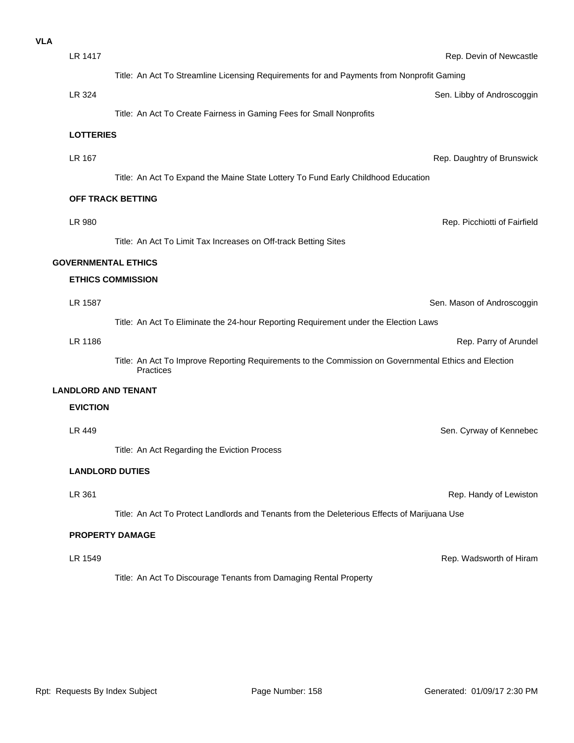| <b>VLA</b> |                        |                                                                                                                    |                              |  |
|------------|------------------------|--------------------------------------------------------------------------------------------------------------------|------------------------------|--|
|            | LR 1417                |                                                                                                                    | Rep. Devin of Newcastle      |  |
|            |                        | Title: An Act To Streamline Licensing Requirements for and Payments from Nonprofit Gaming                          |                              |  |
|            | LR 324                 |                                                                                                                    | Sen. Libby of Androscoggin   |  |
|            |                        | Title: An Act To Create Fairness in Gaming Fees for Small Nonprofits                                               |                              |  |
|            | <b>LOTTERIES</b>       |                                                                                                                    |                              |  |
|            | LR 167                 |                                                                                                                    | Rep. Daughtry of Brunswick   |  |
|            |                        | Title: An Act To Expand the Maine State Lottery To Fund Early Childhood Education                                  |                              |  |
|            | OFF TRACK BETTING      |                                                                                                                    |                              |  |
|            |                        |                                                                                                                    |                              |  |
|            | LR 980                 |                                                                                                                    | Rep. Picchiotti of Fairfield |  |
|            |                        | Title: An Act To Limit Tax Increases on Off-track Betting Sites                                                    |                              |  |
|            |                        | <b>GOVERNMENTAL ETHICS</b>                                                                                         |                              |  |
|            |                        | <b>ETHICS COMMISSION</b>                                                                                           |                              |  |
|            | LR 1587                |                                                                                                                    | Sen. Mason of Androscoggin   |  |
|            |                        | Title: An Act To Eliminate the 24-hour Reporting Requirement under the Election Laws                               |                              |  |
|            | LR 1186                |                                                                                                                    | Rep. Parry of Arundel        |  |
|            |                        | Title: An Act To Improve Reporting Requirements to the Commission on Governmental Ethics and Election<br>Practices |                              |  |
|            |                        | <b>LANDLORD AND TENANT</b>                                                                                         |                              |  |
|            | <b>EVICTION</b>        |                                                                                                                    |                              |  |
|            | LR 449                 |                                                                                                                    | Sen. Cyrway of Kennebec      |  |
|            |                        | Title: An Act Regarding the Eviction Process                                                                       |                              |  |
|            | <b>LANDLORD DUTIES</b> |                                                                                                                    |                              |  |
|            | LR 361                 |                                                                                                                    | Rep. Handy of Lewiston       |  |
|            |                        | Title: An Act To Protect Landlords and Tenants from the Deleterious Effects of Marijuana Use                       |                              |  |
|            |                        | <b>PROPERTY DAMAGE</b>                                                                                             |                              |  |
|            | LR 1549                |                                                                                                                    | Rep. Wadsworth of Hiram      |  |
|            |                        | Title: An Act To Discourage Tenants from Damaging Rental Property                                                  |                              |  |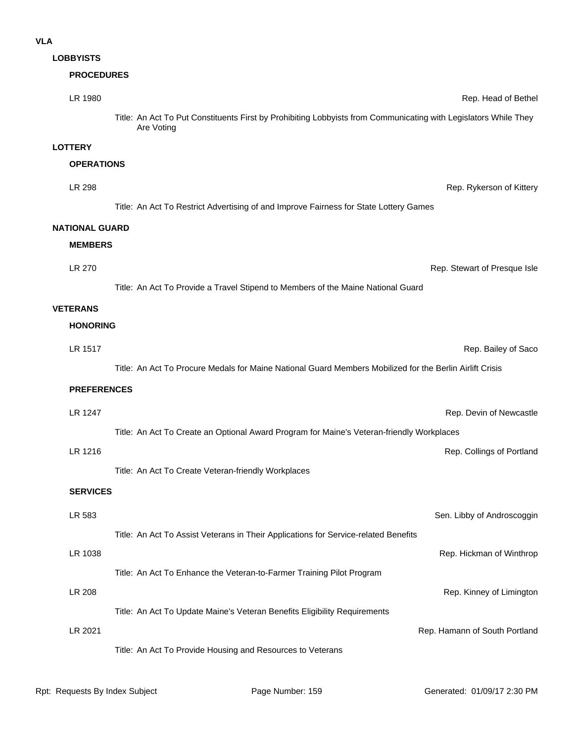# **LOBBYISTS**

# **PROCEDURES**

| LR 1980               |                                                                           | Rep. Head of Bethe                                                                                              |
|-----------------------|---------------------------------------------------------------------------|-----------------------------------------------------------------------------------------------------------------|
|                       | Are Voting                                                                | Title: An Act To Put Constituents First by Prohibiting Lobbyists from Communicating with Legislators While They |
| <b>LOTTERY</b>        |                                                                           |                                                                                                                 |
| <b>OPERATIONS</b>     |                                                                           |                                                                                                                 |
| LR 298                |                                                                           | Rep. Rykerson of Kittery                                                                                        |
|                       |                                                                           | Title: An Act To Restrict Advertising of and Improve Fairness for State Lottery Games                           |
| <b>NATIONAL GUARD</b> |                                                                           |                                                                                                                 |
| <b>MEMBERS</b>        |                                                                           |                                                                                                                 |
| <b>LR 270</b>         |                                                                           | Rep. Stewart of Presque Isle                                                                                    |
|                       |                                                                           | Title: An Act To Provide a Travel Stipend to Members of the Maine National Guard                                |
| <b>VETERANS</b>       |                                                                           |                                                                                                                 |
| <b>HONORING</b>       |                                                                           |                                                                                                                 |
| LR 1517               |                                                                           | Rep. Bailey of Sacc                                                                                             |
|                       |                                                                           | Title: An Act To Procure Medals for Maine National Guard Members Mobilized for the Berlin Airlift Crisis        |
| <b>PREFERENCES</b>    |                                                                           |                                                                                                                 |
| LR 1247               |                                                                           | Rep. Devin of Newcastle                                                                                         |
|                       |                                                                           | Title: An Act To Create an Optional Award Program for Maine's Veteran-friendly Workplaces                       |
| LR 1216               |                                                                           | Rep. Collings of Portland                                                                                       |
|                       | Title: An Act To Create Veteran-friendly Workplaces                       |                                                                                                                 |
| <b>SERVICES</b>       |                                                                           |                                                                                                                 |
|                       |                                                                           |                                                                                                                 |
| LR 583                |                                                                           | Sen. Libby of Androscoggin                                                                                      |
|                       |                                                                           | Title: An Act To Assist Veterans in Their Applications for Service-related Benefits                             |
| LR 1038               |                                                                           | Rep. Hickman of Winthrop                                                                                        |
|                       | Title: An Act To Enhance the Veteran-to-Farmer Training Pilot Program     |                                                                                                                 |
| LR 208                |                                                                           | Rep. Kinney of Limingtor                                                                                        |
|                       | Title: An Act To Update Maine's Veteran Benefits Eligibility Requirements |                                                                                                                 |
| LR 2021               |                                                                           | Rep. Hamann of South Portland                                                                                   |

Title: An Act To Provide Housing and Resources to Veterans